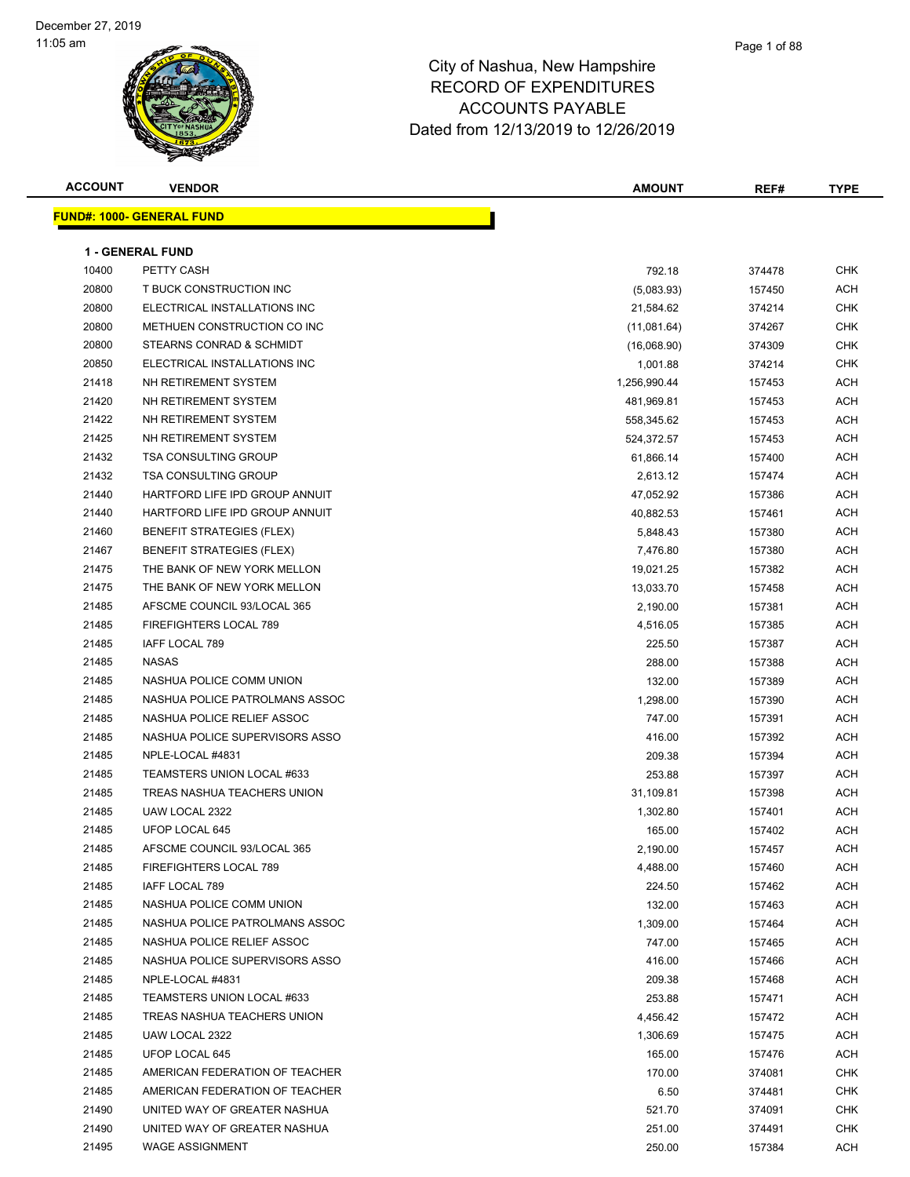| <b>ACCOUNT</b> | <b>VENDOR</b>                    | <b>AMOUNT</b> | REF#   | <b>TYPE</b> |  |  |  |
|----------------|----------------------------------|---------------|--------|-------------|--|--|--|
|                | <b>FUND#: 1000- GENERAL FUND</b> |               |        |             |  |  |  |
|                |                                  |               |        |             |  |  |  |
|                | <b>1 - GENERAL FUND</b>          |               |        |             |  |  |  |
| 10400          | PETTY CASH                       | 792.18        | 374478 | <b>CHK</b>  |  |  |  |
| 20800          | T BUCK CONSTRUCTION INC          | (5,083.93)    | 157450 | <b>ACH</b>  |  |  |  |
| 20800          | ELECTRICAL INSTALLATIONS INC     | 21,584.62     | 374214 | <b>CHK</b>  |  |  |  |
| 20800          | METHUEN CONSTRUCTION CO INC      | (11,081.64)   | 374267 | <b>CHK</b>  |  |  |  |
| 20800          | STEARNS CONRAD & SCHMIDT         | (16,068.90)   | 374309 | CHK         |  |  |  |
| 20850          | ELECTRICAL INSTALLATIONS INC     | 1,001.88      | 374214 | CHK         |  |  |  |
| 21418          | NH RETIREMENT SYSTEM             | 1,256,990.44  | 157453 | ACH         |  |  |  |
| 21420          | NH RETIREMENT SYSTEM             | 481,969.81    | 157453 | ACH         |  |  |  |
| 21422          | NH RETIREMENT SYSTEM             | 558,345.62    | 157453 | <b>ACH</b>  |  |  |  |
| 21425          | NH RETIREMENT SYSTEM             | 524,372.57    | 157453 | ACH         |  |  |  |
| 21432          | <b>TSA CONSULTING GROUP</b>      | 61,866.14     | 157400 | ACH         |  |  |  |
| 21432          | <b>TSA CONSULTING GROUP</b>      | 2,613.12      | 157474 | ACH         |  |  |  |
| 21440          | HARTFORD LIFE IPD GROUP ANNUIT   | 47,052.92     | 157386 | ACH         |  |  |  |
| 21440          | HARTFORD LIFE IPD GROUP ANNUIT   | 40,882.53     | 157461 | ACH         |  |  |  |
| 21460          | <b>BENEFIT STRATEGIES (FLEX)</b> | 5,848.43      | 157380 | ACH         |  |  |  |
| 21467          | <b>BENEFIT STRATEGIES (FLEX)</b> | 7,476.80      | 157380 | ACH         |  |  |  |
| 21475          | THE BANK OF NEW YORK MELLON      | 19,021.25     | 157382 | ACH         |  |  |  |
| 21475          | THE BANK OF NEW YORK MELLON      | 13,033.70     | 157458 | ACH         |  |  |  |
| 21485          | AFSCME COUNCIL 93/LOCAL 365      | 2,190.00      | 157381 | ACH         |  |  |  |
| 21485          | FIREFIGHTERS LOCAL 789           | 4,516.05      | 157385 | ACH         |  |  |  |
| 21485          | IAFF LOCAL 789                   | 225.50        | 157387 | ACH         |  |  |  |
| 21485          | <b>NASAS</b>                     | 288.00        | 157388 | ACH         |  |  |  |
| 21485          | NASHUA POLICE COMM UNION         | 132.00        | 157389 | ACH         |  |  |  |
| 21485          | NASHUA POLICE PATROLMANS ASSOC   | 1,298.00      | 157390 | <b>ACH</b>  |  |  |  |
| 21485          | NASHUA POLICE RELIEF ASSOC       | 747.00        | 157391 | <b>ACH</b>  |  |  |  |
| 21485          | NASHUA POLICE SUPERVISORS ASSO   | 416.00        | 157392 | ACH         |  |  |  |
| 21485          | NPLE-LOCAL #4831                 | 209.38        | 157394 | ACH         |  |  |  |
| 21485          | TEAMSTERS UNION LOCAL #633       | 253.88        | 157397 | ACH         |  |  |  |
| 21485          | TREAS NASHUA TEACHERS UNION      | 31,109.81     | 157398 | ACH         |  |  |  |
| 21485          | UAW LOCAL 2322                   | 1,302.80      | 157401 | ACH         |  |  |  |
| 21485          | UFOP LOCAL 645                   | 165.00        | 157402 | <b>ACH</b>  |  |  |  |
| 21485          | AFSCME COUNCIL 93/LOCAL 365      | 2,190.00      | 157457 | ACH         |  |  |  |
| 21485          | FIREFIGHTERS LOCAL 789           | 4,488.00      | 157460 | ACH         |  |  |  |
| 21485          | IAFF LOCAL 789                   | 224.50        | 157462 | ACH         |  |  |  |
| 21485          | NASHUA POLICE COMM UNION         | 132.00        | 157463 | ACH         |  |  |  |
| 21485          | NASHUA POLICE PATROLMANS ASSOC   | 1,309.00      | 157464 | ACH         |  |  |  |
| 21485          | NASHUA POLICE RELIEF ASSOC       | 747.00        | 157465 | ACH         |  |  |  |
| 21485          | NASHUA POLICE SUPERVISORS ASSO   | 416.00        | 157466 | ACH         |  |  |  |
| 21485          | NPLE-LOCAL #4831                 | 209.38        | 157468 | ACH         |  |  |  |
| 21485          | TEAMSTERS UNION LOCAL #633       | 253.88        | 157471 | ACH         |  |  |  |
| 21485          | TREAS NASHUA TEACHERS UNION      | 4,456.42      | 157472 | ACH         |  |  |  |
| 21485          | UAW LOCAL 2322                   | 1,306.69      | 157475 | ACH         |  |  |  |
| 21485          | UFOP LOCAL 645                   | 165.00        | 157476 | ACH         |  |  |  |
| 21485          | AMERICAN FEDERATION OF TEACHER   | 170.00        | 374081 | CHK         |  |  |  |
| 21485          | AMERICAN FEDERATION OF TEACHER   | 6.50          | 374481 | <b>CHK</b>  |  |  |  |
| 21490          | UNITED WAY OF GREATER NASHUA     | 521.70        | 374091 | CHK         |  |  |  |
| 21490          | UNITED WAY OF GREATER NASHUA     | 251.00        | 374491 | CHK         |  |  |  |
| 21495          | <b>WAGE ASSIGNMENT</b>           | 250.00        | 157384 | ACH         |  |  |  |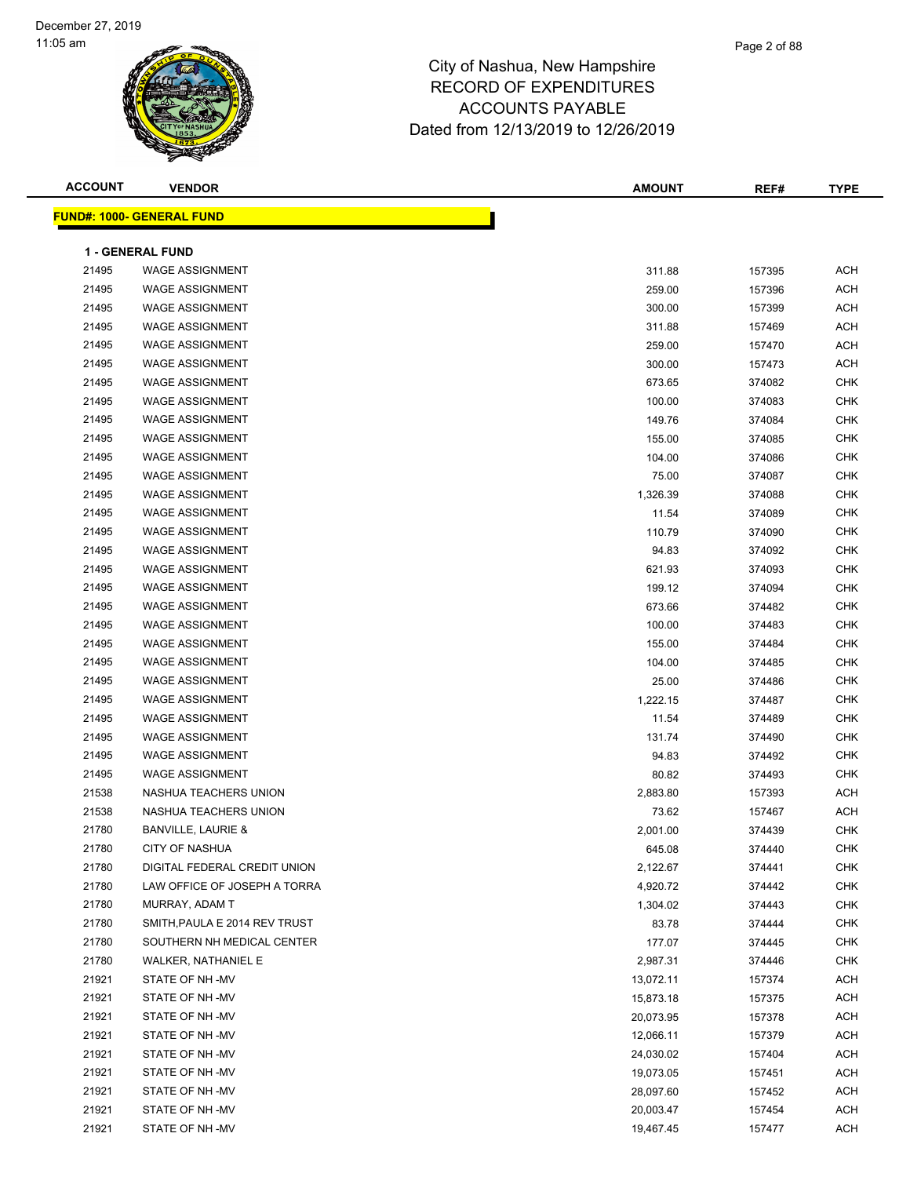| <b>ACCOUNT</b> | <b>VENDOR</b>                    | <b>AMOUNT</b> | REF#   | <b>TYPE</b> |
|----------------|----------------------------------|---------------|--------|-------------|
|                | <b>FUND#: 1000- GENERAL FUND</b> |               |        |             |
|                |                                  |               |        |             |
|                | 1 - GENERAL FUND                 |               |        |             |
| 21495          | <b>WAGE ASSIGNMENT</b>           | 311.88        | 157395 | <b>ACH</b>  |
| 21495          | <b>WAGE ASSIGNMENT</b>           | 259.00        | 157396 | <b>ACH</b>  |
| 21495          | <b>WAGE ASSIGNMENT</b>           | 300.00        | 157399 | ACH         |
| 21495          | <b>WAGE ASSIGNMENT</b>           | 311.88        | 157469 | ACH         |
| 21495          | <b>WAGE ASSIGNMENT</b>           | 259.00        | 157470 | ACH         |
| 21495          | <b>WAGE ASSIGNMENT</b>           | 300.00        | 157473 | <b>ACH</b>  |
| 21495          | <b>WAGE ASSIGNMENT</b>           | 673.65        | 374082 | <b>CHK</b>  |
| 21495          | <b>WAGE ASSIGNMENT</b>           | 100.00        | 374083 | <b>CHK</b>  |
| 21495          | <b>WAGE ASSIGNMENT</b>           | 149.76        | 374084 | <b>CHK</b>  |
| 21495          | <b>WAGE ASSIGNMENT</b>           | 155.00        | 374085 | <b>CHK</b>  |
| 21495          | <b>WAGE ASSIGNMENT</b>           | 104.00        | 374086 | <b>CHK</b>  |
| 21495          | <b>WAGE ASSIGNMENT</b>           | 75.00         | 374087 | <b>CHK</b>  |
| 21495          | <b>WAGE ASSIGNMENT</b>           | 1,326.39      | 374088 | <b>CHK</b>  |
| 21495          | <b>WAGE ASSIGNMENT</b>           | 11.54         | 374089 | <b>CHK</b>  |
| 21495          | <b>WAGE ASSIGNMENT</b>           | 110.79        | 374090 | <b>CHK</b>  |
| 21495          | <b>WAGE ASSIGNMENT</b>           | 94.83         | 374092 | <b>CHK</b>  |
| 21495          | <b>WAGE ASSIGNMENT</b>           | 621.93        | 374093 | <b>CHK</b>  |
| 21495          | <b>WAGE ASSIGNMENT</b>           | 199.12        | 374094 | <b>CHK</b>  |
| 21495          | <b>WAGE ASSIGNMENT</b>           | 673.66        | 374482 | <b>CHK</b>  |
| 21495          | <b>WAGE ASSIGNMENT</b>           | 100.00        | 374483 | <b>CHK</b>  |
| 21495          | <b>WAGE ASSIGNMENT</b>           | 155.00        | 374484 | <b>CHK</b>  |
| 21495          | <b>WAGE ASSIGNMENT</b>           | 104.00        | 374485 | <b>CHK</b>  |
| 21495          | <b>WAGE ASSIGNMENT</b>           | 25.00         | 374486 | <b>CHK</b>  |
| 21495          | <b>WAGE ASSIGNMENT</b>           | 1,222.15      | 374487 | <b>CHK</b>  |
| 21495          | <b>WAGE ASSIGNMENT</b>           | 11.54         | 374489 | <b>CHK</b>  |
| 21495          | <b>WAGE ASSIGNMENT</b>           | 131.74        | 374490 | <b>CHK</b>  |
| 21495          | <b>WAGE ASSIGNMENT</b>           | 94.83         | 374492 | <b>CHK</b>  |
| 21495          | <b>WAGE ASSIGNMENT</b>           | 80.82         | 374493 | <b>CHK</b>  |
| 21538          | NASHUA TEACHERS UNION            | 2,883.80      | 157393 | <b>ACH</b>  |
| 21538          | NASHUA TEACHERS UNION            | 73.62         | 157467 | ACH         |
| 21780          | <b>BANVILLE, LAURIE &amp;</b>    | 2,001.00      | 374439 | <b>CHK</b>  |
| 21780          | CITY OF NASHUA                   | 645.08        | 374440 | <b>CHK</b>  |
| 21780          | DIGITAL FEDERAL CREDIT UNION     | 2,122.67      | 374441 | CHK         |
| 21780          | LAW OFFICE OF JOSEPH A TORRA     | 4,920.72      | 374442 | CHK         |
| 21780          | MURRAY, ADAM T                   | 1,304.02      | 374443 | CHK         |
| 21780          | SMITH, PAULA E 2014 REV TRUST    | 83.78         | 374444 | CHK         |
| 21780          | SOUTHERN NH MEDICAL CENTER       | 177.07        | 374445 | CHK         |
| 21780          | WALKER, NATHANIEL E              | 2,987.31      | 374446 | CHK         |
| 21921          | STATE OF NH-MV                   | 13,072.11     | 157374 | <b>ACH</b>  |
| 21921          | STATE OF NH-MV                   | 15,873.18     | 157375 | ACH         |
| 21921          | STATE OF NH -MV                  | 20,073.95     | 157378 | ACH         |
| 21921          | STATE OF NH-MV                   | 12,066.11     | 157379 | ACH         |
| 21921          | STATE OF NH -MV                  | 24,030.02     | 157404 | ACH         |
| 21921          | STATE OF NH -MV                  | 19,073.05     | 157451 | ACH         |
| 21921          | STATE OF NH -MV                  | 28,097.60     | 157452 | ACH         |
| 21921          | STATE OF NH-MV                   | 20,003.47     | 157454 | ACH         |
| 21921          | STATE OF NH-MV                   | 19,467.45     | 157477 | <b>ACH</b>  |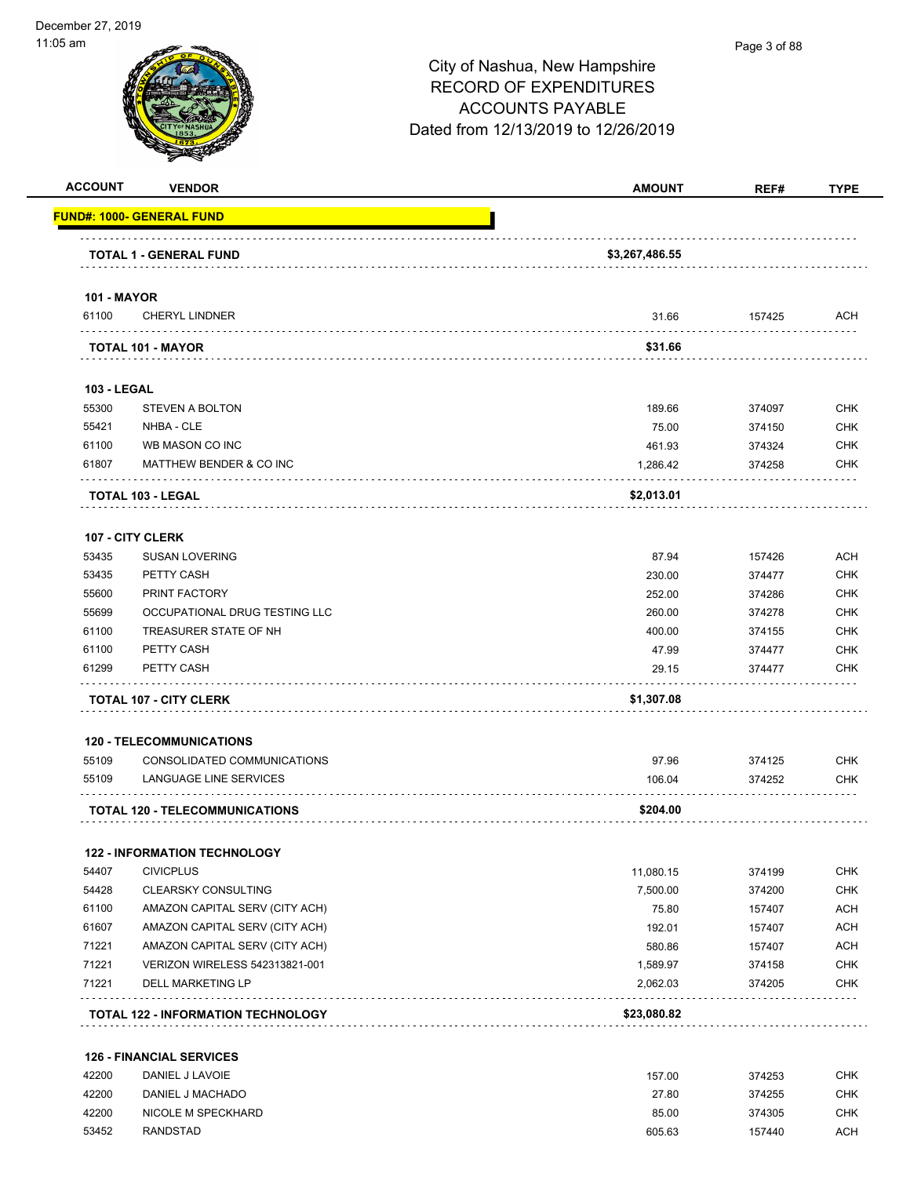### 11:05 am Page 3 of 88City of Nashua, New Hampshire RECORD OF EXPENDITURES ACCOUNTS PAYABLE Dated from 12/13/2019 to 12/26/2019 **ACCOUNT VENDOR AMOUNT REF# TYPE FUND#: 1000- GENERAL FUND TOTAL 1 - GENERAL FUND \$3,267,486.55 101 - MAYOR** 61100 CHERYL LINDNER 31.66 157425 ACH . . . . . . . . . . . . . . . . . . . . . . . . . . . . . . . . . . . **TOTAL 101 - MAYOR \$31.66 103 - LEGAL** 55300 STEVEN A BOLTON 189.66 374097 CHK 55421 NHBA - CLE 75.00 374150 CHK 61100 WB MASON CO INC 461.93 374324 CHK 61807 MATTHEW BENDER & CO INC 1,286.42 374258 CHK ولألاء **TOTAL 103 - LEGAL \$2,013.01 107 - CITY CLERK** 53435 SUSAN LOVERING 87.94 157426 ACH 53435 PETTY CASH 230.00 374477 CHK 55600 PRINT FACTORY 252.00 374286 CHK 55699 OCCUPATIONAL DRUG TESTING LLC 260.00 374278 CHK 61100 TREASURER STATE OF NH 400.00 374155 CHK 61100 PETTY CASH 47.99 374477 CHK 61299 PETTY CASH 29.15 374477 CHK . . . . . . . . . . . . . . . . . **TOTAL 107 - CITY CLERK \$1,307.08**

#### **120 - TELECOMMUNICATIONS**

| 55109 | CONSOLIDATED COMMUNICATIONS           | 97.96    | 374125 | снк        |
|-------|---------------------------------------|----------|--------|------------|
| 55109 | LANGUAGE LINE SERVICES                | 106.04   | 374252 | <b>CHK</b> |
|       | <b>TOTAL 120 - TELECOMMUNICATIONS</b> | \$204.00 |        |            |

#### **122 - INFORMATION TECHNOLOGY**

|       | <b>TOTAL 122 - INFORMATION TECHNOLOGY</b> | \$23,080.82 |        |            |
|-------|-------------------------------------------|-------------|--------|------------|
| 71221 | DELL MARKETING LP                         | 2.062.03    | 374205 | <b>CHK</b> |
| 71221 | <b>VERIZON WIRELESS 542313821-001</b>     | 1.589.97    | 374158 | <b>CHK</b> |
| 71221 | AMAZON CAPITAL SERV (CITY ACH)            | 580.86      | 157407 | <b>ACH</b> |
| 61607 | AMAZON CAPITAL SERV (CITY ACH)            | 192.01      | 157407 | <b>ACH</b> |
| 61100 | AMAZON CAPITAL SERV (CITY ACH)            | 75.80       | 157407 | <b>ACH</b> |
| 54428 | <b>CLEARSKY CONSULTING</b>                | 7.500.00    | 374200 | <b>CHK</b> |
| 54407 | <b>CIVICPLUS</b>                          | 11.080.15   | 374199 | <b>CHK</b> |

#### **126 - FINANCIAL SERVICES**

| 42200 | DANIEL J LAVOIE    | 157.00 | 374253 | снк |
|-------|--------------------|--------|--------|-----|
| 42200 | DANIEL J MACHADO   | 27.80  | 374255 | СНК |
| 42200 | NICOLE M SPECKHARD | 85.00  | 374305 | снк |
| 53452 | RANDSTAD           | 605.63 | 157440 | ACH |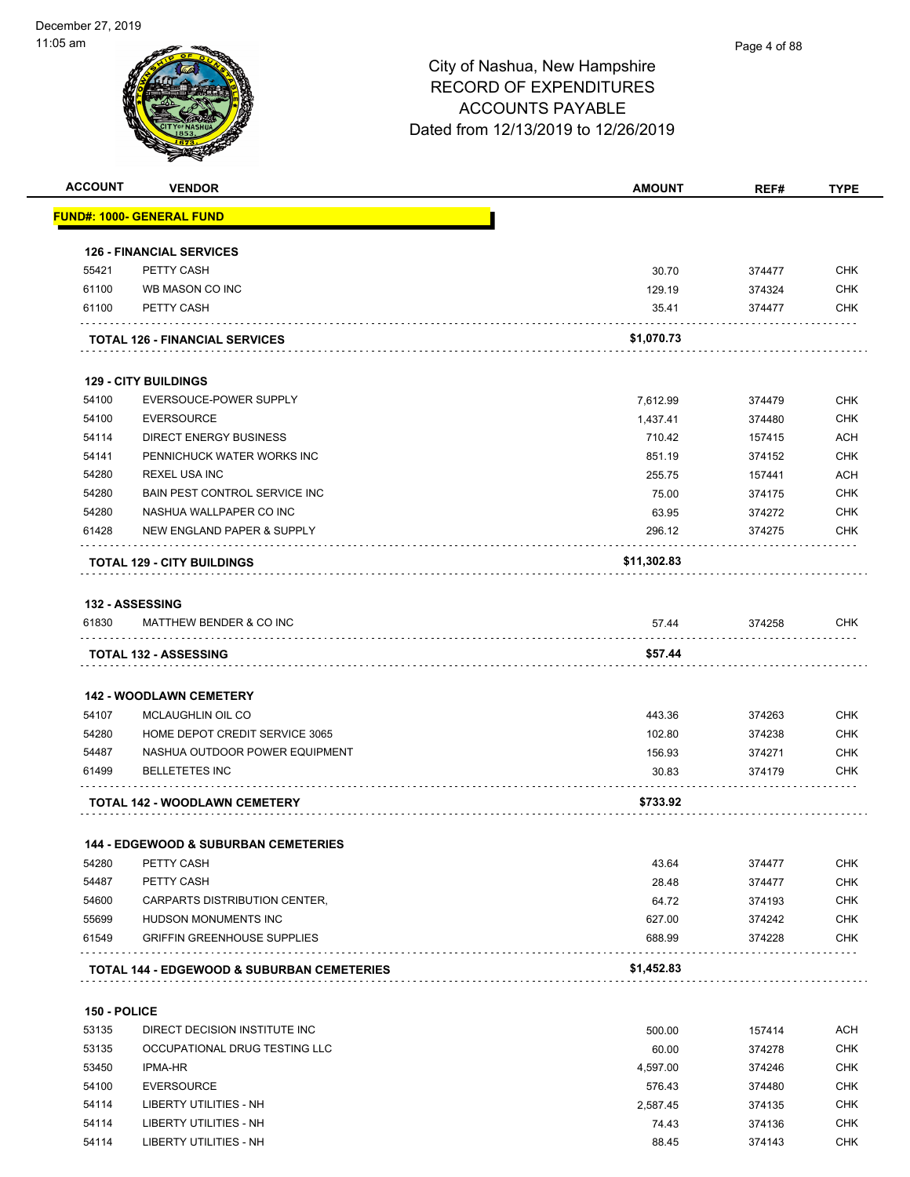

| <b>ACCOUNT</b> | <b>VENDOR</b>                                         | <b>AMOUNT</b> | REF#   | <b>TYPE</b> |
|----------------|-------------------------------------------------------|---------------|--------|-------------|
|                | <u> FUND#: 1000- GENERAL FUND</u>                     |               |        |             |
|                | <b>126 - FINANCIAL SERVICES</b>                       |               |        |             |
| 55421          | PETTY CASH                                            | 30.70         | 374477 | <b>CHK</b>  |
| 61100          | WB MASON CO INC                                       | 129.19        | 374324 | <b>CHK</b>  |
| 61100          | PETTY CASH                                            | 35.41         | 374477 | <b>CHK</b>  |
|                | <b>TOTAL 126 - FINANCIAL SERVICES</b>                 | \$1,070.73    |        |             |
|                | <b>129 - CITY BUILDINGS</b>                           |               |        |             |
| 54100          | EVERSOUCE-POWER SUPPLY                                | 7,612.99      | 374479 | <b>CHK</b>  |
| 54100          | <b>EVERSOURCE</b>                                     | 1,437.41      | 374480 | <b>CHK</b>  |
| 54114          | <b>DIRECT ENERGY BUSINESS</b>                         | 710.42        | 157415 | <b>ACH</b>  |
| 54141          | PENNICHUCK WATER WORKS INC                            | 851.19        | 374152 | <b>CHK</b>  |
| 54280          | <b>REXEL USA INC</b>                                  | 255.75        | 157441 | ACH         |
| 54280          | BAIN PEST CONTROL SERVICE INC                         | 75.00         | 374175 | <b>CHK</b>  |
| 54280          | NASHUA WALLPAPER CO INC                               | 63.95         | 374272 | <b>CHK</b>  |
| 61428          | NEW ENGLAND PAPER & SUPPLY                            | 296.12        | 374275 | <b>CHK</b>  |
|                | <b>TOTAL 129 - CITY BUILDINGS</b>                     | \$11,302.83   |        |             |
|                |                                                       |               |        |             |
|                | <b>132 - ASSESSING</b>                                |               |        |             |
| 61830          | MATTHEW BENDER & CO INC                               | 57.44         | 374258 | <b>CHK</b>  |
|                | <b>TOTAL 132 - ASSESSING</b>                          | \$57.44       |        |             |
|                |                                                       |               |        |             |
|                | <b>142 - WOODLAWN CEMETERY</b>                        |               |        |             |
| 54107          | MCLAUGHLIN OIL CO                                     | 443.36        | 374263 | <b>CHK</b>  |
| 54280          | HOME DEPOT CREDIT SERVICE 3065                        | 102.80        | 374238 | <b>CHK</b>  |
| 54487          | NASHUA OUTDOOR POWER EQUIPMENT                        | 156.93        | 374271 | <b>CHK</b>  |
| 61499          | <b>BELLETETES INC</b>                                 | 30.83         | 374179 | <b>CHK</b>  |
|                | <b>TOTAL 142 - WOODLAWN CEMETERY</b>                  | \$733.92      |        |             |
|                | <b>144 - EDGEWOOD &amp; SUBURBAN CEMETERIES</b>       |               |        |             |
| 54280          | PETTY CASH                                            | 43.64         | 374477 | <b>CHK</b>  |
| 54487          | PETTY CASH                                            | 28.48         | 374477 | <b>CHK</b>  |
| 54600          | CARPARTS DISTRIBUTION CENTER,                         | 64.72         | 374193 | <b>CHK</b>  |
| 55699          | HUDSON MONUMENTS INC                                  | 627.00        | 374242 | <b>CHK</b>  |
| 61549          | <b>GRIFFIN GREENHOUSE SUPPLIES</b>                    | 688.99        | 374228 | <b>CHK</b>  |
|                | <b>TOTAL 144 - EDGEWOOD &amp; SUBURBAN CEMETERIES</b> | \$1,452.83    |        |             |
|                |                                                       |               |        |             |
| 150 - POLICE   |                                                       |               |        |             |
| 53135          | DIRECT DECISION INSTITUTE INC                         | 500.00        | 157414 | <b>ACH</b>  |
| 53135          | OCCUPATIONAL DRUG TESTING LLC                         | 60.00         | 374278 | <b>CHK</b>  |
| 53450          | <b>IPMA-HR</b>                                        | 4,597.00      | 374246 | <b>CHK</b>  |
| 54100          | <b>EVERSOURCE</b>                                     | 576.43        | 374480 | <b>CHK</b>  |
| 54114          | LIBERTY UTILITIES - NH                                | 2,587.45      | 374135 | <b>CHK</b>  |
| 54114          | <b>LIBERTY UTILITIES - NH</b>                         | 74.43         | 374136 | <b>CHK</b>  |

54114 LIBERTY UTILITIES - NH 88.45 374143 CHK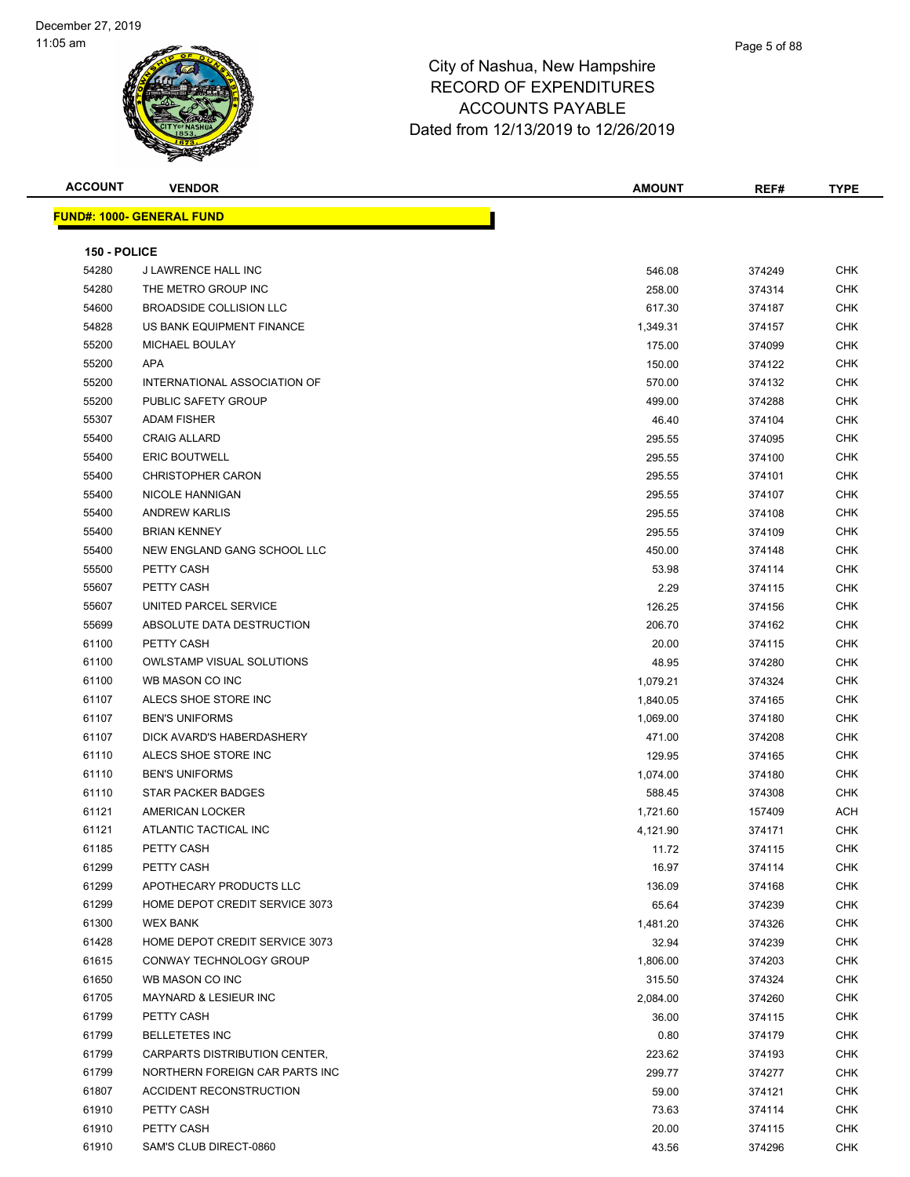| <b>ACCOUNT</b> | <b>VENDOR</b>                    | <b>AMOUNT</b> | REF#   | <b>TYPE</b> |  |  |  |
|----------------|----------------------------------|---------------|--------|-------------|--|--|--|
|                | <b>FUND#: 1000- GENERAL FUND</b> |               |        |             |  |  |  |
|                |                                  |               |        |             |  |  |  |
| 150 - POLICE   |                                  |               |        |             |  |  |  |
| 54280          | J LAWRENCE HALL INC              | 546.08        | 374249 | <b>CHK</b>  |  |  |  |
| 54280          | THE METRO GROUP INC              | 258.00        | 374314 | <b>CHK</b>  |  |  |  |
| 54600          | <b>BROADSIDE COLLISION LLC</b>   | 617.30        | 374187 | CHK         |  |  |  |
| 54828          | US BANK EQUIPMENT FINANCE        | 1,349.31      | 374157 | CHK         |  |  |  |
| 55200          | MICHAEL BOULAY                   | 175.00        | 374099 | <b>CHK</b>  |  |  |  |
| 55200          | <b>APA</b>                       | 150.00        | 374122 | <b>CHK</b>  |  |  |  |
| 55200          | INTERNATIONAL ASSOCIATION OF     | 570.00        | 374132 | <b>CHK</b>  |  |  |  |
| 55200          | PUBLIC SAFETY GROUP              | 499.00        | 374288 | <b>CHK</b>  |  |  |  |
| 55307          | <b>ADAM FISHER</b>               | 46.40         | 374104 | <b>CHK</b>  |  |  |  |
| 55400          | <b>CRAIG ALLARD</b>              | 295.55        | 374095 | <b>CHK</b>  |  |  |  |
| 55400          | <b>ERIC BOUTWELL</b>             | 295.55        | 374100 | <b>CHK</b>  |  |  |  |
| 55400          | <b>CHRISTOPHER CARON</b>         | 295.55        | 374101 | <b>CHK</b>  |  |  |  |
| 55400          | NICOLE HANNIGAN                  | 295.55        | 374107 | <b>CHK</b>  |  |  |  |
| 55400          | <b>ANDREW KARLIS</b>             | 295.55        | 374108 | CHK         |  |  |  |
| 55400          | <b>BRIAN KENNEY</b>              | 295.55        | 374109 | CHK         |  |  |  |
| 55400          | NEW ENGLAND GANG SCHOOL LLC      | 450.00        | 374148 | <b>CHK</b>  |  |  |  |
| 55500          | PETTY CASH                       | 53.98         | 374114 | <b>CHK</b>  |  |  |  |
| 55607          | PETTY CASH                       | 2.29          | 374115 | <b>CHK</b>  |  |  |  |
| 55607          | UNITED PARCEL SERVICE            | 126.25        | 374156 | <b>CHK</b>  |  |  |  |
| 55699          | ABSOLUTE DATA DESTRUCTION        | 206.70        | 374162 | <b>CHK</b>  |  |  |  |
| 61100          | PETTY CASH                       | 20.00         | 374115 | CHK         |  |  |  |
| 61100          | <b>OWLSTAMP VISUAL SOLUTIONS</b> | 48.95         | 374280 | <b>CHK</b>  |  |  |  |
| 61100          | WB MASON CO INC                  | 1,079.21      | 374324 | <b>CHK</b>  |  |  |  |
| 61107          | ALECS SHOE STORE INC             | 1,840.05      | 374165 | <b>CHK</b>  |  |  |  |
| 61107          | <b>BEN'S UNIFORMS</b>            | 1,069.00      | 374180 | CHK         |  |  |  |
| 61107          | DICK AVARD'S HABERDASHERY        | 471.00        | 374208 | CHK         |  |  |  |
| 61110          | ALECS SHOE STORE INC             | 129.95        | 374165 | <b>CHK</b>  |  |  |  |
| 61110          | <b>BEN'S UNIFORMS</b>            | 1,074.00      | 374180 | <b>CHK</b>  |  |  |  |
| 61110          | STAR PACKER BADGES               | 588.45        | 374308 | <b>CHK</b>  |  |  |  |
| 61121          | AMERICAN LOCKER                  | 1,721.60      | 157409 | ACH         |  |  |  |
| 61121          | ATLANTIC TACTICAL INC            | 4,121.90      | 374171 | <b>CHK</b>  |  |  |  |
| 61185          | PETTY CASH                       | 11.72         | 374115 | CHK         |  |  |  |
| 61299          | PETTY CASH                       | 16.97         | 374114 | <b>CHK</b>  |  |  |  |
| 61299          | APOTHECARY PRODUCTS LLC          | 136.09        | 374168 | <b>CHK</b>  |  |  |  |
| 61299          | HOME DEPOT CREDIT SERVICE 3073   | 65.64         | 374239 | CHK         |  |  |  |
| 61300          | <b>WEX BANK</b>                  | 1,481.20      | 374326 | CHK         |  |  |  |
| 61428          | HOME DEPOT CREDIT SERVICE 3073   | 32.94         | 374239 | CHK         |  |  |  |
| 61615          | CONWAY TECHNOLOGY GROUP          | 1,806.00      | 374203 | <b>CHK</b>  |  |  |  |
| 61650          | WB MASON CO INC                  | 315.50        | 374324 | <b>CHK</b>  |  |  |  |
| 61705          | <b>MAYNARD &amp; LESIEUR INC</b> | 2,084.00      | 374260 | <b>CHK</b>  |  |  |  |
| 61799          | PETTY CASH                       | 36.00         | 374115 | CHK         |  |  |  |
| 61799          | <b>BELLETETES INC</b>            | 0.80          | 374179 | <b>CHK</b>  |  |  |  |
| 61799          | CARPARTS DISTRIBUTION CENTER,    | 223.62        | 374193 | CHK         |  |  |  |
| 61799          | NORTHERN FOREIGN CAR PARTS INC   | 299.77        | 374277 | CHK         |  |  |  |
| 61807          | ACCIDENT RECONSTRUCTION          | 59.00         | 374121 | <b>CHK</b>  |  |  |  |
| 61910          | PETTY CASH                       | 73.63         | 374114 | CHK         |  |  |  |
| 61910          | PETTY CASH                       | 20.00         | 374115 | CHK         |  |  |  |
| 61910          | SAM'S CLUB DIRECT-0860           | 43.56         | 374296 | <b>CHK</b>  |  |  |  |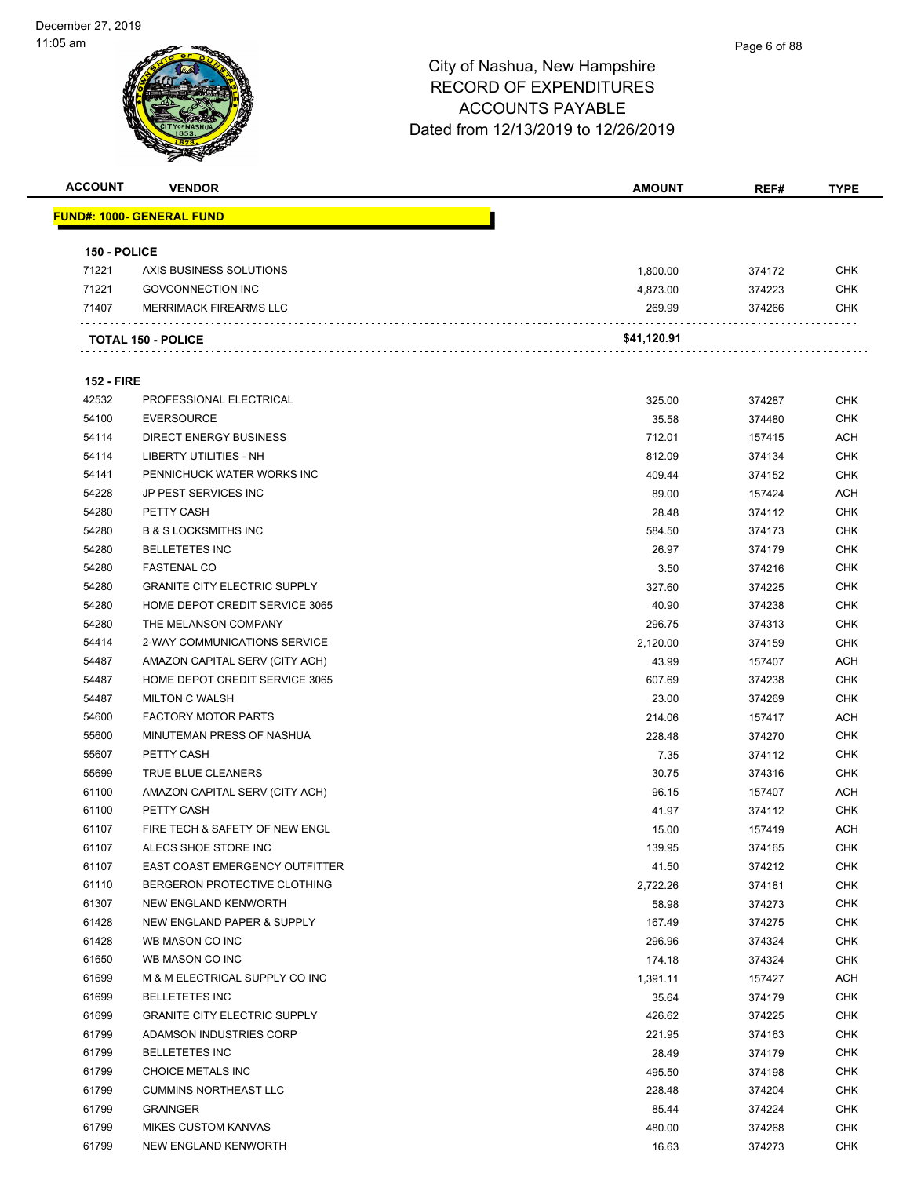

| <b>ACCOUNT</b>    | <b>VENDOR</b>                       | <b>AMOUNT</b> | REF#   | <b>TYPE</b> |
|-------------------|-------------------------------------|---------------|--------|-------------|
|                   | <u> FUND#: 1000- GENERAL FUND</u>   |               |        |             |
| 150 - POLICE      |                                     |               |        |             |
| 71221             | AXIS BUSINESS SOLUTIONS             | 1,800.00      | 374172 | CHK         |
| 71221             | <b>GOVCONNECTION INC</b>            | 4,873.00      | 374223 | <b>CHK</b>  |
| 71407             | <b>MERRIMACK FIREARMS LLC</b>       | 269.99        | 374266 | CHK         |
|                   |                                     |               |        |             |
|                   | <b>TOTAL 150 - POLICE</b>           | \$41,120.91   |        |             |
| <b>152 - FIRE</b> |                                     |               |        |             |
| 42532             | PROFESSIONAL ELECTRICAL             | 325.00        | 374287 | CHK         |
| 54100             | <b>EVERSOURCE</b>                   | 35.58         | 374480 | <b>CHK</b>  |
| 54114             | <b>DIRECT ENERGY BUSINESS</b>       | 712.01        | 157415 | <b>ACH</b>  |
| 54114             | LIBERTY UTILITIES - NH              | 812.09        | 374134 | <b>CHK</b>  |
| 54141             | PENNICHUCK WATER WORKS INC          | 409.44        | 374152 | <b>CHK</b>  |
| 54228             | JP PEST SERVICES INC                | 89.00         | 157424 | <b>ACH</b>  |
| 54280             | PETTY CASH                          | 28.48         | 374112 | <b>CHK</b>  |
| 54280             | <b>B &amp; S LOCKSMITHS INC</b>     | 584.50        | 374173 | <b>CHK</b>  |
| 54280             | <b>BELLETETES INC</b>               | 26.97         | 374179 | <b>CHK</b>  |
| 54280             | <b>FASTENAL CO</b>                  | 3.50          | 374216 | <b>CHK</b>  |
| 54280             | <b>GRANITE CITY ELECTRIC SUPPLY</b> | 327.60        | 374225 | <b>CHK</b>  |
| 54280             | HOME DEPOT CREDIT SERVICE 3065      | 40.90         | 374238 | CHK         |
| 54280             | THE MELANSON COMPANY                | 296.75        | 374313 | <b>CHK</b>  |
| 54414             | 2-WAY COMMUNICATIONS SERVICE        | 2,120.00      | 374159 | <b>CHK</b>  |
| 54487             | AMAZON CAPITAL SERV (CITY ACH)      | 43.99         | 157407 | ACH         |
| 54487             | HOME DEPOT CREDIT SERVICE 3065      | 607.69        | 374238 | <b>CHK</b>  |
| 54487             | <b>MILTON C WALSH</b>               | 23.00         | 374269 | CHK         |
| 54600             | <b>FACTORY MOTOR PARTS</b>          | 214.06        | 157417 | <b>ACH</b>  |
| 55600             | MINUTEMAN PRESS OF NASHUA           | 228.48        | 374270 | <b>CHK</b>  |
| 55607             | PETTY CASH                          | 7.35          | 374112 | <b>CHK</b>  |
| 55699             | TRUE BLUE CLEANERS                  | 30.75         | 374316 | <b>CHK</b>  |
| 61100             | AMAZON CAPITAL SERV (CITY ACH)      | 96.15         | 157407 | <b>ACH</b>  |
| 61100             | PETTY CASH                          | 41.97         | 374112 | CHK         |
| 61107             | FIRE TECH & SAFETY OF NEW ENGL      | 15.00         | 157419 | <b>ACH</b>  |
| 61107             | ALECS SHOE STORE INC                | 139.95        | 374165 | <b>CHK</b>  |
| 61107             | EAST COAST EMERGENCY OUTFITTER      | 41.50         | 374212 | CHK         |
| 61110             | BERGERON PROTECTIVE CLOTHING        | 2,722.26      | 374181 | <b>CHK</b>  |
| 61307             | NEW ENGLAND KENWORTH                | 58.98         | 374273 | <b>CHK</b>  |
| 61428             | NEW ENGLAND PAPER & SUPPLY          | 167.49        | 374275 | <b>CHK</b>  |
| 61428             | WB MASON CO INC                     | 296.96        | 374324 | <b>CHK</b>  |
| 61650             | WB MASON CO INC                     | 174.18        | 374324 | <b>CHK</b>  |
| 61699             | M & M ELECTRICAL SUPPLY CO INC      | 1,391.11      | 157427 | <b>ACH</b>  |
| 61699             | <b>BELLETETES INC</b>               | 35.64         | 374179 | <b>CHK</b>  |
| 61699             | <b>GRANITE CITY ELECTRIC SUPPLY</b> | 426.62        | 374225 | <b>CHK</b>  |
| 61799             | ADAMSON INDUSTRIES CORP             | 221.95        | 374163 | <b>CHK</b>  |
| 61799             | <b>BELLETETES INC</b>               | 28.49         | 374179 | <b>CHK</b>  |
| 61799             | CHOICE METALS INC                   | 495.50        | 374198 | <b>CHK</b>  |
| 61799             | <b>CUMMINS NORTHEAST LLC</b>        | 228.48        | 374204 | <b>CHK</b>  |
| 61799             | <b>GRAINGER</b>                     | 85.44         | 374224 | <b>CHK</b>  |
| 61799             | <b>MIKES CUSTOM KANVAS</b>          | 480.00        | 374268 | <b>CHK</b>  |
| 61799             | NEW ENGLAND KENWORTH                | 16.63         | 374273 | <b>CHK</b>  |
|                   |                                     |               |        |             |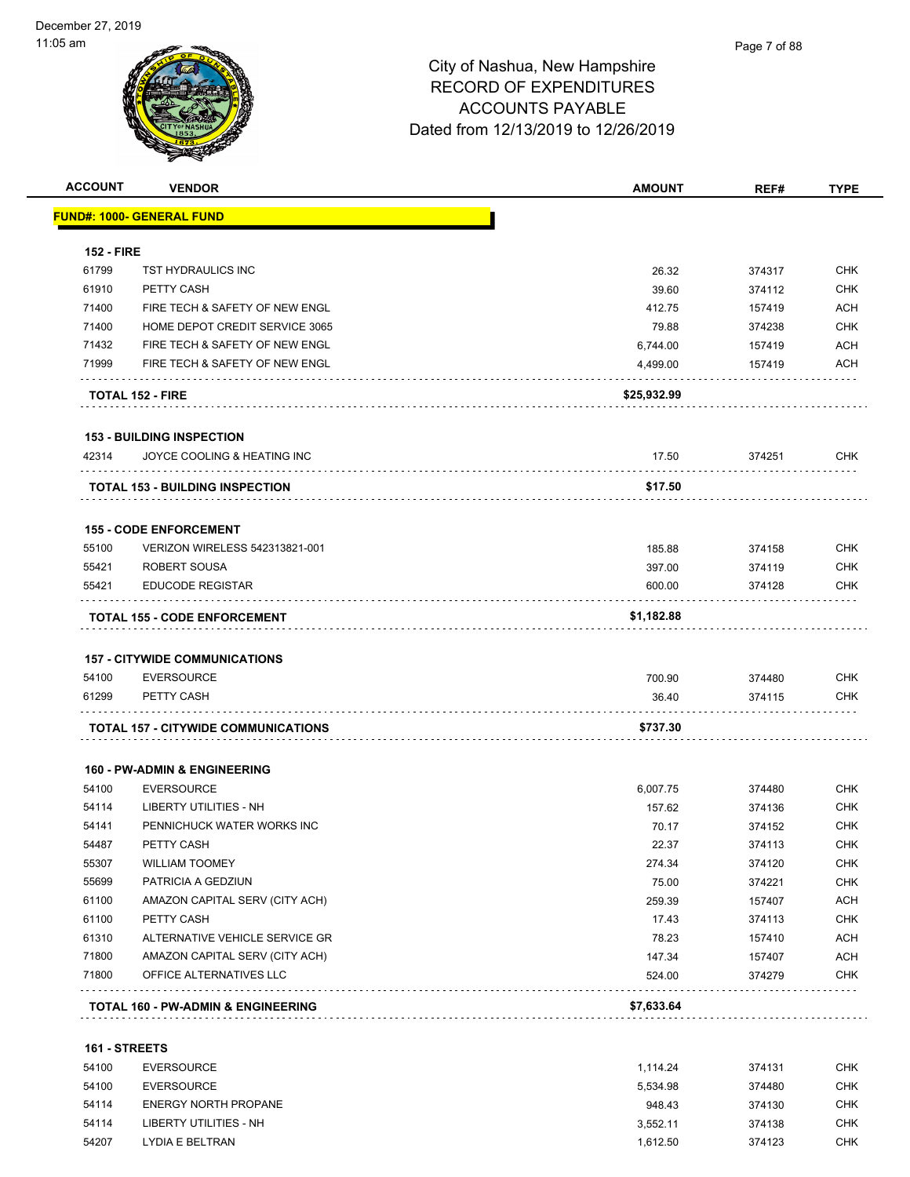

| <b>ACCOUNT</b>    | <b>VENDOR</b>                                 | <b>AMOUNT</b> | REF#   | <b>TYPE</b> |
|-------------------|-----------------------------------------------|---------------|--------|-------------|
|                   | <b>FUND#: 1000- GENERAL FUND</b>              |               |        |             |
| <b>152 - FIRE</b> |                                               |               |        |             |
| 61799             | <b>TST HYDRAULICS INC</b>                     | 26.32         | 374317 | <b>CHK</b>  |
| 61910             | PETTY CASH                                    | 39.60         | 374112 | <b>CHK</b>  |
| 71400             | FIRE TECH & SAFETY OF NEW ENGL                | 412.75        | 157419 | <b>ACH</b>  |
| 71400             | HOME DEPOT CREDIT SERVICE 3065                | 79.88         | 374238 | <b>CHK</b>  |
| 71432             | FIRE TECH & SAFETY OF NEW ENGL                | 6,744.00      | 157419 | <b>ACH</b>  |
| 71999             | FIRE TECH & SAFETY OF NEW ENGL                | 4,499.00      | 157419 | <b>ACH</b>  |
|                   | <b>TOTAL 152 - FIRE</b>                       | \$25,932.99   |        |             |
|                   | <b>153 - BUILDING INSPECTION</b>              |               |        |             |
| 42314             | JOYCE COOLING & HEATING INC                   | 17.50         | 374251 | <b>CHK</b>  |
|                   | <b>TOTAL 153 - BUILDING INSPECTION</b>        | \$17.50       |        |             |
|                   | <b>155 - CODE ENFORCEMENT</b>                 |               |        |             |
| 55100             | <b>VERIZON WIRELESS 542313821-001</b>         | 185.88        | 374158 | <b>CHK</b>  |
| 55421             | <b>ROBERT SOUSA</b>                           | 397.00        | 374119 | <b>CHK</b>  |
| 55421             | <b>EDUCODE REGISTAR</b>                       | 600.00        | 374128 | <b>CHK</b>  |
|                   | <b>TOTAL 155 - CODE ENFORCEMENT</b>           | \$1,182.88    |        |             |
|                   | <b>157 - CITYWIDE COMMUNICATIONS</b>          |               |        |             |
| 54100             | <b>EVERSOURCE</b>                             | 700.90        | 374480 | <b>CHK</b>  |
| 61299             | PETTY CASH                                    | 36.40         | 374115 | <b>CHK</b>  |
|                   | <b>TOTAL 157 - CITYWIDE COMMUNICATIONS</b>    | \$737.30      |        |             |
|                   | <b>160 - PW-ADMIN &amp; ENGINEERING</b>       |               |        |             |
| 54100             | <b>EVERSOURCE</b>                             | 6,007.75      | 374480 | <b>CHK</b>  |
| 54114             | LIBERTY UTILITIES - NH                        | 157.62        | 374136 | <b>CHK</b>  |
| 54141             | PENNICHUCK WATER WORKS INC                    | 70.17         | 374152 | <b>CHK</b>  |
| 54487             | PETTY CASH                                    | 22.37         | 374113 | <b>CHK</b>  |
| 55307             | <b>WILLIAM TOOMEY</b>                         | 274.34        | 374120 | CHK         |
| 55699             | PATRICIA A GEDZIUN                            | 75.00         | 374221 | <b>CHK</b>  |
| 61100             | AMAZON CAPITAL SERV (CITY ACH)                | 259.39        | 157407 | <b>ACH</b>  |
| 61100             | PETTY CASH                                    | 17.43         | 374113 | <b>CHK</b>  |
| 61310             | ALTERNATIVE VEHICLE SERVICE GR                | 78.23         | 157410 | <b>ACH</b>  |
| 71800             | AMAZON CAPITAL SERV (CITY ACH)                | 147.34        | 157407 | <b>ACH</b>  |
| 71800             | OFFICE ALTERNATIVES LLC<br>.                  | 524.00        | 374279 | <b>CHK</b>  |
|                   | <b>TOTAL 160 - PW-ADMIN &amp; ENGINEERING</b> | \$7,633.64    |        |             |
| 161 - STREETS     |                                               |               |        |             |
| 54100             | <b>EVERSOURCE</b>                             | 1,114.24      | 374131 | <b>CHK</b>  |

| 54100 | EVERSOURCE             | 5.534.98 | 374480 | снк |
|-------|------------------------|----------|--------|-----|
| 54114 | ENERGY NORTH PROPANE   | 948.43   | 374130 | СНК |
| 54114 | LIBERTY UTILITIES - NH | 3.552.11 | 374138 | СНК |
| 54207 | LYDIA E BELTRAN        | 1.612.50 | 374123 | СНК |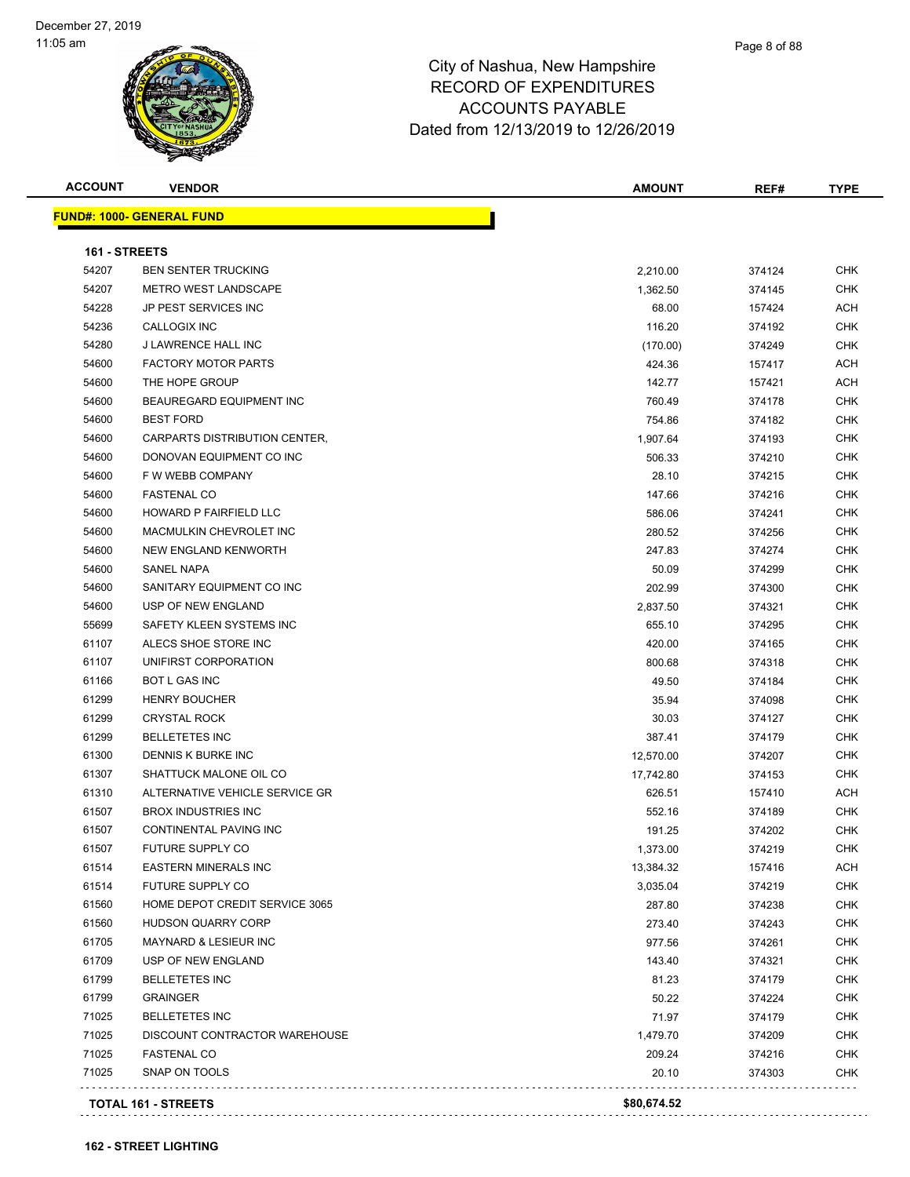| <b>ACCOUNT</b> | <b>VENDOR</b>                    | <b>AMOUNT</b> | REF#   | <b>TYPE</b> |
|----------------|----------------------------------|---------------|--------|-------------|
|                | <b>FUND#: 1000- GENERAL FUND</b> |               |        |             |
| 161 - STREETS  |                                  |               |        |             |
| 54207          | <b>BEN SENTER TRUCKING</b>       | 2,210.00      | 374124 | <b>CHK</b>  |
| 54207          | <b>METRO WEST LANDSCAPE</b>      | 1,362.50      | 374145 | <b>CHK</b>  |
| 54228          | JP PEST SERVICES INC             | 68.00         | 157424 | ACH         |
| 54236          | <b>CALLOGIX INC</b>              | 116.20        | 374192 | <b>CHK</b>  |
| 54280          | J LAWRENCE HALL INC              | (170.00)      | 374249 | <b>CHK</b>  |
| 54600          | <b>FACTORY MOTOR PARTS</b>       | 424.36        | 157417 | ACH         |
| 54600          | THE HOPE GROUP                   | 142.77        | 157421 | ACH         |
| 54600          | BEAUREGARD EQUIPMENT INC         | 760.49        | 374178 | <b>CHK</b>  |
| 54600          | <b>BEST FORD</b>                 | 754.86        | 374182 | CHK         |
| 54600          | CARPARTS DISTRIBUTION CENTER,    | 1,907.64      | 374193 | <b>CHK</b>  |
| 54600          | DONOVAN EQUIPMENT CO INC         | 506.33        | 374210 | <b>CHK</b>  |
| 54600          | F W WEBB COMPANY                 | 28.10         | 374215 | <b>CHK</b>  |
| 54600          | <b>FASTENAL CO</b>               | 147.66        | 374216 | <b>CHK</b>  |
| 54600          | <b>HOWARD P FAIRFIELD LLC</b>    | 586.06        | 374241 | CHK         |
| 54600          | MACMULKIN CHEVROLET INC          | 280.52        | 374256 | CHK         |
| 54600          | NEW ENGLAND KENWORTH             | 247.83        | 374274 | CHK         |
| 54600          | <b>SANEL NAPA</b>                | 50.09         | 374299 | CHK         |
| 54600          | SANITARY EQUIPMENT CO INC        | 202.99        | 374300 | <b>CHK</b>  |
| 54600          | USP OF NEW ENGLAND               | 2,837.50      | 374321 | <b>CHK</b>  |
| 55699          | SAFETY KLEEN SYSTEMS INC         | 655.10        | 374295 | <b>CHK</b>  |
| 61107          | ALECS SHOE STORE INC             | 420.00        | 374165 | CHK         |
| 61107          | UNIFIRST CORPORATION             | 800.68        | 374318 | <b>CHK</b>  |
| 61166          | <b>BOT L GAS INC</b>             | 49.50         | 374184 | CHK         |
| 61299          | <b>HENRY BOUCHER</b>             | 35.94         | 374098 | <b>CHK</b>  |
| 61299          | <b>CRYSTAL ROCK</b>              | 30.03         | 374127 | CHK         |
| 61299          | <b>BELLETETES INC</b>            | 387.41        | 374179 | <b>CHK</b>  |
| 61300          | DENNIS K BURKE INC               | 12,570.00     | 374207 | <b>CHK</b>  |
| 61307          | SHATTUCK MALONE OIL CO           | 17,742.80     | 374153 | <b>CHK</b>  |
| 61310          | ALTERNATIVE VEHICLE SERVICE GR   | 626.51        | 157410 | ACH         |
| 61507          | <b>BROX INDUSTRIES INC</b>       | 552.16        | 374189 | <b>CHK</b>  |
| 61507          | <b>CONTINENTAL PAVING INC</b>    | 191.25        | 374202 | CHK         |
| 61507          | FUTURE SUPPLY CO                 | 1,373.00      | 374219 | <b>CHK</b>  |
| 61514          | <b>EASTERN MINERALS INC</b>      | 13,384.32     | 157416 | ACH         |
| 61514          | <b>FUTURE SUPPLY CO</b>          | 3,035.04      | 374219 | <b>CHK</b>  |
| 61560          | HOME DEPOT CREDIT SERVICE 3065   | 287.80        | 374238 | <b>CHK</b>  |
| 61560          | HUDSON QUARRY CORP               | 273.40        | 374243 | <b>CHK</b>  |
| 61705          | MAYNARD & LESIEUR INC            | 977.56        | 374261 | <b>CHK</b>  |
| 61709          | USP OF NEW ENGLAND               | 143.40        | 374321 | <b>CHK</b>  |
| 61799          | <b>BELLETETES INC</b>            | 81.23         | 374179 | <b>CHK</b>  |
| 61799          | <b>GRAINGER</b>                  | 50.22         | 374224 | <b>CHK</b>  |
| 71025          | <b>BELLETETES INC</b>            | 71.97         | 374179 | CHK         |
| 71025          | DISCOUNT CONTRACTOR WAREHOUSE    | 1,479.70      | 374209 | <b>CHK</b>  |
| 71025          | FASTENAL CO                      | 209.24        | 374216 | <b>CHK</b>  |
| 71025          | SNAP ON TOOLS                    | 20.10         | 374303 | <b>CHK</b>  |
|                |                                  |               |        |             |
|                | <b>TOTAL 161 - STREETS</b>       | \$80,674.52   |        |             |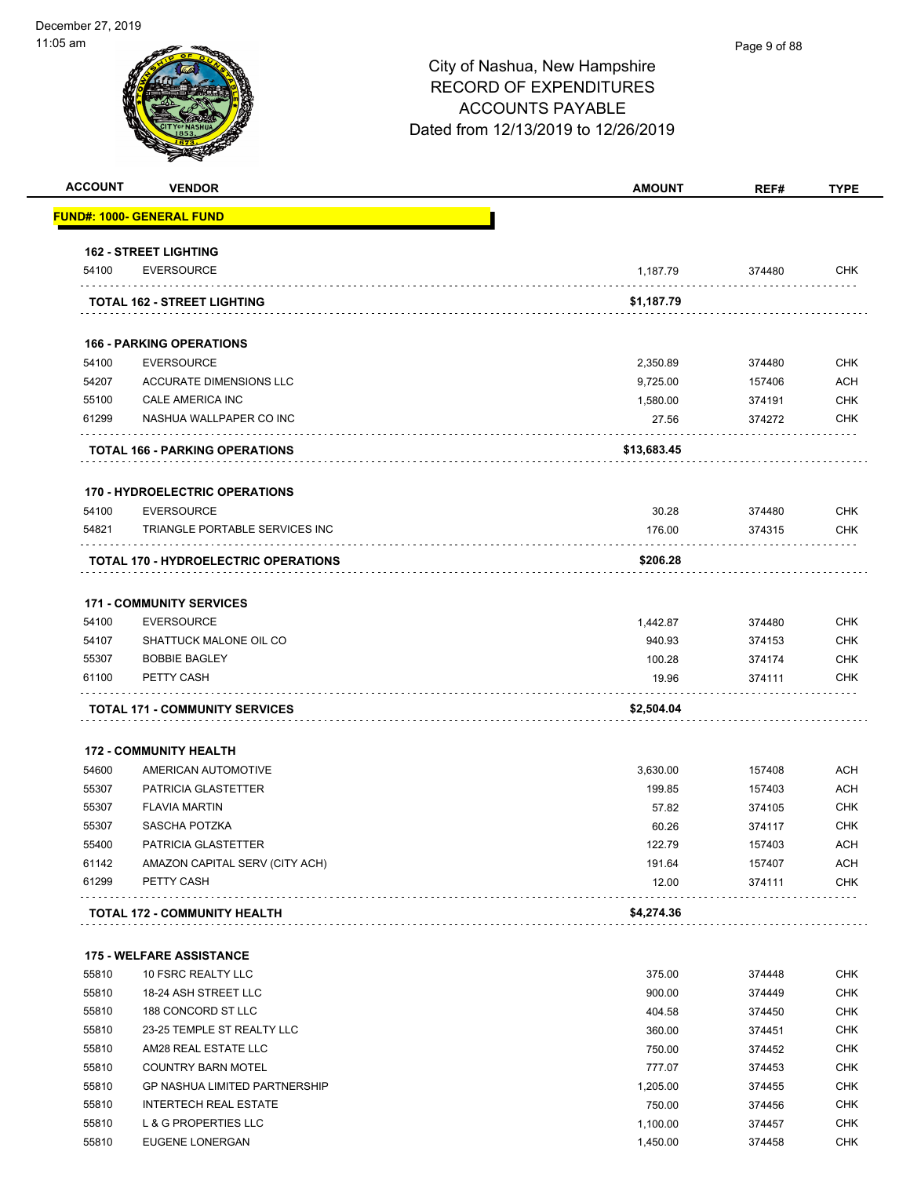| <b>ACCOUNT</b> | <b>VENDOR</b>                                | <b>AMOUNT</b>   | REF#             | <b>TYPE</b>              |
|----------------|----------------------------------------------|-----------------|------------------|--------------------------|
|                | <u> FUND#: 1000- GENERAL FUND</u>            |                 |                  |                          |
|                | <b>162 - STREET LIGHTING</b>                 |                 |                  |                          |
| 54100          | <b>EVERSOURCE</b>                            | 1,187.79        | 374480           | <b>CHK</b>               |
|                | <b>TOTAL 162 - STREET LIGHTING</b>           | \$1,187.79      |                  |                          |
|                | <b>166 - PARKING OPERATIONS</b>              |                 |                  |                          |
| 54100          | <b>EVERSOURCE</b>                            | 2,350.89        | 374480           | <b>CHK</b>               |
| 54207          | <b>ACCURATE DIMENSIONS LLC</b>               | 9,725.00        | 157406           | <b>ACH</b>               |
| 55100          | CALE AMERICA INC                             | 1,580.00        | 374191           | <b>CHK</b>               |
| 61299          | NASHUA WALLPAPER CO INC                      | 27.56           | 374272           | <b>CHK</b>               |
|                | <b>TOTAL 166 - PARKING OPERATIONS</b>        | \$13,683.45     |                  |                          |
|                |                                              |                 |                  |                          |
|                | <b>170 - HYDROELECTRIC OPERATIONS</b>        |                 |                  |                          |
| 54100          | <b>EVERSOURCE</b>                            | 30.28           | 374480           | <b>CHK</b>               |
| 54821          | TRIANGLE PORTABLE SERVICES INC               | 176.00          | 374315           | <b>CHK</b>               |
|                | TOTAL 170 - HYDROELECTRIC OPERATIONS         | \$206.28        |                  |                          |
|                | <b>171 - COMMUNITY SERVICES</b>              |                 |                  |                          |
| 54100          | <b>EVERSOURCE</b>                            | 1,442.87        | 374480           | <b>CHK</b>               |
| 54107          | SHATTUCK MALONE OIL CO                       | 940.93          | 374153           | <b>CHK</b>               |
| 55307          | <b>BOBBIE BAGLEY</b>                         | 100.28          | 374174           | <b>CHK</b>               |
| 61100          | PETTY CASH                                   | 19.96           | 374111           | <b>CHK</b>               |
|                | <b>TOTAL 171 - COMMUNITY SERVICES</b>        | \$2,504.04      |                  |                          |
|                |                                              |                 |                  |                          |
|                | <b>172 - COMMUNITY HEALTH</b>                |                 |                  |                          |
| 54600          | AMERICAN AUTOMOTIVE                          | 3,630.00        | 157408           | <b>ACH</b>               |
| 55307          | PATRICIA GLASTETTER                          | 199.85          | 157403           | <b>ACH</b>               |
| 55307          | <b>FLAVIA MARTIN</b>                         | 57.82           | 374105           | <b>CHK</b>               |
| 55307          | SASCHA POTZKA                                | 60.26           | 374117           | <b>CHK</b>               |
| 55400          | PATRICIA GLASTETTER                          | 122.79          | 157403           | ACH                      |
| 61142<br>61299 | AMAZON CAPITAL SERV (CITY ACH)<br>PETTY CASH | 191.64<br>12.00 | 157407<br>374111 | <b>ACH</b><br><b>CHK</b> |
|                |                                              |                 |                  |                          |
|                | <b>TOTAL 172 - COMMUNITY HEALTH</b>          | \$4,274.36      |                  |                          |
|                | <b>175 - WELFARE ASSISTANCE</b>              |                 |                  |                          |
| 55810          | 10 FSRC REALTY LLC                           | 375.00          | 374448           | <b>CHK</b>               |
| 55810          | 18-24 ASH STREET LLC                         | 900.00          | 374449           | <b>CHK</b>               |
| 55810          | 188 CONCORD ST LLC                           | 404.58          | 374450           | <b>CHK</b>               |
| 55810          | 23-25 TEMPLE ST REALTY LLC                   | 360.00          | 374451           | <b>CHK</b>               |
| 55810          | AM28 REAL ESTATE LLC                         | 750.00          | 374452           | <b>CHK</b>               |
| 55810          | <b>COUNTRY BARN MOTEL</b>                    | 777.07          | 374453           | <b>CHK</b>               |
| 55810          | <b>GP NASHUA LIMITED PARTNERSHIP</b>         | 1,205.00        | 374455           | <b>CHK</b>               |
| 55810          | <b>INTERTECH REAL ESTATE</b>                 | 750.00          | 374456           | <b>CHK</b>               |
| 55810          | L & G PROPERTIES LLC                         | 1,100.00        | 374457           | <b>CHK</b>               |
| 55810          | EUGENE LONERGAN                              | 1,450.00        | 374458           | <b>CHK</b>               |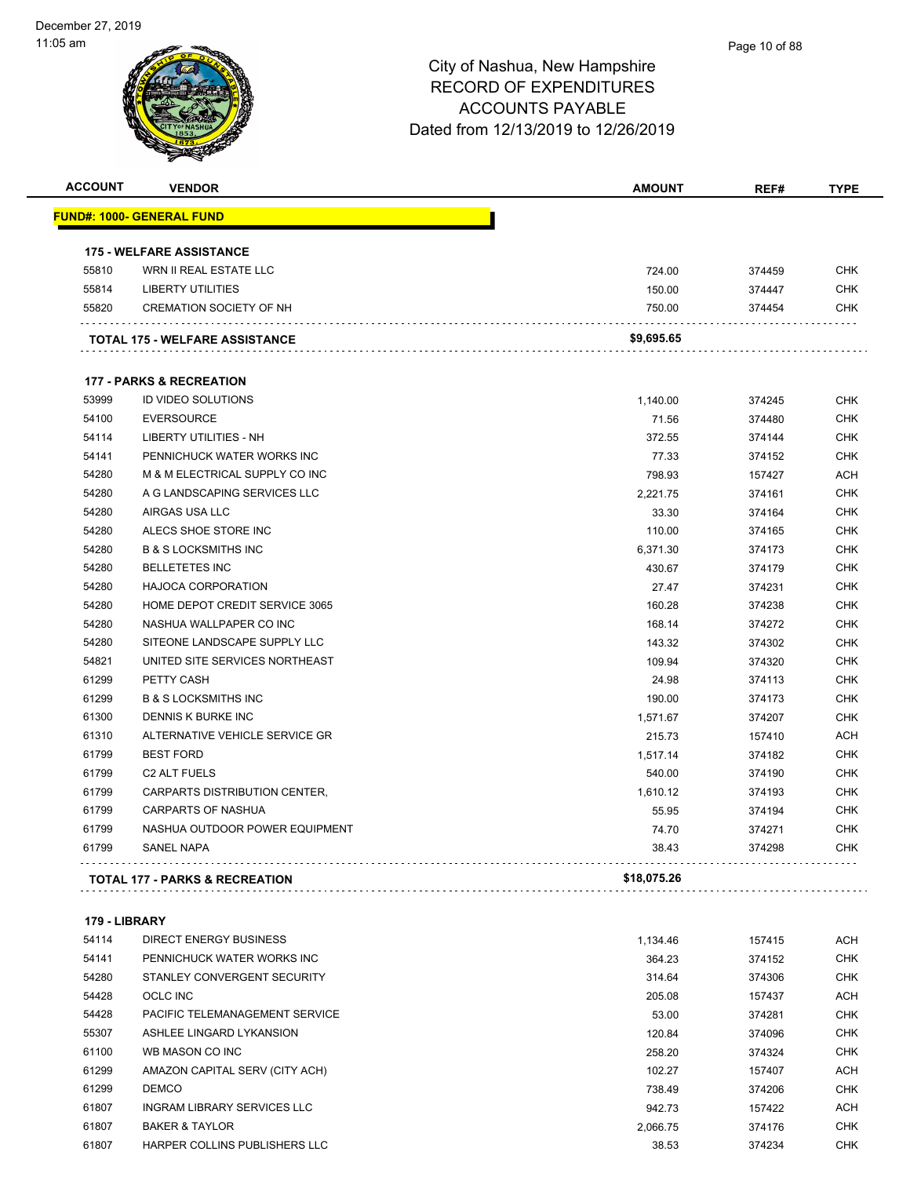| <b>ACCOUNT</b> | <b>VENDOR</b>                         | <b>AMOUNT</b> | REF#   | <b>TYPE</b> |
|----------------|---------------------------------------|---------------|--------|-------------|
|                | <u> FUND#: 1000- GENERAL FUND</u>     |               |        |             |
|                |                                       |               |        |             |
|                | <b>175 - WELFARE ASSISTANCE</b>       |               |        |             |
| 55810          | WRN II REAL ESTATE LLC                | 724.00        | 374459 | <b>CHK</b>  |
| 55814          | <b>LIBERTY UTILITIES</b>              | 150.00        | 374447 | <b>CHK</b>  |
| 55820          | <b>CREMATION SOCIETY OF NH</b>        | 750.00        | 374454 | CHK         |
|                | <b>TOTAL 175 - WELFARE ASSISTANCE</b> | \$9,695.65    |        |             |
|                |                                       |               |        |             |
|                | <b>177 - PARKS &amp; RECREATION</b>   |               |        |             |
| 53999          | <b>ID VIDEO SOLUTIONS</b>             | 1,140.00      | 374245 | <b>CHK</b>  |
| 54100          | <b>EVERSOURCE</b>                     | 71.56         | 374480 | <b>CHK</b>  |
| 54114          | LIBERTY UTILITIES - NH                | 372.55        | 374144 | <b>CHK</b>  |
| 54141          | PENNICHUCK WATER WORKS INC            | 77.33         | 374152 | <b>CHK</b>  |
| 54280          | M & M ELECTRICAL SUPPLY CO INC        | 798.93        | 157427 | ACH         |
| 54280          | A G LANDSCAPING SERVICES LLC          | 2,221.75      | 374161 | <b>CHK</b>  |
| 54280          | AIRGAS USA LLC                        | 33.30         | 374164 | <b>CHK</b>  |
| 54280          | ALECS SHOE STORE INC                  | 110.00        | 374165 | <b>CHK</b>  |
| 54280          | <b>B &amp; S LOCKSMITHS INC</b>       | 6,371.30      | 374173 | <b>CHK</b>  |
| 54280          | <b>BELLETETES INC</b>                 | 430.67        | 374179 | <b>CHK</b>  |
| 54280          | <b>HAJOCA CORPORATION</b>             | 27.47         | 374231 | <b>CHK</b>  |
| 54280          | HOME DEPOT CREDIT SERVICE 3065        | 160.28        | 374238 | <b>CHK</b>  |
| 54280          | NASHUA WALLPAPER CO INC               | 168.14        | 374272 | <b>CHK</b>  |
| 54280          | SITEONE LANDSCAPE SUPPLY LLC          | 143.32        | 374302 | <b>CHK</b>  |
| 54821          | UNITED SITE SERVICES NORTHEAST        | 109.94        | 374320 | <b>CHK</b>  |
| 61299          | PETTY CASH                            | 24.98         | 374113 | <b>CHK</b>  |
| 61299          | <b>B &amp; S LOCKSMITHS INC</b>       | 190.00        | 374173 | <b>CHK</b>  |
| 61300          | DENNIS K BURKE INC                    | 1,571.67      | 374207 | <b>CHK</b>  |
| 61310          | ALTERNATIVE VEHICLE SERVICE GR        | 215.73        | 157410 | <b>ACH</b>  |
| 61799          | <b>BEST FORD</b>                      | 1,517.14      | 374182 | <b>CHK</b>  |
| 61799          | C <sub>2</sub> ALT FUELS              | 540.00        | 374190 | <b>CHK</b>  |
| 61799          | CARPARTS DISTRIBUTION CENTER,         | 1,610.12      | 374193 | <b>CHK</b>  |
| 61799          | <b>CARPARTS OF NASHUA</b>             | 55.95         | 374194 | <b>CHK</b>  |
| 61799          | NASHUA OUTDOOR POWER EQUIPMENT        | 74.70         | 374271 | <b>CHK</b>  |
| 61799          | SANEL NAPA                            | 38.43         | 374298 | CHK         |
|                | TOTAL 177 - PARKS & RECREATION        | \$18,075.26   |        |             |
|                |                                       |               |        |             |
| 179 - LIBRARY  |                                       |               |        |             |
| 54114          | <b>DIRECT ENERGY BUSINESS</b>         | 1,134.46      | 157415 | ACH         |
| 54141          | PENNICHUCK WATER WORKS INC            | 364.23        | 374152 | <b>CHK</b>  |
| 54280          | STANLEY CONVERGENT SECURITY           | 314.64        | 374306 | <b>CHK</b>  |
| 54428          | <b>OCLC INC</b>                       | 205.08        | 157437 | <b>ACH</b>  |
| 54428          | PACIFIC TELEMANAGEMENT SERVICE        | 53.00         | 374281 | <b>CHK</b>  |
| 55307          | ASHLEE LINGARD LYKANSION              | 120.84        | 374096 | <b>CHK</b>  |
| 61100          | WB MASON CO INC                       | 258.20        | 374324 | <b>CHK</b>  |
| 61299          | AMAZON CAPITAL SERV (CITY ACH)        | 102.27        | 157407 | ACH         |
| 61299          | <b>DEMCO</b>                          | 738.49        | 374206 | <b>CHK</b>  |
| 61807          | INGRAM LIBRARY SERVICES LLC           | 942.73        | 157422 | <b>ACH</b>  |

 BAKER & TAYLOR 2,066.75 374176 CHK HARPER COLLINS PUBLISHERS LLC 38.53 374234 CHK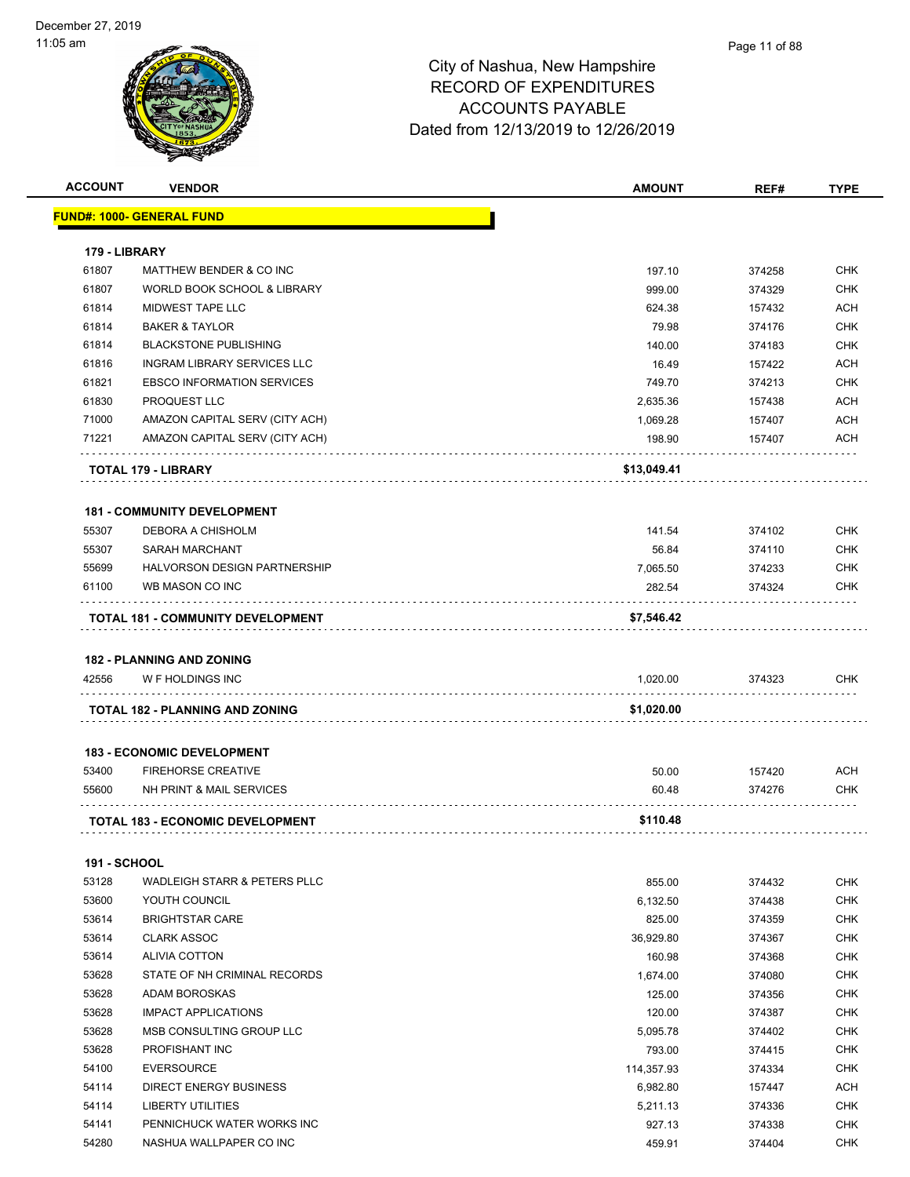| <b>ACCOUNT</b>         | <b>VENDOR</b>                            | <b>AMOUNT</b> | REF#   | <b>TYPE</b> |
|------------------------|------------------------------------------|---------------|--------|-------------|
|                        | <u> FUND#: 1000- GENERAL FUND</u>        |               |        |             |
|                        |                                          |               |        |             |
| 179 - LIBRARY<br>61807 |                                          | 197.10        |        | <b>CHK</b>  |
| 61807                  | MATTHEW BENDER & CO INC                  |               | 374258 |             |
|                        | WORLD BOOK SCHOOL & LIBRARY              | 999.00        | 374329 | <b>CHK</b>  |
| 61814                  | MIDWEST TAPE LLC                         | 624.38        | 157432 | <b>ACH</b>  |
| 61814                  | <b>BAKER &amp; TAYLOR</b>                | 79.98         | 374176 | <b>CHK</b>  |
| 61814                  | <b>BLACKSTONE PUBLISHING</b>             | 140.00        | 374183 | <b>CHK</b>  |
| 61816                  | INGRAM LIBRARY SERVICES LLC              | 16.49         | 157422 | <b>ACH</b>  |
| 61821                  | <b>EBSCO INFORMATION SERVICES</b>        | 749.70        | 374213 | <b>CHK</b>  |
| 61830                  | PROQUEST LLC                             | 2,635.36      | 157438 | <b>ACH</b>  |
| 71000                  | AMAZON CAPITAL SERV (CITY ACH)           | 1,069.28      | 157407 | <b>ACH</b>  |
| 71221                  | AMAZON CAPITAL SERV (CITY ACH)           | 198.90        | 157407 | <b>ACH</b>  |
|                        | TOTAL 179 - LIBRARY                      | \$13,049.41   |        |             |
|                        |                                          |               |        |             |
|                        | <b>181 - COMMUNITY DEVELOPMENT</b>       |               |        |             |
| 55307                  | DEBORA A CHISHOLM                        | 141.54        | 374102 | <b>CHK</b>  |
| 55307                  | <b>SARAH MARCHANT</b>                    | 56.84         | 374110 | <b>CHK</b>  |
| 55699                  | <b>HALVORSON DESIGN PARTNERSHIP</b>      | 7,065.50      | 374233 | <b>CHK</b>  |
| 61100                  | WB MASON CO INC                          | 282.54        | 374324 | <b>CHK</b>  |
|                        | <b>TOTAL 181 - COMMUNITY DEVELOPMENT</b> | \$7,546.42    |        |             |
|                        |                                          |               |        |             |
|                        | <b>182 - PLANNING AND ZONING</b>         |               |        |             |
| 42556                  | W F HOLDINGS INC                         | 1,020.00      | 374323 | <b>CHK</b>  |
|                        | TOTAL 182 - PLANNING AND ZONING          | \$1,020.00    |        |             |
|                        |                                          |               |        |             |
|                        | <b>183 - ECONOMIC DEVELOPMENT</b>        |               |        |             |
| 53400                  | <b>FIREHORSE CREATIVE</b>                | 50.00         | 157420 | <b>ACH</b>  |
| 55600                  | NH PRINT & MAIL SERVICES                 | 60.48         | 374276 | <b>CHK</b>  |
|                        |                                          |               |        |             |
|                        | <b>TOTAL 183 - ECONOMIC DEVELOPMENT</b>  | \$110.48      |        |             |
| <b>191 - SCHOOL</b>    |                                          |               |        |             |
| 53128                  | WADLEIGH STARR & PETERS PLLC             | 855.00        | 374432 | <b>CHK</b>  |
| 53600                  | YOUTH COUNCIL                            | 6,132.50      | 374438 | <b>CHK</b>  |
| 53614                  | <b>BRIGHTSTAR CARE</b>                   | 825.00        | 374359 | <b>CHK</b>  |
| 53614                  | <b>CLARK ASSOC</b>                       | 36,929.80     | 374367 | <b>CHK</b>  |
| 53614                  | <b>ALIVIA COTTON</b>                     | 160.98        | 374368 | <b>CHK</b>  |
|                        |                                          |               |        |             |
| 53628                  | STATE OF NH CRIMINAL RECORDS             | 1,674.00      | 374080 | <b>CHK</b>  |
| 53628                  | ADAM BOROSKAS                            | 125.00        | 374356 | <b>CHK</b>  |
| 53628                  | <b>IMPACT APPLICATIONS</b>               | 120.00        | 374387 | <b>CHK</b>  |
| 53628                  | MSB CONSULTING GROUP LLC                 | 5,095.78      | 374402 | <b>CHK</b>  |
| 53628                  | PROFISHANT INC                           | 793.00        | 374415 | <b>CHK</b>  |
| 54100                  | <b>EVERSOURCE</b>                        | 114,357.93    | 374334 | <b>CHK</b>  |
| 54114                  | <b>DIRECT ENERGY BUSINESS</b>            | 6,982.80      | 157447 | <b>ACH</b>  |
| 54114                  | LIBERTY UTILITIES                        | 5,211.13      | 374336 | <b>CHK</b>  |
| 54141                  | PENNICHUCK WATER WORKS INC               | 927.13        | 374338 | <b>CHK</b>  |
| 54280                  | NASHUA WALLPAPER CO INC                  | 459.91        | 374404 | <b>CHK</b>  |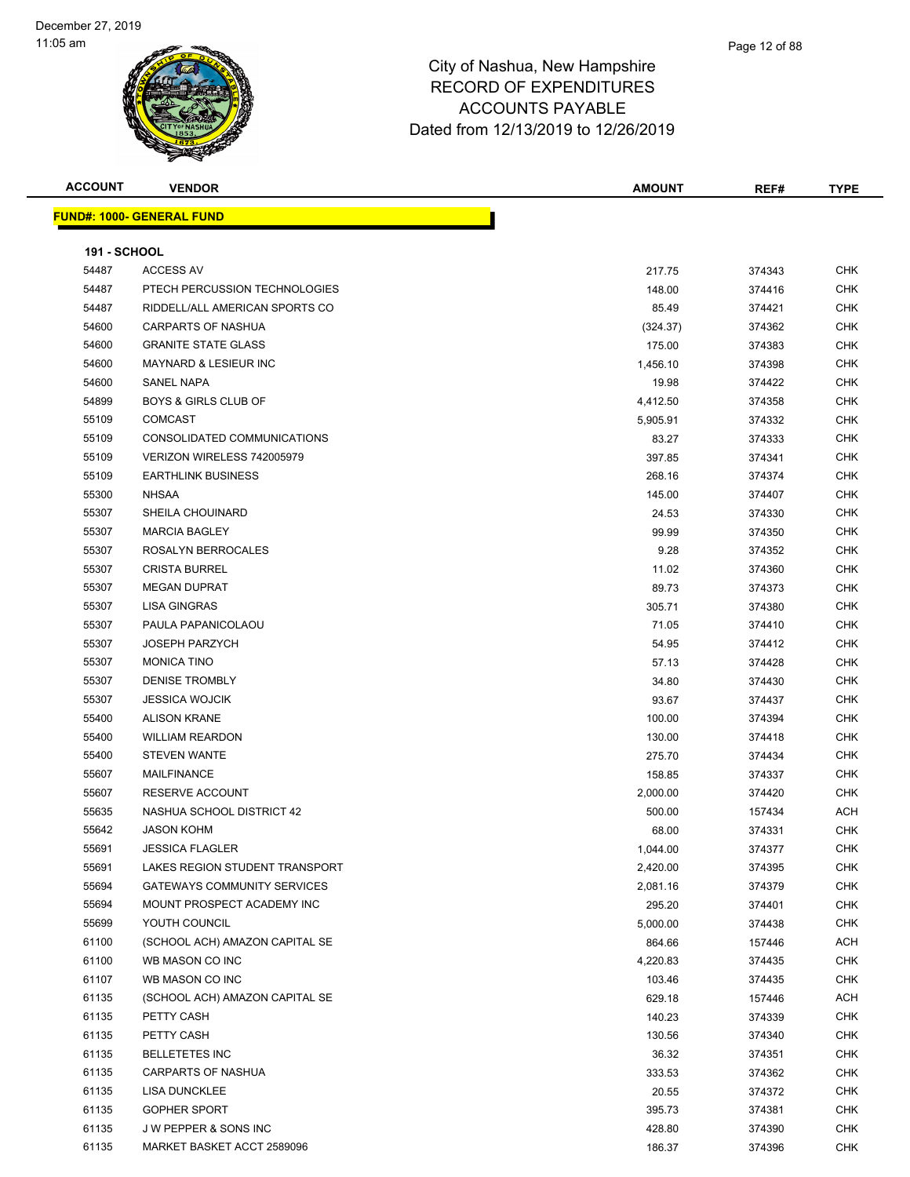| <b>ACCOUNT</b>      | <b>VENDOR</b>                      | <b>AMOUNT</b> | REF#   | <b>TYPE</b> |
|---------------------|------------------------------------|---------------|--------|-------------|
|                     | <b>FUND#: 1000- GENERAL FUND</b>   |               |        |             |
|                     |                                    |               |        |             |
| <b>191 - SCHOOL</b> |                                    |               |        |             |
| 54487               | <b>ACCESS AV</b>                   | 217.75        | 374343 | <b>CHK</b>  |
| 54487               | PTECH PERCUSSION TECHNOLOGIES      | 148.00        | 374416 | <b>CHK</b>  |
| 54487               | RIDDELL/ALL AMERICAN SPORTS CO     | 85.49         | 374421 | <b>CHK</b>  |
| 54600               | <b>CARPARTS OF NASHUA</b>          | (324.37)      | 374362 | <b>CHK</b>  |
| 54600               | <b>GRANITE STATE GLASS</b>         | 175.00        | 374383 | <b>CHK</b>  |
| 54600               | <b>MAYNARD &amp; LESIEUR INC</b>   | 1,456.10      | 374398 | <b>CHK</b>  |
| 54600               | <b>SANEL NAPA</b>                  | 19.98         | 374422 | <b>CHK</b>  |
| 54899               | <b>BOYS &amp; GIRLS CLUB OF</b>    | 4,412.50      | 374358 | <b>CHK</b>  |
| 55109               | <b>COMCAST</b>                     | 5,905.91      | 374332 | <b>CHK</b>  |
| 55109               | CONSOLIDATED COMMUNICATIONS        | 83.27         | 374333 | CHK         |
| 55109               | VERIZON WIRELESS 742005979         | 397.85        | 374341 | <b>CHK</b>  |
| 55109               | <b>EARTHLINK BUSINESS</b>          | 268.16        | 374374 | <b>CHK</b>  |
| 55300               | <b>NHSAA</b>                       | 145.00        | 374407 | <b>CHK</b>  |
| 55307               | <b>SHEILA CHOUINARD</b>            | 24.53         | 374330 | <b>CHK</b>  |
| 55307               | <b>MARCIA BAGLEY</b>               | 99.99         | 374350 | <b>CHK</b>  |
| 55307               | ROSALYN BERROCALES                 | 9.28          | 374352 | <b>CHK</b>  |
| 55307               | <b>CRISTA BURREL</b>               | 11.02         | 374360 | <b>CHK</b>  |
| 55307               | <b>MEGAN DUPRAT</b>                | 89.73         | 374373 | <b>CHK</b>  |
| 55307               | <b>LISA GINGRAS</b>                |               |        | CHK         |
|                     | PAULA PAPANICOLAOU                 | 305.71        | 374380 |             |
| 55307               |                                    | 71.05         | 374410 | <b>CHK</b>  |
| 55307               | <b>JOSEPH PARZYCH</b>              | 54.95         | 374412 | <b>CHK</b>  |
| 55307               | <b>MONICA TINO</b>                 | 57.13         | 374428 | <b>CHK</b>  |
| 55307               | <b>DENISE TROMBLY</b>              | 34.80         | 374430 | <b>CHK</b>  |
| 55307               | <b>JESSICA WOJCIK</b>              | 93.67         | 374437 | <b>CHK</b>  |
| 55400               | <b>ALISON KRANE</b>                | 100.00        | 374394 | <b>CHK</b>  |
| 55400               | <b>WILLIAM REARDON</b>             | 130.00        | 374418 | <b>CHK</b>  |
| 55400               | <b>STEVEN WANTE</b>                | 275.70        | 374434 | <b>CHK</b>  |
| 55607               | <b>MAILFINANCE</b>                 | 158.85        | 374337 | <b>CHK</b>  |
| 55607               | <b>RESERVE ACCOUNT</b>             | 2,000.00      | 374420 | <b>CHK</b>  |
| 55635               | NASHUA SCHOOL DISTRICT 42          | 500.00        | 157434 | ACH         |
| 55642               | JASON KOHM                         | 68.00         | 374331 | <b>CHK</b>  |
| 55691               | <b>JESSICA FLAGLER</b>             | 1,044.00      | 374377 | <b>CHK</b>  |
| 55691               | LAKES REGION STUDENT TRANSPORT     | 2,420.00      | 374395 | CHK         |
| 55694               | <b>GATEWAYS COMMUNITY SERVICES</b> | 2,081.16      | 374379 | CHK         |
| 55694               | MOUNT PROSPECT ACADEMY INC         | 295.20        | 374401 | <b>CHK</b>  |
| 55699               | YOUTH COUNCIL                      | 5,000.00      | 374438 | <b>CHK</b>  |
| 61100               | (SCHOOL ACH) AMAZON CAPITAL SE     | 864.66        | 157446 | ACH         |
| 61100               | WB MASON CO INC                    | 4,220.83      | 374435 | <b>CHK</b>  |
| 61107               | WB MASON CO INC                    | 103.46        | 374435 | <b>CHK</b>  |
| 61135               | (SCHOOL ACH) AMAZON CAPITAL SE     | 629.18        | 157446 | ACH         |
| 61135               | PETTY CASH                         | 140.23        | 374339 | <b>CHK</b>  |
| 61135               | PETTY CASH                         | 130.56        | 374340 | <b>CHK</b>  |
| 61135               | <b>BELLETETES INC</b>              | 36.32         | 374351 | <b>CHK</b>  |
| 61135               | <b>CARPARTS OF NASHUA</b>          | 333.53        | 374362 | <b>CHK</b>  |
| 61135               | <b>LISA DUNCKLEE</b>               | 20.55         | 374372 | <b>CHK</b>  |
| 61135               | <b>GOPHER SPORT</b>                | 395.73        | 374381 | <b>CHK</b>  |
| 61135               | J W PEPPER & SONS INC              | 428.80        | 374390 | <b>CHK</b>  |
| 61135               | MARKET BASKET ACCT 2589096         | 186.37        | 374396 | CHK         |
|                     |                                    |               |        |             |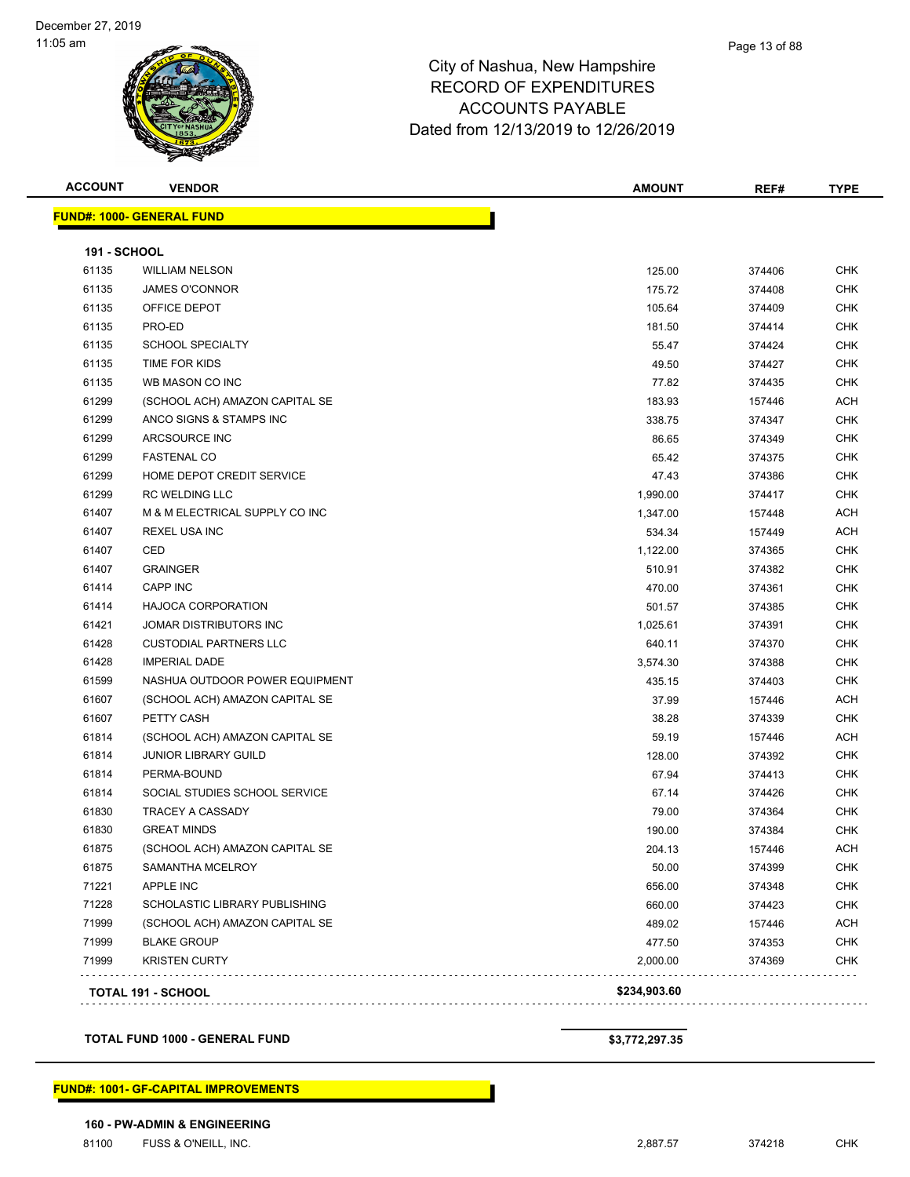**FUND#: 1000- GENERAL FUND**

| <b>ACCOUNT</b>         | <b>VENDOR</b> | <b>AMOUNT</b> | REF# | TYPE |
|------------------------|---------------|---------------|------|------|
| JND#: 1000-<br>GENERAL | <b>FUND</b>   |               |      |      |
|                        |               |               |      |      |

| 61875<br>71221<br>71228<br>71999<br>71999<br>71999 | PERMA-BOUND<br>SOCIAL STUDIES SCHOOL SERVICE<br>TRACEY A CASSADY<br><b>GREAT MINDS</b><br>(SCHOOL ACH) AMAZON CAPITAL SE<br>SAMANTHA MCELROY<br><b>APPLE INC</b><br>SCHOLASTIC LIBRARY PUBLISHING<br>(SCHOOL ACH) AMAZON CAPITAL SE<br><b>BLAKE GROUP</b><br><b>KRISTEN CURTY</b> | 67.94<br>67.14<br>79.00<br>190.00<br>204.13<br>50.00<br>656.00<br>660.00<br>489.02<br>477.50<br>2,000.00 | 374413<br>374426<br>374364<br>374384<br>157446<br>374399<br>374348<br>374423<br>157446<br>374353<br>374369 | <b>CHK</b><br><b>CHK</b><br><b>CHK</b><br><b>CHK</b><br><b>ACH</b><br><b>CHK</b><br><b>CHK</b><br><b>CHK</b><br><b>ACH</b><br><b>CHK</b><br><b>CHK</b> |
|----------------------------------------------------|-----------------------------------------------------------------------------------------------------------------------------------------------------------------------------------------------------------------------------------------------------------------------------------|----------------------------------------------------------------------------------------------------------|------------------------------------------------------------------------------------------------------------|--------------------------------------------------------------------------------------------------------------------------------------------------------|
|                                                    |                                                                                                                                                                                                                                                                                   |                                                                                                          |                                                                                                            |                                                                                                                                                        |
|                                                    |                                                                                                                                                                                                                                                                                   |                                                                                                          |                                                                                                            |                                                                                                                                                        |
|                                                    |                                                                                                                                                                                                                                                                                   |                                                                                                          |                                                                                                            |                                                                                                                                                        |
|                                                    |                                                                                                                                                                                                                                                                                   |                                                                                                          |                                                                                                            |                                                                                                                                                        |
|                                                    |                                                                                                                                                                                                                                                                                   |                                                                                                          |                                                                                                            |                                                                                                                                                        |
|                                                    |                                                                                                                                                                                                                                                                                   |                                                                                                          |                                                                                                            |                                                                                                                                                        |
| 61875                                              |                                                                                                                                                                                                                                                                                   |                                                                                                          |                                                                                                            |                                                                                                                                                        |
| 61830                                              |                                                                                                                                                                                                                                                                                   |                                                                                                          |                                                                                                            |                                                                                                                                                        |
| 61830                                              |                                                                                                                                                                                                                                                                                   |                                                                                                          |                                                                                                            |                                                                                                                                                        |
| 61814                                              |                                                                                                                                                                                                                                                                                   |                                                                                                          |                                                                                                            |                                                                                                                                                        |
| 61814                                              |                                                                                                                                                                                                                                                                                   |                                                                                                          |                                                                                                            |                                                                                                                                                        |
| 61814                                              | <b>JUNIOR LIBRARY GUILD</b>                                                                                                                                                                                                                                                       | 128.00                                                                                                   | 374392                                                                                                     | <b>CHK</b>                                                                                                                                             |
| 61814                                              | (SCHOOL ACH) AMAZON CAPITAL SE                                                                                                                                                                                                                                                    | 59.19                                                                                                    | 157446                                                                                                     | <b>ACH</b>                                                                                                                                             |
| 61607                                              | PETTY CASH                                                                                                                                                                                                                                                                        | 38.28                                                                                                    | 374339                                                                                                     | <b>CHK</b>                                                                                                                                             |
| 61607                                              | (SCHOOL ACH) AMAZON CAPITAL SE                                                                                                                                                                                                                                                    | 37.99                                                                                                    | 157446                                                                                                     | <b>ACH</b>                                                                                                                                             |
| 61599                                              | NASHUA OUTDOOR POWER EQUIPMENT                                                                                                                                                                                                                                                    | 435.15                                                                                                   | 374403                                                                                                     | <b>CHK</b>                                                                                                                                             |
| 61428                                              | <b>IMPERIAL DADE</b>                                                                                                                                                                                                                                                              | 3,574.30                                                                                                 | 374388                                                                                                     | <b>CHK</b>                                                                                                                                             |
| 61428                                              | <b>CUSTODIAL PARTNERS LLC</b>                                                                                                                                                                                                                                                     | 640.11                                                                                                   | 374370                                                                                                     | <b>CHK</b>                                                                                                                                             |
| 61421                                              | JOMAR DISTRIBUTORS INC                                                                                                                                                                                                                                                            | 1,025.61                                                                                                 | 374391                                                                                                     | <b>CHK</b>                                                                                                                                             |
| 61414                                              | <b>HAJOCA CORPORATION</b>                                                                                                                                                                                                                                                         | 501.57                                                                                                   | 374385                                                                                                     | <b>CHK</b>                                                                                                                                             |
| 61414                                              | <b>CAPP INC</b>                                                                                                                                                                                                                                                                   | 470.00                                                                                                   | 374361                                                                                                     | <b>CHK</b>                                                                                                                                             |
| 61407                                              | <b>GRAINGER</b>                                                                                                                                                                                                                                                                   | 510.91                                                                                                   | 374382                                                                                                     | <b>CHK</b>                                                                                                                                             |
| 61407                                              | CED                                                                                                                                                                                                                                                                               | 1,122.00                                                                                                 | 374365                                                                                                     | <b>CHK</b>                                                                                                                                             |
| 61407                                              | <b>REXEL USA INC</b>                                                                                                                                                                                                                                                              | 534.34                                                                                                   | 157449                                                                                                     | <b>ACH</b>                                                                                                                                             |
| 61407                                              | M & M ELECTRICAL SUPPLY CO INC                                                                                                                                                                                                                                                    | 1,347.00                                                                                                 | 157448                                                                                                     | <b>ACH</b>                                                                                                                                             |
| 61299                                              | <b>RC WELDING LLC</b>                                                                                                                                                                                                                                                             | 1,990.00                                                                                                 | 374417                                                                                                     | <b>CHK</b>                                                                                                                                             |
| 61299                                              | HOME DEPOT CREDIT SERVICE                                                                                                                                                                                                                                                         | 47.43                                                                                                    | 374386                                                                                                     | <b>CHK</b>                                                                                                                                             |
| 61299                                              | <b>FASTENAL CO</b>                                                                                                                                                                                                                                                                | 65.42                                                                                                    | 374375                                                                                                     | <b>CHK</b>                                                                                                                                             |
| 61299                                              | ARCSOURCE INC                                                                                                                                                                                                                                                                     | 86.65                                                                                                    | 374349                                                                                                     | <b>CHK</b>                                                                                                                                             |
| 61299                                              | ANCO SIGNS & STAMPS INC                                                                                                                                                                                                                                                           | 338.75                                                                                                   | 374347                                                                                                     | <b>CHK</b>                                                                                                                                             |
| 61299                                              | (SCHOOL ACH) AMAZON CAPITAL SE                                                                                                                                                                                                                                                    | 183.93                                                                                                   | 157446                                                                                                     | <b>ACH</b>                                                                                                                                             |
| 61135                                              | WB MASON CO INC                                                                                                                                                                                                                                                                   | 77.82                                                                                                    | 374435                                                                                                     | <b>CHK</b>                                                                                                                                             |
| 61135                                              | TIME FOR KIDS                                                                                                                                                                                                                                                                     | 49.50                                                                                                    | 374427                                                                                                     | <b>CHK</b>                                                                                                                                             |
| 61135                                              | SCHOOL SPECIALTY                                                                                                                                                                                                                                                                  | 55.47                                                                                                    | 374424                                                                                                     | <b>CHK</b>                                                                                                                                             |
| 61135                                              | PRO-ED                                                                                                                                                                                                                                                                            | 181.50                                                                                                   | 374414                                                                                                     | <b>CHK</b>                                                                                                                                             |
| 61135                                              | OFFICE DEPOT                                                                                                                                                                                                                                                                      | 105.64                                                                                                   | 374409                                                                                                     | <b>CHK</b>                                                                                                                                             |
| 61135                                              | <b>JAMES O'CONNOR</b>                                                                                                                                                                                                                                                             | 175.72                                                                                                   | 374408                                                                                                     | <b>CHK</b>                                                                                                                                             |
| <b>191 - SCHOOL</b><br>61135                       | <b>WILLIAM NELSON</b>                                                                                                                                                                                                                                                             | 125.00                                                                                                   | 374406                                                                                                     | <b>CHK</b>                                                                                                                                             |

#### **TOTAL FUND 1000 - GENERAL FUND \$3,772,297.35**

#### **FUND#: 1001- GF-CAPITAL IMPROVEMENTS**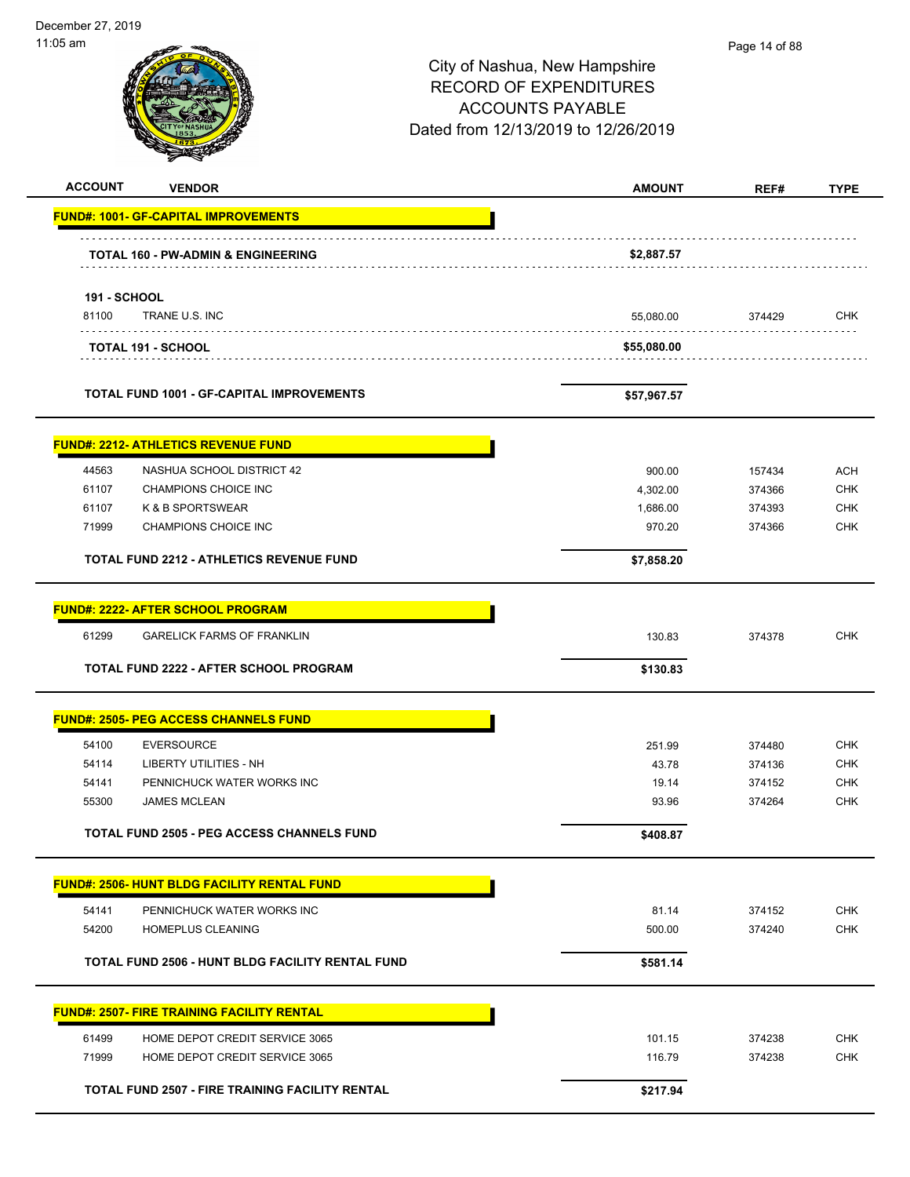| December 27, 2019   |                                                          |                                                                                                                                  |                  |                          |
|---------------------|----------------------------------------------------------|----------------------------------------------------------------------------------------------------------------------------------|------------------|--------------------------|
| 11:05 am            |                                                          | City of Nashua, New Hampshire<br><b>RECORD OF EXPENDITURES</b><br><b>ACCOUNTS PAYABLE</b><br>Dated from 12/13/2019 to 12/26/2019 | Page 14 of 88    |                          |
| <b>ACCOUNT</b>      | <b>VENDOR</b>                                            | <b>AMOUNT</b>                                                                                                                    | REF#             | <b>TYPE</b>              |
|                     | <b>FUND#: 1001- GF-CAPITAL IMPROVEMENTS</b>              |                                                                                                                                  |                  |                          |
|                     | <b>TOTAL 160 - PW-ADMIN &amp; ENGINEERING</b>            | \$2,887.57                                                                                                                       |                  |                          |
| <b>191 - SCHOOL</b> |                                                          |                                                                                                                                  |                  |                          |
| 81100               | TRANE U.S. INC                                           | 55,080.00                                                                                                                        | 374429           | <b>CHK</b>               |
|                     | TOTAL 191 - SCHOOL                                       | \$55,080.00                                                                                                                      |                  |                          |
|                     | <b>TOTAL FUND 1001 - GF-CAPITAL IMPROVEMENTS</b>         | \$57,967.57                                                                                                                      |                  |                          |
|                     |                                                          |                                                                                                                                  |                  |                          |
|                     | <b>FUND#: 2212- ATHLETICS REVENUE FUND</b>               |                                                                                                                                  |                  |                          |
| 44563<br>61107      | NASHUA SCHOOL DISTRICT 42<br><b>CHAMPIONS CHOICE INC</b> | 900.00<br>4,302.00                                                                                                               | 157434<br>374366 | <b>ACH</b><br><b>CHK</b> |
| 61107               | K & B SPORTSWEAR                                         | 1,686.00                                                                                                                         | 374393           | <b>CHK</b>               |
| 71999               | <b>CHAMPIONS CHOICE INC</b>                              | 970.20                                                                                                                           | 374366           | <b>CHK</b>               |
|                     | TOTAL FUND 2212 - ATHLETICS REVENUE FUND                 | \$7,858.20                                                                                                                       |                  |                          |
|                     | <b>FUND#: 2222- AFTER SCHOOL PROGRAM</b>                 |                                                                                                                                  |                  |                          |
| 61299               | <b>GARELICK FARMS OF FRANKLIN</b>                        | 130.83                                                                                                                           | 374378           | <b>CHK</b>               |
|                     | TOTAL FUND 2222 - AFTER SCHOOL PROGRAM                   | \$130.83                                                                                                                         |                  |                          |
|                     |                                                          |                                                                                                                                  |                  |                          |
|                     | <b>FUND#: 2505- PEG ACCESS CHANNELS FUND</b>             |                                                                                                                                  |                  |                          |
| 54100               | <b>EVERSOURCE</b>                                        | 251.99                                                                                                                           | 374480           | <b>CHK</b>               |
| 54114               | LIBERTY UTILITIES - NH                                   | 43.78                                                                                                                            | 374136           | <b>CHK</b>               |
| 54141               | PENNICHUCK WATER WORKS INC                               | 19.14                                                                                                                            | 374152           | <b>CHK</b>               |
| 55300               | <b>JAMES MCLEAN</b>                                      | 93.96                                                                                                                            | 374264           | <b>CHK</b>               |
|                     | <b>TOTAL FUND 2505 - PEG ACCESS CHANNELS FUND</b>        | \$408.87                                                                                                                         |                  |                          |
|                     | FUND#: 2506- HUNT BLDG FACILITY RENTAL FUND              |                                                                                                                                  |                  |                          |
| 54141               | PENNICHUCK WATER WORKS INC                               | 81.14                                                                                                                            | 374152           | <b>CHK</b>               |
| 54200               | HOMEPLUS CLEANING                                        | 500.00                                                                                                                           | 374240           | <b>CHK</b>               |
|                     | TOTAL FUND 2506 - HUNT BLDG FACILITY RENTAL FUND         | \$581.14                                                                                                                         |                  |                          |
|                     | <b>FUND#: 2507- FIRE TRAINING FACILITY RENTAL</b>        |                                                                                                                                  |                  |                          |
| 61499               | HOME DEPOT CREDIT SERVICE 3065                           | 101.15                                                                                                                           | 374238           | <b>CHK</b>               |
| 71999               | HOME DEPOT CREDIT SERVICE 3065                           | 116.79                                                                                                                           | 374238           | <b>CHK</b>               |
|                     | TOTAL FUND 2507 - FIRE TRAINING FACILITY RENTAL          | \$217.94                                                                                                                         |                  |                          |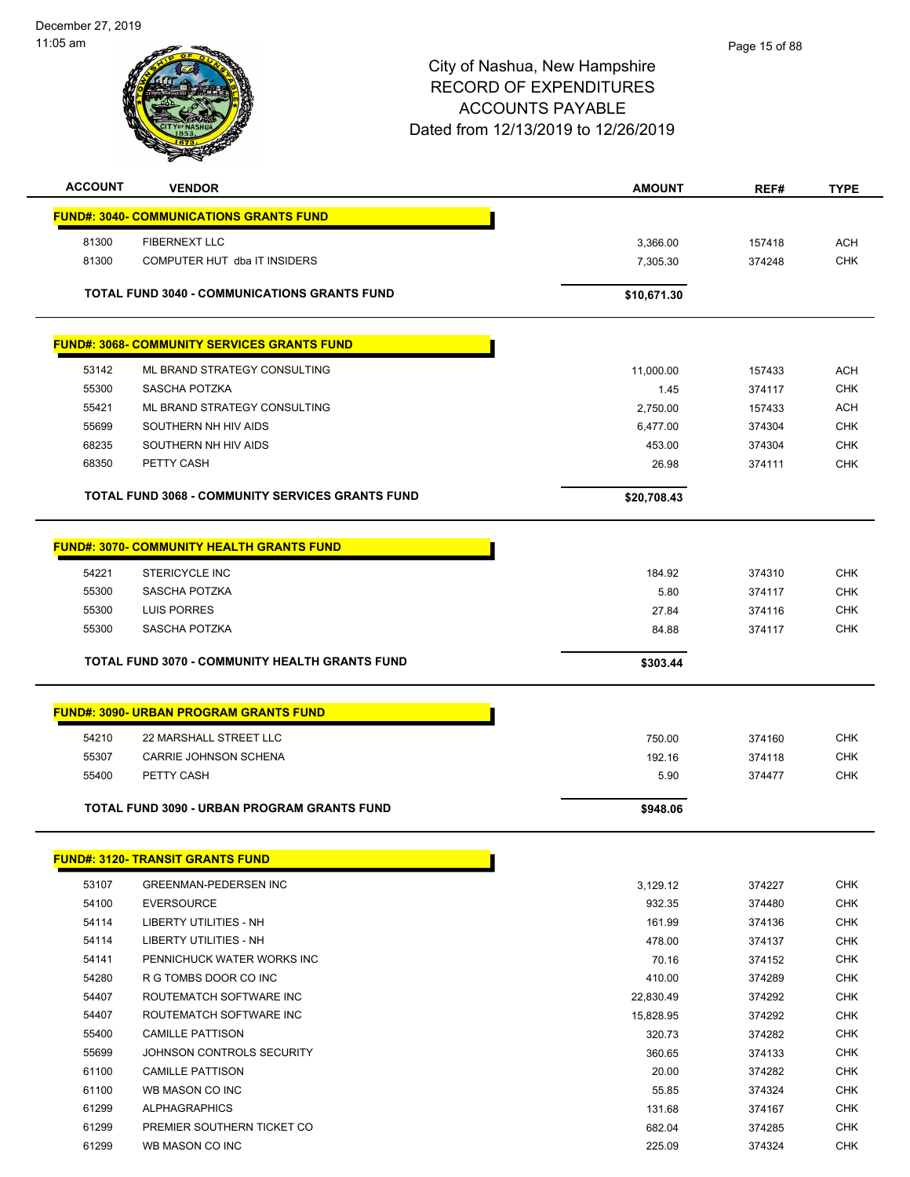$\overline{\phantom{a}}$ 



# City of Nashua, New Hampshire RECORD OF EXPENDITURES ACCOUNTS PAYABLE Dated from 12/13/2019 to 12/26/2019

| <b>ACCOUNT</b> | <b>VENDOR</b>                                           | <b>AMOUNT</b>  | REF#             | <b>TYPE</b>              |
|----------------|---------------------------------------------------------|----------------|------------------|--------------------------|
|                | <b>FUND#: 3040- COMMUNICATIONS GRANTS FUND</b>          |                |                  |                          |
| 81300          | <b>FIBERNEXT LLC</b>                                    | 3,366.00       | 157418           | <b>ACH</b>               |
| 81300          | COMPUTER HUT dba IT INSIDERS                            | 7,305.30       | 374248           | <b>CHK</b>               |
|                |                                                         |                |                  |                          |
|                | <b>TOTAL FUND 3040 - COMMUNICATIONS GRANTS FUND</b>     | \$10,671.30    |                  |                          |
|                |                                                         |                |                  |                          |
|                | <b>FUND#: 3068- COMMUNITY SERVICES GRANTS FUND</b>      |                |                  |                          |
| 53142          | ML BRAND STRATEGY CONSULTING                            | 11,000.00      | 157433           | <b>ACH</b>               |
| 55300          | SASCHA POTZKA                                           | 1.45           | 374117           | <b>CHK</b>               |
| 55421          | ML BRAND STRATEGY CONSULTING                            | 2,750.00       | 157433           | <b>ACH</b>               |
| 55699          | SOUTHERN NH HIV AIDS                                    | 6,477.00       | 374304           | <b>CHK</b>               |
| 68235          | SOUTHERN NH HIV AIDS                                    | 453.00         | 374304           | <b>CHK</b>               |
| 68350          | PETTY CASH                                              | 26.98          | 374111           | <b>CHK</b>               |
|                | <b>TOTAL FUND 3068 - COMMUNITY SERVICES GRANTS FUND</b> | \$20,708.43    |                  |                          |
|                | <b>FUND#: 3070- COMMUNITY HEALTH GRANTS FUND</b>        |                |                  |                          |
|                |                                                         |                |                  |                          |
| 54221<br>55300 | <b>STERICYCLE INC</b>                                   | 184.92<br>5.80 | 374310           | <b>CHK</b><br><b>CHK</b> |
| 55300          | SASCHA POTZKA<br>LUIS PORRES                            | 27.84          | 374117           | <b>CHK</b>               |
| 55300          | SASCHA POTZKA                                           | 84.88          | 374116<br>374117 | <b>CHK</b>               |
|                |                                                         |                |                  |                          |
|                | <b>TOTAL FUND 3070 - COMMUNITY HEALTH GRANTS FUND</b>   | \$303.44       |                  |                          |
|                | <b>FUND#: 3090- URBAN PROGRAM GRANTS FUND</b>           |                |                  |                          |
| 54210          | 22 MARSHALL STREET LLC                                  | 750.00         | 374160           | <b>CHK</b>               |
| 55307          | CARRIE JOHNSON SCHENA                                   | 192.16         | 374118           | <b>CHK</b>               |
| 55400          | PETTY CASH                                              | 5.90           | 374477           | <b>CHK</b>               |
|                | TOTAL FUND 3090 - URBAN PROGRAM GRANTS FUND             | \$948.06       |                  |                          |
|                |                                                         |                |                  |                          |
|                | <b>FUND#: 3120- TRANSIT GRANTS FUND</b>                 |                |                  |                          |
| 53107          | GREENMAN-PEDERSEN INC                                   | 3,129.12       | 374227           | <b>CHK</b>               |
| 54100          | <b>EVERSOURCE</b>                                       | 932.35         | 374480           | <b>CHK</b>               |
| 54114          | LIBERTY UTILITIES - NH                                  | 161.99         | 374136           | CHK                      |
| 54114          | LIBERTY UTILITIES - NH                                  | 478.00         | 374137           | CHK                      |
| 54141          | PENNICHUCK WATER WORKS INC                              | 70.16          | 374152           | CHK                      |
| 54280          | R G TOMBS DOOR CO INC                                   | 410.00         | 374289           | CHK                      |
| 54407          | ROUTEMATCH SOFTWARE INC                                 | 22,830.49      | 374292           | <b>CHK</b>               |
| 54407          | ROUTEMATCH SOFTWARE INC                                 | 15,828.95      | 374292           | <b>CHK</b>               |
| 55400          | <b>CAMILLE PATTISON</b>                                 | 320.73         | 374282           | <b>CHK</b>               |
| 55699          | JOHNSON CONTROLS SECURITY                               | 360.65         | 374133           | <b>CHK</b>               |
| 61100          | <b>CAMILLE PATTISON</b>                                 | 20.00          | 374282           | CHK                      |
| 61100          | WB MASON CO INC                                         | 55.85          | 374324           | CHK                      |
| 61299          | <b>ALPHAGRAPHICS</b>                                    | 131.68         | 374167           | <b>CHK</b>               |
| 61299          | PREMIER SOUTHERN TICKET CO                              | 682.04         | 374285           | CHK                      |

WB MASON CO INC 225.09 374324 CHK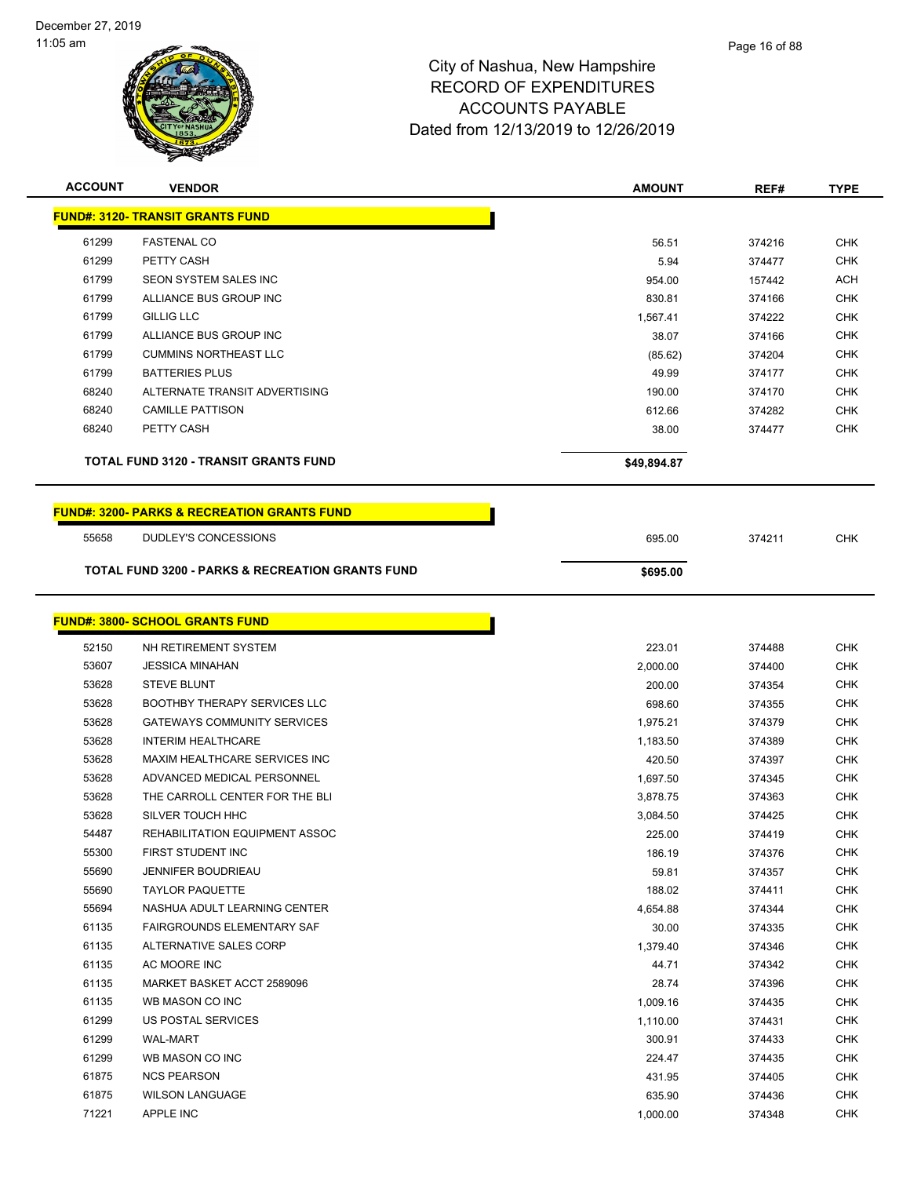

| <b>ACCOUNT</b> | <b>VENDOR</b>                                               | <b>AMOUNT</b> | REF#   | <b>TYPE</b> |
|----------------|-------------------------------------------------------------|---------------|--------|-------------|
|                | <b>FUND#: 3120- TRANSIT GRANTS FUND</b>                     |               |        |             |
| 61299          | <b>FASTENAL CO</b>                                          | 56.51         | 374216 | <b>CHK</b>  |
| 61299          | PETTY CASH                                                  | 5.94          | 374477 | <b>CHK</b>  |
| 61799          | <b>SEON SYSTEM SALES INC</b>                                | 954.00        | 157442 | <b>ACH</b>  |
| 61799          | ALLIANCE BUS GROUP INC                                      | 830.81        | 374166 | <b>CHK</b>  |
| 61799          | <b>GILLIG LLC</b>                                           | 1,567.41      | 374222 | <b>CHK</b>  |
| 61799          | ALLIANCE BUS GROUP INC                                      | 38.07         | 374166 | <b>CHK</b>  |
| 61799          | <b>CUMMINS NORTHEAST LLC</b>                                | (85.62)       | 374204 | <b>CHK</b>  |
| 61799          | <b>BATTERIES PLUS</b>                                       | 49.99         | 374177 | <b>CHK</b>  |
| 68240          | ALTERNATE TRANSIT ADVERTISING                               | 190.00        | 374170 | <b>CHK</b>  |
| 68240          | <b>CAMILLE PATTISON</b>                                     | 612.66        | 374282 | <b>CHK</b>  |
| 68240          | PETTY CASH                                                  | 38.00         | 374477 | <b>CHK</b>  |
|                | <b>TOTAL FUND 3120 - TRANSIT GRANTS FUND</b>                | \$49,894.87   |        |             |
|                | <b>FUND#: 3200- PARKS &amp; RECREATION GRANTS FUND</b>      |               |        |             |
| 55658          | DUDLEY'S CONCESSIONS                                        | 695.00        | 374211 | <b>CHK</b>  |
|                | <b>TOTAL FUND 3200 - PARKS &amp; RECREATION GRANTS FUND</b> | \$695.00      |        |             |
|                |                                                             |               |        |             |
|                | <b>FUND#: 3800- SCHOOL GRANTS FUND</b>                      |               |        |             |
| 52150          | NH RETIREMENT SYSTEM                                        | 223.01        | 374488 | <b>CHK</b>  |
| 53607          | <b>JESSICA MINAHAN</b>                                      | 2,000.00      | 374400 | <b>CHK</b>  |
| 53628          | <b>STEVE BLUNT</b>                                          | 200.00        | 374354 | <b>CHK</b>  |
| 53628          | <b>BOOTHBY THERAPY SERVICES LLC</b>                         | 698.60        | 374355 | <b>CHK</b>  |
| 53628          | <b>GATEWAYS COMMUNITY SERVICES</b>                          | 1,975.21      | 374379 | <b>CHK</b>  |
| 53628          | <b>INTERIM HEALTHCARE</b>                                   | 1,183.50      | 374389 | <b>CHK</b>  |
| 53628          | MAXIM HEALTHCARE SERVICES INC                               | 420.50        | 374397 | <b>CHK</b>  |
| 53628          | ADVANCED MEDICAL PERSONNEL                                  | 1,697.50      | 374345 | <b>CHK</b>  |
| 53628          | THE CARROLL CENTER FOR THE BLI                              | 3,878.75      | 374363 | <b>CHK</b>  |
| 53628          | SILVER TOUCH HHC                                            | 3,084.50      | 374425 | <b>CHK</b>  |
| 54487          | REHABILITATION EQUIPMENT ASSOC                              | 225.00        | 374419 | <b>CHK</b>  |
| 55300          | FIRST STUDENT INC                                           | 186.19        | 374376 | <b>CHK</b>  |
| 55690          | <b>JENNIFER BOUDRIEAU</b>                                   | 59.81         | 374357 | <b>CHK</b>  |
| 55690          | <b>TAYLOR PAQUETTE</b>                                      | 188.02        | 374411 | <b>CHK</b>  |
| 55694          | NASHUA ADULT LEARNING CENTER                                | 4,654.88      | 374344 | <b>CHK</b>  |
| 61135          | FAIRGROUNDS ELEMENTARY SAF                                  | 30.00         | 374335 | <b>CHK</b>  |
| 61135          | ALTERNATIVE SALES CORP                                      | 1,379.40      | 374346 | <b>CHK</b>  |
| 61135          | AC MOORE INC                                                | 44.71         | 374342 | <b>CHK</b>  |
| 61135          | MARKET BASKET ACCT 2589096                                  | 28.74         | 374396 | <b>CHK</b>  |
| 61135          | WB MASON CO INC                                             | 1,009.16      | 374435 | CHK         |
| 61299          | US POSTAL SERVICES                                          | 1,110.00      | 374431 | <b>CHK</b>  |
| 61299          | <b>WAL-MART</b>                                             | 300.91        | 374433 | <b>CHK</b>  |
| 61299          | WB MASON CO INC                                             | 224.47        | 374435 | <b>CHK</b>  |
| 61875          | <b>NCS PEARSON</b>                                          | 431.95        | 374405 | <b>CHK</b>  |
| 61875          | <b>WILSON LANGUAGE</b>                                      | 635.90        | 374436 | <b>CHK</b>  |
| 71221          | APPLE INC                                                   | 1,000.00      | 374348 | <b>CHK</b>  |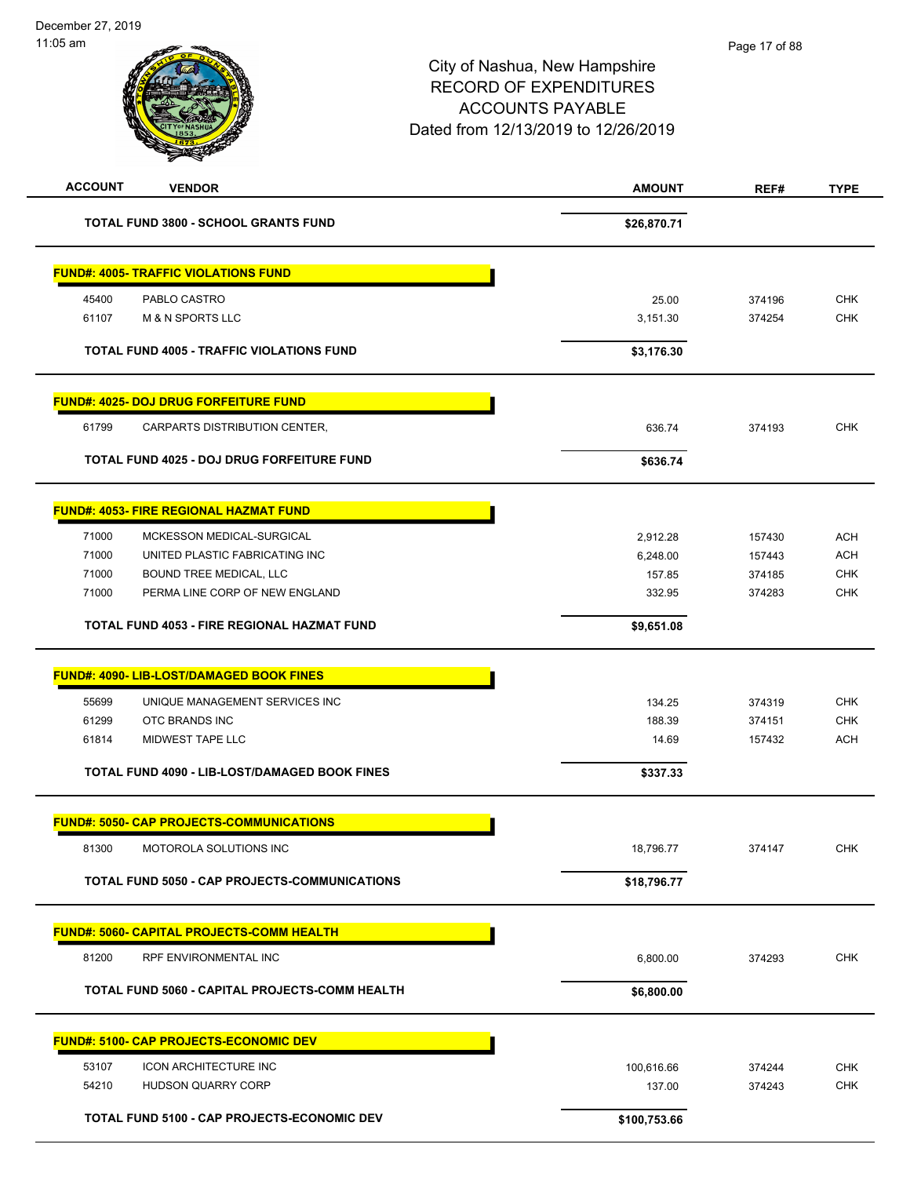| <b>ACCOUNT</b><br><b>VENDOR</b>                      | <b>AMOUNT</b> | REF#   | <b>TYPE</b> |
|------------------------------------------------------|---------------|--------|-------------|
| <b>TOTAL FUND 3800 - SCHOOL GRANTS FUND</b>          | \$26,870.71   |        |             |
| <b>FUND#: 4005- TRAFFIC VIOLATIONS FUND</b>          |               |        |             |
| 45400<br>PABLO CASTRO                                | 25.00         | 374196 | <b>CHK</b>  |
| 61107<br><b>M &amp; N SPORTS LLC</b>                 | 3,151.30      | 374254 | <b>CHK</b>  |
| <b>TOTAL FUND 4005 - TRAFFIC VIOLATIONS FUND</b>     | \$3,176.30    |        |             |
| <b>FUND#: 4025- DOJ DRUG FORFEITURE FUND</b>         |               |        |             |
| 61799<br>CARPARTS DISTRIBUTION CENTER,               | 636.74        | 374193 | <b>CHK</b>  |
| TOTAL FUND 4025 - DOJ DRUG FORFEITURE FUND           | \$636.74      |        |             |
| <b>FUND#: 4053- FIRE REGIONAL HAZMAT FUND</b>        |               |        |             |
| 71000<br>MCKESSON MEDICAL-SURGICAL                   | 2,912.28      | 157430 | <b>ACH</b>  |
| 71000<br>UNITED PLASTIC FABRICATING INC              | 6,248.00      | 157443 | <b>ACH</b>  |
| 71000<br>BOUND TREE MEDICAL, LLC                     | 157.85        | 374185 | <b>CHK</b>  |
| 71000<br>PERMA LINE CORP OF NEW ENGLAND              | 332.95        | 374283 | <b>CHK</b>  |
| TOTAL FUND 4053 - FIRE REGIONAL HAZMAT FUND          | \$9,651.08    |        |             |
| FUND#: 4090- LIB-LOST/DAMAGED BOOK FINES             |               |        |             |
| 55699<br>UNIQUE MANAGEMENT SERVICES INC              | 134.25        | 374319 | <b>CHK</b>  |
| 61299<br>OTC BRANDS INC                              | 188.39        | 374151 | <b>CHK</b>  |
| MIDWEST TAPE LLC<br>61814                            | 14.69         | 157432 | <b>ACH</b>  |
| TOTAL FUND 4090 - LIB-LOST/DAMAGED BOOK FINES        | \$337.33      |        |             |
| <b>FUND#: 5050- CAP PROJECTS-COMMUNICATIONS</b>      |               |        |             |
| 81300<br>MOTOROLA SOLUTIONS INC                      | 18,796.77     | 374147 | <b>CHK</b>  |
| <b>TOTAL FUND 5050 - CAP PROJECTS-COMMUNICATIONS</b> | \$18,796.77   |        |             |
| <b>FUND#: 5060- CAPITAL PROJECTS-COMM HEALTH</b>     |               |        |             |
| 81200<br>RPF ENVIRONMENTAL INC                       | 6,800.00      | 374293 | <b>CHK</b>  |
| TOTAL FUND 5060 - CAPITAL PROJECTS-COMM HEALTH       | \$6,800.00    |        |             |
| <b>FUND#: 5100- CAP PROJECTS-ECONOMIC DEV</b>        |               |        |             |
|                                                      |               |        |             |
| 53107<br><b>ICON ARCHITECTURE INC</b>                | 100,616.66    | 374244 | <b>CHK</b>  |
| 54210<br>HUDSON QUARRY CORP                          | 137.00        | 374243 | <b>CHK</b>  |
| TOTAL FUND 5100 - CAP PROJECTS-ECONOMIC DEV          | \$100,753.66  |        |             |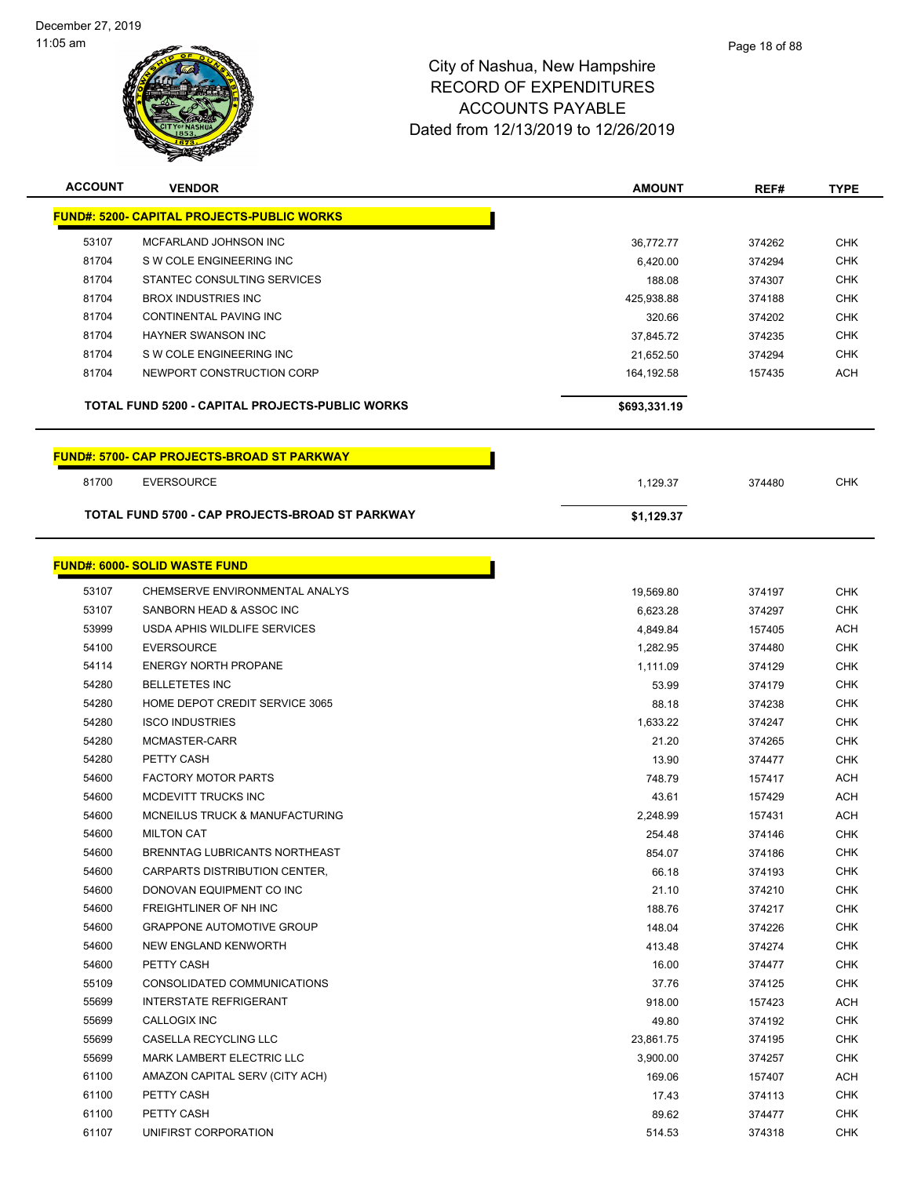

| <b>ACCOUNT</b> | <b>VENDOR</b>                                     | <b>AMOUNT</b> | REF#   | <b>TYPE</b> |
|----------------|---------------------------------------------------|---------------|--------|-------------|
|                | <b>FUND#: 5200- CAPITAL PROJECTS-PUBLIC WORKS</b> |               |        |             |
| 53107          | MCFARLAND JOHNSON INC                             | 36,772.77     | 374262 | <b>CHK</b>  |
| 81704          | S W COLE ENGINEERING INC                          | 6,420.00      | 374294 | <b>CHK</b>  |
| 81704          | STANTEC CONSULTING SERVICES                       | 188.08        | 374307 | <b>CHK</b>  |
| 81704          | <b>BROX INDUSTRIES INC</b>                        | 425,938.88    | 374188 | <b>CHK</b>  |
| 81704          | <b>CONTINENTAL PAVING INC</b>                     | 320.66        | 374202 | <b>CHK</b>  |
| 81704          | <b>HAYNER SWANSON INC</b>                         | 37,845.72     | 374235 | <b>CHK</b>  |
| 81704          | S W COLE ENGINEERING INC                          | 21,652.50     | 374294 | <b>CHK</b>  |
| 81704          | NEWPORT CONSTRUCTION CORP                         | 164,192.58    | 157435 | <b>ACH</b>  |
|                | TOTAL FUND 5200 - CAPITAL PROJECTS-PUBLIC WORKS   | \$693,331.19  |        |             |
|                | <b>FUND#: 5700- CAP PROJECTS-BROAD ST PARKWAY</b> |               |        |             |
| 81700          | <b>EVERSOURCE</b>                                 | 1,129.37      | 374480 | <b>CHK</b>  |
|                | TOTAL FUND 5700 - CAP PROJECTS-BROAD ST PARKWAY   | \$1,129.37    |        |             |
|                |                                                   |               |        |             |
|                | <b>FUND#: 6000- SOLID WASTE FUND</b>              |               |        |             |
| 53107          | CHEMSERVE ENVIRONMENTAL ANALYS                    | 19,569.80     | 374197 | <b>CHK</b>  |
| 53107          | SANBORN HEAD & ASSOC INC                          | 6,623.28      | 374297 | <b>CHK</b>  |
| 53999          | USDA APHIS WILDLIFE SERVICES                      | 4,849.84      | 157405 | <b>ACH</b>  |
| 54100          | <b>EVERSOURCE</b>                                 | 1,282.95      | 374480 | <b>CHK</b>  |
| 54114          | <b>ENERGY NORTH PROPANE</b>                       | 1,111.09      | 374129 | <b>CHK</b>  |
| 54280          | <b>BELLETETES INC</b>                             | 53.99         | 374179 | <b>CHK</b>  |
| 54280          | HOME DEPOT CREDIT SERVICE 3065                    | 88.18         | 374238 | CHK         |
| 54280          | <b>ISCO INDUSTRIES</b>                            | 1,633.22      | 374247 | CHK         |
| 54280          | MCMASTER-CARR                                     | 21.20         | 374265 | <b>CHK</b>  |
| 54280          | PETTY CASH                                        | 13.90         | 374477 | <b>CHK</b>  |
| 54600          | <b>FACTORY MOTOR PARTS</b>                        | 748.79        | 157417 | ACH         |
| 54600          | MCDEVITT TRUCKS INC                               | 43.61         | 157429 | <b>ACH</b>  |
| 54600          | MCNEILUS TRUCK & MANUFACTURING                    | 2,248.99      | 157431 | ACH         |
| 54600          | <b>MILTON CAT</b>                                 | 254.48        | 374146 | <b>CHK</b>  |
| 54600          | BRENNTAG LUBRICANTS NORTHEAST                     | 854.07        | 374186 | CHK         |
| 54600          | CARPARTS DISTRIBUTION CENTER,                     | 66.18         | 374193 | <b>CHK</b>  |
| 54600          | DONOVAN EQUIPMENT CO INC                          | 21.10         | 374210 | <b>CHK</b>  |
| 54600          | FREIGHTLINER OF NH INC                            | 188.76        | 374217 | <b>CHK</b>  |
| 54600          | <b>GRAPPONE AUTOMOTIVE GROUP</b>                  | 148.04        | 374226 | <b>CHK</b>  |
| 54600          | NEW ENGLAND KENWORTH                              | 413.48        | 374274 | <b>CHK</b>  |
| 54600          | PETTY CASH                                        | 16.00         | 374477 | CHK         |
| 55109          | CONSOLIDATED COMMUNICATIONS                       | 37.76         | 374125 | <b>CHK</b>  |
| 55699          | <b>INTERSTATE REFRIGERANT</b>                     | 918.00        | 157423 | <b>ACH</b>  |
| 55699          | CALLOGIX INC                                      | 49.80         | 374192 | <b>CHK</b>  |
| 55699          | CASELLA RECYCLING LLC                             | 23,861.75     | 374195 | <b>CHK</b>  |
| 55699          | MARK LAMBERT ELECTRIC LLC                         | 3,900.00      | 374257 | CHK         |
| 61100          | AMAZON CAPITAL SERV (CITY ACH)                    | 169.06        | 157407 | ACH         |
| 61100          | PETTY CASH                                        | 17.43         | 374113 | <b>CHK</b>  |
| 61100          | PETTY CASH                                        | 89.62         | 374477 | CHK         |
| 61107          | UNIFIRST CORPORATION                              | 514.53        | 374318 | <b>CHK</b>  |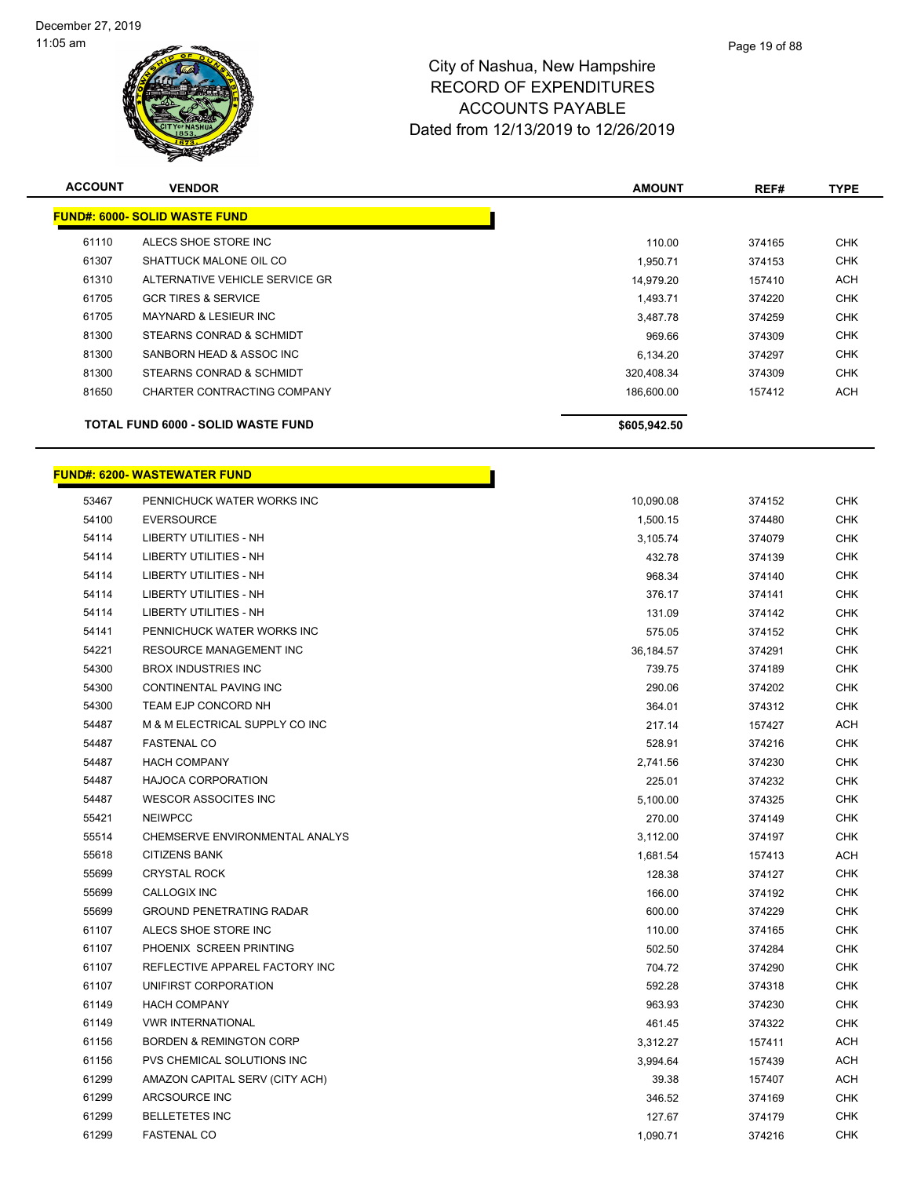

| <b>ACCOUNT</b> | <b>VENDOR</b>                             | <b>AMOUNT</b> | REF#   | <b>TYPE</b> |
|----------------|-------------------------------------------|---------------|--------|-------------|
|                | <b>FUND#: 6000- SOLID WASTE FUND</b>      |               |        |             |
| 61110          | ALECS SHOE STORE INC                      | 110.00        | 374165 | <b>CHK</b>  |
| 61307          | SHATTUCK MALONE OIL CO                    | 1,950.71      | 374153 | <b>CHK</b>  |
| 61310          | ALTERNATIVE VEHICLE SERVICE GR            | 14,979.20     | 157410 | <b>ACH</b>  |
| 61705          | <b>GCR TIRES &amp; SERVICE</b>            | 1,493.71      | 374220 | <b>CHK</b>  |
| 61705          | MAYNARD & LESIEUR INC                     | 3,487.78      | 374259 | <b>CHK</b>  |
| 81300          | STEARNS CONRAD & SCHMIDT                  | 969.66        | 374309 | <b>CHK</b>  |
| 81300          | SANBORN HEAD & ASSOC INC                  | 6,134.20      | 374297 | <b>CHK</b>  |
| 81300          | STEARNS CONRAD & SCHMIDT                  | 320,408.34    | 374309 | <b>CHK</b>  |
| 81650          | CHARTER CONTRACTING COMPANY               | 186.600.00    | 157412 | <b>ACH</b>  |
|                | <b>TOTAL FUND 6000 - SOLID WASTE FUND</b> | \$605,942.50  |        |             |

|       | FUND#: 6200- WASTEWATER FUND       |           |        |            |
|-------|------------------------------------|-----------|--------|------------|
| 53467 | PENNICHUCK WATER WORKS INC         | 10,090.08 | 374152 | CHK        |
| 54100 | <b>EVERSOURCE</b>                  | 1,500.15  | 374480 | CHK        |
| 54114 | LIBERTY UTILITIES - NH             | 3,105.74  | 374079 | CHK        |
| 54114 | <b>LIBERTY UTILITIES - NH</b>      | 432.78    | 374139 | <b>CHK</b> |
| 54114 | LIBERTY UTILITIES - NH             | 968.34    | 374140 | CHK        |
| 54114 | LIBERTY UTILITIES - NH             | 376.17    | 374141 | CHK        |
| 54114 | LIBERTY UTILITIES - NH             | 131.09    | 374142 | CHK        |
| 54141 | PENNICHUCK WATER WORKS INC         | 575.05    | 374152 | CHK        |
| 54221 | RESOURCE MANAGEMENT INC            | 36,184.57 | 374291 | <b>CHK</b> |
| 54300 | <b>BROX INDUSTRIES INC</b>         | 739.75    | 374189 | CHK        |
| 54300 | CONTINENTAL PAVING INC             | 290.06    | 374202 | CHK        |
| 54300 | TEAM EJP CONCORD NH                | 364.01    | 374312 | CHK        |
| 54487 | M & M ELECTRICAL SUPPLY CO INC     | 217.14    | 157427 | ACH        |
| 54487 | <b>FASTENAL CO</b>                 | 528.91    | 374216 | <b>CHK</b> |
| 54487 | <b>HACH COMPANY</b>                | 2,741.56  | 374230 | CHK        |
| 54487 | <b>HAJOCA CORPORATION</b>          | 225.01    | 374232 | CHK        |
| 54487 | WESCOR ASSOCITES INC               | 5,100.00  | 374325 | CHK        |
| 55421 | <b>NEIWPCC</b>                     | 270.00    | 374149 | CHK        |
| 55514 | CHEMSERVE ENVIRONMENTAL ANALYS     | 3,112.00  | 374197 | <b>CHK</b> |
| 55618 | <b>CITIZENS BANK</b>               | 1,681.54  | 157413 | ACH        |
| 55699 | <b>CRYSTAL ROCK</b>                | 128.38    | 374127 | CHK        |
| 55699 | CALLOGIX INC                       | 166.00    | 374192 | CHK        |
| 55699 | <b>GROUND PENETRATING RADAR</b>    | 600.00    | 374229 | CHK        |
| 61107 | ALECS SHOE STORE INC               | 110.00    | 374165 | CHK        |
| 61107 | PHOENIX SCREEN PRINTING            | 502.50    | 374284 | CHK        |
| 61107 | REFLECTIVE APPAREL FACTORY INC     | 704.72    | 374290 | CHK        |
| 61107 | UNIFIRST CORPORATION               | 592.28    | 374318 | CHK        |
| 61149 | <b>HACH COMPANY</b>                | 963.93    | 374230 | <b>CHK</b> |
| 61149 | <b>VWR INTERNATIONAL</b>           | 461.45    | 374322 | CHK        |
| 61156 | <b>BORDEN &amp; REMINGTON CORP</b> | 3,312.27  | 157411 | ACH        |
| 61156 | PVS CHEMICAL SOLUTIONS INC         | 3,994.64  | 157439 | ACH        |
| 61299 | AMAZON CAPITAL SERV (CITY ACH)     | 39.38     | 157407 | ACH        |
| 61299 | ARCSOURCE INC                      | 346.52    | 374169 | <b>CHK</b> |

 BELLETETES INC 127.67 374179 CHK FASTENAL CO 1,090.71 374216 CHK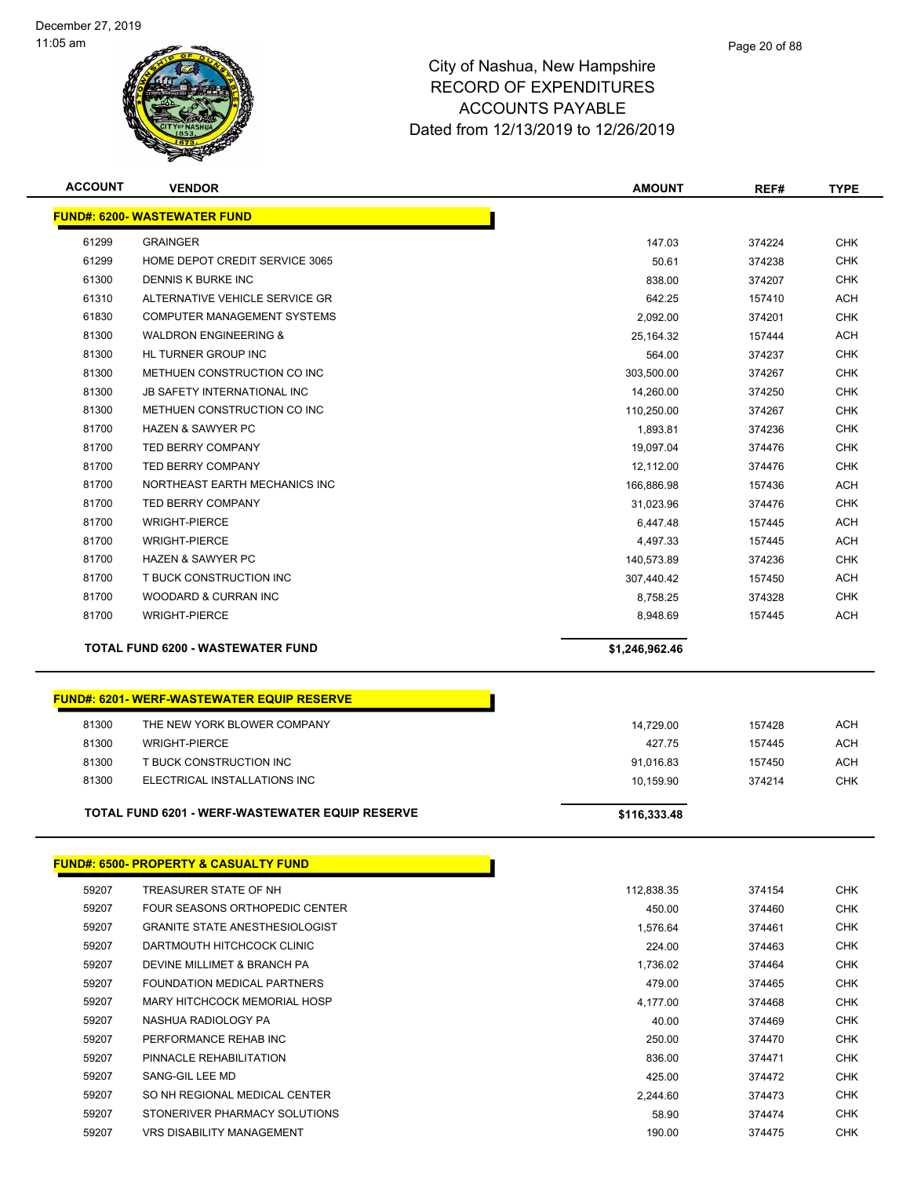

| <b>ACCOUNT</b> | <b>VENDOR</b>                                     | <b>AMOUNT</b>  | REF#   | <b>TYPE</b> |
|----------------|---------------------------------------------------|----------------|--------|-------------|
|                | <b>FUND#: 6200- WASTEWATER FUND</b>               |                |        |             |
| 61299          | <b>GRAINGER</b>                                   | 147.03         | 374224 | <b>CHK</b>  |
| 61299          | HOME DEPOT CREDIT SERVICE 3065                    | 50.61          | 374238 | <b>CHK</b>  |
| 61300          | <b>DENNIS K BURKE INC</b>                         | 838.00         | 374207 | CHK         |
| 61310          | ALTERNATIVE VEHICLE SERVICE GR                    | 642.25         | 157410 | <b>ACH</b>  |
| 61830          | COMPUTER MANAGEMENT SYSTEMS                       | 2,092.00       | 374201 | <b>CHK</b>  |
| 81300          | <b>WALDRON ENGINEERING &amp;</b>                  | 25,164.32      | 157444 | <b>ACH</b>  |
| 81300          | HL TURNER GROUP INC                               | 564.00         | 374237 | <b>CHK</b>  |
| 81300          | METHUEN CONSTRUCTION CO INC                       | 303,500.00     | 374267 | <b>CHK</b>  |
| 81300          | <b>JB SAFETY INTERNATIONAL INC</b>                | 14,260.00      | 374250 | <b>CHK</b>  |
| 81300          | METHUEN CONSTRUCTION CO INC                       | 110,250.00     | 374267 | <b>CHK</b>  |
| 81700          | <b>HAZEN &amp; SAWYER PC</b>                      | 1,893.81       | 374236 | <b>CHK</b>  |
| 81700          | <b>TED BERRY COMPANY</b>                          | 19,097.04      | 374476 | <b>CHK</b>  |
| 81700          | TED BERRY COMPANY                                 | 12,112.00      | 374476 | <b>CHK</b>  |
| 81700          | NORTHEAST EARTH MECHANICS INC                     | 166,886.98     | 157436 | ACH         |
| 81700          | <b>TED BERRY COMPANY</b>                          | 31,023.96      | 374476 | CHK         |
| 81700          | <b>WRIGHT-PIERCE</b>                              | 6,447.48       | 157445 | <b>ACH</b>  |
| 81700          | <b>WRIGHT-PIERCE</b>                              | 4,497.33       | 157445 | ACH         |
| 81700          | <b>HAZEN &amp; SAWYER PC</b>                      | 140,573.89     | 374236 | <b>CHK</b>  |
| 81700          | T BUCK CONSTRUCTION INC                           | 307,440.42     | 157450 | <b>ACH</b>  |
| 81700          | <b>WOODARD &amp; CURRAN INC</b>                   | 8,758.25       | 374328 | <b>CHK</b>  |
| 81700          | <b>WRIGHT-PIERCE</b>                              | 8,948.69       | 157445 | <b>ACH</b>  |
|                |                                                   |                |        |             |
|                | <b>TOTAL FUND 6200 - WASTEWATER FUND</b>          | \$1,246,962.46 |        |             |
|                |                                                   |                |        |             |
|                | <b>FUND#: 6201- WERF-WASTEWATER EQUIP RESERVE</b> |                |        |             |
| 81300          | THE NEW YORK BLOWER COMPANY                       | 14,729.00      | 157428 | <b>ACH</b>  |
| 81300          | <b>WRIGHT-PIERCE</b>                              | 427.75         | 157445 | ACH         |
| 81300          | T BUCK CONSTRUCTION INC                           | 91,016.83      | 157450 | <b>ACH</b>  |
| 81300          | ELECTRICAL INSTALLATIONS INC                      | 10,159.90      | 374214 | <b>CHK</b>  |
|                |                                                   |                |        |             |
|                | TOTAL FUND 6201 - WERF-WASTEWATER EQUIP RESERVE   | \$116,333.48   |        |             |
|                |                                                   |                |        |             |
|                | <b>FUND#: 6500- PROPERTY &amp; CASUALTY FUND</b>  |                |        |             |
| 59207          | TREASURER STATE OF NH                             | 112,838.35     | 374154 | <b>CHK</b>  |
| 59207          | FOUR SEASONS ORTHOPEDIC CENTER                    | 450.00         | 374460 | <b>CHK</b>  |
| 59207          | <b>GRANITE STATE ANESTHESIOLOGIST</b>             | 1,576.64       | 374461 | CHK         |
| 59207          | DARTMOUTH HITCHCOCK CLINIC                        | 224.00         | 374463 | <b>CHK</b>  |
| 59207          | DEVINE MILLIMET & BRANCH PA                       | 1,736.02       | 374464 | <b>CHK</b>  |
| 59207          | FOUNDATION MEDICAL PARTNERS                       | 479.00         | 374465 | CHK         |
| 59207          | MARY HITCHCOCK MEMORIAL HOSP                      | 4,177.00       | 374468 | <b>CHK</b>  |
| 59207          | NASHUA RADIOLOGY PA                               | 40.00          | 374469 | <b>CHK</b>  |
| 59207          | PERFORMANCE REHAB INC                             | 250.00         | 374470 | CHK         |
| 59207          | PINNACLE REHABILITATION                           | 836.00         | 374471 | <b>CHK</b>  |
| 59207          | SANG-GIL LEE MD                                   | 425.00         | 374472 | CHK         |
| 59207          | SO NH REGIONAL MEDICAL CENTER                     | 2,244.60       | 374473 | CHK         |
| 59207          | STONERIVER PHARMACY SOLUTIONS                     | 58.90          | 374474 | CHK         |
| 59207          | VRS DISABILITY MANAGEMENT                         | 190.00         | 374475 | CHK         |
|                |                                                   |                |        |             |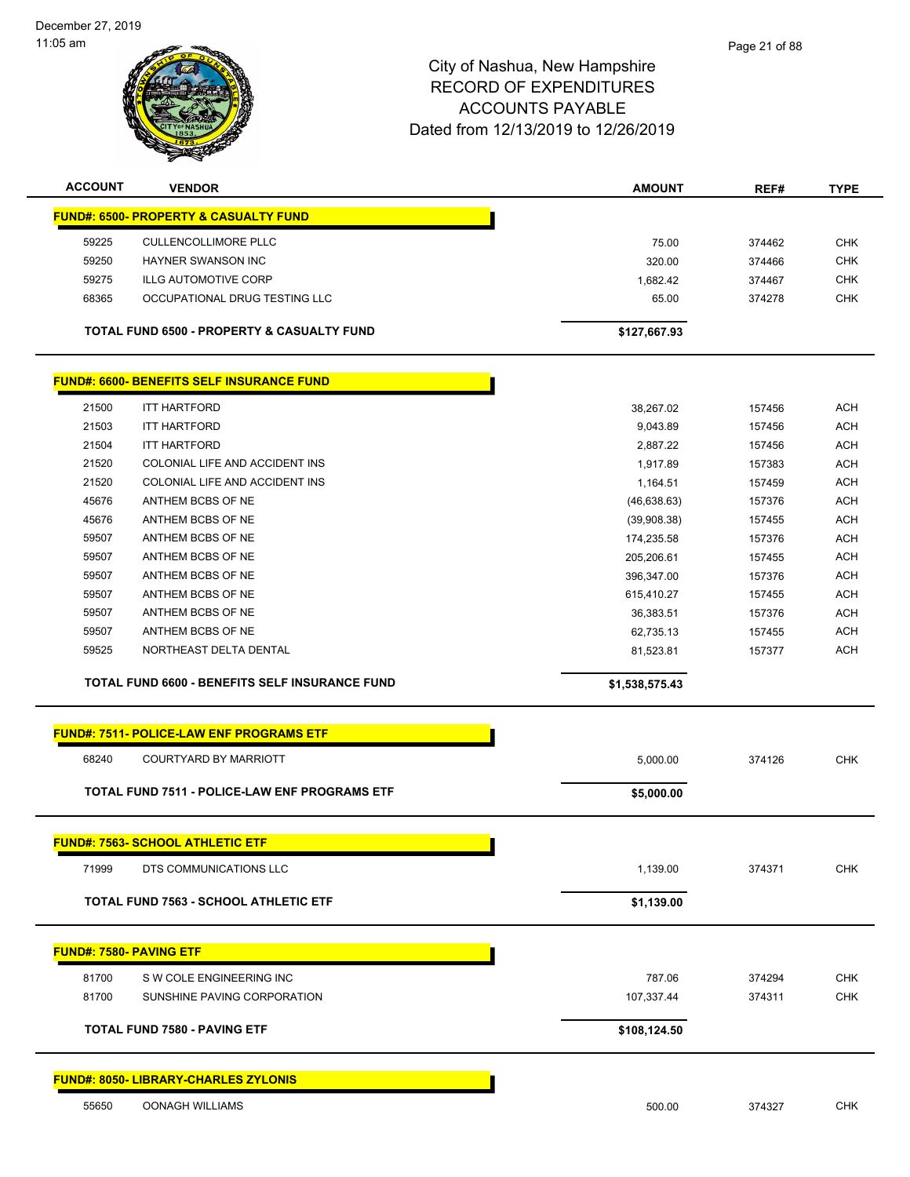December 27, 2019 11:05 am

| <b>ACCOUNT</b>          | <b>VENDOR</b>                                           | <b>AMOUNT</b>  |        |             |
|-------------------------|---------------------------------------------------------|----------------|--------|-------------|
|                         |                                                         |                | REF#   | <b>TYPE</b> |
|                         | <b>FUND#: 6500- PROPERTY &amp; CASUALTY FUND</b>        |                |        |             |
| 59225                   | <b>CULLENCOLLIMORE PLLC</b>                             | 75.00          | 374462 | <b>CHK</b>  |
| 59250                   | HAYNER SWANSON INC                                      | 320.00         | 374466 | <b>CHK</b>  |
| 59275                   | <b>ILLG AUTOMOTIVE CORP</b>                             | 1,682.42       | 374467 | <b>CHK</b>  |
| 68365                   | OCCUPATIONAL DRUG TESTING LLC                           | 65.00          | 374278 | <b>CHK</b>  |
|                         | <b>TOTAL FUND 6500 - PROPERTY &amp; CASUALTY FUND</b>   | \$127,667.93   |        |             |
|                         | <b>FUND#: 6600- BENEFITS SELF INSURANCE FUND</b>        |                |        |             |
| 21500                   | <b>ITT HARTFORD</b>                                     | 38,267.02      | 157456 | <b>ACH</b>  |
| 21503                   | <b>ITT HARTFORD</b>                                     | 9,043.89       | 157456 | <b>ACH</b>  |
| 21504                   | <b>ITT HARTFORD</b>                                     | 2,887.22       | 157456 | <b>ACH</b>  |
| 21520                   | COLONIAL LIFE AND ACCIDENT INS                          | 1,917.89       | 157383 | <b>ACH</b>  |
| 21520                   | COLONIAL LIFE AND ACCIDENT INS                          | 1,164.51       | 157459 | <b>ACH</b>  |
| 45676                   | ANTHEM BCBS OF NE                                       | (46, 638.63)   | 157376 | <b>ACH</b>  |
| 45676                   | ANTHEM BCBS OF NE                                       | (39,908.38)    | 157455 | <b>ACH</b>  |
| 59507                   | ANTHEM BCBS OF NE                                       | 174,235.58     | 157376 | <b>ACH</b>  |
| 59507                   | ANTHEM BCBS OF NE                                       | 205,206.61     | 157455 | <b>ACH</b>  |
| 59507                   | ANTHEM BCBS OF NE                                       | 396,347.00     | 157376 | <b>ACH</b>  |
| 59507                   | ANTHEM BCBS OF NE                                       | 615,410.27     | 157455 | <b>ACH</b>  |
| 59507                   | ANTHEM BCBS OF NE                                       | 36,383.51      | 157376 | <b>ACH</b>  |
| 59507                   | ANTHEM BCBS OF NE                                       | 62,735.13      | 157455 | <b>ACH</b>  |
| 59525                   | NORTHEAST DELTA DENTAL                                  | 81,523.81      | 157377 | <b>ACH</b>  |
|                         | TOTAL FUND 6600 - BENEFITS SELF INSURANCE FUND          | \$1,538,575.43 |        |             |
|                         | <b>FUND#: 7511- POLICE-LAW ENF PROGRAMS ETF</b>         |                |        |             |
| 68240                   | <b>COURTYARD BY MARRIOTT</b>                            | 5,000.00       | 374126 | <b>CHK</b>  |
|                         | TOTAL FUND 7511 - POLICE-LAW ENF PROGRAMS ETF           | \$5,000.00     |        |             |
|                         | <b>FUND#: 7563- SCHOOL ATHLETIC ETF</b>                 |                |        |             |
| 71999                   | DTS COMMUNICATIONS LLC                                  | 1,139.00       | 374371 | <b>CHK</b>  |
|                         | <b>TOTAL FUND 7563 - SCHOOL ATHLETIC ETF</b>            | \$1,139.00     |        |             |
| FUND#: 7580- PAVING ETF |                                                         |                |        |             |
|                         |                                                         |                |        |             |
| 81700                   | S W COLE ENGINEERING INC<br>SUNSHINE PAVING CORPORATION | 787.06         | 374294 | <b>CHK</b>  |
| 81700                   |                                                         | 107,337.44     | 374311 | <b>CHK</b>  |
|                         | <b>TOTAL FUND 7580 - PAVING ETF</b>                     | \$108,124.50   |        |             |
|                         | <b>FUND#: 8050- LIBRARY-CHARLES ZYLONIS</b>             |                |        |             |
| 55650                   | OONAGH WILLIAMS                                         | 500.00         | 374327 | <b>CHK</b>  |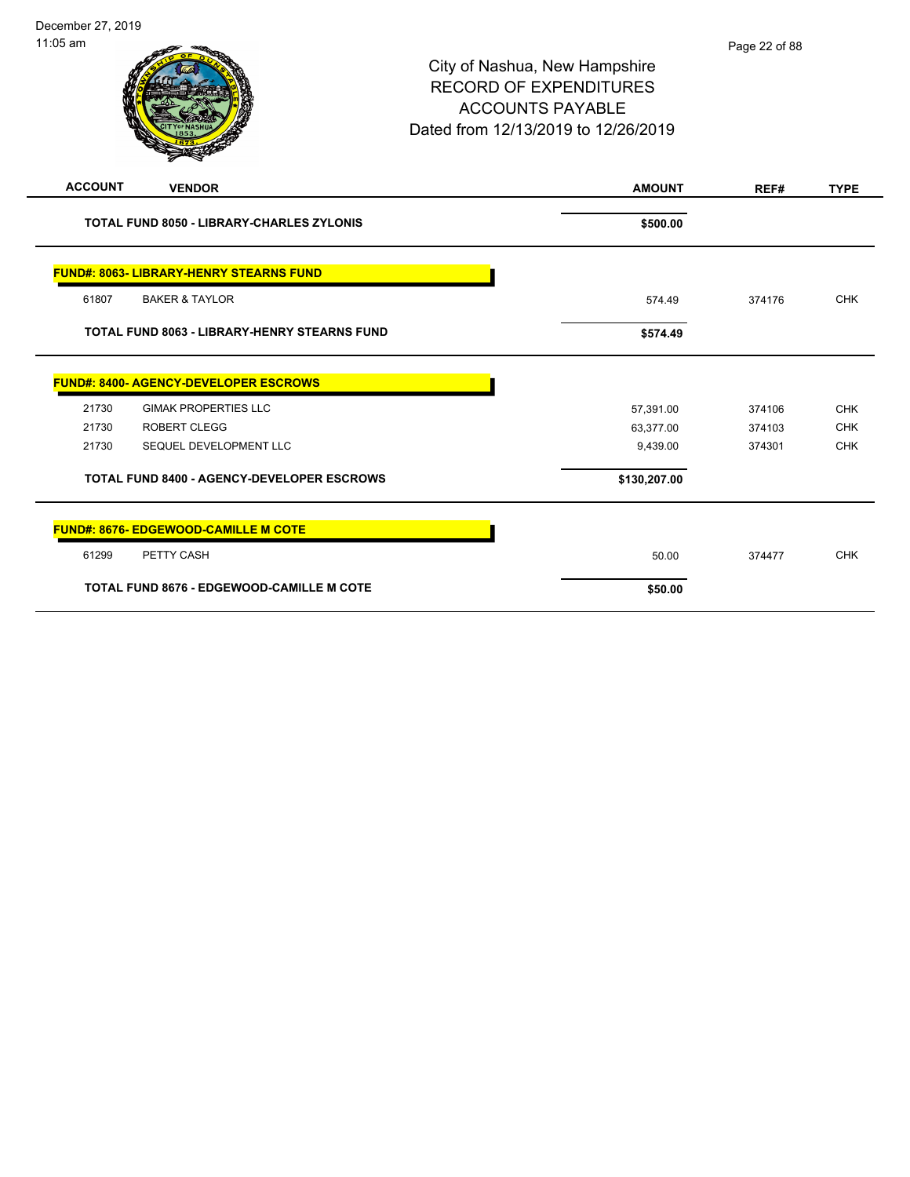| <b>ACCOUNT</b><br><b>VENDOR</b>                     | <b>AMOUNT</b> | REF#   | <b>TYPE</b> |
|-----------------------------------------------------|---------------|--------|-------------|
| <b>TOTAL FUND 8050 - LIBRARY-CHARLES ZYLONIS</b>    | \$500.00      |        |             |
| <b>FUND#: 8063- LIBRARY-HENRY STEARNS FUND</b>      |               |        |             |
| 61807<br><b>BAKER &amp; TAYLOR</b>                  | 574.49        | 374176 | <b>CHK</b>  |
| <b>TOTAL FUND 8063 - LIBRARY-HENRY STEARNS FUND</b> | \$574.49      |        |             |
| <b>FUND#: 8400- AGENCY-DEVELOPER ESCROWS</b>        |               |        |             |
| 21730<br><b>GIMAK PROPERTIES LLC</b>                | 57,391.00     | 374106 | <b>CHK</b>  |
| 21730<br><b>ROBERT CLEGG</b>                        | 63,377.00     | 374103 | <b>CHK</b>  |
| 21730<br>SEQUEL DEVELOPMENT LLC                     | 9,439.00      | 374301 | <b>CHK</b>  |
| <b>TOTAL FUND 8400 - AGENCY-DEVELOPER ESCROWS</b>   | \$130,207.00  |        |             |
| <b>FUND#: 8676- EDGEWOOD-CAMILLE M COTE</b>         |               |        |             |
| PETTY CASH<br>61299                                 | 50.00         | 374477 | <b>CHK</b>  |
| <b>TOTAL FUND 8676 - EDGEWOOD-CAMILLE M COTE</b>    | \$50.00       |        |             |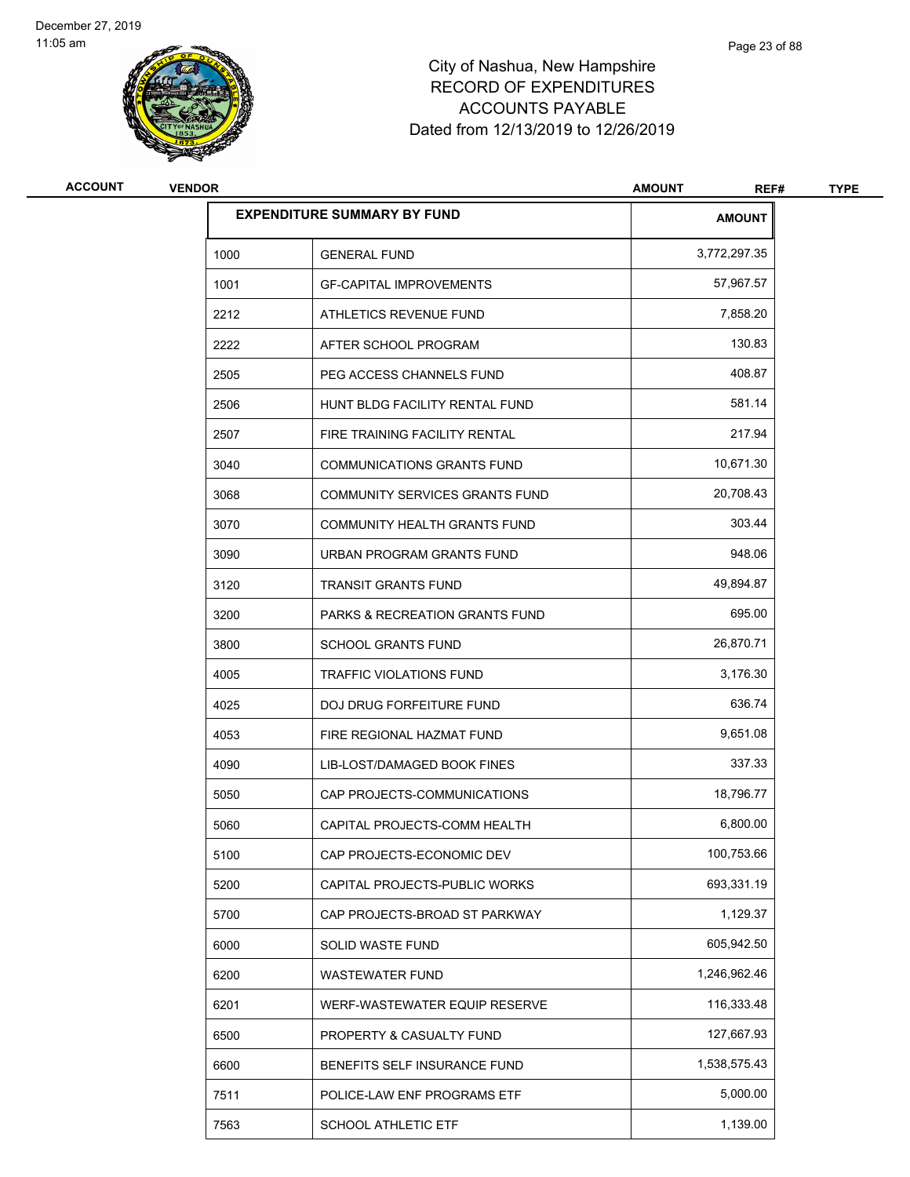

| <b>ACCOUNT</b> | <b>VENDOR</b> |                                    | <b>AMOUNT</b><br>REF# | <b>TYPE</b> |
|----------------|---------------|------------------------------------|-----------------------|-------------|
|                |               | <b>EXPENDITURE SUMMARY BY FUND</b> | <b>AMOUNT</b>         |             |
|                | 1000          | <b>GENERAL FUND</b>                | 3,772,297.35          |             |
|                | 1001          | <b>GF-CAPITAL IMPROVEMENTS</b>     | 57,967.57             |             |
|                | 2212          | ATHLETICS REVENUE FUND             | 7,858.20              |             |
|                | 2222          | AFTER SCHOOL PROGRAM               | 130.83                |             |
|                | 2505          | PEG ACCESS CHANNELS FUND           | 408.87                |             |
|                | 2506          | HUNT BLDG FACILITY RENTAL FUND     | 581.14                |             |
|                | 2507          | FIRE TRAINING FACILITY RENTAL      | 217.94                |             |
|                | 3040          | <b>COMMUNICATIONS GRANTS FUND</b>  | 10,671.30             |             |
|                | 3068          | COMMUNITY SERVICES GRANTS FUND     | 20,708.43             |             |
|                | 3070          | COMMUNITY HEALTH GRANTS FUND       | 303.44                |             |
|                | 3090          | URBAN PROGRAM GRANTS FUND          | 948.06                |             |
|                | 3120          | <b>TRANSIT GRANTS FUND</b>         | 49,894.87             |             |
|                | 3200          | PARKS & RECREATION GRANTS FUND     | 695.00                |             |
|                | 3800          | <b>SCHOOL GRANTS FUND</b>          | 26,870.71             |             |
|                | 4005          | <b>TRAFFIC VIOLATIONS FUND</b>     | 3,176.30              |             |
|                | 4025          | DOJ DRUG FORFEITURE FUND           | 636.74                |             |
|                | 4053          | FIRE REGIONAL HAZMAT FUND          | 9,651.08              |             |
|                | 4090          | LIB-LOST/DAMAGED BOOK FINES        | 337.33                |             |
|                | 5050          | CAP PROJECTS-COMMUNICATIONS        | 18,796.77             |             |
|                | 5060          | CAPITAL PROJECTS-COMM HEALTH       | 6,800.00              |             |
|                | 5100          | CAP PROJECTS-ECONOMIC DEV          | 100,753.66            |             |
|                | 5200          | CAPITAL PROJECTS-PUBLIC WORKS      | 693,331.19            |             |
|                | 5700          | CAP PROJECTS-BROAD ST PARKWAY      | 1,129.37              |             |
|                | 6000          | <b>SOLID WASTE FUND</b>            | 605,942.50            |             |
|                | 6200          | WASTEWATER FUND                    | 1,246,962.46          |             |
|                | 6201          | WERF-WASTEWATER EQUIP RESERVE      | 116,333.48            |             |
|                | 6500          | PROPERTY & CASUALTY FUND           | 127,667.93            |             |
|                | 6600          | BENEFITS SELF INSURANCE FUND       | 1,538,575.43          |             |
|                | 7511          | POLICE-LAW ENF PROGRAMS ETF        | 5,000.00              |             |
|                | 7563          | SCHOOL ATHLETIC ETF                | 1,139.00              |             |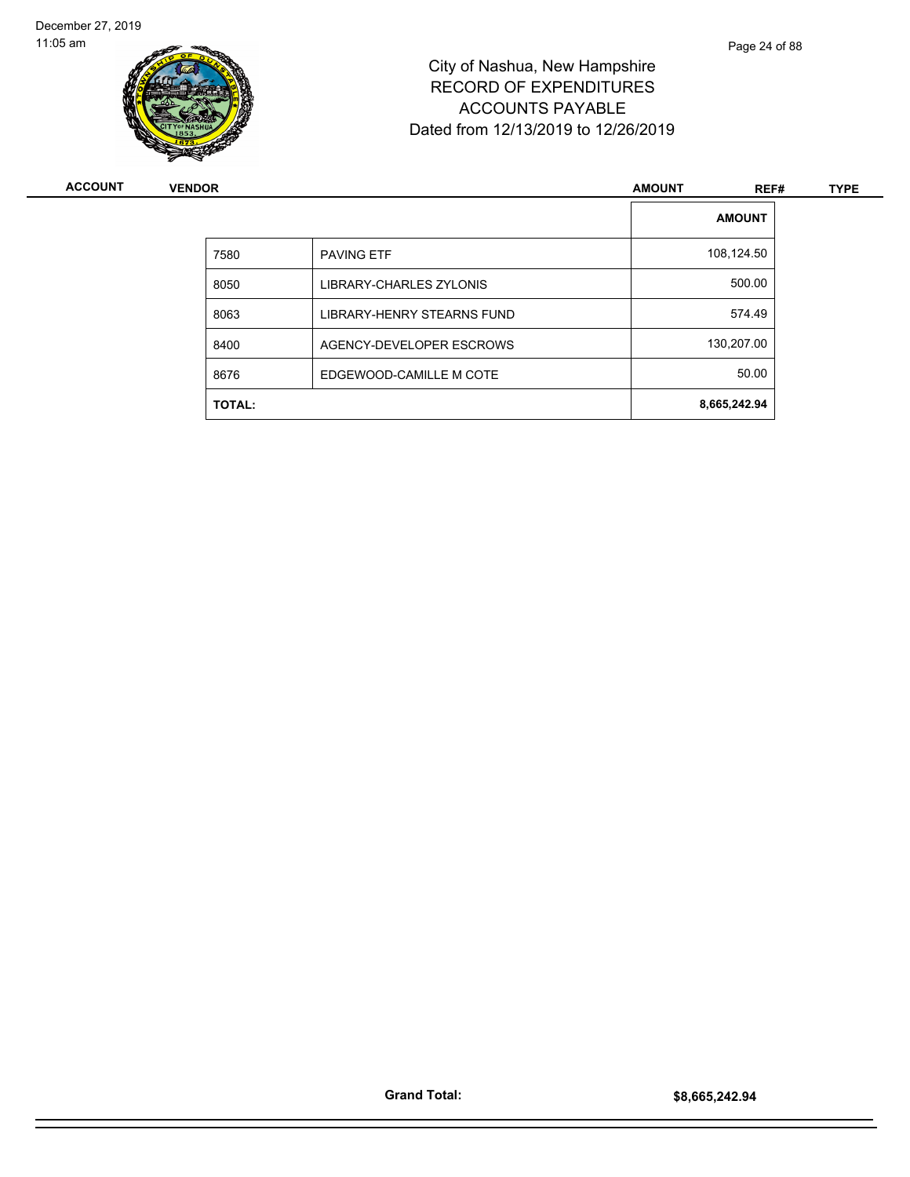

| ACCOUNT | <b>VENDOR</b> |                                   | <b>AMOUNT</b> | REF#          | <b>TYPE</b> |
|---------|---------------|-----------------------------------|---------------|---------------|-------------|
|         |               |                                   |               | <b>AMOUNT</b> |             |
|         | 7580          | <b>PAVING ETF</b>                 |               | 108,124.50    |             |
|         | 8050          | LIBRARY-CHARLES ZYLONIS           |               | 500.00        |             |
|         | 8063          | <b>LIBRARY-HENRY STEARNS FUND</b> |               | 574.49        |             |
|         | 8400          | AGENCY-DEVELOPER ESCROWS          |               | 130,207.00    |             |
|         | 8676          | EDGEWOOD-CAMILLE M COTE           |               | 50.00         |             |
|         | <b>TOTAL:</b> |                                   | 8,665,242.94  |               |             |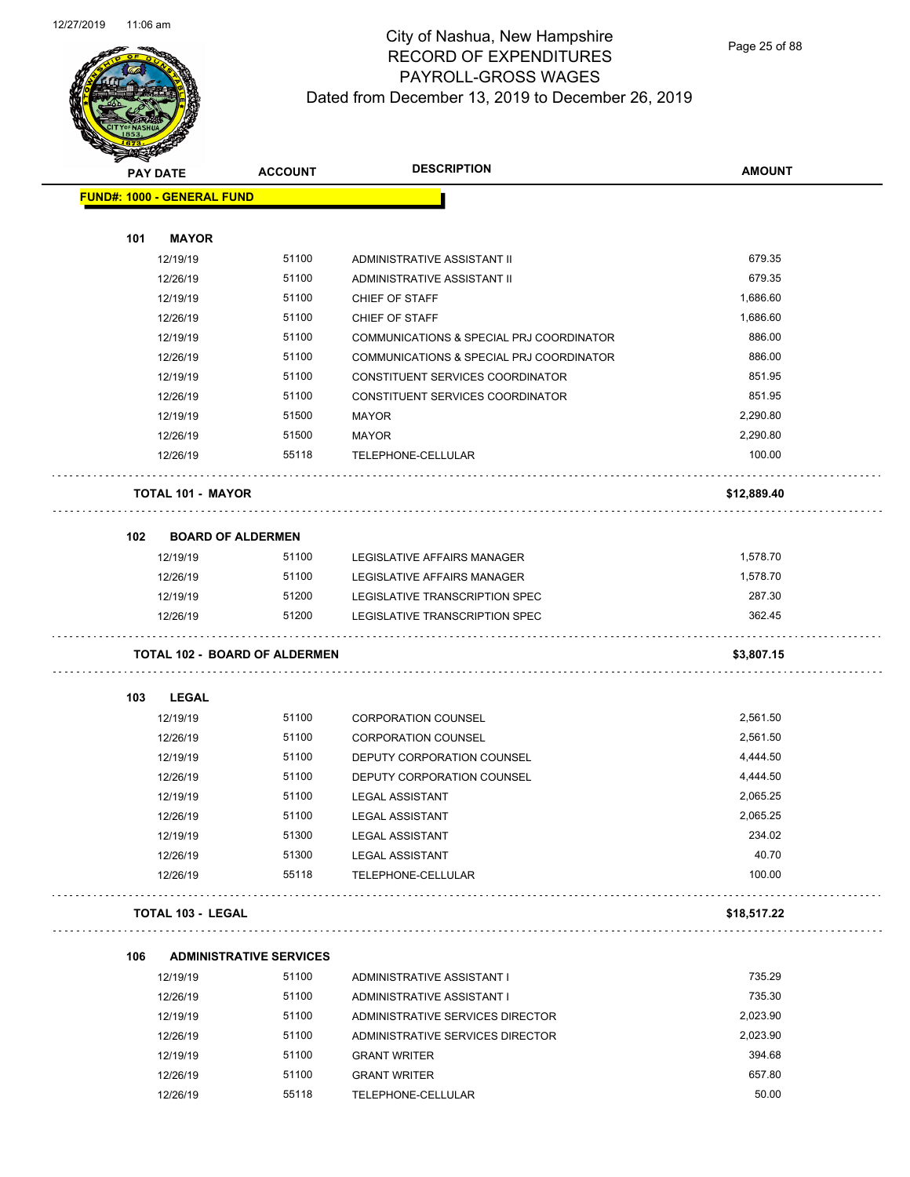

Page 25 of 88

| <b>SANGRA</b>                     |                          |                                      |                                          |               |
|-----------------------------------|--------------------------|--------------------------------------|------------------------------------------|---------------|
| <b>PAY DATE</b>                   |                          | <b>ACCOUNT</b>                       | <b>DESCRIPTION</b>                       | <b>AMOUNT</b> |
| <b>FUND#: 1000 - GENERAL FUND</b> |                          |                                      |                                          |               |
|                                   |                          |                                      |                                          |               |
| 101                               | <b>MAYOR</b>             |                                      |                                          |               |
|                                   | 12/19/19                 | 51100                                | ADMINISTRATIVE ASSISTANT II              | 679.35        |
|                                   | 12/26/19                 | 51100                                | ADMINISTRATIVE ASSISTANT II              | 679.35        |
|                                   | 12/19/19                 | 51100                                | CHIEF OF STAFF                           | 1,686.60      |
|                                   | 12/26/19                 | 51100                                | CHIEF OF STAFF                           | 1,686.60      |
|                                   | 12/19/19                 | 51100                                | COMMUNICATIONS & SPECIAL PRJ COORDINATOR | 886.00        |
|                                   | 12/26/19                 | 51100                                | COMMUNICATIONS & SPECIAL PRJ COORDINATOR | 886.00        |
|                                   | 12/19/19                 | 51100                                | CONSTITUENT SERVICES COORDINATOR         | 851.95        |
|                                   | 12/26/19                 | 51100                                | CONSTITUENT SERVICES COORDINATOR         | 851.95        |
|                                   | 12/19/19                 | 51500                                | <b>MAYOR</b>                             | 2,290.80      |
|                                   | 12/26/19                 | 51500                                | <b>MAYOR</b>                             | 2,290.80      |
|                                   | 12/26/19                 | 55118                                | TELEPHONE-CELLULAR                       | 100.00        |
|                                   | <b>TOTAL 101 - MAYOR</b> |                                      |                                          | \$12,889.40   |
| 102                               | <b>BOARD OF ALDERMEN</b> |                                      |                                          |               |
|                                   | 12/19/19                 | 51100                                | LEGISLATIVE AFFAIRS MANAGER              | 1,578.70      |
|                                   | 12/26/19                 | 51100                                | LEGISLATIVE AFFAIRS MANAGER              | 1,578.70      |
|                                   | 12/19/19                 | 51200                                | LEGISLATIVE TRANSCRIPTION SPEC           | 287.30        |
|                                   | 12/26/19                 | 51200                                | LEGISLATIVE TRANSCRIPTION SPEC           | 362.45        |
|                                   |                          | <b>TOTAL 102 - BOARD OF ALDERMEN</b> |                                          | \$3,807.15    |
| 103                               | LEGAL                    |                                      |                                          |               |
|                                   | 12/19/19                 | 51100                                | <b>CORPORATION COUNSEL</b>               | 2,561.50      |
|                                   | 12/26/19                 | 51100                                | <b>CORPORATION COUNSEL</b>               | 2,561.50      |
|                                   | 12/19/19                 | 51100                                | DEPUTY CORPORATION COUNSEL               | 4,444.50      |
|                                   | 12/26/19                 | 51100                                | DEPUTY CORPORATION COUNSEL               | 4,444.50      |
|                                   | 12/19/19                 | 51100                                | <b>LEGAL ASSISTANT</b>                   | 2,065.25      |
|                                   | 12/26/19                 | 51100                                | LEGAL ASSISTANT                          | 2,065.25      |
|                                   | 12/19/19                 | 51300                                | <b>LEGAL ASSISTANT</b>                   | 234.02        |
|                                   | 12/26/19                 | 51300                                | <b>LEGAL ASSISTANT</b>                   | 40.70         |
|                                   | 12/26/19                 | 55118                                | TELEPHONE-CELLULAR                       | 100.00        |
|                                   | <b>TOTAL 103 - LEGAL</b> |                                      |                                          | \$18,517.22   |
| 106                               |                          | <b>ADMINISTRATIVE SERVICES</b>       |                                          |               |
|                                   | 12/19/19                 | 51100                                | ADMINISTRATIVE ASSISTANT I               | 735.29        |
|                                   | 12/26/19                 | 51100                                | ADMINISTRATIVE ASSISTANT I               | 735.30        |
|                                   | 12/19/19                 | 51100                                | ADMINISTRATIVE SERVICES DIRECTOR         | 2,023.90      |
|                                   | 12/26/19                 | 51100                                | ADMINISTRATIVE SERVICES DIRECTOR         | 2,023.90      |
|                                   | 12/19/19                 | 51100                                | <b>GRANT WRITER</b>                      | 394.68        |
|                                   | 12/26/19                 | 51100                                | <b>GRANT WRITER</b>                      | 657.80        |
|                                   | 12/26/19                 | 55118                                | TELEPHONE-CELLULAR                       | 50.00         |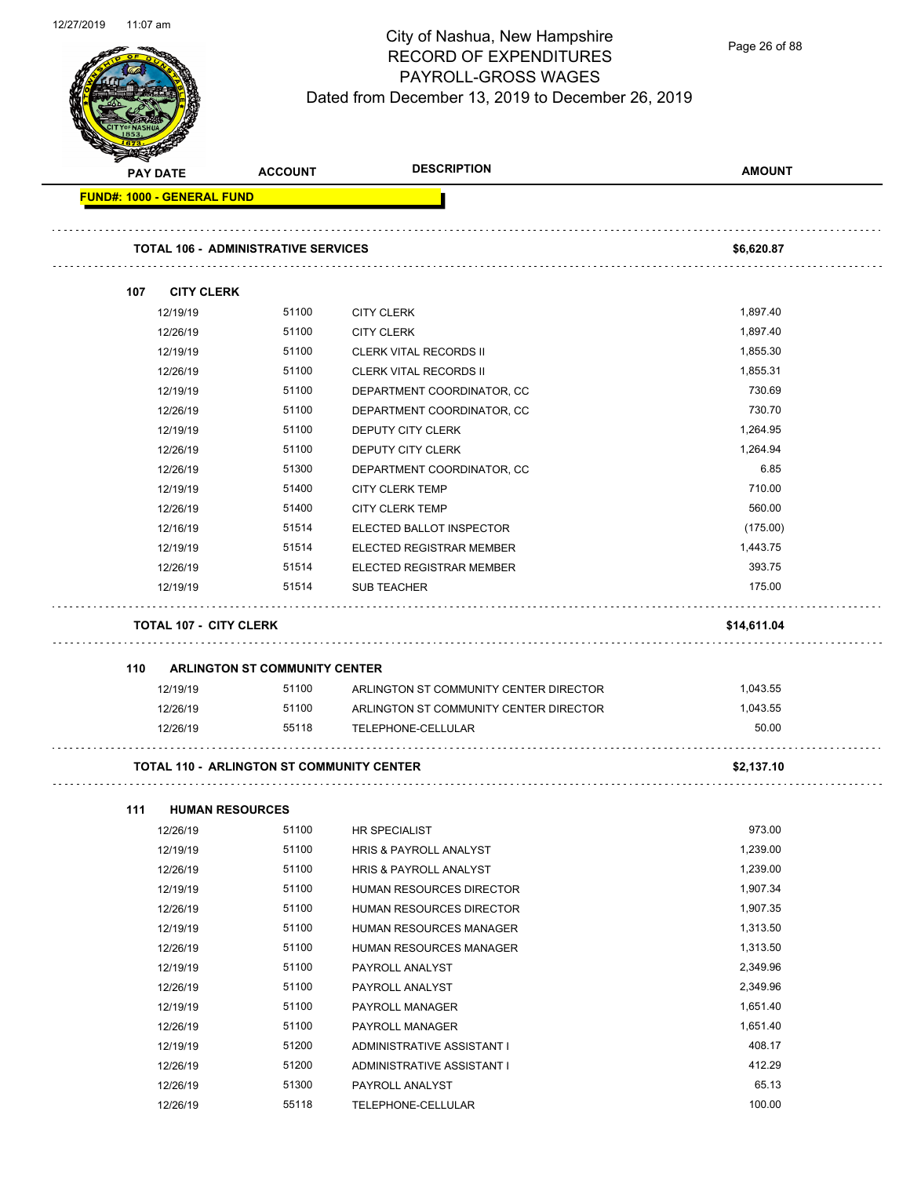Page 26 of 88

| <b>PAY DATE</b> | <b>ACCOUNT</b>                                   | <b>DESCRIPTION</b>                     | <b>AMOUNT</b> |
|-----------------|--------------------------------------------------|----------------------------------------|---------------|
|                 | <b>FUND#: 1000 - GENERAL FUND</b>                |                                        |               |
|                 | <b>TOTAL 106 - ADMINISTRATIVE SERVICES</b>       |                                        | \$6,620.87    |
| 107             | <b>CITY CLERK</b>                                |                                        |               |
| 12/19/19        | 51100                                            | <b>CITY CLERK</b>                      | 1,897.40      |
| 12/26/19        | 51100                                            | <b>CITY CLERK</b>                      | 1,897.40      |
| 12/19/19        | 51100                                            | <b>CLERK VITAL RECORDS II</b>          | 1,855.30      |
| 12/26/19        | 51100                                            | <b>CLERK VITAL RECORDS II</b>          | 1,855.31      |
| 12/19/19        | 51100                                            | DEPARTMENT COORDINATOR, CC             | 730.69        |
| 12/26/19        | 51100                                            | DEPARTMENT COORDINATOR, CC             | 730.70        |
| 12/19/19        | 51100                                            | DEPUTY CITY CLERK                      | 1,264.95      |
| 12/26/19        | 51100                                            | DEPUTY CITY CLERK                      | 1,264.94      |
| 12/26/19        | 51300                                            | DEPARTMENT COORDINATOR, CC             | 6.85          |
| 12/19/19        | 51400                                            | <b>CITY CLERK TEMP</b>                 | 710.00        |
| 12/26/19        | 51400                                            | <b>CITY CLERK TEMP</b>                 | 560.00        |
| 12/16/19        | 51514                                            | ELECTED BALLOT INSPECTOR               | (175.00)      |
| 12/19/19        | 51514                                            | ELECTED REGISTRAR MEMBER               | 1,443.75      |
| 12/26/19        | 51514                                            | <b>ELECTED REGISTRAR MEMBER</b>        | 393.75        |
| 12/19/19        | 51514                                            | <b>SUB TEACHER</b>                     | 175.00        |
|                 | <b>TOTAL 107 - CITY CLERK</b>                    |                                        | \$14,611.04   |
| 110             | <b>ARLINGTON ST COMMUNITY CENTER</b>             |                                        |               |
| 12/19/19        | 51100                                            | ARLINGTON ST COMMUNITY CENTER DIRECTOR | 1,043.55      |
| 12/26/19        | 51100                                            | ARLINGTON ST COMMUNITY CENTER DIRECTOR | 1,043.55      |
| 12/26/19        | 55118                                            | TELEPHONE-CELLULAR                     | 50.00         |
|                 | <b>TOTAL 110 - ARLINGTON ST COMMUNITY CENTER</b> |                                        | \$2,137.10    |
|                 |                                                  |                                        |               |
| 111<br>12/26/19 | <b>HUMAN RESOURCES</b><br>51100                  | HR SPECIALIST                          | 973.00        |
| 12/19/19        | 51100                                            | HRIS & PAYROLL ANALYST                 | 1,239.00      |
| 12/26/19        | 51100                                            | HRIS & PAYROLL ANALYST                 | 1,239.00      |
| 12/19/19        | 51100                                            | HUMAN RESOURCES DIRECTOR               | 1,907.34      |
| 12/26/19        | 51100                                            | HUMAN RESOURCES DIRECTOR               | 1,907.35      |
| 12/19/19        | 51100                                            | HUMAN RESOURCES MANAGER                | 1,313.50      |
| 12/26/19        | 51100                                            | <b>HUMAN RESOURCES MANAGER</b>         | 1,313.50      |
| 12/19/19        | 51100                                            | PAYROLL ANALYST                        | 2,349.96      |
| 12/26/19        | 51100                                            | PAYROLL ANALYST                        | 2,349.96      |
| 12/19/19        | 51100                                            | PAYROLL MANAGER                        | 1,651.40      |
| 12/26/19        | 51100                                            | PAYROLL MANAGER                        | 1,651.40      |
| 12/19/19        | 51200                                            | ADMINISTRATIVE ASSISTANT I             | 408.17        |
| 12/26/19        | 51200                                            | ADMINISTRATIVE ASSISTANT I             | 412.29        |
| 12/26/19        | 51300                                            | PAYROLL ANALYST                        | 65.13         |
| 12/26/19        | 55118                                            | TELEPHONE-CELLULAR                     | 100.00        |
|                 |                                                  |                                        |               |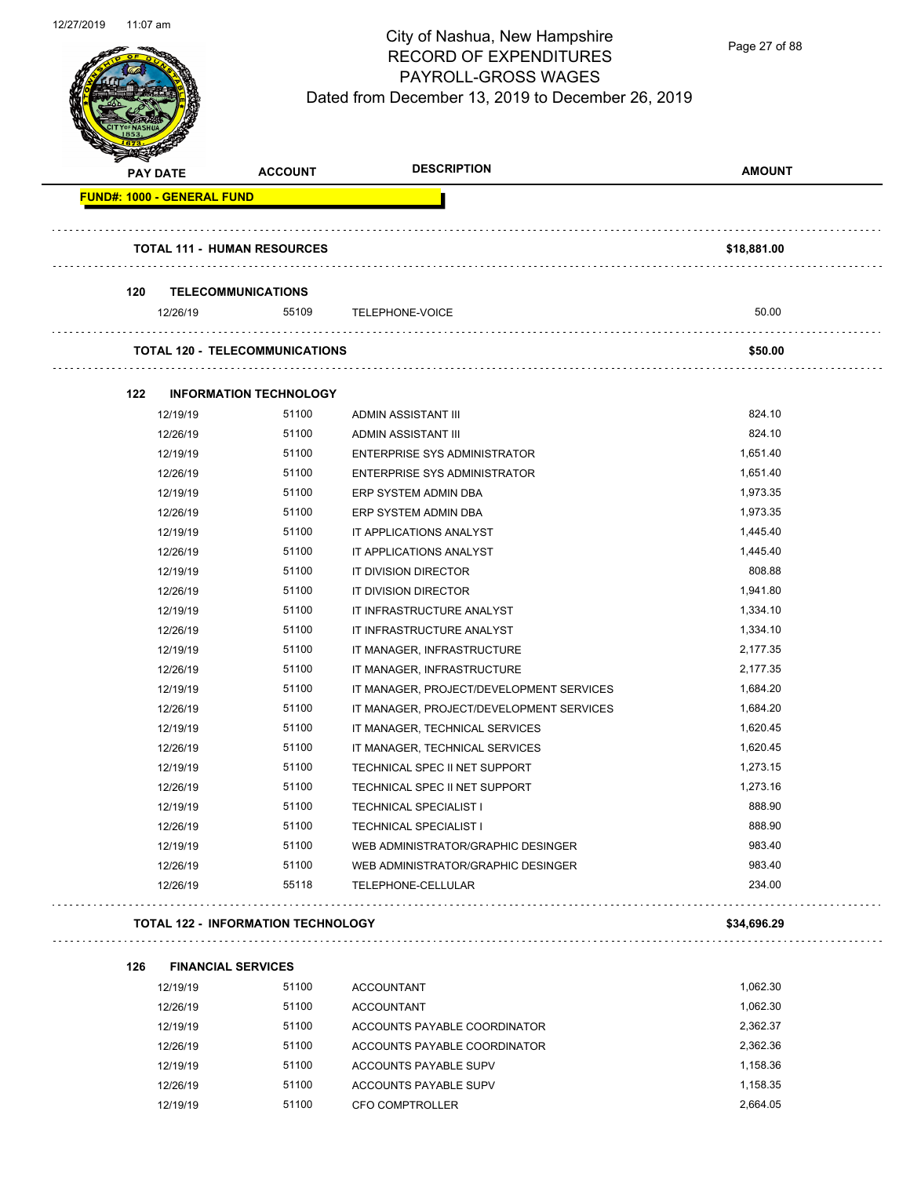

Page 27 of 88

| <b>PAY DATE</b>                   |          | <b>ACCOUNT</b>                            | <b>DESCRIPTION</b>                       | <b>AMOUNT</b> |
|-----------------------------------|----------|-------------------------------------------|------------------------------------------|---------------|
| <b>FUND#: 1000 - GENERAL FUND</b> |          |                                           |                                          |               |
|                                   |          | <b>TOTAL 111 - HUMAN RESOURCES</b>        |                                          | \$18,881.00   |
| 120                               |          | <b>TELECOMMUNICATIONS</b>                 |                                          |               |
|                                   | 12/26/19 | 55109                                     | TELEPHONE-VOICE                          | 50.00         |
|                                   |          | <b>TOTAL 120 - TELECOMMUNICATIONS</b>     |                                          | \$50.00       |
| 122                               |          | <b>INFORMATION TECHNOLOGY</b>             |                                          |               |
|                                   | 12/19/19 | 51100                                     | ADMIN ASSISTANT III                      | 824.10        |
|                                   | 12/26/19 | 51100                                     | ADMIN ASSISTANT III                      | 824.10        |
|                                   | 12/19/19 | 51100                                     | <b>ENTERPRISE SYS ADMINISTRATOR</b>      | 1,651.40      |
|                                   | 12/26/19 | 51100                                     | <b>ENTERPRISE SYS ADMINISTRATOR</b>      | 1,651.40      |
|                                   | 12/19/19 | 51100                                     | ERP SYSTEM ADMIN DBA                     | 1,973.35      |
|                                   | 12/26/19 | 51100                                     | ERP SYSTEM ADMIN DBA                     | 1,973.35      |
|                                   | 12/19/19 | 51100                                     | IT APPLICATIONS ANALYST                  | 1,445.40      |
|                                   | 12/26/19 | 51100                                     | IT APPLICATIONS ANALYST                  | 1,445.40      |
|                                   | 12/19/19 | 51100                                     | IT DIVISION DIRECTOR                     | 808.88        |
|                                   | 12/26/19 | 51100                                     | IT DIVISION DIRECTOR                     | 1,941.80      |
|                                   | 12/19/19 | 51100                                     | IT INFRASTRUCTURE ANALYST                | 1,334.10      |
|                                   | 12/26/19 | 51100                                     | IT INFRASTRUCTURE ANALYST                | 1,334.10      |
|                                   | 12/19/19 | 51100                                     | IT MANAGER, INFRASTRUCTURE               | 2,177.35      |
|                                   | 12/26/19 | 51100                                     | IT MANAGER, INFRASTRUCTURE               | 2,177.35      |
|                                   | 12/19/19 | 51100                                     | IT MANAGER, PROJECT/DEVELOPMENT SERVICES | 1,684.20      |
|                                   | 12/26/19 | 51100                                     | IT MANAGER, PROJECT/DEVELOPMENT SERVICES | 1,684.20      |
|                                   | 12/19/19 | 51100                                     | IT MANAGER, TECHNICAL SERVICES           | 1,620.45      |
|                                   | 12/26/19 | 51100                                     | IT MANAGER, TECHNICAL SERVICES           | 1,620.45      |
|                                   | 12/19/19 | 51100                                     | TECHNICAL SPEC II NET SUPPORT            | 1,273.15      |
|                                   | 12/26/19 | 51100                                     | TECHNICAL SPEC II NET SUPPORT            | 1,273.16      |
|                                   | 12/19/19 | 51100                                     | <b>TECHNICAL SPECIALIST I</b>            | 888.90        |
|                                   | 12/26/19 | 51100                                     | <b>TECHNICAL SPECIALIST I</b>            | 888.90        |
|                                   | 12/19/19 | 51100                                     | WEB ADMINISTRATOR/GRAPHIC DESINGER       | 983.40        |
|                                   | 12/26/19 | 51100                                     | WEB ADMINISTRATOR/GRAPHIC DESINGER       | 983.40        |
|                                   | 12/26/19 | 55118                                     | TELEPHONE-CELLULAR                       | 234.00        |
|                                   |          | <b>TOTAL 122 - INFORMATION TECHNOLOGY</b> |                                          | \$34,696.29   |
| 126                               |          | <b>FINANCIAL SERVICES</b>                 |                                          |               |
|                                   | 12/19/19 | 51100                                     | <b>ACCOUNTANT</b>                        | 1,062.30      |
|                                   | 12/26/19 | 51100                                     | <b>ACCOUNTANT</b>                        | 1,062.30      |
|                                   | 12/19/19 | 51100                                     | ACCOUNTS PAYABLE COORDINATOR             | 2,362.37      |
|                                   | 12/26/19 | 51100                                     | ACCOUNTS PAYABLE COORDINATOR             | 2,362.36      |

12/19/19 51100 ACCOUNTS PAYABLE SUPV 1,158.36 12/26/19 51100 ACCOUNTS PAYABLE SUPV 1,158.35 12/19/19 51100 CFO COMPTROLLER 2,664.05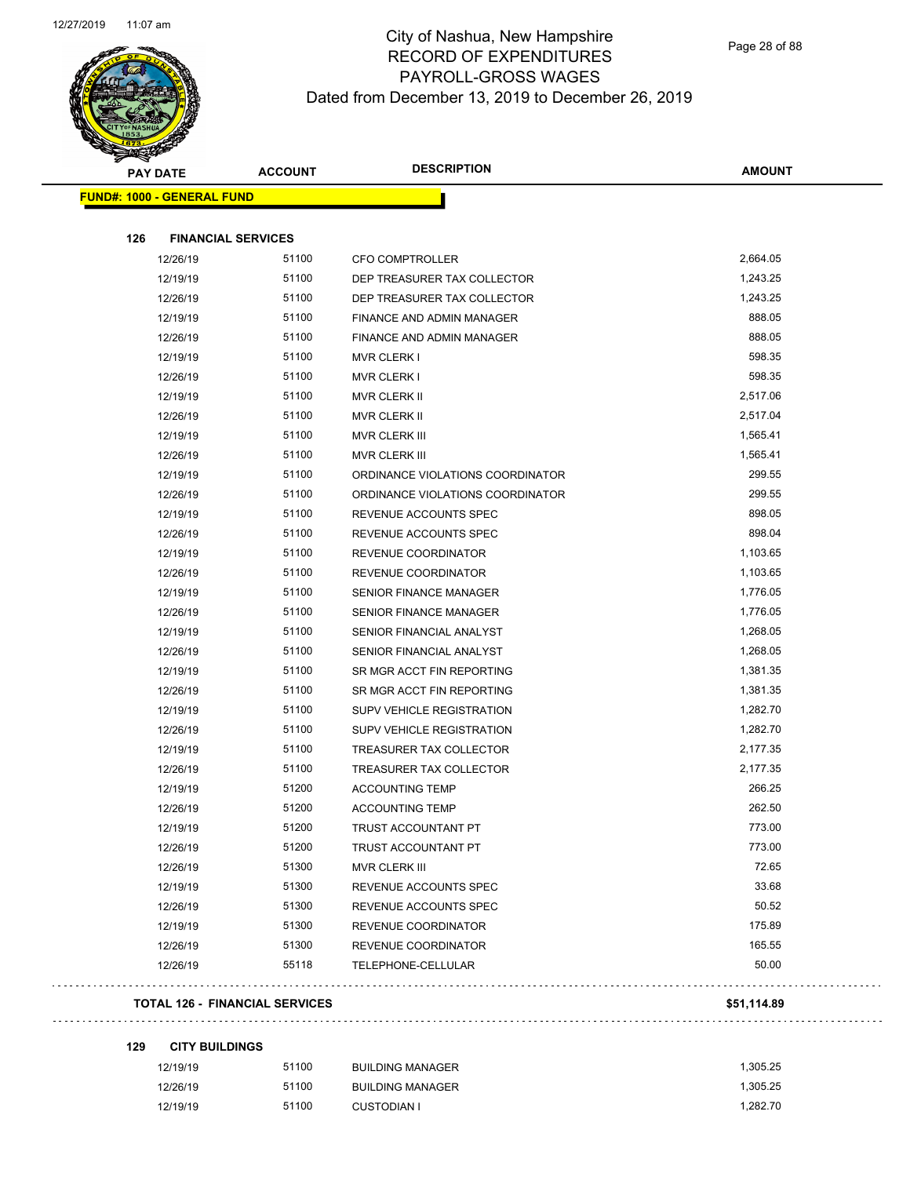

Page 28 of 88

| <b>PAY DATE</b>                   | <b>ACCOUNT</b>                        | <b>DESCRIPTION</b>               | <b>AMOUNT</b> |
|-----------------------------------|---------------------------------------|----------------------------------|---------------|
| <b>FUND#: 1000 - GENERAL FUND</b> |                                       |                                  |               |
| 126                               | <b>FINANCIAL SERVICES</b>             |                                  |               |
| 12/26/19                          | 51100                                 | <b>CFO COMPTROLLER</b>           | 2,664.05      |
| 12/19/19                          | 51100                                 | DEP TREASURER TAX COLLECTOR      | 1,243.25      |
| 12/26/19                          | 51100                                 | DEP TREASURER TAX COLLECTOR      | 1,243.25      |
| 12/19/19                          | 51100                                 | FINANCE AND ADMIN MANAGER        | 888.05        |
| 12/26/19                          | 51100                                 | FINANCE AND ADMIN MANAGER        | 888.05        |
| 12/19/19                          | 51100                                 | <b>MVR CLERK I</b>               | 598.35        |
| 12/26/19                          | 51100                                 | MVR CLERK I                      | 598.35        |
| 12/19/19                          | 51100                                 | MVR CLERK II                     | 2,517.06      |
| 12/26/19                          | 51100                                 | MVR CLERK II                     | 2,517.04      |
| 12/19/19                          | 51100                                 | MVR CLERK III                    | 1,565.41      |
| 12/26/19                          | 51100                                 | MVR CLERK III                    | 1,565.41      |
| 12/19/19                          | 51100                                 | ORDINANCE VIOLATIONS COORDINATOR | 299.55        |
| 12/26/19                          | 51100                                 | ORDINANCE VIOLATIONS COORDINATOR | 299.55        |
| 12/19/19                          | 51100                                 | REVENUE ACCOUNTS SPEC            | 898.05        |
| 12/26/19                          | 51100                                 | REVENUE ACCOUNTS SPEC            | 898.04        |
| 12/19/19                          | 51100                                 | REVENUE COORDINATOR              | 1,103.65      |
| 12/26/19                          | 51100                                 | REVENUE COORDINATOR              | 1,103.65      |
| 12/19/19                          | 51100                                 | <b>SENIOR FINANCE MANAGER</b>    | 1,776.05      |
| 12/26/19                          | 51100                                 | <b>SENIOR FINANCE MANAGER</b>    | 1,776.05      |
| 12/19/19                          | 51100                                 | SENIOR FINANCIAL ANALYST         | 1,268.05      |
| 12/26/19                          | 51100                                 | SENIOR FINANCIAL ANALYST         | 1,268.05      |
| 12/19/19                          | 51100                                 | SR MGR ACCT FIN REPORTING        | 1,381.35      |
| 12/26/19                          | 51100                                 | SR MGR ACCT FIN REPORTING        | 1,381.35      |
| 12/19/19                          | 51100                                 | SUPV VEHICLE REGISTRATION        | 1,282.70      |
| 12/26/19                          | 51100                                 | SUPV VEHICLE REGISTRATION        | 1,282.70      |
| 12/19/19                          | 51100                                 | TREASURER TAX COLLECTOR          | 2,177.35      |
| 12/26/19                          | 51100                                 | TREASURER TAX COLLECTOR          | 2,177.35      |
| 12/19/19                          | 51200                                 | <b>ACCOUNTING TEMP</b>           | 266.25        |
| 12/26/19                          | 51200                                 | <b>ACCOUNTING TEMP</b>           | 262.50        |
| 12/19/19                          | 51200                                 | TRUST ACCOUNTANT PT              | 773.00        |
| 12/26/19                          | 51200                                 | TRUST ACCOUNTANT PT              | 773.00        |
| 12/26/19                          | 51300                                 | MVR CLERK III                    | 72.65         |
| 12/19/19                          | 51300                                 | REVENUE ACCOUNTS SPEC            | 33.68         |
| 12/26/19                          | 51300                                 | REVENUE ACCOUNTS SPEC            | 50.52         |
| 12/19/19                          | 51300                                 | REVENUE COORDINATOR              | 175.89        |
| 12/26/19                          | 51300                                 | REVENUE COORDINATOR              | 165.55        |
| 12/26/19                          | 55118                                 | TELEPHONE-CELLULAR               | 50.00         |
|                                   | <b>TOTAL 126 - FINANCIAL SERVICES</b> |                                  | \$51,114.89   |

**129 CITY BUILDINGS**

Ġ,

| 12/19/19 | 51100 | <b>BUILDING MANAGER</b> | 1.305.25 |
|----------|-------|-------------------------|----------|
| 12/26/19 | 51100 | <b>BUILDING MANAGER</b> | 1.305.25 |
| 12/19/19 | 51100 | <b>CUSTODIAN I</b>      | 1.282.70 |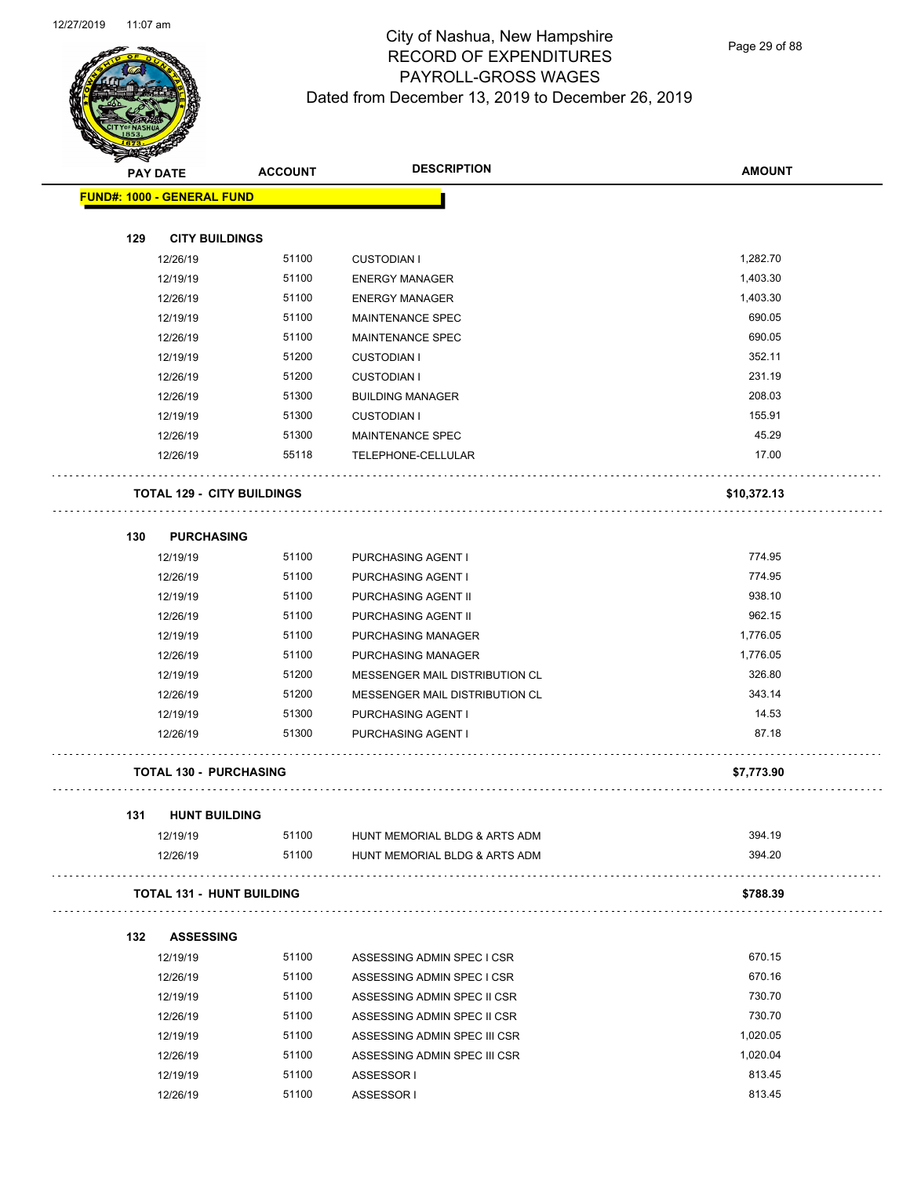

Page 29 of 88

|     | <b>PAY DATE</b>                   | <b>ACCOUNT</b> | <b>DESCRIPTION</b>                                       | <b>AMOUNT</b> |
|-----|-----------------------------------|----------------|----------------------------------------------------------|---------------|
|     | <b>FUND#: 1000 - GENERAL FUND</b> |                |                                                          |               |
| 129 | <b>CITY BUILDINGS</b>             |                |                                                          |               |
|     | 12/26/19                          | 51100          | <b>CUSTODIAN I</b>                                       | 1,282.70      |
|     | 12/19/19                          | 51100          | <b>ENERGY MANAGER</b>                                    | 1,403.30      |
|     | 12/26/19                          | 51100          | <b>ENERGY MANAGER</b>                                    | 1,403.30      |
|     | 12/19/19                          | 51100          | MAINTENANCE SPEC                                         | 690.05        |
|     | 12/26/19                          | 51100          | MAINTENANCE SPEC                                         | 690.05        |
|     | 12/19/19                          | 51200          | <b>CUSTODIAN I</b>                                       | 352.11        |
|     | 12/26/19                          | 51200          | <b>CUSTODIAN I</b>                                       | 231.19        |
|     | 12/26/19                          | 51300          | <b>BUILDING MANAGER</b>                                  | 208.03        |
|     | 12/19/19                          | 51300          | <b>CUSTODIAN I</b>                                       | 155.91        |
|     | 12/26/19                          | 51300          | <b>MAINTENANCE SPEC</b>                                  | 45.29         |
|     | 12/26/19                          | 55118          | TELEPHONE-CELLULAR                                       | 17.00         |
|     | <b>TOTAL 129 - CITY BUILDINGS</b> |                |                                                          | \$10,372.13   |
| 130 | <b>PURCHASING</b>                 |                |                                                          |               |
|     | 12/19/19                          | 51100          | PURCHASING AGENT I                                       | 774.95        |
|     | 12/26/19                          | 51100          | <b>PURCHASING AGENT I</b>                                | 774.95        |
|     | 12/19/19                          | 51100          | PURCHASING AGENT II                                      | 938.10        |
|     | 12/26/19                          | 51100          | PURCHASING AGENT II                                      | 962.15        |
|     | 12/19/19                          | 51100          | PURCHASING MANAGER                                       | 1,776.05      |
|     | 12/26/19                          | 51100          | PURCHASING MANAGER                                       | 1,776.05      |
|     | 12/19/19                          | 51200          | MESSENGER MAIL DISTRIBUTION CL                           | 326.80        |
|     | 12/26/19                          | 51200          | MESSENGER MAIL DISTRIBUTION CL                           | 343.14        |
|     | 12/19/19                          | 51300          | PURCHASING AGENT I                                       | 14.53         |
|     | 12/26/19                          | 51300          | PURCHASING AGENT I                                       | 87.18         |
|     | <b>TOTAL 130 - PURCHASING</b>     |                |                                                          | \$7,773.90    |
| 131 | <b>HUNT BUILDING</b>              |                |                                                          |               |
|     | 12/19/19                          | 51100          | HUNT MEMORIAL BLDG & ARTS ADM                            | 394.19        |
|     | 12/26/19                          | 51100          | HUNT MEMORIAL BLDG & ARTS ADM<br>distribution districts. | 394.20        |
|     | <b>TOTAL 131 - HUNT BUILDING</b>  |                |                                                          | \$788.39      |
| 132 | <b>ASSESSING</b>                  |                |                                                          |               |
|     | 12/19/19                          | 51100          | ASSESSING ADMIN SPEC I CSR                               | 670.15        |
|     | 12/26/19                          | 51100          | ASSESSING ADMIN SPEC I CSR                               | 670.16        |
|     | 12/19/19                          | 51100          | ASSESSING ADMIN SPEC II CSR                              | 730.70        |
|     | 12/26/19                          | 51100          | ASSESSING ADMIN SPEC II CSR                              | 730.70        |
|     | 12/19/19                          | 51100          | ASSESSING ADMIN SPEC III CSR                             | 1,020.05      |
|     | 12/26/19                          | 51100          | ASSESSING ADMIN SPEC III CSR                             | 1,020.04      |
|     | 12/19/19                          | 51100          | ASSESSOR I                                               | 813.45        |

12/26/19 51100 ASSESSOR I 813.45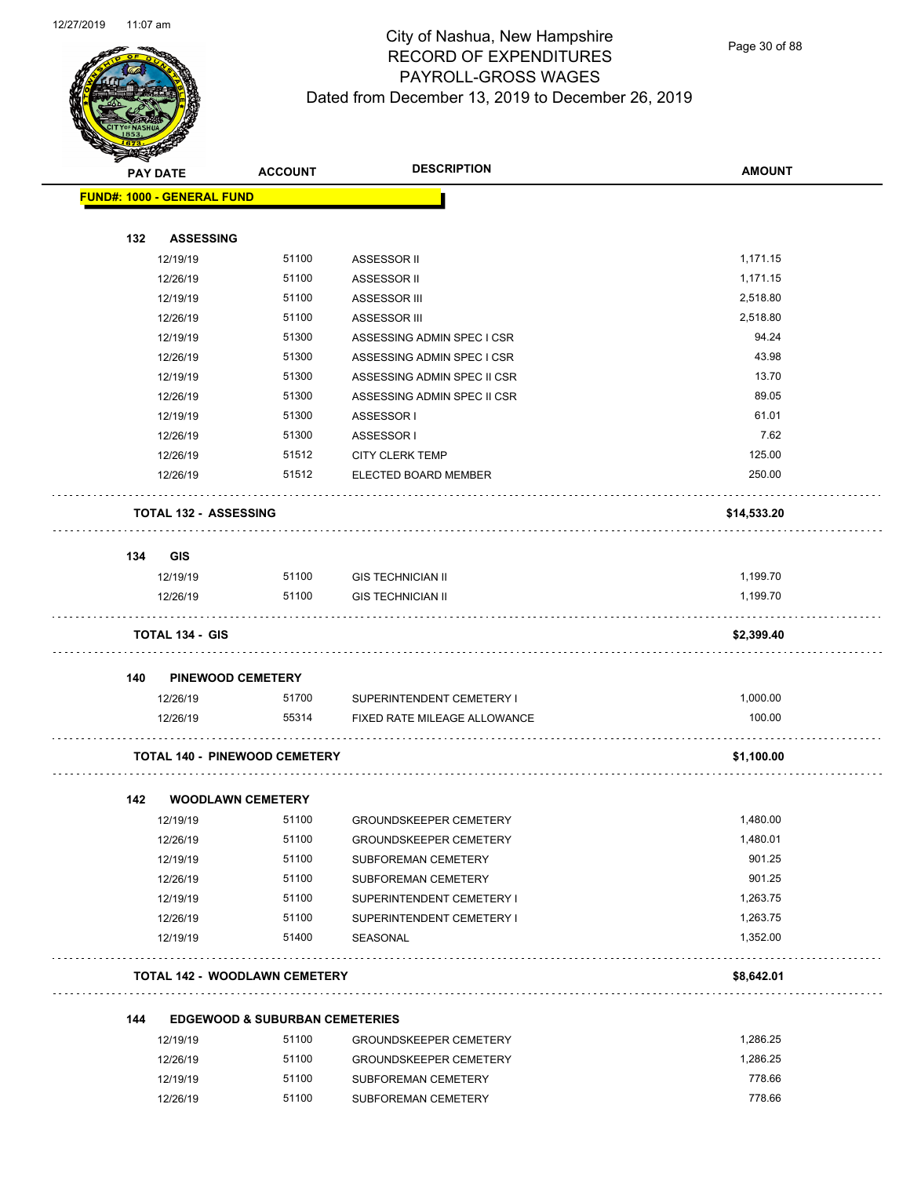

Page 30 of 88

| <b>STARTING CARDS</b> |                                      |                                           |                               |               |
|-----------------------|--------------------------------------|-------------------------------------------|-------------------------------|---------------|
|                       | <b>PAY DATE</b>                      | <b>ACCOUNT</b>                            | <b>DESCRIPTION</b>            | <b>AMOUNT</b> |
|                       | <b>FUND#: 1000 - GENERAL FUND</b>    |                                           |                               |               |
| 132                   | <b>ASSESSING</b>                     |                                           |                               |               |
|                       | 12/19/19                             | 51100                                     |                               | 1,171.15      |
|                       | 12/26/19                             | 51100                                     | ASSESSOR II<br>ASSESSOR II    | 1,171.15      |
|                       | 12/19/19                             | 51100                                     | ASSESSOR III                  | 2,518.80      |
|                       | 12/26/19                             | 51100                                     | ASSESSOR III                  | 2,518.80      |
|                       | 12/19/19                             | 51300                                     | ASSESSING ADMIN SPEC I CSR    | 94.24         |
|                       | 12/26/19                             | 51300                                     | ASSESSING ADMIN SPEC I CSR    | 43.98         |
|                       | 12/19/19                             | 51300                                     | ASSESSING ADMIN SPEC II CSR   | 13.70         |
|                       | 12/26/19                             | 51300                                     | ASSESSING ADMIN SPEC II CSR   | 89.05         |
|                       | 12/19/19                             | 51300                                     | ASSESSOR I                    | 61.01         |
|                       | 12/26/19                             | 51300                                     | ASSESSOR I                    | 7.62          |
|                       | 12/26/19                             | 51512                                     | <b>CITY CLERK TEMP</b>        | 125.00        |
|                       | 12/26/19                             | 51512                                     | ELECTED BOARD MEMBER          | 250.00        |
|                       | <b>TOTAL 132 - ASSESSING</b>         |                                           |                               | \$14,533.20   |
|                       |                                      |                                           |                               |               |
| 134                   | <b>GIS</b>                           |                                           |                               |               |
|                       | 12/19/19                             | 51100                                     | <b>GIS TECHNICIAN II</b>      | 1,199.70      |
|                       | 12/26/19                             | 51100                                     | <b>GIS TECHNICIAN II</b>      | 1,199.70      |
|                       | <b>TOTAL 134 - GIS</b>               |                                           |                               | \$2,399.40    |
| 140                   | <b>PINEWOOD CEMETERY</b>             |                                           |                               |               |
|                       | 12/26/19                             | 51700                                     | SUPERINTENDENT CEMETERY I     | 1,000.00      |
|                       | 12/26/19                             | 55314                                     | FIXED RATE MILEAGE ALLOWANCE  | 100.00        |
|                       | <b>TOTAL 140 - PINEWOOD CEMETERY</b> |                                           |                               | \$1,100.00    |
|                       |                                      |                                           |                               |               |
| 142                   | <b>WOODLAWN CEMETERY</b>             |                                           |                               |               |
|                       | 12/19/19                             | 51100                                     | GROUNDSKEEPER CEMETERY        | 1,480.00      |
|                       | 12/26/19                             | 51100                                     | <b>GROUNDSKEEPER CEMETERY</b> | 1,480.01      |
|                       | 12/19/19                             | 51100                                     | SUBFOREMAN CEMETERY           | 901.25        |
|                       | 12/26/19                             | 51100                                     | SUBFOREMAN CEMETERY           | 901.25        |
|                       | 12/19/19                             | 51100                                     | SUPERINTENDENT CEMETERY I     | 1,263.75      |
|                       | 12/26/19                             | 51100                                     | SUPERINTENDENT CEMETERY I     | 1,263.75      |
|                       | 12/19/19                             | 51400                                     | SEASONAL                      | 1,352.00      |
|                       | <b>TOTAL 142 - WOODLAWN CEMETERY</b> |                                           |                               | \$8,642.01    |
| 144                   |                                      | <b>EDGEWOOD &amp; SUBURBAN CEMETERIES</b> |                               |               |
|                       | 12/19/19                             | 51100                                     | <b>GROUNDSKEEPER CEMETERY</b> | 1,286.25      |
|                       | 12/26/19                             | 51100                                     | <b>GROUNDSKEEPER CEMETERY</b> | 1,286.25      |
|                       | 12/19/19                             | 51100                                     | SUBFOREMAN CEMETERY           | 778.66        |
|                       | 12/26/19                             | 51100                                     | SUBFOREMAN CEMETERY           | 778.66        |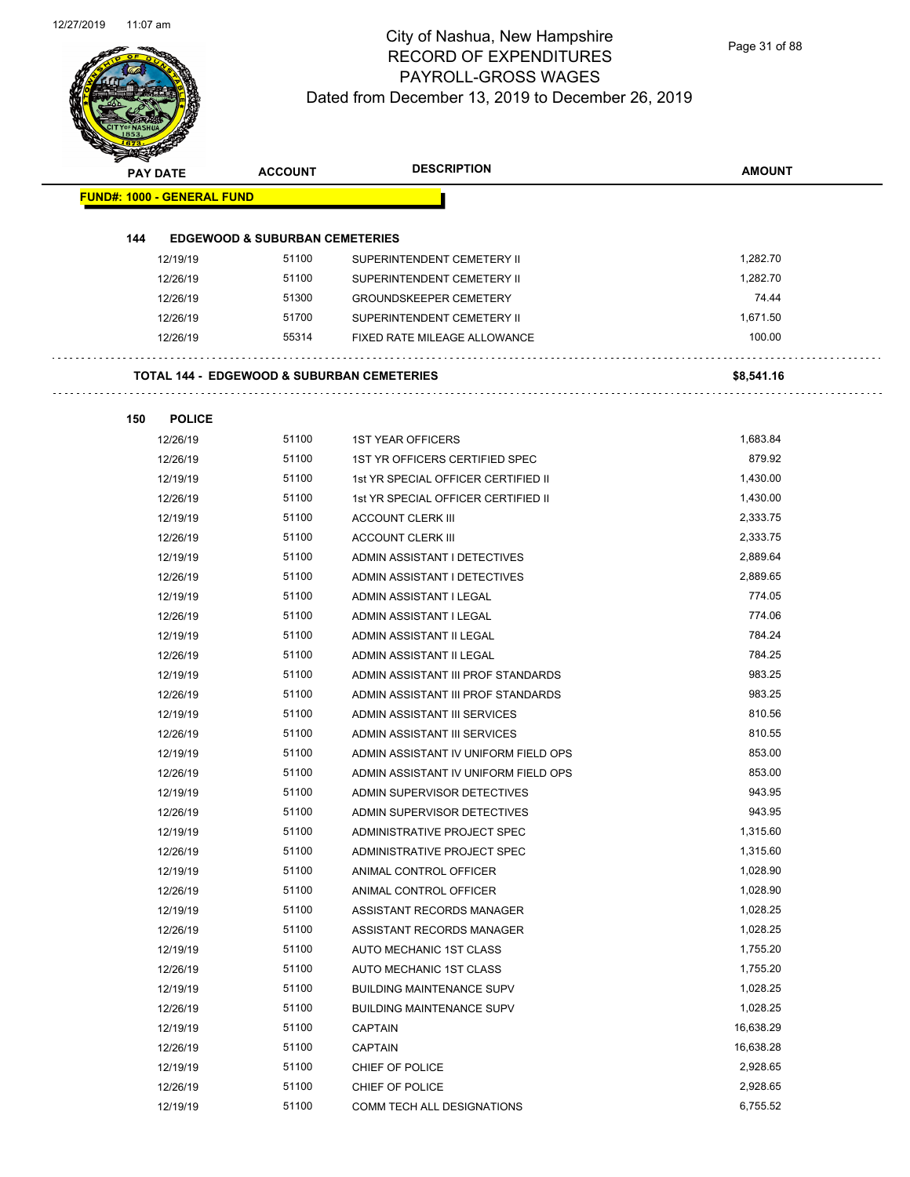Page 31 of 88

|     | <b>PAY DATE</b>                   | <b>ACCOUNT</b>                            | <b>DESCRIPTION</b>                                    | <b>AMOUNT</b> |
|-----|-----------------------------------|-------------------------------------------|-------------------------------------------------------|---------------|
|     | <b>FUND#: 1000 - GENERAL FUND</b> |                                           |                                                       |               |
|     |                                   |                                           |                                                       |               |
| 144 |                                   | <b>EDGEWOOD &amp; SUBURBAN CEMETERIES</b> |                                                       |               |
|     | 12/19/19                          | 51100                                     | SUPERINTENDENT CEMETERY II                            | 1,282.70      |
|     | 12/26/19                          | 51100                                     | SUPERINTENDENT CEMETERY II                            | 1,282.70      |
|     | 12/26/19                          | 51300                                     | <b>GROUNDSKEEPER CEMETERY</b>                         | 74.44         |
|     | 12/26/19                          | 51700                                     | SUPERINTENDENT CEMETERY II                            | 1,671.50      |
|     | 12/26/19                          | 55314                                     | FIXED RATE MILEAGE ALLOWANCE                          | 100.00        |
|     |                                   |                                           | <b>TOTAL 144 - EDGEWOOD &amp; SUBURBAN CEMETERIES</b> | \$8,541.16    |
| 150 | <b>POLICE</b>                     |                                           |                                                       |               |
|     | 12/26/19                          | 51100                                     | <b>1ST YEAR OFFICERS</b>                              | 1,683.84      |
|     | 12/26/19                          | 51100                                     | 1ST YR OFFICERS CERTIFIED SPEC                        | 879.92        |
|     | 12/19/19                          | 51100                                     | 1st YR SPECIAL OFFICER CERTIFIED II                   | 1,430.00      |
|     | 12/26/19                          | 51100                                     | 1st YR SPECIAL OFFICER CERTIFIED II                   | 1,430.00      |
|     | 12/19/19                          | 51100                                     | <b>ACCOUNT CLERK III</b>                              | 2,333.75      |
|     | 12/26/19                          | 51100                                     | <b>ACCOUNT CLERK III</b>                              | 2,333.75      |
|     | 12/19/19                          | 51100                                     | ADMIN ASSISTANT I DETECTIVES                          | 2,889.64      |
|     | 12/26/19                          | 51100                                     | ADMIN ASSISTANT I DETECTIVES                          | 2,889.65      |
|     | 12/19/19                          | 51100                                     | ADMIN ASSISTANT I LEGAL                               | 774.05        |
|     | 12/26/19                          | 51100                                     | ADMIN ASSISTANT I LEGAL                               | 774.06        |
|     | 12/19/19                          | 51100                                     | ADMIN ASSISTANT II LEGAL                              | 784.24        |
|     | 12/26/19                          | 51100                                     | ADMIN ASSISTANT II LEGAL                              | 784.25        |
|     | 12/19/19                          | 51100                                     | ADMIN ASSISTANT III PROF STANDARDS                    | 983.25        |
|     | 12/26/19                          | 51100                                     | ADMIN ASSISTANT III PROF STANDARDS                    | 983.25        |
|     | 12/19/19                          | 51100                                     | ADMIN ASSISTANT III SERVICES                          | 810.56        |
|     | 12/26/19                          | 51100                                     | ADMIN ASSISTANT III SERVICES                          | 810.55        |
|     | 12/19/19                          | 51100                                     | ADMIN ASSISTANT IV UNIFORM FIELD OPS                  | 853.00        |
|     | 12/26/19                          | 51100                                     | ADMIN ASSISTANT IV UNIFORM FIELD OPS                  | 853.00        |
|     | 12/19/19                          | 51100                                     | ADMIN SUPERVISOR DETECTIVES                           | 943.95        |
|     | 12/26/19                          | 51100                                     | ADMIN SUPERVISOR DETECTIVES                           | 943.95        |
|     | 12/19/19                          | 51100                                     | ADMINISTRATIVE PROJECT SPEC                           | 1,315.60      |
|     | 12/26/19                          | 51100                                     | ADMINISTRATIVE PROJECT SPEC                           | 1,315.60      |
|     | 12/19/19                          | 51100                                     | ANIMAL CONTROL OFFICER                                | 1,028.90      |
|     | 12/26/19                          | 51100                                     | ANIMAL CONTROL OFFICER                                | 1,028.90      |
|     |                                   | 51100                                     |                                                       | 1,028.25      |
|     | 12/19/19                          |                                           | ASSISTANT RECORDS MANAGER                             |               |
|     | 12/26/19                          | 51100                                     | ASSISTANT RECORDS MANAGER                             | 1,028.25      |
|     | 12/19/19                          | 51100                                     | AUTO MECHANIC 1ST CLASS                               | 1,755.20      |
|     | 12/26/19                          | 51100                                     | AUTO MECHANIC 1ST CLASS                               | 1,755.20      |
|     | 12/19/19                          | 51100                                     | <b>BUILDING MAINTENANCE SUPV</b>                      | 1,028.25      |
|     | 12/26/19                          | 51100                                     | <b>BUILDING MAINTENANCE SUPV</b>                      | 1,028.25      |
|     | 12/19/19                          | 51100                                     | <b>CAPTAIN</b>                                        | 16,638.29     |
|     | 12/26/19                          | 51100                                     | <b>CAPTAIN</b>                                        | 16,638.28     |
|     | 12/19/19                          | 51100                                     | CHIEF OF POLICE                                       | 2,928.65      |
|     | 12/26/19                          | 51100                                     | CHIEF OF POLICE                                       | 2,928.65      |
|     | 12/19/19                          | 51100                                     | COMM TECH ALL DESIGNATIONS                            | 6,755.52      |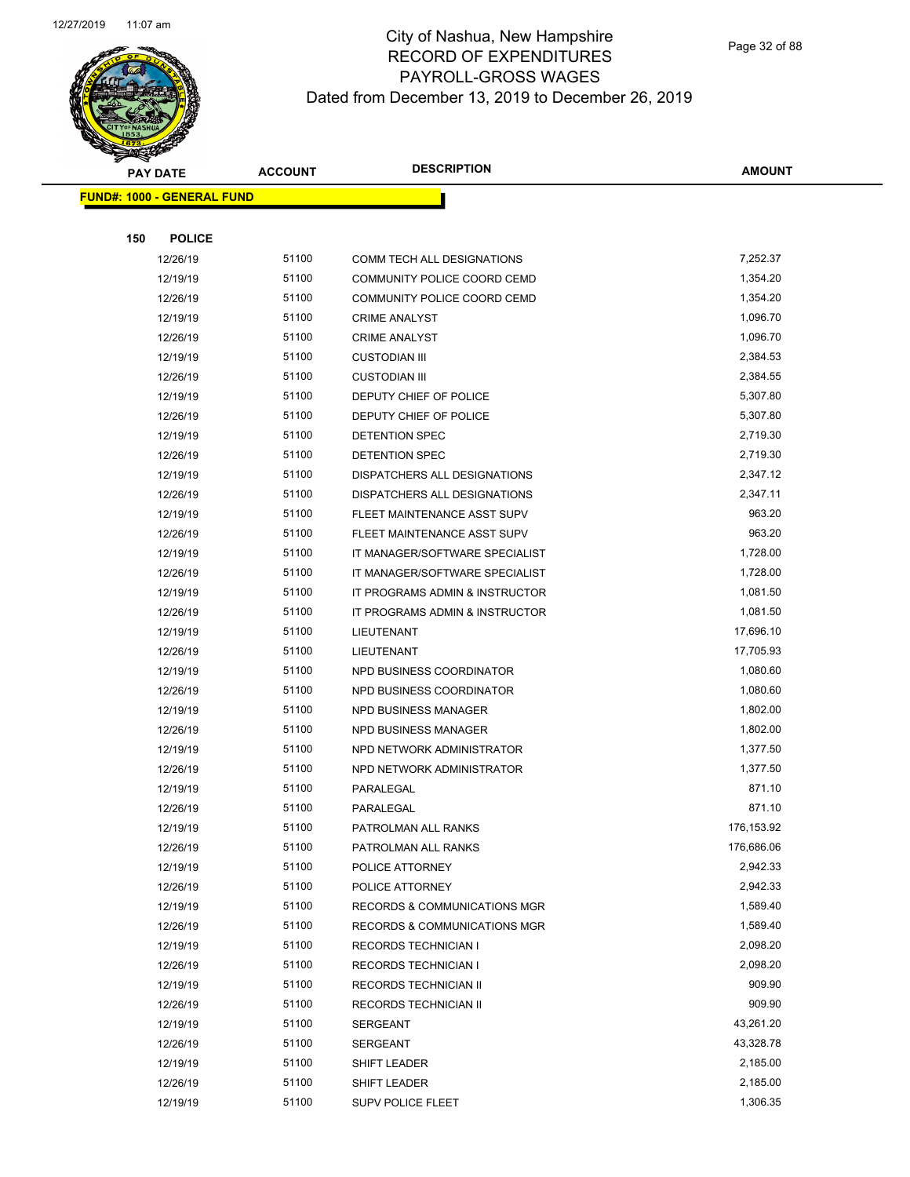

|     | <b>PAY DATE</b>                    | <b>ACCOUNT</b> | <b>DESCRIPTION</b>             | <b>AMOUNT</b> |  |
|-----|------------------------------------|----------------|--------------------------------|---------------|--|
|     | <u> FUND#: 1000 - GENERAL FUND</u> |                |                                |               |  |
|     |                                    |                |                                |               |  |
| 150 | <b>POLICE</b>                      |                |                                |               |  |
|     | 12/26/19                           | 51100          | COMM TECH ALL DESIGNATIONS     | 7,252.37      |  |
|     | 12/19/19                           | 51100          | COMMUNITY POLICE COORD CEMD    | 1,354.20      |  |
|     | 12/26/19                           | 51100          | COMMUNITY POLICE COORD CEMD    | 1,354.20      |  |
|     | 12/19/19                           | 51100          | <b>CRIME ANALYST</b>           | 1,096.70      |  |
|     | 12/26/19                           | 51100          | <b>CRIME ANALYST</b>           | 1,096.70      |  |
|     | 12/19/19                           | 51100          | <b>CUSTODIAN III</b>           | 2,384.53      |  |
|     | 12/26/19                           | 51100          | <b>CUSTODIAN III</b>           | 2,384.55      |  |
|     | 12/19/19                           | 51100          | DEPUTY CHIEF OF POLICE         | 5,307.80      |  |
|     | 12/26/19                           | 51100          | DEPUTY CHIEF OF POLICE         | 5,307.80      |  |
|     | 12/19/19                           | 51100          | DETENTION SPEC                 | 2,719.30      |  |
|     | 12/26/19                           | 51100          | DETENTION SPEC                 | 2,719.30      |  |
|     | 12/19/19                           | 51100          | DISPATCHERS ALL DESIGNATIONS   | 2,347.12      |  |
|     | 12/26/19                           | 51100          | DISPATCHERS ALL DESIGNATIONS   | 2,347.11      |  |
|     | 12/19/19                           | 51100          | FLEET MAINTENANCE ASST SUPV    | 963.20        |  |
|     | 12/26/19                           | 51100          | FLEET MAINTENANCE ASST SUPV    | 963.20        |  |
|     | 12/19/19                           | 51100          | IT MANAGER/SOFTWARE SPECIALIST | 1,728.00      |  |
|     | 12/26/19                           | 51100          | IT MANAGER/SOFTWARE SPECIALIST | 1,728.00      |  |
|     | 12/19/19                           | 51100          | IT PROGRAMS ADMIN & INSTRUCTOR | 1,081.50      |  |
|     | 12/26/19                           | 51100          | IT PROGRAMS ADMIN & INSTRUCTOR | 1,081.50      |  |
|     | 12/19/19                           | 51100          | LIEUTENANT                     | 17,696.10     |  |
|     | 12/26/19                           | 51100          | LIEUTENANT                     | 17,705.93     |  |
|     | 12/19/19                           | 51100          | NPD BUSINESS COORDINATOR       | 1,080.60      |  |
|     | 12/26/19                           | 51100          | NPD BUSINESS COORDINATOR       | 1,080.60      |  |
|     | 12/19/19                           | 51100          | NPD BUSINESS MANAGER           | 1,802.00      |  |
|     | 12/26/19                           | 51100          | NPD BUSINESS MANAGER           | 1,802.00      |  |
|     | 12/19/19                           | 51100          | NPD NETWORK ADMINISTRATOR      | 1,377.50      |  |
|     | 12/26/19                           | 51100          | NPD NETWORK ADMINISTRATOR      | 1,377.50      |  |
|     | 12/19/19                           | 51100          | PARALEGAL                      | 871.10        |  |
|     | 12/26/19                           | 51100          | PARALEGAL                      | 871.10        |  |
|     | 12/19/19                           | 51100          | PATROLMAN ALL RANKS            | 176,153.92    |  |
|     | 12/26/19                           | 51100          | PATROLMAN ALL RANKS            | 176,686.06    |  |
|     | 12/19/19                           | 51100          | POLICE ATTORNEY                | 2,942.33      |  |
|     | 12/26/19                           | 51100          | POLICE ATTORNEY                | 2,942.33      |  |
|     | 12/19/19                           | 51100          | RECORDS & COMMUNICATIONS MGR   | 1,589.40      |  |
|     | 12/26/19                           | 51100          | RECORDS & COMMUNICATIONS MGR   | 1,589.40      |  |
|     | 12/19/19                           | 51100          | <b>RECORDS TECHNICIAN I</b>    | 2,098.20      |  |
|     | 12/26/19                           | 51100          | <b>RECORDS TECHNICIAN I</b>    | 2,098.20      |  |
|     | 12/19/19                           | 51100          | RECORDS TECHNICIAN II          | 909.90        |  |
|     | 12/26/19                           | 51100          | RECORDS TECHNICIAN II          | 909.90        |  |
|     | 12/19/19                           | 51100          | <b>SERGEANT</b>                | 43,261.20     |  |
|     | 12/26/19                           | 51100          | <b>SERGEANT</b>                | 43,328.78     |  |
|     | 12/19/19                           | 51100          | SHIFT LEADER                   | 2,185.00      |  |
|     | 12/26/19                           | 51100          | SHIFT LEADER                   | 2,185.00      |  |
|     | 12/19/19                           | 51100          | <b>SUPV POLICE FLEET</b>       | 1,306.35      |  |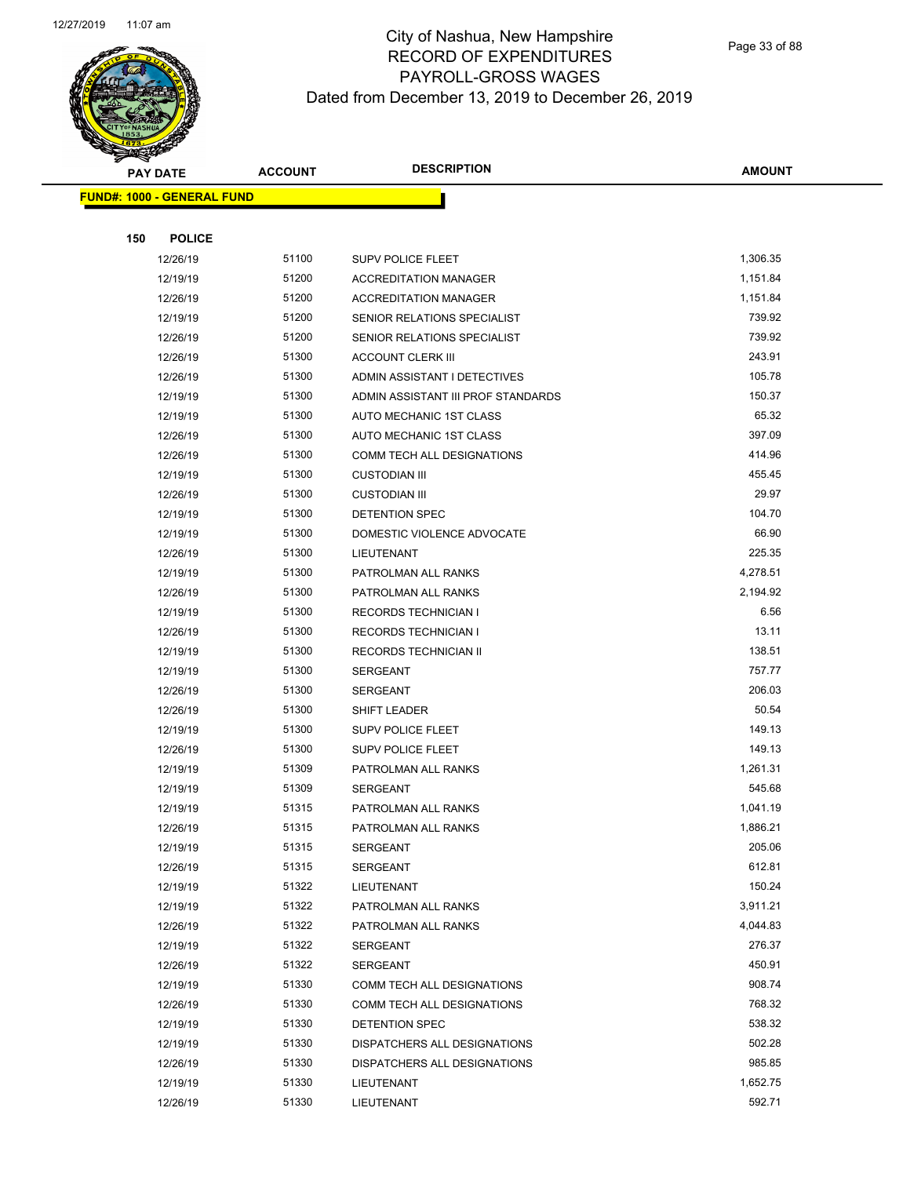

Page 33 of 88

| <b>PAY DATE</b>                   | <b>ACCOUNT</b> | <b>DESCRIPTION</b>                         | <b>AMOUNT</b>    |
|-----------------------------------|----------------|--------------------------------------------|------------------|
| <b>FUND#: 1000 - GENERAL FUND</b> |                |                                            |                  |
|                                   |                |                                            |                  |
| 150<br><b>POLICE</b>              |                |                                            |                  |
| 12/26/19                          | 51100          | <b>SUPV POLICE FLEET</b>                   | 1,306.35         |
| 12/19/19                          | 51200          | <b>ACCREDITATION MANAGER</b>               | 1,151.84         |
| 12/26/19                          | 51200          | <b>ACCREDITATION MANAGER</b>               | 1,151.84         |
| 12/19/19                          | 51200          | SENIOR RELATIONS SPECIALIST                | 739.92           |
| 12/26/19                          | 51200          | SENIOR RELATIONS SPECIALIST                | 739.92           |
| 12/26/19                          | 51300          | <b>ACCOUNT CLERK III</b>                   | 243.91           |
| 12/26/19                          | 51300          | ADMIN ASSISTANT I DETECTIVES               | 105.78           |
| 12/19/19                          | 51300          | ADMIN ASSISTANT III PROF STANDARDS         | 150.37           |
| 12/19/19                          | 51300          | AUTO MECHANIC 1ST CLASS                    | 65.32            |
| 12/26/19                          | 51300          | AUTO MECHANIC 1ST CLASS                    | 397.09           |
| 12/26/19                          | 51300          | COMM TECH ALL DESIGNATIONS                 | 414.96           |
| 12/19/19                          | 51300          | <b>CUSTODIAN III</b>                       | 455.45           |
| 12/26/19                          | 51300          | <b>CUSTODIAN III</b>                       | 29.97            |
| 12/19/19                          | 51300          | DETENTION SPEC                             | 104.70           |
| 12/19/19                          | 51300          | DOMESTIC VIOLENCE ADVOCATE                 | 66.90            |
| 12/26/19                          | 51300          | <b>LIEUTENANT</b>                          | 225.35           |
| 12/19/19                          | 51300          | PATROLMAN ALL RANKS                        | 4,278.51         |
| 12/26/19                          | 51300          | PATROLMAN ALL RANKS                        | 2,194.92         |
| 12/19/19                          | 51300          | RECORDS TECHNICIAN I                       | 6.56             |
| 12/26/19                          | 51300          | RECORDS TECHNICIAN I                       | 13.11            |
| 12/19/19                          | 51300          | RECORDS TECHNICIAN II                      | 138.51           |
| 12/19/19                          | 51300          | <b>SERGEANT</b>                            | 757.77           |
| 12/26/19                          | 51300          | <b>SERGEANT</b>                            | 206.03           |
| 12/26/19                          | 51300          | SHIFT LEADER                               | 50.54            |
| 12/19/19                          | 51300          | SUPV POLICE FLEET                          | 149.13           |
| 12/26/19                          | 51300          | SUPV POLICE FLEET                          | 149.13           |
| 12/19/19                          | 51309          | PATROLMAN ALL RANKS                        | 1,261.31         |
| 12/19/19                          | 51309          | SERGEANT                                   | 545.68           |
| 12/19/19                          | 51315          | PATROLMAN ALL RANKS                        | 1,041.19         |
| 12/26/19                          | 51315          | PATROLMAN ALL RANKS                        | 1,886.21         |
| 12/19/19                          | 51315          | SERGEANT                                   | 205.06           |
| 12/26/19                          | 51315          | SERGEANT                                   | 612.81           |
| 12/19/19                          | 51322          | LIEUTENANT                                 | 150.24           |
| 12/19/19                          | 51322          | PATROLMAN ALL RANKS                        | 3,911.21         |
| 12/26/19                          | 51322          | PATROLMAN ALL RANKS                        | 4,044.83         |
| 12/19/19                          | 51322          | SERGEANT                                   | 276.37           |
| 12/26/19                          | 51322          | SERGEANT                                   | 450.91           |
| 12/19/19                          | 51330          | COMM TECH ALL DESIGNATIONS                 | 908.74           |
| 12/26/19                          | 51330          | COMM TECH ALL DESIGNATIONS                 | 768.32<br>538.32 |
| 12/19/19                          | 51330<br>51330 | DETENTION SPEC                             | 502.28           |
| 12/19/19                          | 51330          | DISPATCHERS ALL DESIGNATIONS               | 985.85           |
| 12/26/19<br>12/19/19              | 51330          | DISPATCHERS ALL DESIGNATIONS<br>LIEUTENANT | 1,652.75         |
| 12/26/19                          | 51330          | LIEUTENANT                                 | 592.71           |
|                                   |                |                                            |                  |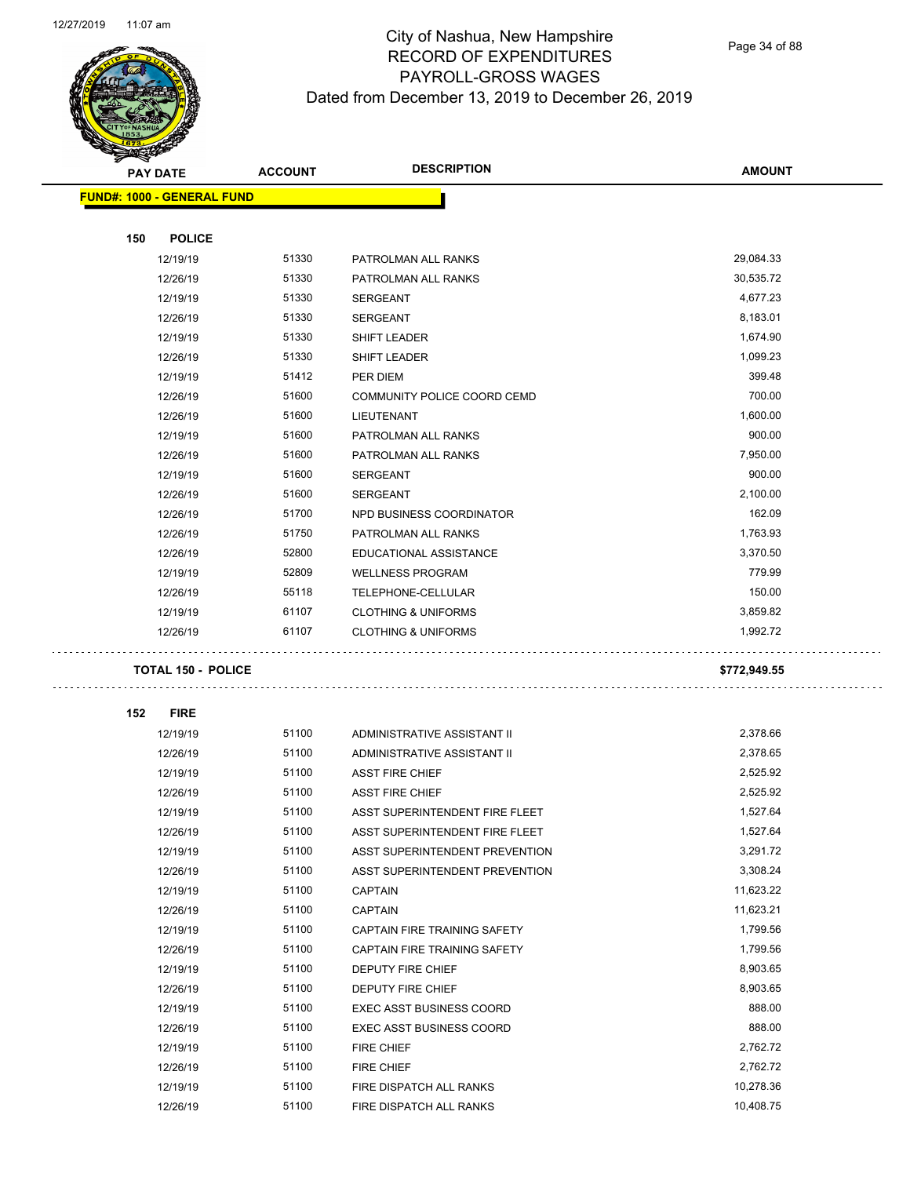$\overline{\phantom{0}}$ 



### City of Nashua, New Hampshire RECORD OF EXPENDITURES PAYROLL-GROSS WAGES Dated from December 13, 2019 to December 26, 2019

Page 34 of 88

| <b>STATE CARD</b> |                                   |                |                                 |               |
|-------------------|-----------------------------------|----------------|---------------------------------|---------------|
|                   | <b>PAY DATE</b>                   | <b>ACCOUNT</b> | <b>DESCRIPTION</b>              | <b>AMOUNT</b> |
|                   | <b>FUND#: 1000 - GENERAL FUND</b> |                |                                 |               |
|                   |                                   |                |                                 |               |
| 150               | <b>POLICE</b>                     |                |                                 |               |
|                   | 12/19/19                          | 51330          | PATROLMAN ALL RANKS             | 29,084.33     |
|                   | 12/26/19                          | 51330          | PATROLMAN ALL RANKS             | 30,535.72     |
|                   | 12/19/19                          | 51330          | <b>SERGEANT</b>                 | 4,677.23      |
|                   | 12/26/19                          | 51330          | <b>SERGEANT</b>                 | 8,183.01      |
|                   | 12/19/19                          | 51330          | <b>SHIFT LEADER</b>             | 1,674.90      |
|                   | 12/26/19                          | 51330          | <b>SHIFT LEADER</b>             | 1,099.23      |
|                   | 12/19/19                          | 51412          | PER DIEM                        | 399.48        |
|                   | 12/26/19                          | 51600          | COMMUNITY POLICE COORD CEMD     | 700.00        |
|                   | 12/26/19                          | 51600          | LIEUTENANT                      | 1,600.00      |
|                   | 12/19/19                          | 51600          | PATROLMAN ALL RANKS             | 900.00        |
|                   | 12/26/19                          | 51600          | PATROLMAN ALL RANKS             | 7,950.00      |
|                   | 12/19/19                          | 51600          | <b>SERGEANT</b>                 | 900.00        |
|                   | 12/26/19                          | 51600          | <b>SERGEANT</b>                 | 2,100.00      |
|                   | 12/26/19                          | 51700          | NPD BUSINESS COORDINATOR        | 162.09        |
|                   | 12/26/19                          | 51750          | PATROLMAN ALL RANKS             | 1,763.93      |
|                   | 12/26/19                          | 52800          | EDUCATIONAL ASSISTANCE          | 3,370.50      |
|                   | 12/19/19                          | 52809          | <b>WELLNESS PROGRAM</b>         | 779.99        |
|                   | 12/26/19                          | 55118          | TELEPHONE-CELLULAR              | 150.00        |
|                   | 12/19/19                          | 61107          | <b>CLOTHING &amp; UNIFORMS</b>  | 3,859.82      |
|                   | 12/26/19                          | 61107          | <b>CLOTHING &amp; UNIFORMS</b>  | 1,992.72      |
|                   | <b>TOTAL 150 - POLICE</b>         |                |                                 | \$772,949.55  |
|                   |                                   |                |                                 |               |
| 152               | <b>FIRE</b>                       |                |                                 |               |
|                   | 12/19/19                          | 51100          | ADMINISTRATIVE ASSISTANT II     | 2,378.66      |
|                   | 12/26/19                          | 51100          | ADMINISTRATIVE ASSISTANT II     | 2,378.65      |
|                   | 12/19/19                          | 51100          | <b>ASST FIRE CHIEF</b>          | 2,525.92      |
|                   | 12/26/19                          | 51100          | <b>ASST FIRE CHIEF</b>          | 2,525.92      |
|                   | 12/19/19                          | 51100          | ASST SUPERINTENDENT FIRE FLEET  | 1,527.64      |
|                   | 12/26/19                          | 51100          | ASST SUPERINTENDENT FIRE FLEET  | 1,527.64      |
|                   | 12/19/19                          | 51100          | ASST SUPERINTENDENT PREVENTION  | 3,291.72      |
|                   | 12/26/19                          | 51100          | ASST SUPERINTENDENT PREVENTION  | 3,308.24      |
|                   | 12/19/19                          | 51100          | <b>CAPTAIN</b>                  | 11,623.22     |
|                   | 12/26/19                          | 51100          | <b>CAPTAIN</b>                  | 11,623.21     |
|                   | 12/19/19                          | 51100          | CAPTAIN FIRE TRAINING SAFETY    | 1,799.56      |
|                   | 12/26/19                          | 51100          | CAPTAIN FIRE TRAINING SAFETY    | 1,799.56      |
|                   | 12/19/19                          | 51100          | DEPUTY FIRE CHIEF               | 8,903.65      |
|                   | 12/26/19                          | 51100          | DEPUTY FIRE CHIEF               | 8,903.65      |
|                   | 12/19/19                          | 51100          | <b>EXEC ASST BUSINESS COORD</b> | 888.00        |
|                   | 12/26/19                          | 51100          | <b>EXEC ASST BUSINESS COORD</b> | 888.00        |
|                   | 12/19/19                          | 51100          | <b>FIRE CHIEF</b>               | 2,762.72      |
|                   | 12/26/19                          | 51100          | FIRE CHIEF                      | 2,762.72      |
|                   | 12/19/19                          | 51100          | FIRE DISPATCH ALL RANKS         | 10,278.36     |
|                   | 12/26/19                          | 51100          | FIRE DISPATCH ALL RANKS         | 10,408.75     |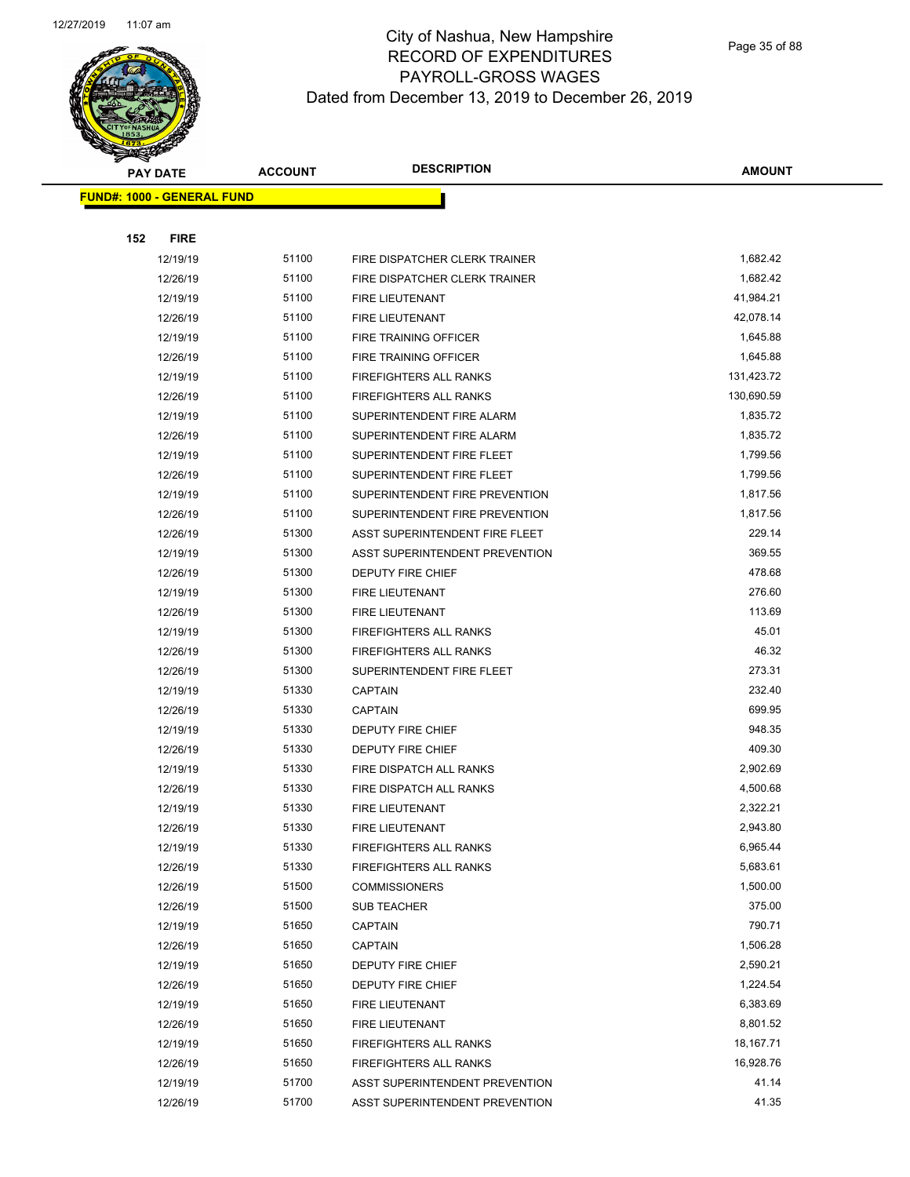

Page 35 of 88

|     | <b>PAY DATE</b>                   | <b>ACCOUNT</b> | <b>DESCRIPTION</b>             | <b>AMOUNT</b> |
|-----|-----------------------------------|----------------|--------------------------------|---------------|
|     | <b>FUND#: 1000 - GENERAL FUND</b> |                |                                |               |
|     |                                   |                |                                |               |
| 152 | <b>FIRE</b>                       |                |                                |               |
|     | 12/19/19                          | 51100          | FIRE DISPATCHER CLERK TRAINER  | 1,682.42      |
|     | 12/26/19                          | 51100          | FIRE DISPATCHER CLERK TRAINER  | 1,682.42      |
|     | 12/19/19                          | 51100          | <b>FIRE LIEUTENANT</b>         | 41,984.21     |
|     | 12/26/19                          | 51100          | FIRE LIEUTENANT                | 42,078.14     |
|     | 12/19/19                          | 51100          | FIRE TRAINING OFFICER          | 1,645.88      |
|     | 12/26/19                          | 51100          | FIRE TRAINING OFFICER          | 1,645.88      |
|     | 12/19/19                          | 51100          | <b>FIREFIGHTERS ALL RANKS</b>  | 131,423.72    |
|     | 12/26/19                          | 51100          | <b>FIREFIGHTERS ALL RANKS</b>  | 130,690.59    |
|     | 12/19/19                          | 51100          | SUPERINTENDENT FIRE ALARM      | 1,835.72      |
|     | 12/26/19                          | 51100          | SUPERINTENDENT FIRE ALARM      | 1,835.72      |
|     | 12/19/19                          | 51100          | SUPERINTENDENT FIRE FLEET      | 1,799.56      |
|     | 12/26/19                          | 51100          | SUPERINTENDENT FIRE FLEET      | 1,799.56      |
|     | 12/19/19                          | 51100          | SUPERINTENDENT FIRE PREVENTION | 1,817.56      |
|     | 12/26/19                          | 51100          | SUPERINTENDENT FIRE PREVENTION | 1,817.56      |
|     | 12/26/19                          | 51300          | ASST SUPERINTENDENT FIRE FLEET | 229.14        |
|     | 12/19/19                          | 51300          | ASST SUPERINTENDENT PREVENTION | 369.55        |
|     | 12/26/19                          | 51300          | <b>DEPUTY FIRE CHIEF</b>       | 478.68        |
|     | 12/19/19                          | 51300          | FIRE LIEUTENANT                | 276.60        |
|     | 12/26/19                          | 51300          | FIRE LIEUTENANT                | 113.69        |
|     | 12/19/19                          | 51300          | <b>FIREFIGHTERS ALL RANKS</b>  | 45.01         |
|     | 12/26/19                          | 51300          | FIREFIGHTERS ALL RANKS         | 46.32         |
|     | 12/26/19                          | 51300          | SUPERINTENDENT FIRE FLEET      | 273.31        |
|     | 12/19/19                          | 51330          | <b>CAPTAIN</b>                 | 232.40        |
|     | 12/26/19                          | 51330          | <b>CAPTAIN</b>                 | 699.95        |
|     | 12/19/19                          | 51330          | DEPUTY FIRE CHIEF              | 948.35        |
|     | 12/26/19                          | 51330          | DEPUTY FIRE CHIEF              | 409.30        |
|     | 12/19/19                          | 51330          | FIRE DISPATCH ALL RANKS        | 2,902.69      |
|     | 12/26/19                          | 51330          | FIRE DISPATCH ALL RANKS        | 4,500.68      |
|     | 12/19/19                          | 51330          | FIRE LIEUTENANT                | 2,322.21      |
|     | 12/26/19                          | 51330          | FIRE LIEUTENANT                | 2,943.80      |
|     | 12/19/19                          | 51330          | FIREFIGHTERS ALL RANKS         | 6,965.44      |
|     | 12/26/19                          | 51330          | <b>FIREFIGHTERS ALL RANKS</b>  | 5,683.61      |
|     | 12/26/19                          | 51500          | <b>COMMISSIONERS</b>           | 1,500.00      |
|     | 12/26/19                          | 51500          | <b>SUB TEACHER</b>             | 375.00        |
|     | 12/19/19                          | 51650          | <b>CAPTAIN</b>                 | 790.71        |
|     | 12/26/19                          | 51650          | <b>CAPTAIN</b>                 | 1,506.28      |
|     | 12/19/19                          | 51650          | DEPUTY FIRE CHIEF              | 2,590.21      |
|     | 12/26/19                          | 51650          | DEPUTY FIRE CHIEF              | 1,224.54      |
|     | 12/19/19                          | 51650          | FIRE LIEUTENANT                | 6,383.69      |
|     | 12/26/19                          | 51650          | FIRE LIEUTENANT                | 8,801.52      |
|     | 12/19/19                          | 51650          | FIREFIGHTERS ALL RANKS         | 18,167.71     |
|     | 12/26/19                          | 51650          | FIREFIGHTERS ALL RANKS         | 16,928.76     |
|     | 12/19/19                          | 51700          | ASST SUPERINTENDENT PREVENTION | 41.14         |
|     | 12/26/19                          | 51700          | ASST SUPERINTENDENT PREVENTION | 41.35         |
|     |                                   |                |                                |               |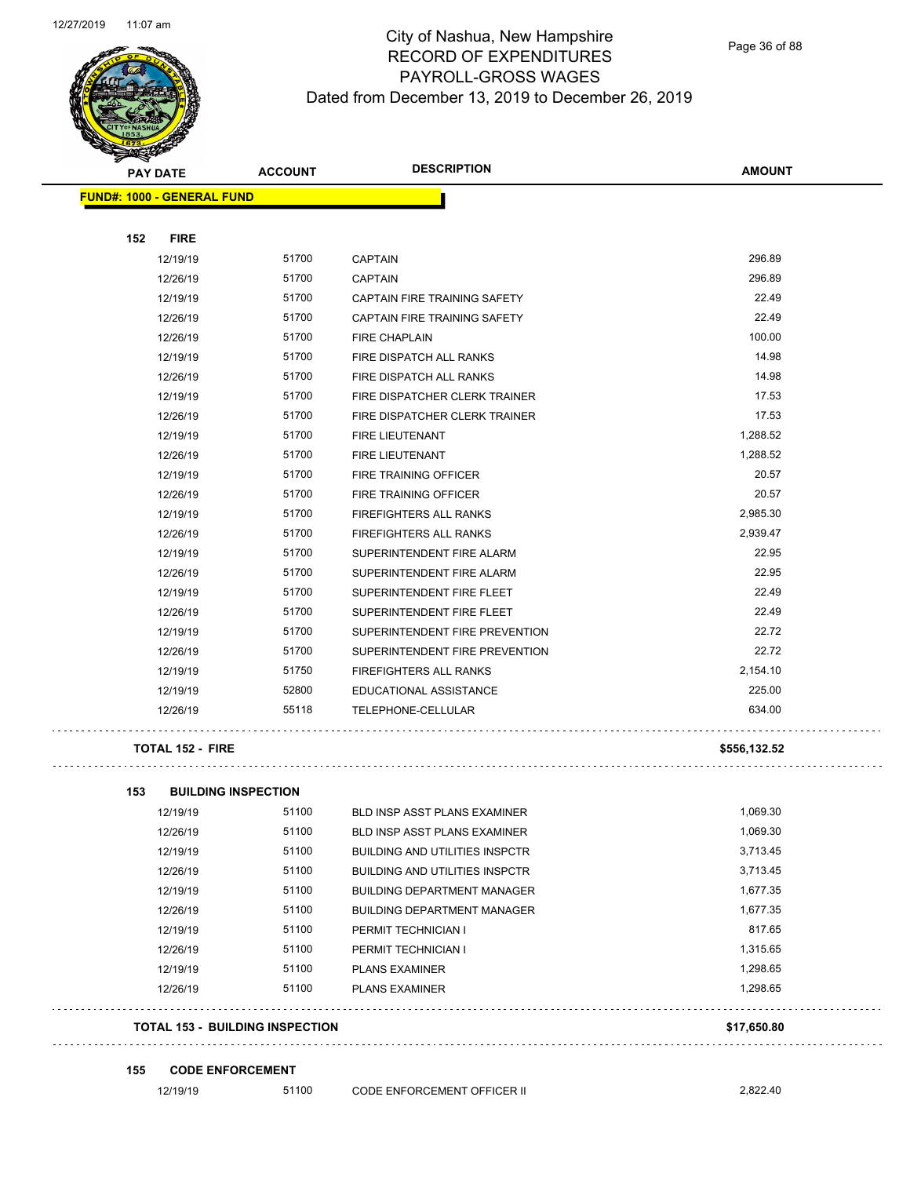

Page 36 of 88

| <b>PAY DATE</b>                        | <b>ACCOUNT</b> | <b>DESCRIPTION</b>                    | <b>AMOUNT</b> |
|----------------------------------------|----------------|---------------------------------------|---------------|
| <b>FUND#: 1000 - GENERAL FUND</b>      |                |                                       |               |
| <b>FIRE</b><br>152                     |                |                                       |               |
| 12/19/19                               | 51700          | <b>CAPTAIN</b>                        | 296.89        |
| 12/26/19                               | 51700          | <b>CAPTAIN</b>                        | 296.89        |
| 12/19/19                               | 51700          | CAPTAIN FIRE TRAINING SAFETY          | 22.49         |
| 12/26/19                               | 51700          | <b>CAPTAIN FIRE TRAINING SAFETY</b>   | 22.49         |
| 12/26/19                               | 51700          | <b>FIRE CHAPLAIN</b>                  | 100.00        |
| 12/19/19                               | 51700          | FIRE DISPATCH ALL RANKS               | 14.98         |
| 12/26/19                               | 51700          | FIRE DISPATCH ALL RANKS               | 14.98         |
| 12/19/19                               | 51700          | FIRE DISPATCHER CLERK TRAINER         | 17.53         |
| 12/26/19                               | 51700          | FIRE DISPATCHER CLERK TRAINER         | 17.53         |
| 12/19/19                               | 51700          | FIRE LIEUTENANT                       | 1,288.52      |
| 12/26/19                               | 51700          | FIRE LIEUTENANT                       | 1,288.52      |
| 12/19/19                               | 51700          | FIRE TRAINING OFFICER                 | 20.57         |
| 12/26/19                               | 51700          | FIRE TRAINING OFFICER                 | 20.57         |
| 12/19/19                               | 51700          | <b>FIREFIGHTERS ALL RANKS</b>         | 2,985.30      |
| 12/26/19                               | 51700          | <b>FIREFIGHTERS ALL RANKS</b>         | 2,939.47      |
| 12/19/19                               | 51700          | SUPERINTENDENT FIRE ALARM             | 22.95         |
| 12/26/19                               | 51700          | SUPERINTENDENT FIRE ALARM             | 22.95         |
| 12/19/19                               | 51700          | SUPERINTENDENT FIRE FLEET             | 22.49         |
| 12/26/19                               | 51700          | SUPERINTENDENT FIRE FLEET             | 22.49         |
| 12/19/19                               | 51700          | SUPERINTENDENT FIRE PREVENTION        | 22.72         |
| 12/26/19                               | 51700          | SUPERINTENDENT FIRE PREVENTION        | 22.72         |
| 12/19/19                               | 51750          | <b>FIREFIGHTERS ALL RANKS</b>         | 2,154.10      |
| 12/19/19                               | 52800          | EDUCATIONAL ASSISTANCE                | 225.00        |
| 12/26/19                               | 55118          | TELEPHONE-CELLULAR                    | 634.00        |
| <b>TOTAL 152 - FIRE</b>                |                |                                       | \$556,132.52  |
| 153<br><b>BUILDING INSPECTION</b>      |                |                                       |               |
| 12/19/19                               | 51100          | <b>BLD INSP ASST PLANS EXAMINER</b>   | 1,069.30      |
| 12/26/19                               | 51100          | BLD INSP ASST PLANS EXAMINER          | 1,069.30      |
| 12/19/19                               | 51100          | <b>BUILDING AND UTILITIES INSPCTR</b> | 3,713.45      |
| 12/26/19                               | 51100          | <b>BUILDING AND UTILITIES INSPCTR</b> | 3,713.45      |
| 12/19/19                               | 51100          | <b>BUILDING DEPARTMENT MANAGER</b>    | 1,677.35      |
| 12/26/19                               | 51100          | <b>BUILDING DEPARTMENT MANAGER</b>    | 1,677.35      |
| 12/19/19                               | 51100          | PERMIT TECHNICIAN I                   | 817.65        |
| 12/26/19                               | 51100          | PERMIT TECHNICIAN I                   | 1,315.65      |
| 12/19/19                               | 51100          | <b>PLANS EXAMINER</b>                 | 1,298.65      |
| 12/26/19                               | 51100          | <b>PLANS EXAMINER</b>                 | 1,298.65      |
| <b>TOTAL 153 - BUILDING INSPECTION</b> |                |                                       | \$17,650.80   |

**155 CODE ENFORCEMENT**

12/19/19 51100 CODE ENFORCEMENT OFFICER II 2,822.40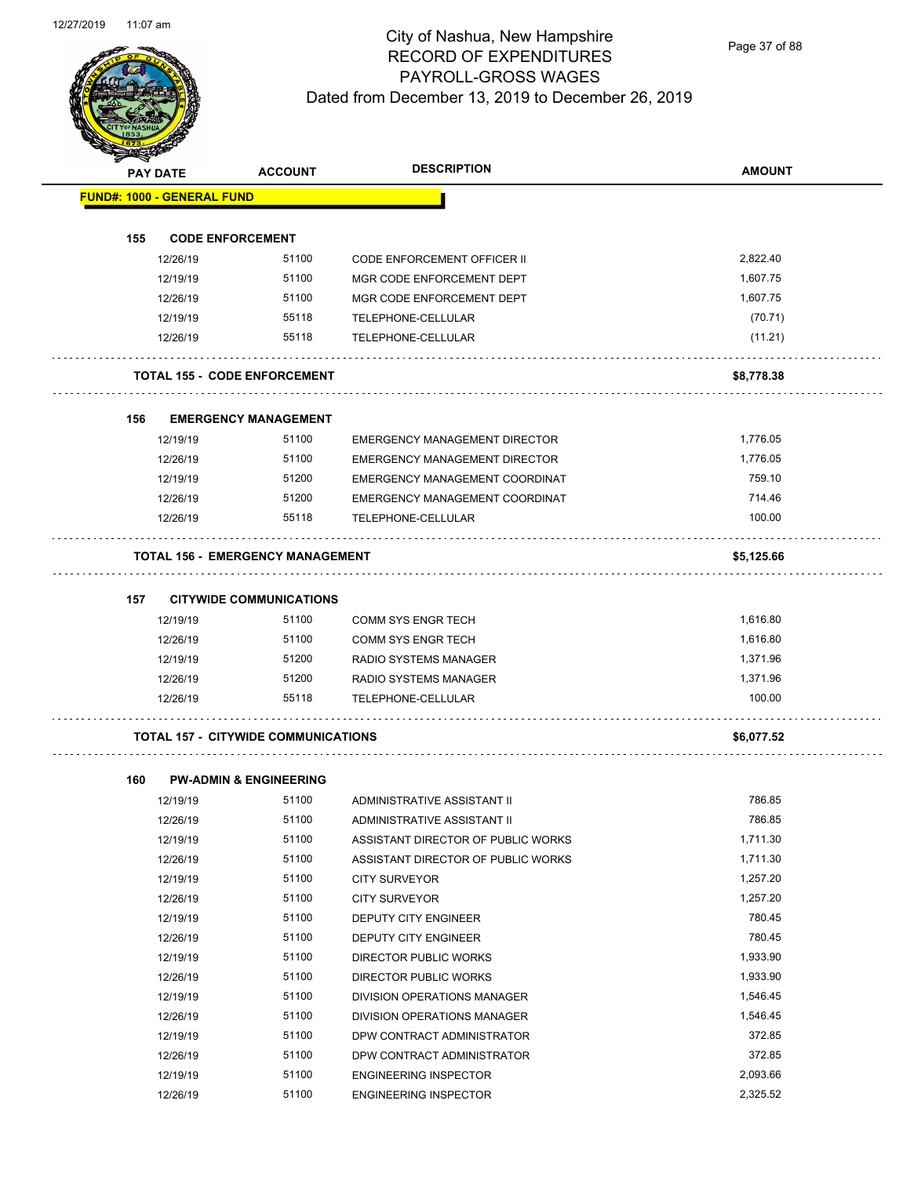

Page 37 of 88

| <b>SANGRA</b> |                                   |                                            |                                      |               |
|---------------|-----------------------------------|--------------------------------------------|--------------------------------------|---------------|
|               | <b>PAY DATE</b>                   | <b>ACCOUNT</b>                             | <b>DESCRIPTION</b>                   | <b>AMOUNT</b> |
|               | <b>FUND#: 1000 - GENERAL FUND</b> |                                            |                                      |               |
|               |                                   |                                            |                                      |               |
| 155           |                                   | <b>CODE ENFORCEMENT</b>                    |                                      |               |
|               | 12/26/19                          | 51100                                      | <b>CODE ENFORCEMENT OFFICER II</b>   | 2,822.40      |
|               | 12/19/19                          | 51100                                      | MGR CODE ENFORCEMENT DEPT            | 1,607.75      |
|               | 12/26/19                          | 51100                                      | MGR CODE ENFORCEMENT DEPT            | 1,607.75      |
|               | 12/19/19                          | 55118                                      | TELEPHONE-CELLULAR                   | (70.71)       |
|               | 12/26/19                          | 55118                                      | TELEPHONE-CELLULAR                   | (11.21)       |
|               |                                   | <b>TOTAL 155 - CODE ENFORCEMENT</b>        |                                      | \$8,778.38    |
| 156           |                                   | <b>EMERGENCY MANAGEMENT</b>                |                                      |               |
|               | 12/19/19                          | 51100                                      | <b>EMERGENCY MANAGEMENT DIRECTOR</b> | 1,776.05      |
|               | 12/26/19                          | 51100                                      | <b>EMERGENCY MANAGEMENT DIRECTOR</b> | 1,776.05      |
|               | 12/19/19                          | 51200                                      | EMERGENCY MANAGEMENT COORDINAT       | 759.10        |
|               | 12/26/19                          | 51200                                      | EMERGENCY MANAGEMENT COORDINAT       | 714.46        |
|               | 12/26/19                          | 55118                                      | TELEPHONE-CELLULAR                   | 100.00        |
|               |                                   | <b>TOTAL 156 - EMERGENCY MANAGEMENT</b>    |                                      | \$5,125.66    |
| 157           |                                   | <b>CITYWIDE COMMUNICATIONS</b>             |                                      |               |
|               | 12/19/19                          | 51100                                      | <b>COMM SYS ENGR TECH</b>            | 1,616.80      |
|               | 12/26/19                          | 51100                                      | <b>COMM SYS ENGR TECH</b>            | 1,616.80      |
|               | 12/19/19                          | 51200                                      | RADIO SYSTEMS MANAGER                | 1,371.96      |
|               | 12/26/19                          | 51200                                      | RADIO SYSTEMS MANAGER                | 1,371.96      |
|               | 12/26/19                          | 55118                                      | TELEPHONE-CELLULAR                   | 100.00        |
|               |                                   | <b>TOTAL 157 - CITYWIDE COMMUNICATIONS</b> |                                      | \$6,077.52    |
| 160           |                                   | <b>PW-ADMIN &amp; ENGINEERING</b>          |                                      |               |
|               | 12/19/19                          | 51100                                      | ADMINISTRATIVE ASSISTANT II          | 786.85        |
|               | 12/26/19                          | 51100                                      | ADMINISTRATIVE ASSISTANT II          | 786.85        |
|               | 12/19/19                          | 51100                                      | ASSISTANT DIRECTOR OF PUBLIC WORKS   | 1,711.30      |
|               | 12/26/19                          | 51100                                      | ASSISTANT DIRECTOR OF PUBLIC WORKS   | 1,711.30      |
|               | 12/19/19                          | 51100                                      | <b>CITY SURVEYOR</b>                 | 1,257.20      |
|               | 12/26/19                          | 51100                                      | <b>CITY SURVEYOR</b>                 | 1,257.20      |
|               | 12/19/19                          | 51100                                      | DEPUTY CITY ENGINEER                 | 780.45        |
|               | 12/26/19                          | 51100                                      | DEPUTY CITY ENGINEER                 | 780.45        |
|               | 12/19/19                          | 51100                                      | <b>DIRECTOR PUBLIC WORKS</b>         | 1,933.90      |

12/26/19 51100 DIRECTOR PUBLIC WORKS 1,933.90 12/19/19 51100 DIVISION OPERATIONS MANAGER 1,546.45 12/26/19 51100 DIVISION OPERATIONS MANAGER 1,546.45 12/19/19 51100 DPW CONTRACT ADMINISTRATOR 372.85 12/26/19 51100 DPW CONTRACT ADMINISTRATOR 372.85 12/19/19 51100 ENGINEERING INSPECTOR 2,093.66 12/26/19 51100 ENGINEERING INSPECTOR 2,325.52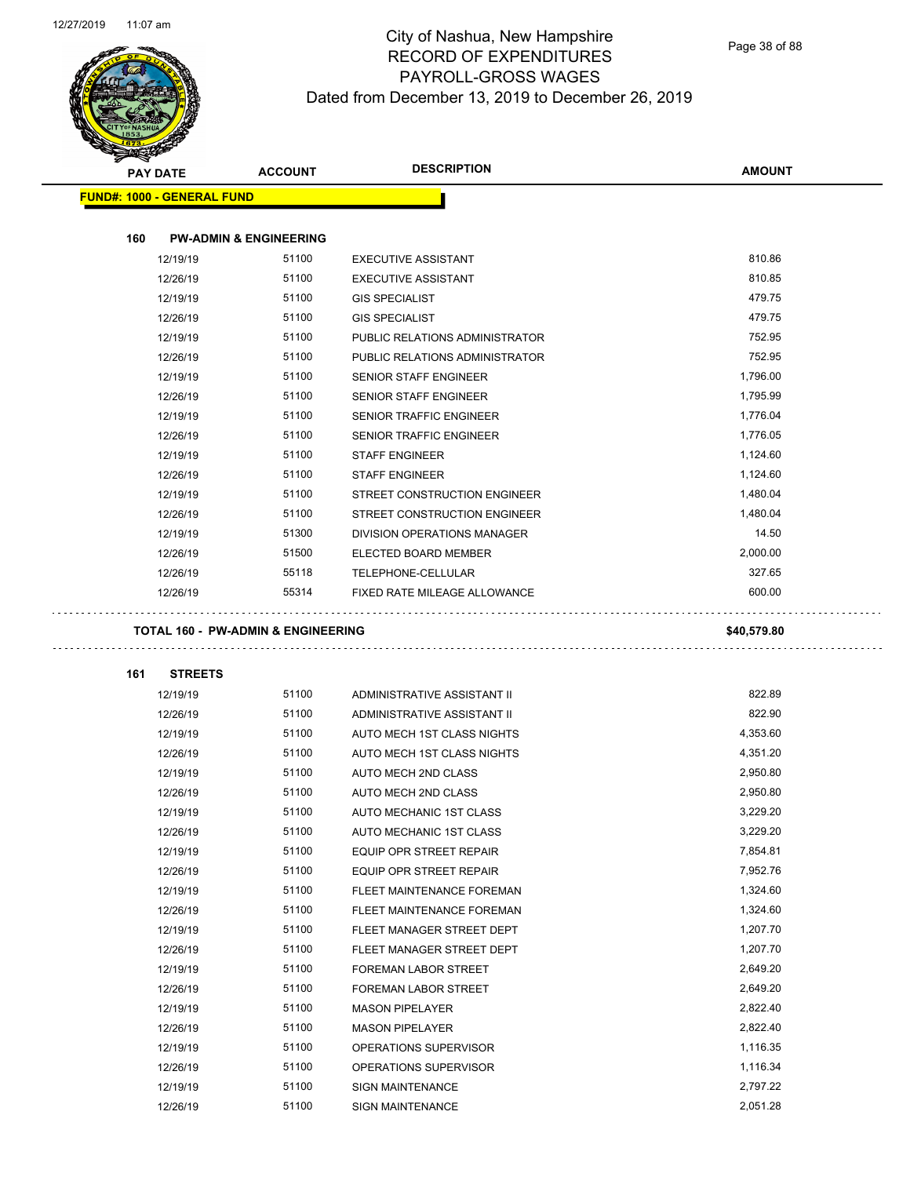

#### City of Nashua, New Hampshire RECORD OF EXPENDITURES PAYROLL-GROSS WAGES Dated from December 13, 2019 to December 26, 2019

| <b>Anton</b><br><b>PAY DATE</b>   | <b>ACCOUNT</b>                    | <b>DESCRIPTION</b>             | <b>AMOUNT</b> |
|-----------------------------------|-----------------------------------|--------------------------------|---------------|
| <b>FUND#: 1000 - GENERAL FUND</b> |                                   |                                |               |
|                                   |                                   |                                |               |
| 160                               | <b>PW-ADMIN &amp; ENGINEERING</b> |                                |               |
| 12/19/19                          | 51100                             | <b>EXECUTIVE ASSISTANT</b>     | 810.86        |
| 12/26/19                          | 51100                             | <b>EXECUTIVE ASSISTANT</b>     | 810.85        |
| 12/19/19                          | 51100                             | <b>GIS SPECIALIST</b>          | 479.75        |
| 12/26/19                          | 51100                             | <b>GIS SPECIALIST</b>          | 479.75        |
| 12/19/19                          | 51100                             | PUBLIC RELATIONS ADMINISTRATOR | 752.95        |
| 12/26/19                          | 51100                             | PUBLIC RELATIONS ADMINISTRATOR | 752.95        |
| 12/19/19                          | 51100                             | SENIOR STAFF ENGINEER          | 1,796.00      |
| 12/26/19                          | 51100                             | SENIOR STAFF ENGINEER          | 1,795.99      |
| 12/19/19                          | 51100                             | SENIOR TRAFFIC ENGINEER        | 1,776.04      |
| 12/26/19                          | 51100                             | SENIOR TRAFFIC ENGINEER        | 1,776.05      |
| 12/19/19                          | 51100                             | <b>STAFF ENGINEER</b>          | 1,124.60      |
| 12/26/19                          | 51100                             | <b>STAFF ENGINEER</b>          | 1,124.60      |
| 12/19/19                          | 51100                             | STREET CONSTRUCTION ENGINEER   | 1,480.04      |
| 12/26/19                          | 51100                             | STREET CONSTRUCTION ENGINEER   | 1,480.04      |
| 12/19/19                          | 51300                             | DIVISION OPERATIONS MANAGER    | 14.50         |
| 12/26/19                          | 51500                             | ELECTED BOARD MEMBER           | 2,000.00      |
| 12/26/19                          | 55118                             | TELEPHONE-CELLULAR             | 327.65        |
| 12/26/19                          | 55314                             | FIXED RATE MILEAGE ALLOWANCE   | 600.00        |
|                                   |                                   |                                |               |
| 161<br><b>STREETS</b><br>12/19/19 | 51100                             | ADMINISTRATIVE ASSISTANT II    | 822.89        |
| 12/26/19                          | 51100                             | ADMINISTRATIVE ASSISTANT II    | 822.90        |
| 12/19/19                          | 51100                             | AUTO MECH 1ST CLASS NIGHTS     | 4,353.60      |
| 12/26/19                          | 51100                             | AUTO MECH 1ST CLASS NIGHTS     | 4,351.20      |
| 12/19/19                          | 51100                             | AUTO MECH 2ND CLASS            | 2,950.80      |
| 12/26/19                          | 51100                             | AUTO MECH 2ND CLASS            | 2,950.80      |
| 12/19/19                          | 51100                             | <b>AUTO MECHANIC 1ST CLASS</b> | 3.229.20      |
| 12/26/19                          | 51100                             | AUTO MECHANIC 1ST CLASS        | 3,229.20      |
| 12/19/19                          | 51100                             | EQUIP OPR STREET REPAIR        | 7,854.81      |
| 12/26/19                          | 51100                             | EQUIP OPR STREET REPAIR        | 7,952.76      |
| 12/19/19                          | 51100                             | FLEET MAINTENANCE FOREMAN      | 1,324.60      |
| 12/26/19                          | 51100                             | FLEET MAINTENANCE FOREMAN      | 1,324.60      |
| 12/19/19                          | 51100                             | FLEET MANAGER STREET DEPT      | 1,207.70      |
| 12/26/19                          | 51100                             | FLEET MANAGER STREET DEPT      | 1,207.70      |
| 12/19/19                          | 51100                             | FOREMAN LABOR STREET           | 2,649.20      |
| 12/26/19                          | 51100                             | FOREMAN LABOR STREET           | 2,649.20      |
| 12/19/19                          | 51100                             | <b>MASON PIPELAYER</b>         | 2,822.40      |
| 12/26/19                          | 51100                             | <b>MASON PIPELAYER</b>         | 2,822.40      |
| 12/19/19                          |                                   |                                |               |
|                                   | 51100                             | OPERATIONS SUPERVISOR          | 1,116.35      |

12/19/19 51100 SIGN MAINTENANCE 2,797.22 12/26/19 51100 SIGN MAINTENANCE 2,051.28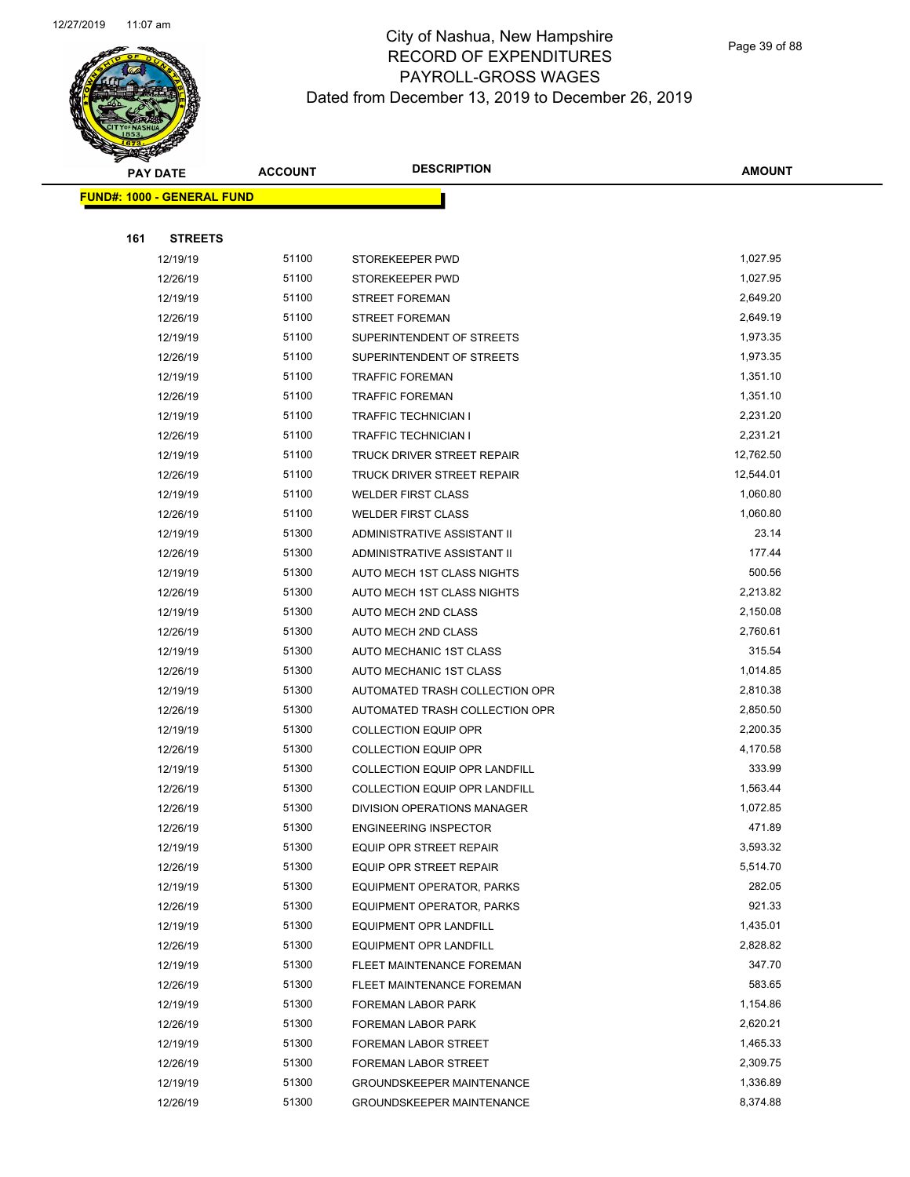

Page 39 of 88

|     | <b>PAY DATE</b>                   | <b>ACCOUNT</b> | <b>DESCRIPTION</b>                   | <b>AMOUNT</b> |
|-----|-----------------------------------|----------------|--------------------------------------|---------------|
|     | <b>FUND#: 1000 - GENERAL FUND</b> |                |                                      |               |
|     |                                   |                |                                      |               |
| 161 | <b>STREETS</b>                    |                |                                      |               |
|     | 12/19/19                          | 51100          | STOREKEEPER PWD                      | 1,027.95      |
|     | 12/26/19                          | 51100          | STOREKEEPER PWD                      | 1,027.95      |
|     | 12/19/19                          | 51100          | <b>STREET FOREMAN</b>                | 2,649.20      |
|     | 12/26/19                          | 51100          | <b>STREET FOREMAN</b>                | 2,649.19      |
|     | 12/19/19                          | 51100          | SUPERINTENDENT OF STREETS            | 1,973.35      |
|     | 12/26/19                          | 51100          | SUPERINTENDENT OF STREETS            | 1,973.35      |
|     | 12/19/19                          | 51100          | <b>TRAFFIC FOREMAN</b>               | 1,351.10      |
|     | 12/26/19                          | 51100          | <b>TRAFFIC FOREMAN</b>               | 1,351.10      |
|     | 12/19/19                          | 51100          | TRAFFIC TECHNICIAN I                 | 2,231.20      |
|     | 12/26/19                          | 51100          | TRAFFIC TECHNICIAN I                 | 2,231.21      |
|     | 12/19/19                          | 51100          | TRUCK DRIVER STREET REPAIR           | 12,762.50     |
|     | 12/26/19                          | 51100          | TRUCK DRIVER STREET REPAIR           | 12,544.01     |
|     | 12/19/19                          | 51100          | <b>WELDER FIRST CLASS</b>            | 1,060.80      |
|     | 12/26/19                          | 51100          | <b>WELDER FIRST CLASS</b>            | 1,060.80      |
|     | 12/19/19                          | 51300          | ADMINISTRATIVE ASSISTANT II          | 23.14         |
|     | 12/26/19                          | 51300          | ADMINISTRATIVE ASSISTANT II          | 177.44        |
|     | 12/19/19                          | 51300          | AUTO MECH 1ST CLASS NIGHTS           | 500.56        |
|     | 12/26/19                          | 51300          | AUTO MECH 1ST CLASS NIGHTS           | 2,213.82      |
|     | 12/19/19                          | 51300          | AUTO MECH 2ND CLASS                  | 2,150.08      |
|     | 12/26/19                          | 51300          | AUTO MECH 2ND CLASS                  | 2,760.61      |
|     | 12/19/19                          | 51300          | AUTO MECHANIC 1ST CLASS              | 315.54        |
|     | 12/26/19                          | 51300          | AUTO MECHANIC 1ST CLASS              | 1,014.85      |
|     | 12/19/19                          | 51300          | AUTOMATED TRASH COLLECTION OPR       | 2,810.38      |
|     | 12/26/19                          | 51300          | AUTOMATED TRASH COLLECTION OPR       | 2,850.50      |
|     | 12/19/19                          | 51300          | <b>COLLECTION EQUIP OPR</b>          | 2,200.35      |
|     | 12/26/19                          | 51300          | <b>COLLECTION EQUIP OPR</b>          | 4,170.58      |
|     | 12/19/19                          | 51300          | COLLECTION EQUIP OPR LANDFILL        | 333.99        |
|     | 12/26/19                          | 51300          | <b>COLLECTION EQUIP OPR LANDFILL</b> | 1,563.44      |
|     | 12/26/19                          | 51300          | DIVISION OPERATIONS MANAGER          | 1,072.85      |
|     | 12/26/19                          | 51300          | <b>ENGINEERING INSPECTOR</b>         | 471.89        |
|     | 12/19/19                          | 51300          | EQUIP OPR STREET REPAIR              | 3,593.32      |
|     | 12/26/19                          | 51300          | EQUIP OPR STREET REPAIR              | 5,514.70      |
|     | 12/19/19                          | 51300          | <b>EQUIPMENT OPERATOR, PARKS</b>     | 282.05        |
|     | 12/26/19                          | 51300          | EQUIPMENT OPERATOR, PARKS            | 921.33        |
|     | 12/19/19                          | 51300          | EQUIPMENT OPR LANDFILL               | 1,435.01      |
|     | 12/26/19                          | 51300          | <b>EQUIPMENT OPR LANDFILL</b>        | 2,828.82      |
|     | 12/19/19                          | 51300          | FLEET MAINTENANCE FOREMAN            | 347.70        |
|     | 12/26/19                          | 51300          | FLEET MAINTENANCE FOREMAN            | 583.65        |
|     | 12/19/19                          | 51300          | FOREMAN LABOR PARK                   | 1,154.86      |
|     | 12/26/19                          | 51300          | FOREMAN LABOR PARK                   | 2,620.21      |
|     | 12/19/19                          | 51300          | FOREMAN LABOR STREET                 | 1,465.33      |
|     | 12/26/19                          | 51300          | FOREMAN LABOR STREET                 | 2,309.75      |
|     | 12/19/19                          | 51300          | <b>GROUNDSKEEPER MAINTENANCE</b>     | 1,336.89      |
|     | 12/26/19                          | 51300          | <b>GROUNDSKEEPER MAINTENANCE</b>     | 8,374.88      |
|     |                                   |                |                                      |               |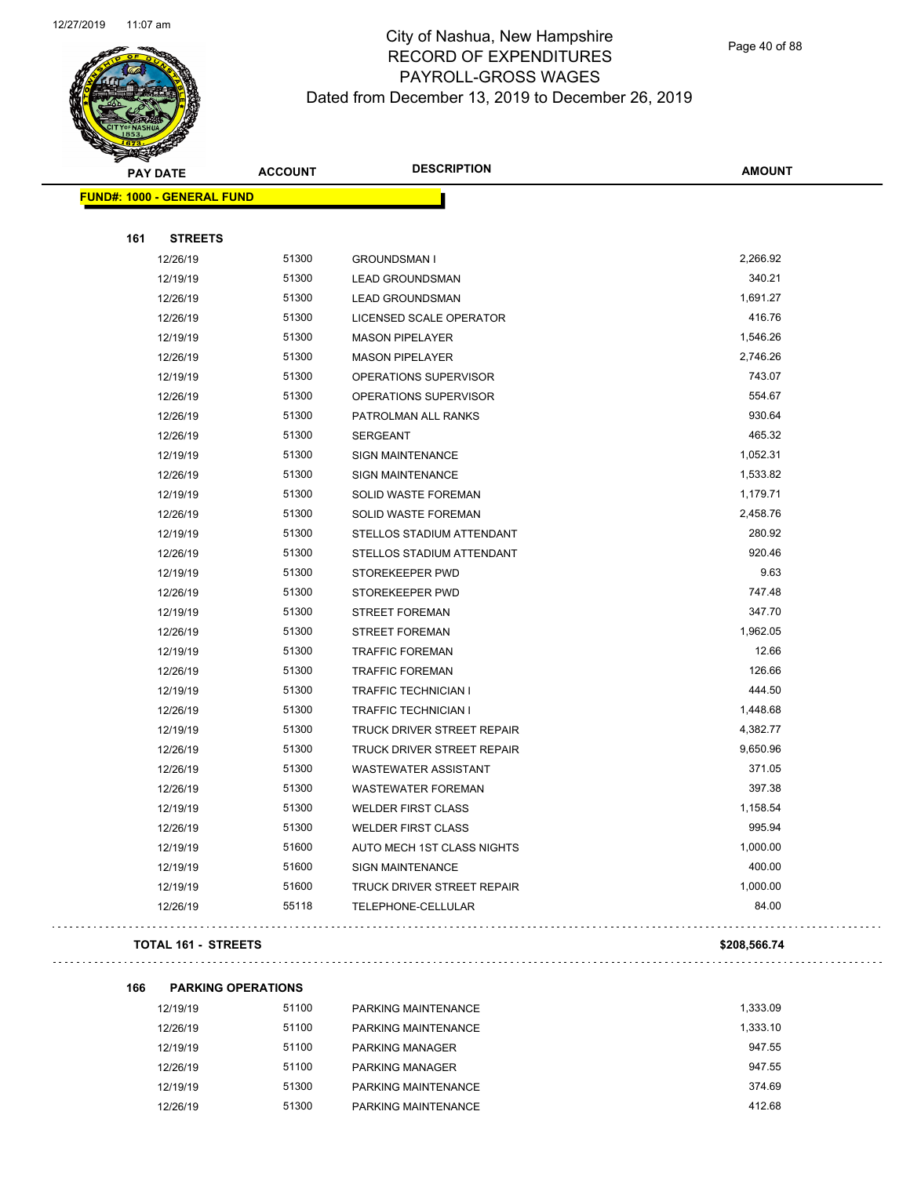

Page 40 of 88

|     | <b>PAY DATE</b>                   | <b>ACCOUNT</b> | <b>DESCRIPTION</b>                | <b>AMOUNT</b> |
|-----|-----------------------------------|----------------|-----------------------------------|---------------|
|     | <b>FUND#: 1000 - GENERAL FUND</b> |                |                                   |               |
|     |                                   |                |                                   |               |
| 161 | <b>STREETS</b>                    |                |                                   |               |
|     | 12/26/19                          | 51300          | <b>GROUNDSMAN I</b>               | 2,266.92      |
|     | 12/19/19                          | 51300          | <b>LEAD GROUNDSMAN</b>            | 340.21        |
|     | 12/26/19                          | 51300          | <b>LEAD GROUNDSMAN</b>            | 1,691.27      |
|     | 12/26/19                          | 51300          | LICENSED SCALE OPERATOR           | 416.76        |
|     | 12/19/19                          | 51300          | <b>MASON PIPELAYER</b>            | 1,546.26      |
|     | 12/26/19                          | 51300          | <b>MASON PIPELAYER</b>            | 2,746.26      |
|     | 12/19/19                          | 51300          | OPERATIONS SUPERVISOR             | 743.07        |
|     | 12/26/19                          | 51300          | OPERATIONS SUPERVISOR             | 554.67        |
|     | 12/26/19                          | 51300          | PATROLMAN ALL RANKS               | 930.64        |
|     | 12/26/19                          | 51300          | <b>SERGEANT</b>                   | 465.32        |
|     | 12/19/19                          | 51300          | <b>SIGN MAINTENANCE</b>           | 1,052.31      |
|     | 12/26/19                          | 51300          | SIGN MAINTENANCE                  | 1,533.82      |
|     | 12/19/19                          | 51300          | SOLID WASTE FOREMAN               | 1,179.71      |
|     | 12/26/19                          | 51300          | SOLID WASTE FOREMAN               | 2,458.76      |
|     | 12/19/19                          | 51300          | STELLOS STADIUM ATTENDANT         | 280.92        |
|     | 12/26/19                          | 51300          | STELLOS STADIUM ATTENDANT         | 920.46        |
|     | 12/19/19                          | 51300          | STOREKEEPER PWD                   | 9.63          |
|     | 12/26/19                          | 51300          | STOREKEEPER PWD                   | 747.48        |
|     | 12/19/19                          | 51300          | <b>STREET FOREMAN</b>             | 347.70        |
|     | 12/26/19                          | 51300          | <b>STREET FOREMAN</b>             | 1,962.05      |
|     | 12/19/19                          | 51300          | <b>TRAFFIC FOREMAN</b>            | 12.66         |
|     | 12/26/19                          | 51300          | <b>TRAFFIC FOREMAN</b>            | 126.66        |
|     | 12/19/19                          | 51300          | <b>TRAFFIC TECHNICIAN I</b>       | 444.50        |
|     | 12/26/19                          | 51300          | <b>TRAFFIC TECHNICIAN I</b>       | 1,448.68      |
|     | 12/19/19                          | 51300          | TRUCK DRIVER STREET REPAIR        | 4,382.77      |
|     | 12/26/19                          | 51300          | TRUCK DRIVER STREET REPAIR        | 9,650.96      |
|     | 12/26/19                          | 51300          | <b>WASTEWATER ASSISTANT</b>       | 371.05        |
|     | 12/26/19                          | 51300          | <b>WASTEWATER FOREMAN</b>         | 397.38        |
|     | 12/19/19                          | 51300          | <b>WELDER FIRST CLASS</b>         | 1,158.54      |
|     | 12/26/19                          | 51300          | <b>WELDER FIRST CLASS</b>         | 995.94        |
|     | 12/19/19                          | 51600          | AUTO MECH 1ST CLASS NIGHTS        | 1,000.00      |
|     | 12/19/19                          | 51600          | <b>SIGN MAINTENANCE</b>           | 400.00        |
|     | 12/19/19                          | 51600          | <b>TRUCK DRIVER STREET REPAIR</b> | 1,000.00      |
|     | 12/26/19                          | 55118          | TELEPHONE-CELLULAR                | 84.00         |
|     |                                   |                |                                   |               |

#### **TOTAL 161 - STREETS \$208,566.74**

 $\ldots$  .

| 166 | <b>PARKING OPERATIONS</b> |       |                     |          |
|-----|---------------------------|-------|---------------------|----------|
|     | 12/19/19                  | 51100 | PARKING MAINTENANCE | 1.333.09 |
|     | 12/26/19                  | 51100 | PARKING MAINTENANCE | 1.333.10 |
|     | 12/19/19                  | 51100 | PARKING MANAGER     | 947.55   |
|     | 12/26/19                  | 51100 | PARKING MANAGER     | 947.55   |
|     | 12/19/19                  | 51300 | PARKING MAINTENANCE | 374.69   |
|     | 12/26/19                  | 51300 | PARKING MAINTENANCE | 412.68   |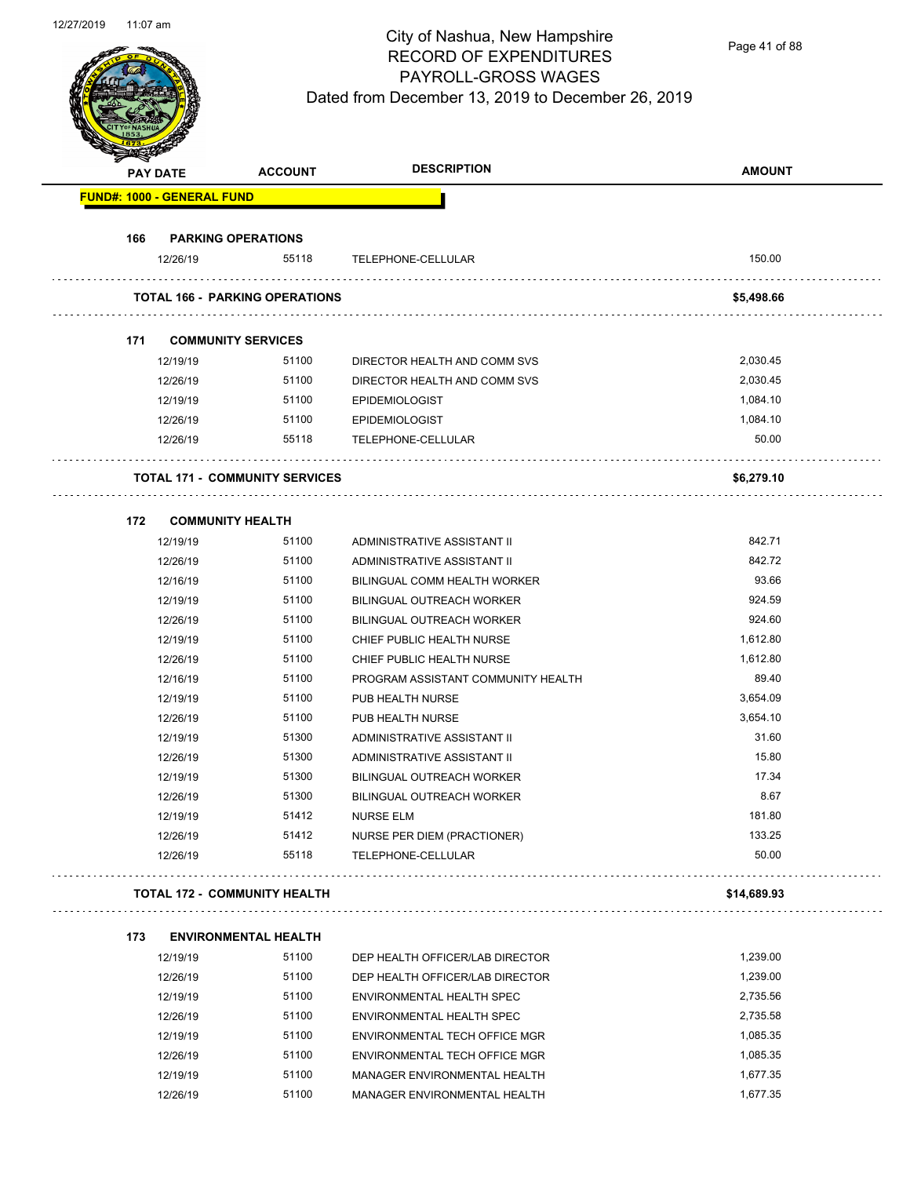Page 41 of 88

|     | <b>PAY DATE</b>                   | <b>ACCOUNT</b>                        | <b>DESCRIPTION</b>                                | <b>AMOUNT</b>   |
|-----|-----------------------------------|---------------------------------------|---------------------------------------------------|-----------------|
|     | <b>FUND#: 1000 - GENERAL FUND</b> |                                       |                                                   |                 |
| 166 | <b>PARKING OPERATIONS</b>         |                                       |                                                   |                 |
|     | 12/26/19                          | 55118                                 | TELEPHONE-CELLULAR                                | 150.00          |
|     |                                   | <b>TOTAL 166 - PARKING OPERATIONS</b> |                                                   | \$5,498.66      |
| 171 | <b>COMMUNITY SERVICES</b>         |                                       |                                                   |                 |
|     | 12/19/19                          | 51100                                 | DIRECTOR HEALTH AND COMM SVS                      | 2,030.45        |
|     | 12/26/19                          | 51100                                 | DIRECTOR HEALTH AND COMM SVS                      | 2,030.45        |
|     | 12/19/19                          | 51100                                 | <b>EPIDEMIOLOGIST</b>                             | 1,084.10        |
|     | 12/26/19                          | 51100                                 | <b>EPIDEMIOLOGIST</b>                             | 1,084.10        |
|     | 12/26/19                          | 55118                                 | TELEPHONE-CELLULAR                                | 50.00           |
|     |                                   | <b>TOTAL 171 - COMMUNITY SERVICES</b> |                                                   | \$6,279.10      |
|     |                                   |                                       |                                                   |                 |
| 172 | <b>COMMUNITY HEALTH</b>           |                                       |                                                   |                 |
|     | 12/19/19                          | 51100                                 | ADMINISTRATIVE ASSISTANT II                       | 842.71          |
|     | 12/26/19                          | 51100                                 | ADMINISTRATIVE ASSISTANT II                       | 842.72          |
|     | 12/16/19                          | 51100                                 | BILINGUAL COMM HEALTH WORKER                      | 93.66           |
|     | 12/19/19                          | 51100                                 | <b>BILINGUAL OUTREACH WORKER</b>                  | 924.59          |
|     | 12/26/19                          | 51100                                 | <b>BILINGUAL OUTREACH WORKER</b>                  | 924.60          |
|     | 12/19/19                          | 51100                                 | CHIEF PUBLIC HEALTH NURSE                         | 1,612.80        |
|     | 12/26/19                          | 51100                                 | CHIEF PUBLIC HEALTH NURSE                         | 1,612.80        |
|     | 12/16/19                          | 51100                                 | PROGRAM ASSISTANT COMMUNITY HEALTH                | 89.40           |
|     | 12/19/19                          | 51100                                 | PUB HEALTH NURSE                                  | 3,654.09        |
|     | 12/26/19                          | 51100                                 | PUB HEALTH NURSE                                  | 3,654.10        |
|     | 12/19/19                          | 51300                                 | ADMINISTRATIVE ASSISTANT II                       | 31.60           |
|     | 12/26/19                          | 51300                                 | ADMINISTRATIVE ASSISTANT II                       | 15.80           |
|     | 12/19/19                          | 51300                                 | BILINGUAL OUTREACH WORKER                         | 17.34           |
|     | 12/26/19                          | 51300                                 | BILINGUAL OUTREACH WORKER                         | 8.67            |
|     | 12/19/19                          | 51412                                 | NURSE ELM                                         | 181.80          |
|     | 12/26/19<br>12/26/19              | 51412<br>55118                        | NURSE PER DIEM (PRACTIONER)<br>TELEPHONE-CELLULAR | 133.25<br>50.00 |
|     |                                   | <b>TOTAL 172 - COMMUNITY HEALTH</b>   |                                                   | \$14,689.93     |
|     |                                   |                                       |                                                   |                 |
| 173 | 12/19/19                          | <b>ENVIRONMENTAL HEALTH</b><br>51100  | DEP HEALTH OFFICER/LAB DIRECTOR                   | 1,239.00        |
|     | 12/26/19                          | 51100                                 | DEP HEALTH OFFICER/LAB DIRECTOR                   | 1,239.00        |
|     | 12/19/19                          | 51100                                 | ENVIRONMENTAL HEALTH SPEC                         | 2,735.56        |
|     | 12/26/19                          | 51100                                 | ENVIRONMENTAL HEALTH SPEC                         | 2,735.58        |
|     | 12/19/19                          | 51100                                 | ENVIRONMENTAL TECH OFFICE MGR                     | 1,085.35        |
|     | 12/26/19                          | 51100                                 | ENVIRONMENTAL TECH OFFICE MGR                     | 1,085.35        |
|     | 12/19/19                          | 51100                                 | MANAGER ENVIRONMENTAL HEALTH                      | 1,677.35        |
|     |                                   |                                       |                                                   |                 |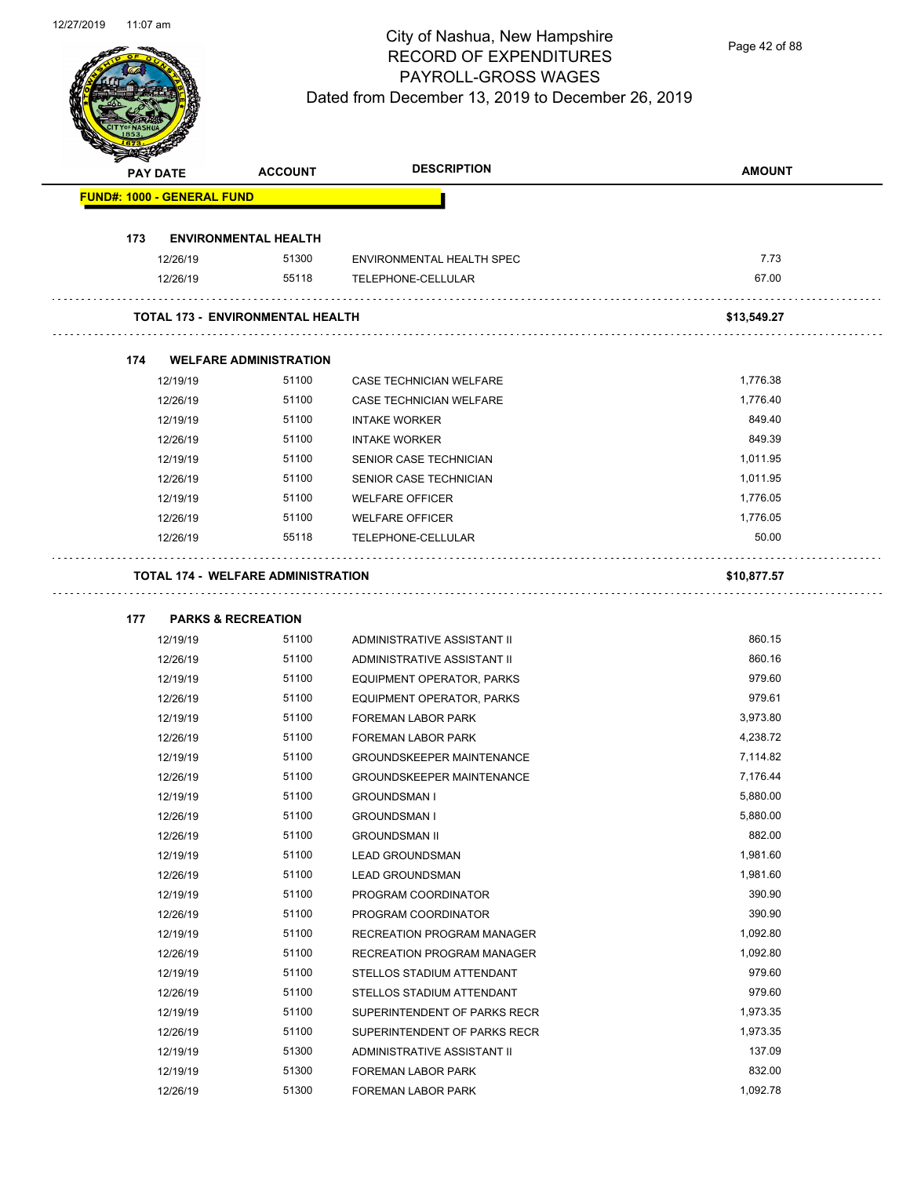Page 42 of 88

|     | <b>PAY DATE</b>                   | <b>ACCOUNT</b>                            | <b>DESCRIPTION</b>               | <b>AMOUNT</b> |
|-----|-----------------------------------|-------------------------------------------|----------------------------------|---------------|
|     | <b>FUND#: 1000 - GENERAL FUND</b> |                                           |                                  |               |
| 173 |                                   | <b>ENVIRONMENTAL HEALTH</b>               |                                  |               |
|     | 12/26/19                          | 51300                                     | ENVIRONMENTAL HEALTH SPEC        | 7.73          |
|     | 12/26/19                          | 55118                                     | TELEPHONE-CELLULAR               | 67.00         |
|     |                                   | <b>TOTAL 173 - ENVIRONMENTAL HEALTH</b>   |                                  | \$13,549.27   |
| 174 |                                   | <b>WELFARE ADMINISTRATION</b>             |                                  |               |
|     | 12/19/19                          | 51100                                     | CASE TECHNICIAN WELFARE          | 1,776.38      |
|     | 12/26/19                          | 51100                                     | CASE TECHNICIAN WELFARE          | 1,776.40      |
|     | 12/19/19                          | 51100                                     | <b>INTAKE WORKER</b>             | 849.40        |
|     | 12/26/19                          | 51100                                     | <b>INTAKE WORKER</b>             | 849.39        |
|     | 12/19/19                          | 51100                                     | SENIOR CASE TECHNICIAN           | 1,011.95      |
|     | 12/26/19                          | 51100                                     | SENIOR CASE TECHNICIAN           | 1,011.95      |
|     | 12/19/19                          | 51100                                     | <b>WELFARE OFFICER</b>           | 1,776.05      |
|     | 12/26/19                          | 51100                                     | <b>WELFARE OFFICER</b>           | 1,776.05      |
|     | 12/26/19                          | 55118                                     | TELEPHONE-CELLULAR               | 50.00         |
|     |                                   | <b>TOTAL 174 - WELFARE ADMINISTRATION</b> |                                  | \$10,877.57   |
| 177 | <b>PARKS &amp; RECREATION</b>     |                                           |                                  |               |
|     | 12/19/19                          | 51100                                     | ADMINISTRATIVE ASSISTANT II      | 860.15        |
|     | 12/26/19                          | 51100                                     | ADMINISTRATIVE ASSISTANT II      | 860.16        |
|     | 12/19/19                          | 51100                                     | EQUIPMENT OPERATOR, PARKS        | 979.60        |
|     | 12/26/19                          | 51100                                     | EQUIPMENT OPERATOR, PARKS        | 979.61        |
|     | 12/19/19                          | 51100                                     | <b>FOREMAN LABOR PARK</b>        | 3,973.80      |
|     | 12/26/19                          | 51100                                     | FOREMAN LABOR PARK               | 4,238.72      |
|     | 12/19/19                          | 51100                                     | <b>GROUNDSKEEPER MAINTENANCE</b> | 7,114.82      |
|     | 12/26/19                          | 51100                                     | <b>GROUNDSKEEPER MAINTENANCE</b> | 7,176.44      |
|     | 12/19/19                          | 51100                                     | <b>GROUNDSMAN I</b>              | 5,880.00      |
|     | 12/26/19                          | 51100                                     | <b>GROUNDSMAN I</b>              | 5,880.00      |
|     | 12/26/19                          | 51100                                     | <b>GROUNDSMAN II</b>             | 882.00        |
|     | 12/19/19                          | 51100                                     | <b>LEAD GROUNDSMAN</b>           | 1,981.60      |
|     | 12/26/19                          | 51100                                     | <b>LEAD GROUNDSMAN</b>           | 1,981.60      |
|     | 12/19/19                          | 51100                                     | PROGRAM COORDINATOR              | 390.90        |
|     | 12/26/19                          | 51100                                     | PROGRAM COORDINATOR              | 390.90        |
|     | 12/19/19                          | 51100                                     | RECREATION PROGRAM MANAGER       | 1,092.80      |
|     | 12/26/19                          | 51100                                     | RECREATION PROGRAM MANAGER       | 1,092.80      |
|     | 12/19/19                          | 51100                                     | STELLOS STADIUM ATTENDANT        | 979.60        |
|     | 12/26/19                          | 51100                                     | STELLOS STADIUM ATTENDANT        | 979.60        |
|     | 12/19/19                          | 51100                                     | SUPERINTENDENT OF PARKS RECR     | 1,973.35      |
|     | 12/26/19                          | 51100                                     | SUPERINTENDENT OF PARKS RECR     | 1,973.35      |
|     | 12/19/19                          | 51300                                     | ADMINISTRATIVE ASSISTANT II      | 137.09        |
|     | 12/19/19                          | 51300                                     | FOREMAN LABOR PARK               | 832.00        |
|     | 12/26/19                          | 51300                                     | FOREMAN LABOR PARK               | 1,092.78      |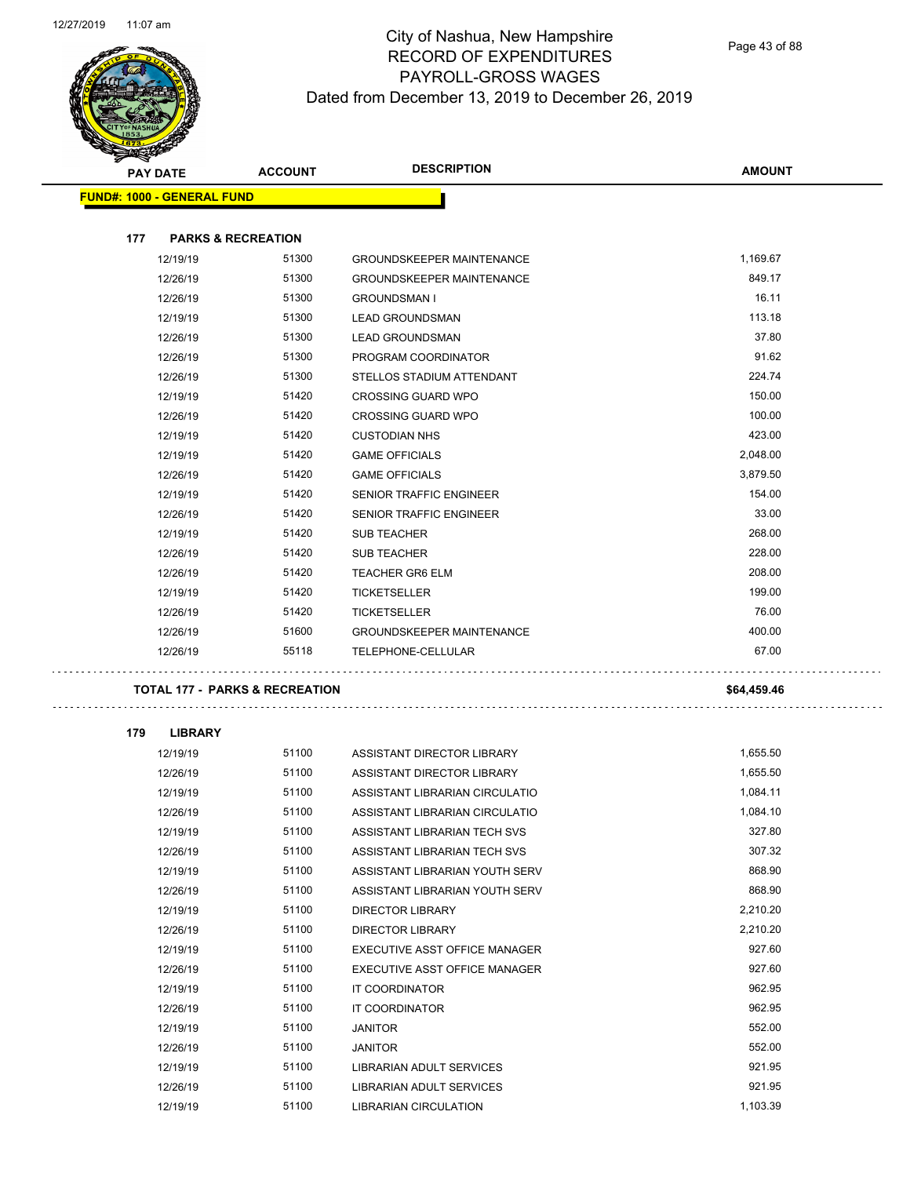

Page 43 of 88

| <b>REACHERS</b> |     |                                           |                |                                  |               |
|-----------------|-----|-------------------------------------------|----------------|----------------------------------|---------------|
|                 |     | <b>PAY DATE</b>                           | <b>ACCOUNT</b> | <b>DESCRIPTION</b>               | <b>AMOUNT</b> |
|                 |     | <b>FUND#: 1000 - GENERAL FUND</b>         |                |                                  |               |
|                 |     |                                           |                |                                  |               |
|                 | 177 | <b>PARKS &amp; RECREATION</b>             |                |                                  |               |
|                 |     | 12/19/19                                  | 51300          | <b>GROUNDSKEEPER MAINTENANCE</b> | 1,169.67      |
|                 |     | 12/26/19                                  | 51300          | <b>GROUNDSKEEPER MAINTENANCE</b> | 849.17        |
|                 |     | 12/26/19                                  | 51300          | <b>GROUNDSMAN I</b>              | 16.11         |
|                 |     | 12/19/19                                  | 51300          | <b>LEAD GROUNDSMAN</b>           | 113.18        |
|                 |     | 12/26/19                                  | 51300          | <b>LEAD GROUNDSMAN</b>           | 37.80         |
|                 |     | 12/26/19                                  | 51300          | PROGRAM COORDINATOR              | 91.62         |
|                 |     | 12/26/19                                  | 51300          | STELLOS STADIUM ATTENDANT        | 224.74        |
|                 |     | 12/19/19                                  | 51420          | <b>CROSSING GUARD WPO</b>        | 150.00        |
|                 |     | 12/26/19                                  | 51420          | <b>CROSSING GUARD WPO</b>        | 100.00        |
|                 |     | 12/19/19                                  | 51420          | <b>CUSTODIAN NHS</b>             | 423.00        |
|                 |     | 12/19/19                                  | 51420          | <b>GAME OFFICIALS</b>            | 2,048.00      |
|                 |     | 12/26/19                                  | 51420          | <b>GAME OFFICIALS</b>            | 3,879.50      |
|                 |     | 12/19/19                                  | 51420          | <b>SENIOR TRAFFIC ENGINEER</b>   | 154.00        |
|                 |     | 12/26/19                                  | 51420          | SENIOR TRAFFIC ENGINEER          | 33.00         |
|                 |     | 12/19/19                                  | 51420          | <b>SUB TEACHER</b>               | 268.00        |
|                 |     | 12/26/19                                  | 51420          | <b>SUB TEACHER</b>               | 228.00        |
|                 |     | 12/26/19                                  | 51420          | <b>TEACHER GR6 ELM</b>           | 208.00        |
|                 |     | 12/19/19                                  | 51420          | <b>TICKETSELLER</b>              | 199.00        |
|                 |     | 12/26/19                                  | 51420          | <b>TICKETSELLER</b>              | 76.00         |
|                 |     | 12/26/19                                  | 51600          | <b>GROUNDSKEEPER MAINTENANCE</b> | 400.00        |
|                 |     | 12/26/19                                  | 55118          | TELEPHONE-CELLULAR               | 67.00         |
|                 |     |                                           |                |                                  |               |
|                 |     | <b>TOTAL 177 - PARKS &amp; RECREATION</b> |                |                                  | \$64,459.46   |
|                 |     |                                           |                |                                  |               |
|                 | 179 | <b>LIBRARY</b>                            |                |                                  |               |
|                 |     | 12/19/19                                  | 51100          | ASSISTANT DIRECTOR LIBRARY       | 1,655.50      |
|                 |     | 12/26/19                                  | 51100          | ASSISTANT DIRECTOR LIBRARY       | 1,655.50      |
|                 |     | 12/19/19                                  | 51100          | ASSISTANT LIBRARIAN CIRCULATIO   | 1,084.11      |
|                 |     | 12/26/19                                  | 51100          | ASSISTANT LIBRARIAN CIRCULATIO   | 1,084.10      |
|                 |     | 12/19/19                                  | 51100          | ASSISTANT LIBRARIAN TECH SVS     | 327.80        |
|                 |     | 12/26/19                                  | 51100          | ASSISTANT LIBRARIAN TECH SVS     | 307.32        |
|                 |     | 12/19/19                                  | 51100          | ASSISTANT LIBRARIAN YOUTH SERV   | 868.90        |
|                 |     | 12/26/19                                  | 51100          | ASSISTANT LIBRARIAN YOUTH SERV   | 868.90        |
|                 |     | 12/19/19                                  | 51100          | <b>DIRECTOR LIBRARY</b>          | 2,210.20      |
|                 |     | 12/26/19                                  | 51100          | <b>DIRECTOR LIBRARY</b>          | 2,210.20      |
|                 |     | 12/19/19                                  | 51100          | EXECUTIVE ASST OFFICE MANAGER    | 927.60        |
|                 |     | 12/26/19                                  | 51100          | EXECUTIVE ASST OFFICE MANAGER    | 927.60        |
|                 |     | 12/19/19                                  | 51100          | IT COORDINATOR                   | 962.95        |
|                 |     | 12/26/19                                  | 51100          | IT COORDINATOR                   | 962.95        |
|                 |     | 12/19/19                                  | 51100          | <b>JANITOR</b>                   | 552.00        |
|                 |     | 12/26/19                                  | 51100          | <b>JANITOR</b>                   | 552.00        |
|                 |     | 12/19/19                                  | 51100          | LIBRARIAN ADULT SERVICES         | 921.95        |
|                 |     | 12/26/19                                  | 51100          | LIBRARIAN ADULT SERVICES         | 921.95        |
|                 |     | 12/19/19                                  | 51100          | LIBRARIAN CIRCULATION            | 1,103.39      |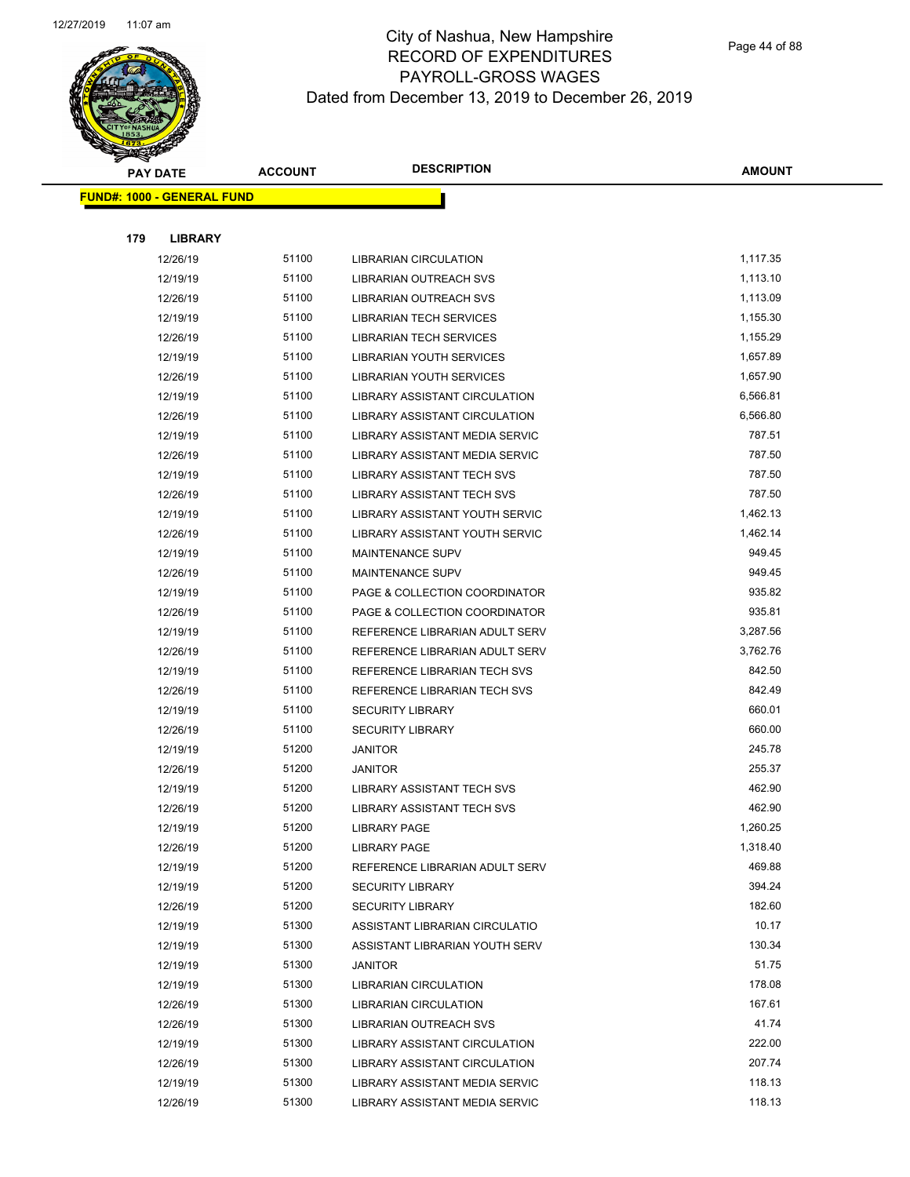

Page 44 of 88

| <b>PAY DATE</b>                   | <b>ACCOUNT</b> | <b>DESCRIPTION</b>                                              | <b>AMOUNT</b>    |  |
|-----------------------------------|----------------|-----------------------------------------------------------------|------------------|--|
| <b>FUND#: 1000 - GENERAL FUND</b> |                |                                                                 |                  |  |
|                                   |                |                                                                 |                  |  |
| 179<br><b>LIBRARY</b>             |                |                                                                 |                  |  |
| 12/26/19                          | 51100          | <b>LIBRARIAN CIRCULATION</b>                                    | 1,117.35         |  |
| 12/19/19                          | 51100          | LIBRARIAN OUTREACH SVS                                          | 1,113.10         |  |
| 12/26/19                          | 51100          | LIBRARIAN OUTREACH SVS                                          | 1,113.09         |  |
| 12/19/19                          | 51100          | <b>LIBRARIAN TECH SERVICES</b>                                  | 1,155.30         |  |
| 12/26/19                          | 51100          | <b>LIBRARIAN TECH SERVICES</b>                                  | 1,155.29         |  |
| 12/19/19                          | 51100          | <b>LIBRARIAN YOUTH SERVICES</b>                                 | 1,657.89         |  |
| 12/26/19                          | 51100          | <b>LIBRARIAN YOUTH SERVICES</b>                                 | 1,657.90         |  |
| 12/19/19                          | 51100          | LIBRARY ASSISTANT CIRCULATION                                   | 6,566.81         |  |
| 12/26/19                          | 51100          | LIBRARY ASSISTANT CIRCULATION                                   | 6,566.80         |  |
| 12/19/19                          | 51100          | LIBRARY ASSISTANT MEDIA SERVIC                                  | 787.51           |  |
| 12/26/19                          | 51100          | LIBRARY ASSISTANT MEDIA SERVIC                                  | 787.50           |  |
| 12/19/19                          | 51100          | LIBRARY ASSISTANT TECH SVS                                      | 787.50           |  |
| 12/26/19                          | 51100          | LIBRARY ASSISTANT TECH SVS                                      | 787.50           |  |
| 12/19/19                          | 51100          | LIBRARY ASSISTANT YOUTH SERVIC                                  | 1,462.13         |  |
| 12/26/19                          | 51100          | LIBRARY ASSISTANT YOUTH SERVIC                                  | 1,462.14         |  |
| 12/19/19                          | 51100          | <b>MAINTENANCE SUPV</b>                                         | 949.45           |  |
| 12/26/19                          | 51100          | MAINTENANCE SUPV                                                | 949.45           |  |
| 12/19/19                          | 51100          | PAGE & COLLECTION COORDINATOR                                   | 935.82           |  |
| 12/26/19                          | 51100          | PAGE & COLLECTION COORDINATOR                                   | 935.81           |  |
| 12/19/19                          | 51100          | REFERENCE LIBRARIAN ADULT SERV                                  | 3,287.56         |  |
| 12/26/19                          | 51100          | REFERENCE LIBRARIAN ADULT SERV                                  | 3,762.76         |  |
| 12/19/19                          | 51100          | REFERENCE LIBRARIAN TECH SVS                                    | 842.50           |  |
| 12/26/19                          | 51100          | REFERENCE LIBRARIAN TECH SVS                                    | 842.49           |  |
| 12/19/19                          | 51100          | <b>SECURITY LIBRARY</b>                                         | 660.01           |  |
| 12/26/19                          | 51100          | <b>SECURITY LIBRARY</b>                                         | 660.00           |  |
| 12/19/19                          | 51200          | <b>JANITOR</b>                                                  | 245.78           |  |
| 12/26/19                          | 51200          | <b>JANITOR</b>                                                  | 255.37           |  |
| 12/19/19                          | 51200          | LIBRARY ASSISTANT TECH SVS                                      | 462.90           |  |
| 12/26/19                          | 51200          | <b>LIBRARY ASSISTANT TECH SVS</b>                               | 462.90           |  |
| 12/19/19                          | 51200          | <b>LIBRARY PAGE</b>                                             | 1,260.25         |  |
| 12/26/19                          | 51200          | <b>LIBRARY PAGE</b>                                             | 1,318.40         |  |
| 12/19/19                          | 51200          | REFERENCE LIBRARIAN ADULT SERV                                  | 469.88           |  |
| 12/19/19                          | 51200          | <b>SECURITY LIBRARY</b>                                         | 394.24           |  |
| 12/26/19                          | 51200          | <b>SECURITY LIBRARY</b>                                         | 182.60           |  |
| 12/19/19                          | 51300          | ASSISTANT LIBRARIAN CIRCULATIO                                  | 10.17            |  |
| 12/19/19                          | 51300          | ASSISTANT LIBRARIAN YOUTH SERV                                  | 130.34           |  |
| 12/19/19                          | 51300          | <b>JANITOR</b>                                                  | 51.75            |  |
| 12/19/19                          | 51300<br>51300 | <b>LIBRARIAN CIRCULATION</b>                                    | 178.08<br>167.61 |  |
| 12/26/19                          | 51300          | LIBRARIAN CIRCULATION                                           | 41.74            |  |
| 12/26/19                          | 51300          | LIBRARIAN OUTREACH SVS                                          | 222.00           |  |
| 12/19/19                          | 51300          | LIBRARY ASSISTANT CIRCULATION                                   | 207.74           |  |
| 12/26/19<br>12/19/19              | 51300          | LIBRARY ASSISTANT CIRCULATION<br>LIBRARY ASSISTANT MEDIA SERVIC | 118.13           |  |
| 12/26/19                          | 51300          | LIBRARY ASSISTANT MEDIA SERVIC                                  | 118.13           |  |
|                                   |                |                                                                 |                  |  |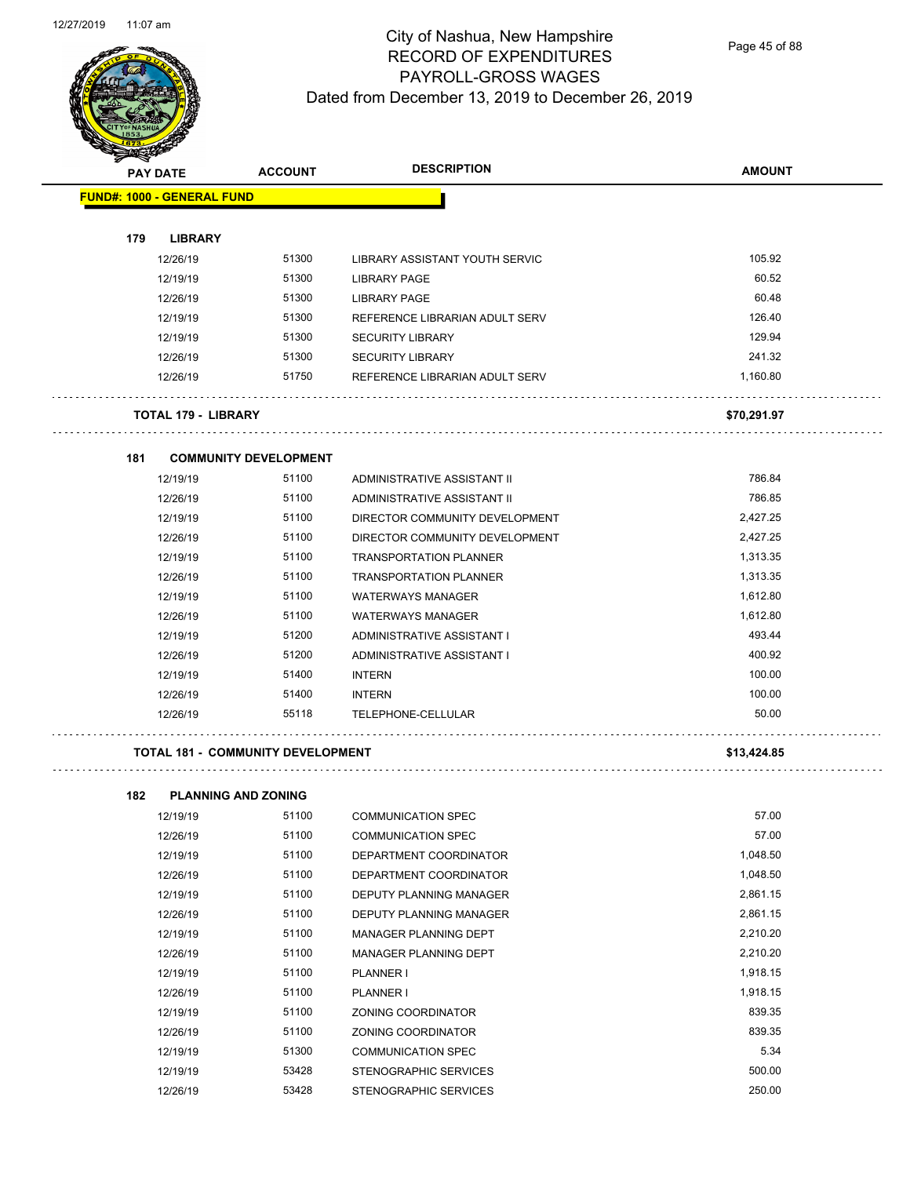

Page 45 of 88

| પ<br><b>PAY DATE</b>              | <b>ACCOUNT</b>               | <b>DESCRIPTION</b>             | <b>AMOUNT</b> |
|-----------------------------------|------------------------------|--------------------------------|---------------|
| <b>FUND#: 1000 - GENERAL FUND</b> |                              |                                |               |
|                                   |                              |                                |               |
| 179<br><b>LIBRARY</b>             |                              |                                |               |
| 12/26/19                          | 51300                        | LIBRARY ASSISTANT YOUTH SERVIC | 105.92        |
| 12/19/19                          | 51300                        | <b>LIBRARY PAGE</b>            | 60.52         |
| 12/26/19                          | 51300                        | LIBRARY PAGE                   | 60.48         |
| 12/19/19                          | 51300                        | REFERENCE LIBRARIAN ADULT SERV | 126.40        |
| 12/19/19                          | 51300                        | <b>SECURITY LIBRARY</b>        | 129.94        |
| 12/26/19                          | 51300                        | <b>SECURITY LIBRARY</b>        | 241.32        |
| 12/26/19                          | 51750                        | REFERENCE LIBRARIAN ADULT SERV | 1,160.80      |
| <b>TOTAL 179 - LIBRARY</b>        |                              |                                | \$70,291.97   |
| 181                               | <b>COMMUNITY DEVELOPMENT</b> |                                |               |
| 12/19/19                          | 51100                        | ADMINISTRATIVE ASSISTANT II    | 786.84        |
| 12/26/19                          | 51100                        | ADMINISTRATIVE ASSISTANT II    | 786.85        |
| 12/19/19                          | 51100                        | DIRECTOR COMMUNITY DEVELOPMENT | 2,427.25      |
| 12/26/19                          | 51100                        | DIRECTOR COMMUNITY DEVELOPMENT | 2,427.25      |
| 12/19/19                          | 51100                        | <b>TRANSPORTATION PLANNER</b>  | 1,313.35      |
| 12/26/19                          | 51100                        | <b>TRANSPORTATION PLANNER</b>  | 1,313.35      |
| 12/19/19                          | 51100                        | <b>WATERWAYS MANAGER</b>       | 1,612.80      |
| 12/26/19                          | 51100                        | <b>WATERWAYS MANAGER</b>       | 1,612.80      |
| 12/19/19                          | 51200                        | ADMINISTRATIVE ASSISTANT I     | 493.44        |
| 12/26/19                          | 51200                        | ADMINISTRATIVE ASSISTANT I     | 400.92        |
| 12/19/19                          | 51400                        | <b>INTERN</b>                  | 100.00        |
| 12/26/19                          | 51400                        | <b>INTERN</b>                  | 100.00        |
| 12/26/19                          | 55118                        | TELEPHONE-CELLULAR             | 50.00         |

#### **TOTAL 181 - COMMUNITY DEVELOPMENT \$13,424.85**

| 182 | <b>PLANNING AND ZONING</b> |       |                              |          |
|-----|----------------------------|-------|------------------------------|----------|
|     | 12/19/19                   | 51100 | COMMUNICATION SPEC           | 57.00    |
|     | 12/26/19                   | 51100 | <b>COMMUNICATION SPEC</b>    | 57.00    |
|     | 12/19/19                   | 51100 | DEPARTMENT COORDINATOR       | 1,048.50 |
|     | 12/26/19                   | 51100 | DEPARTMENT COORDINATOR       | 1,048.50 |
|     | 12/19/19                   | 51100 | DEPUTY PLANNING MANAGER      | 2,861.15 |
|     | 12/26/19                   | 51100 | DEPUTY PLANNING MANAGER      | 2,861.15 |
|     | 12/19/19                   | 51100 | MANAGER PLANNING DEPT        | 2,210.20 |
|     | 12/26/19                   | 51100 | <b>MANAGER PLANNING DEPT</b> | 2,210.20 |
|     | 12/19/19                   | 51100 | PLANNER I                    | 1,918.15 |
|     | 12/26/19                   | 51100 | PLANNER I                    | 1,918.15 |
|     | 12/19/19                   | 51100 | ZONING COORDINATOR           | 839.35   |
|     | 12/26/19                   | 51100 | ZONING COORDINATOR           | 839.35   |
|     | 12/19/19                   | 51300 | <b>COMMUNICATION SPEC</b>    | 5.34     |
|     | 12/19/19                   | 53428 | STENOGRAPHIC SERVICES        | 500.00   |
|     | 12/26/19                   | 53428 | STENOGRAPHIC SERVICES        | 250.00   |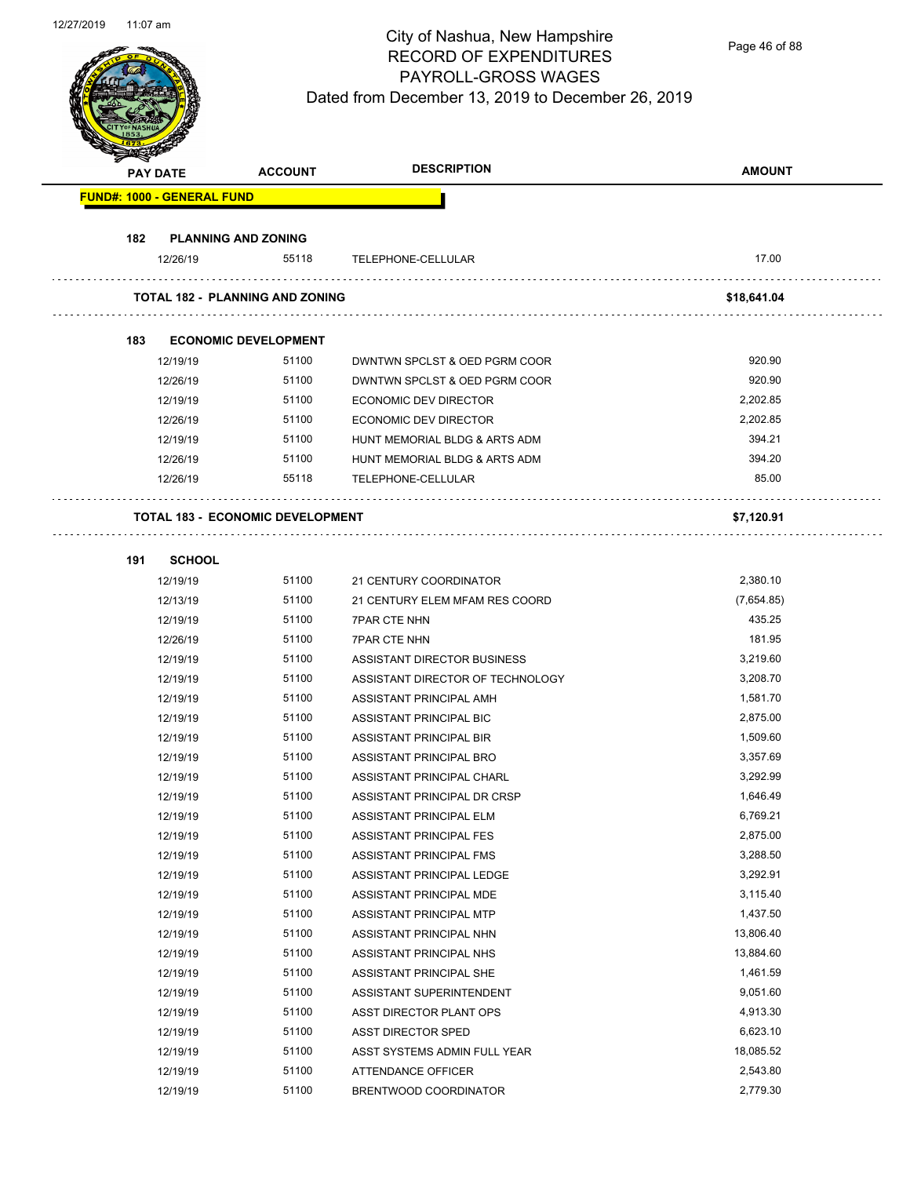Page 46 of 88

|     | <b>PAY DATE</b>                         | <b>ACCOUNT</b>              | <b>DESCRIPTION</b>               | <b>AMOUNT</b> |
|-----|-----------------------------------------|-----------------------------|----------------------------------|---------------|
|     | <b>FUND#: 1000 - GENERAL FUND</b>       |                             |                                  |               |
| 182 | <b>PLANNING AND ZONING</b>              |                             |                                  |               |
|     | 12/26/19                                | 55118                       | TELEPHONE-CELLULAR               | 17.00         |
|     | <b>TOTAL 182 - PLANNING AND ZONING</b>  |                             |                                  | \$18,641.04   |
| 183 |                                         | <b>ECONOMIC DEVELOPMENT</b> |                                  |               |
|     | 12/19/19                                | 51100                       | DWNTWN SPCLST & OED PGRM COOR    | 920.90        |
|     | 12/26/19                                | 51100                       | DWNTWN SPCLST & OED PGRM COOR    | 920.90        |
|     | 12/19/19                                | 51100                       | ECONOMIC DEV DIRECTOR            | 2,202.85      |
|     | 12/26/19                                | 51100                       | ECONOMIC DEV DIRECTOR            | 2,202.85      |
|     | 12/19/19                                | 51100                       | HUNT MEMORIAL BLDG & ARTS ADM    | 394.21        |
|     | 12/26/19                                | 51100                       | HUNT MEMORIAL BLDG & ARTS ADM    | 394.20        |
|     | 12/26/19                                | 55118                       | TELEPHONE-CELLULAR               | 85.00         |
|     | <b>TOTAL 183 - ECONOMIC DEVELOPMENT</b> |                             |                                  | \$7,120.91    |
| 191 | <b>SCHOOL</b>                           |                             |                                  |               |
|     | 12/19/19                                | 51100                       | 21 CENTURY COORDINATOR           | 2,380.10      |
|     | 12/13/19                                | 51100                       | 21 CENTURY ELEM MFAM RES COORD   | (7,654.85)    |
|     | 12/19/19                                | 51100                       | <b>7PAR CTE NHN</b>              | 435.25        |
|     | 12/26/19                                | 51100                       | <b>7PAR CTE NHN</b>              | 181.95        |
|     | 12/19/19                                | 51100                       | ASSISTANT DIRECTOR BUSINESS      | 3,219.60      |
|     | 12/19/19                                | 51100                       | ASSISTANT DIRECTOR OF TECHNOLOGY | 3,208.70      |
|     | 12/19/19                                | 51100                       | ASSISTANT PRINCIPAL AMH          | 1,581.70      |
|     | 12/19/19                                | 51100                       | ASSISTANT PRINCIPAL BIC          | 2,875.00      |
|     | 12/19/19                                | 51100                       | ASSISTANT PRINCIPAL BIR          | 1,509.60      |
|     | 12/19/19                                | 51100                       | ASSISTANT PRINCIPAL BRO          | 3,357.69      |
|     | 12/19/19                                | 51100                       | ASSISTANT PRINCIPAL CHARL        | 3,292.99      |
|     | 12/19/19                                | 51100                       | ASSISTANT PRINCIPAL DR CRSP      | 1,646.49      |
|     | 12/19/19                                | 51100                       | ASSISTANT PRINCIPAL ELM          | 6,769.21      |
|     | 12/19/19                                | 51100                       | ASSISTANT PRINCIPAL FES          | 2,875.00      |
|     | 12/19/19                                | 51100                       | ASSISTANT PRINCIPAL FMS          | 3,288.50      |
|     | 12/19/19                                | 51100                       | ASSISTANT PRINCIPAL LEDGE        | 3,292.91      |
|     | 12/19/19                                | 51100                       | ASSISTANT PRINCIPAL MDE          | 3,115.40      |
|     | 12/19/19                                | 51100                       | ASSISTANT PRINCIPAL MTP          | 1,437.50      |
|     | 12/19/19                                | 51100                       | ASSISTANT PRINCIPAL NHN          | 13,806.40     |
|     | 12/19/19                                | 51100                       | ASSISTANT PRINCIPAL NHS          | 13,884.60     |
|     | 12/19/19                                | 51100                       | ASSISTANT PRINCIPAL SHE          | 1,461.59      |
|     | 12/19/19                                | 51100                       | ASSISTANT SUPERINTENDENT         | 9,051.60      |
|     | 12/19/19                                | 51100                       | ASST DIRECTOR PLANT OPS          | 4,913.30      |
|     | 12/19/19                                | 51100                       | <b>ASST DIRECTOR SPED</b>        | 6,623.10      |
|     | 12/19/19                                | 51100                       | ASST SYSTEMS ADMIN FULL YEAR     | 18,085.52     |
|     | 12/19/19                                | 51100                       | ATTENDANCE OFFICER               | 2,543.80      |
|     |                                         |                             |                                  |               |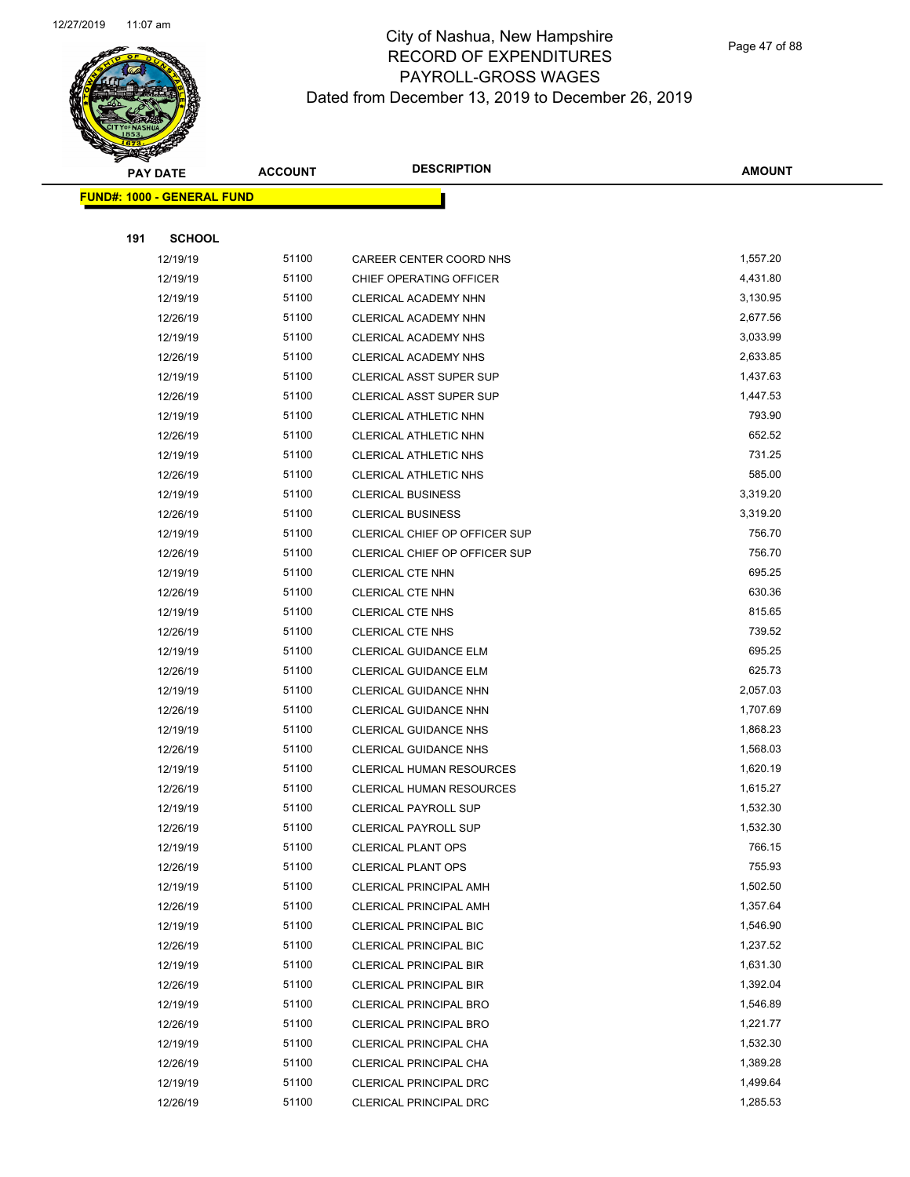

Page 47 of 88

|     | <b>PAY DATE</b>                   | <b>ACCOUNT</b> | <b>DESCRIPTION</b>             | <b>AMOUNT</b> |
|-----|-----------------------------------|----------------|--------------------------------|---------------|
|     | <b>FUND#: 1000 - GENERAL FUND</b> |                |                                |               |
|     |                                   |                |                                |               |
| 191 | <b>SCHOOL</b>                     |                |                                |               |
|     | 12/19/19                          | 51100          | CAREER CENTER COORD NHS        | 1,557.20      |
|     | 12/19/19                          | 51100          | CHIEF OPERATING OFFICER        | 4,431.80      |
|     | 12/19/19                          | 51100          | CLERICAL ACADEMY NHN           | 3,130.95      |
|     | 12/26/19                          | 51100          | CLERICAL ACADEMY NHN           | 2,677.56      |
|     | 12/19/19                          | 51100          | CLERICAL ACADEMY NHS           | 3,033.99      |
|     | 12/26/19                          | 51100          | CLERICAL ACADEMY NHS           | 2,633.85      |
|     | 12/19/19                          | 51100          | <b>CLERICAL ASST SUPER SUP</b> | 1,437.63      |
|     | 12/26/19                          | 51100          | CLERICAL ASST SUPER SUP        | 1,447.53      |
|     | 12/19/19                          | 51100          | CLERICAL ATHLETIC NHN          | 793.90        |
|     | 12/26/19                          | 51100          | CLERICAL ATHLETIC NHN          | 652.52        |
|     | 12/19/19                          | 51100          | <b>CLERICAL ATHLETIC NHS</b>   | 731.25        |
|     | 12/26/19                          | 51100          | CLERICAL ATHLETIC NHS          | 585.00        |
|     | 12/19/19                          | 51100          | <b>CLERICAL BUSINESS</b>       | 3,319.20      |
|     | 12/26/19                          | 51100          | <b>CLERICAL BUSINESS</b>       | 3,319.20      |
|     | 12/19/19                          | 51100          | CLERICAL CHIEF OP OFFICER SUP  | 756.70        |
|     | 12/26/19                          | 51100          | CLERICAL CHIEF OP OFFICER SUP  | 756.70        |
|     | 12/19/19                          | 51100          | CLERICAL CTE NHN               | 695.25        |
|     | 12/26/19                          | 51100          | <b>CLERICAL CTE NHN</b>        | 630.36        |
|     | 12/19/19                          | 51100          | <b>CLERICAL CTE NHS</b>        | 815.65        |
|     | 12/26/19                          | 51100          | <b>CLERICAL CTE NHS</b>        | 739.52        |
|     | 12/19/19                          | 51100          | CLERICAL GUIDANCE ELM          | 695.25        |
|     | 12/26/19                          | 51100          | <b>CLERICAL GUIDANCE ELM</b>   | 625.73        |
|     | 12/19/19                          | 51100          | CLERICAL GUIDANCE NHN          | 2,057.03      |
|     | 12/26/19                          | 51100          | CLERICAL GUIDANCE NHN          | 1,707.69      |
|     | 12/19/19                          | 51100          | <b>CLERICAL GUIDANCE NHS</b>   | 1,868.23      |
|     | 12/26/19                          | 51100          | <b>CLERICAL GUIDANCE NHS</b>   | 1,568.03      |
|     | 12/19/19                          | 51100          | CLERICAL HUMAN RESOURCES       | 1,620.19      |
|     | 12/26/19                          | 51100          | CLERICAL HUMAN RESOURCES       | 1,615.27      |
|     | 12/19/19                          | 51100          | <b>CLERICAL PAYROLL SUP</b>    | 1,532.30      |
|     | 12/26/19                          | 51100          | <b>CLERICAL PAYROLL SUP</b>    | 1,532.30      |
|     | 12/19/19                          | 51100          | <b>CLERICAL PLANT OPS</b>      | 766.15        |
|     | 12/26/19                          | 51100          | <b>CLERICAL PLANT OPS</b>      | 755.93        |
|     | 12/19/19                          | 51100          | <b>CLERICAL PRINCIPAL AMH</b>  | 1,502.50      |
|     | 12/26/19                          | 51100          | CLERICAL PRINCIPAL AMH         | 1,357.64      |
|     | 12/19/19                          | 51100          | <b>CLERICAL PRINCIPAL BIC</b>  | 1,546.90      |
|     | 12/26/19                          | 51100          | <b>CLERICAL PRINCIPAL BIC</b>  | 1,237.52      |
|     | 12/19/19                          | 51100          | <b>CLERICAL PRINCIPAL BIR</b>  | 1,631.30      |
|     | 12/26/19                          | 51100          | <b>CLERICAL PRINCIPAL BIR</b>  | 1,392.04      |
|     | 12/19/19                          | 51100          | CLERICAL PRINCIPAL BRO         | 1,546.89      |
|     | 12/26/19                          | 51100          | <b>CLERICAL PRINCIPAL BRO</b>  | 1,221.77      |
|     | 12/19/19                          | 51100          | CLERICAL PRINCIPAL CHA         | 1,532.30      |
|     | 12/26/19                          | 51100          | CLERICAL PRINCIPAL CHA         | 1,389.28      |
|     | 12/19/19                          | 51100          | CLERICAL PRINCIPAL DRC         | 1,499.64      |
|     | 12/26/19                          | 51100          | CLERICAL PRINCIPAL DRC         | 1,285.53      |
|     |                                   |                |                                |               |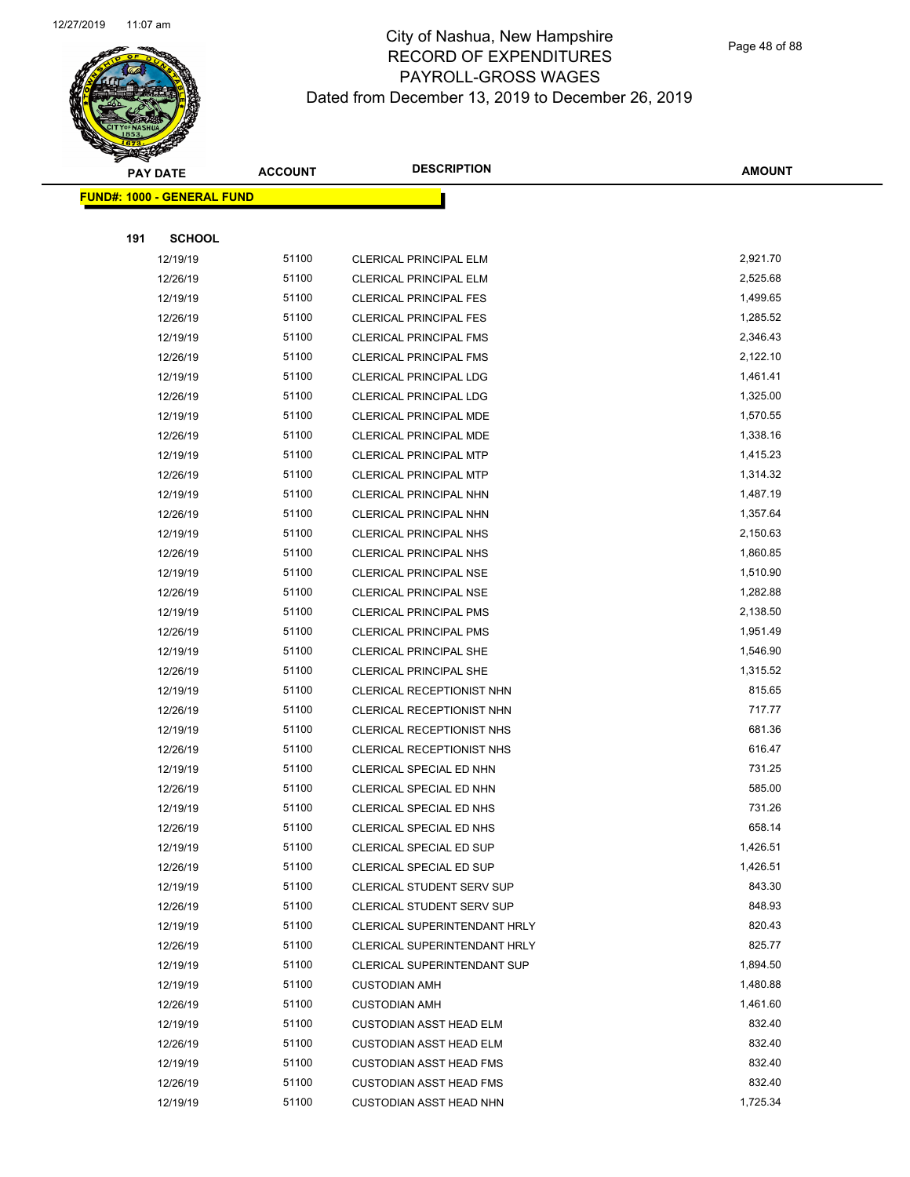

Page 48 of 88

|     | <b>PAY DATE</b>                    | <b>ACCOUNT</b> | <b>DESCRIPTION</b>                 | <b>AMOUNT</b> |
|-----|------------------------------------|----------------|------------------------------------|---------------|
|     | <u> FUND#: 1000 - GENERAL FUND</u> |                |                                    |               |
|     |                                    |                |                                    |               |
| 191 | <b>SCHOOL</b>                      |                |                                    |               |
|     | 12/19/19                           | 51100          | CLERICAL PRINCIPAL ELM             | 2,921.70      |
|     | 12/26/19                           | 51100          | <b>CLERICAL PRINCIPAL ELM</b>      | 2,525.68      |
|     | 12/19/19                           | 51100          | <b>CLERICAL PRINCIPAL FES</b>      | 1,499.65      |
|     | 12/26/19                           | 51100          | <b>CLERICAL PRINCIPAL FES</b>      | 1,285.52      |
|     | 12/19/19                           | 51100          | CLERICAL PRINCIPAL FMS             | 2,346.43      |
|     | 12/26/19                           | 51100          | <b>CLERICAL PRINCIPAL FMS</b>      | 2,122.10      |
|     | 12/19/19                           | 51100          | CLERICAL PRINCIPAL LDG             | 1,461.41      |
|     | 12/26/19                           | 51100          | <b>CLERICAL PRINCIPAL LDG</b>      | 1,325.00      |
|     | 12/19/19                           | 51100          | CLERICAL PRINCIPAL MDE             | 1,570.55      |
|     | 12/26/19                           | 51100          | CLERICAL PRINCIPAL MDE             | 1,338.16      |
|     | 12/19/19                           | 51100          | <b>CLERICAL PRINCIPAL MTP</b>      | 1,415.23      |
|     | 12/26/19                           | 51100          | <b>CLERICAL PRINCIPAL MTP</b>      | 1,314.32      |
|     | 12/19/19                           | 51100          | CLERICAL PRINCIPAL NHN             | 1,487.19      |
|     | 12/26/19                           | 51100          | CLERICAL PRINCIPAL NHN             | 1,357.64      |
|     | 12/19/19                           | 51100          | CLERICAL PRINCIPAL NHS             | 2,150.63      |
|     | 12/26/19                           | 51100          | <b>CLERICAL PRINCIPAL NHS</b>      | 1,860.85      |
|     | 12/19/19                           | 51100          | CLERICAL PRINCIPAL NSE             | 1,510.90      |
|     | 12/26/19                           | 51100          | CLERICAL PRINCIPAL NSE             | 1,282.88      |
|     | 12/19/19                           | 51100          | <b>CLERICAL PRINCIPAL PMS</b>      | 2,138.50      |
|     | 12/26/19                           | 51100          | CLERICAL PRINCIPAL PMS             | 1,951.49      |
|     | 12/19/19                           | 51100          | <b>CLERICAL PRINCIPAL SHE</b>      | 1,546.90      |
|     | 12/26/19                           | 51100          | CLERICAL PRINCIPAL SHE             | 1,315.52      |
|     | 12/19/19                           | 51100          | CLERICAL RECEPTIONIST NHN          | 815.65        |
|     | 12/26/19                           | 51100          | CLERICAL RECEPTIONIST NHN          | 717.77        |
|     | 12/19/19                           | 51100          | CLERICAL RECEPTIONIST NHS          | 681.36        |
|     | 12/26/19                           | 51100          | CLERICAL RECEPTIONIST NHS          | 616.47        |
|     | 12/19/19                           | 51100          | CLERICAL SPECIAL ED NHN            | 731.25        |
|     | 12/26/19                           | 51100          | CLERICAL SPECIAL ED NHN            | 585.00        |
|     | 12/19/19                           | 51100          | CLERICAL SPECIAL ED NHS            | 731.26        |
|     | 12/26/19                           | 51100          | CLERICAL SPECIAL ED NHS            | 658.14        |
|     | 12/19/19                           | 51100          | CLERICAL SPECIAL ED SUP            | 1,426.51      |
|     | 12/26/19                           | 51100          | CLERICAL SPECIAL ED SUP            | 1,426.51      |
|     | 12/19/19                           | 51100          | <b>CLERICAL STUDENT SERV SUP</b>   | 843.30        |
|     | 12/26/19                           | 51100          | <b>CLERICAL STUDENT SERV SUP</b>   | 848.93        |
|     | 12/19/19                           | 51100          | CLERICAL SUPERINTENDANT HRLY       | 820.43        |
|     | 12/26/19                           | 51100          | CLERICAL SUPERINTENDANT HRLY       | 825.77        |
|     | 12/19/19                           | 51100          | <b>CLERICAL SUPERINTENDANT SUP</b> | 1,894.50      |
|     | 12/19/19                           | 51100          | <b>CUSTODIAN AMH</b>               | 1,480.88      |
|     | 12/26/19                           | 51100          | <b>CUSTODIAN AMH</b>               | 1,461.60      |
|     | 12/19/19                           | 51100          | <b>CUSTODIAN ASST HEAD ELM</b>     | 832.40        |
|     | 12/26/19                           | 51100          | <b>CUSTODIAN ASST HEAD ELM</b>     | 832.40        |
|     | 12/19/19                           | 51100          | <b>CUSTODIAN ASST HEAD FMS</b>     | 832.40        |
|     | 12/26/19                           | 51100          | <b>CUSTODIAN ASST HEAD FMS</b>     | 832.40        |
|     | 12/19/19                           | 51100          | <b>CUSTODIAN ASST HEAD NHN</b>     | 1,725.34      |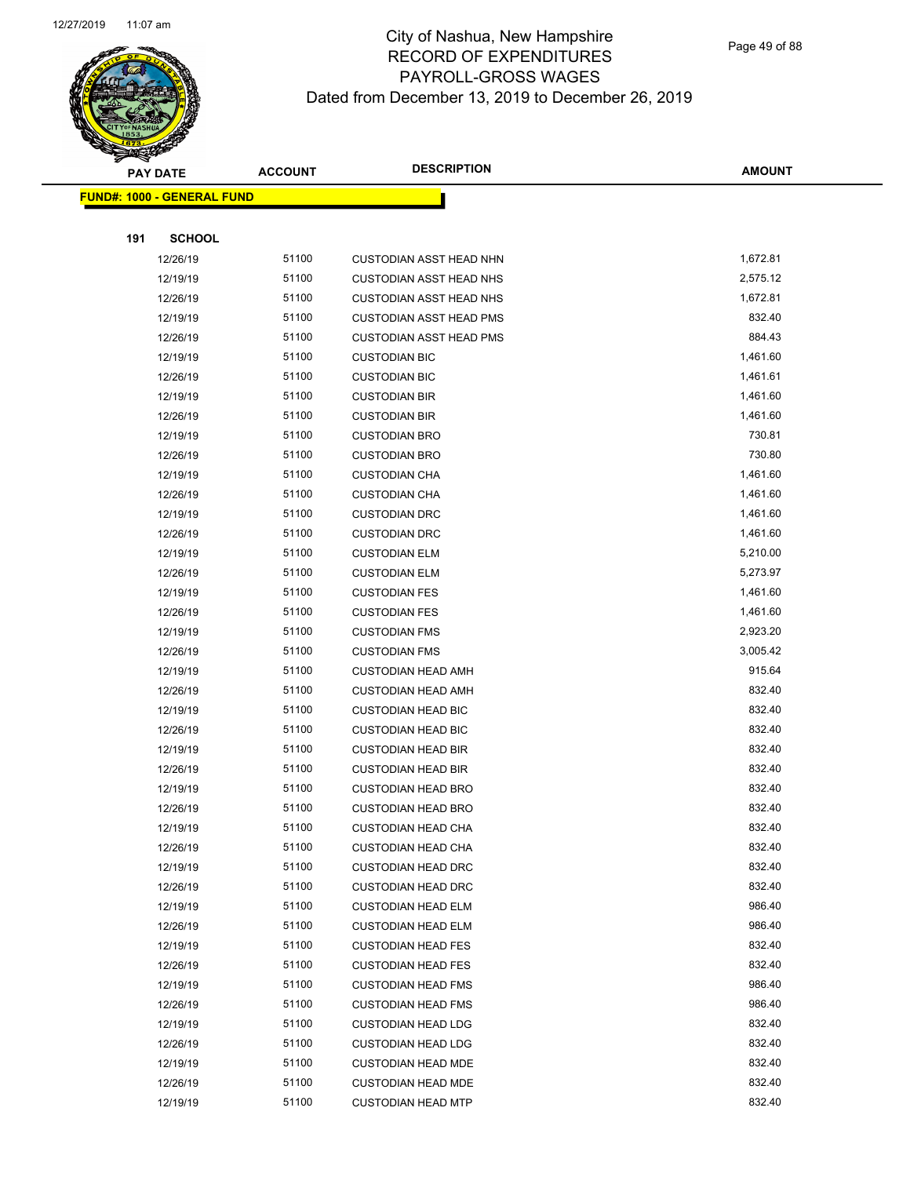

Page 49 of 88

|     | <b>PAY DATE</b>                    | <b>ACCOUNT</b> | <b>DESCRIPTION</b>             | <b>AMOUNT</b>    |
|-----|------------------------------------|----------------|--------------------------------|------------------|
|     | <u> FUND#: 1000 - GENERAL FUND</u> |                |                                |                  |
|     |                                    |                |                                |                  |
| 191 | <b>SCHOOL</b>                      |                |                                |                  |
|     | 12/26/19                           | 51100          | <b>CUSTODIAN ASST HEAD NHN</b> | 1,672.81         |
|     | 12/19/19                           | 51100          | <b>CUSTODIAN ASST HEAD NHS</b> | 2,575.12         |
|     | 12/26/19                           | 51100          | <b>CUSTODIAN ASST HEAD NHS</b> | 1,672.81         |
|     | 12/19/19                           | 51100          | <b>CUSTODIAN ASST HEAD PMS</b> | 832.40           |
|     | 12/26/19                           | 51100          | <b>CUSTODIAN ASST HEAD PMS</b> | 884.43           |
|     | 12/19/19                           | 51100          | <b>CUSTODIAN BIC</b>           | 1,461.60         |
|     | 12/26/19                           | 51100          | <b>CUSTODIAN BIC</b>           | 1,461.61         |
|     | 12/19/19                           | 51100          | <b>CUSTODIAN BIR</b>           | 1,461.60         |
|     | 12/26/19                           | 51100          | <b>CUSTODIAN BIR</b>           | 1,461.60         |
|     | 12/19/19                           | 51100          | <b>CUSTODIAN BRO</b>           | 730.81           |
|     | 12/26/19                           | 51100          | <b>CUSTODIAN BRO</b>           | 730.80           |
|     | 12/19/19                           | 51100          | <b>CUSTODIAN CHA</b>           | 1,461.60         |
|     | 12/26/19                           | 51100          | <b>CUSTODIAN CHA</b>           | 1,461.60         |
|     | 12/19/19                           | 51100          | <b>CUSTODIAN DRC</b>           | 1,461.60         |
|     | 12/26/19                           | 51100          | <b>CUSTODIAN DRC</b>           | 1,461.60         |
|     | 12/19/19                           | 51100          | <b>CUSTODIAN ELM</b>           | 5,210.00         |
|     | 12/26/19                           | 51100          | <b>CUSTODIAN ELM</b>           | 5,273.97         |
|     | 12/19/19                           | 51100          | <b>CUSTODIAN FES</b>           | 1,461.60         |
|     | 12/26/19                           | 51100          | <b>CUSTODIAN FES</b>           | 1,461.60         |
|     | 12/19/19                           | 51100          | <b>CUSTODIAN FMS</b>           | 2,923.20         |
|     | 12/26/19                           | 51100          | <b>CUSTODIAN FMS</b>           | 3,005.42         |
|     | 12/19/19                           | 51100          | <b>CUSTODIAN HEAD AMH</b>      | 915.64           |
|     | 12/26/19                           | 51100          | <b>CUSTODIAN HEAD AMH</b>      | 832.40           |
|     | 12/19/19                           | 51100          | <b>CUSTODIAN HEAD BIC</b>      | 832.40           |
|     | 12/26/19                           | 51100          | <b>CUSTODIAN HEAD BIC</b>      | 832.40           |
|     | 12/19/19                           | 51100          | <b>CUSTODIAN HEAD BIR</b>      | 832.40           |
|     | 12/26/19                           | 51100          | <b>CUSTODIAN HEAD BIR</b>      | 832.40           |
|     | 12/19/19                           | 51100          | <b>CUSTODIAN HEAD BRO</b>      | 832.40           |
|     | 12/26/19                           | 51100          | <b>CUSTODIAN HEAD BRO</b>      | 832.40           |
|     | 12/19/19                           | 51100          | <b>CUSTODIAN HEAD CHA</b>      | 832.40           |
|     | 12/26/19                           | 51100          | <b>CUSTODIAN HEAD CHA</b>      | 832.40           |
|     | 12/19/19                           | 51100          | <b>CUSTODIAN HEAD DRC</b>      | 832.40           |
|     | 12/26/19                           | 51100          | <b>CUSTODIAN HEAD DRC</b>      | 832.40           |
|     | 12/19/19                           | 51100          | <b>CUSTODIAN HEAD ELM</b>      | 986.40           |
|     | 12/26/19                           | 51100          | <b>CUSTODIAN HEAD ELM</b>      | 986.40           |
|     | 12/19/19                           | 51100          | <b>CUSTODIAN HEAD FES</b>      | 832.40           |
|     | 12/26/19                           | 51100          | <b>CUSTODIAN HEAD FES</b>      | 832.40           |
|     | 12/19/19                           | 51100          | <b>CUSTODIAN HEAD FMS</b>      | 986.40           |
|     | 12/26/19                           | 51100          | <b>CUSTODIAN HEAD FMS</b>      | 986.40           |
|     | 12/19/19                           | 51100          | <b>CUSTODIAN HEAD LDG</b>      | 832.40           |
|     | 12/26/19                           | 51100          | <b>CUSTODIAN HEAD LDG</b>      | 832.40           |
|     | 12/19/19                           | 51100<br>51100 | <b>CUSTODIAN HEAD MDE</b>      | 832.40<br>832.40 |
|     | 12/26/19                           | 51100          | <b>CUSTODIAN HEAD MDE</b>      | 832.40           |
|     | 12/19/19                           |                | <b>CUSTODIAN HEAD MTP</b>      |                  |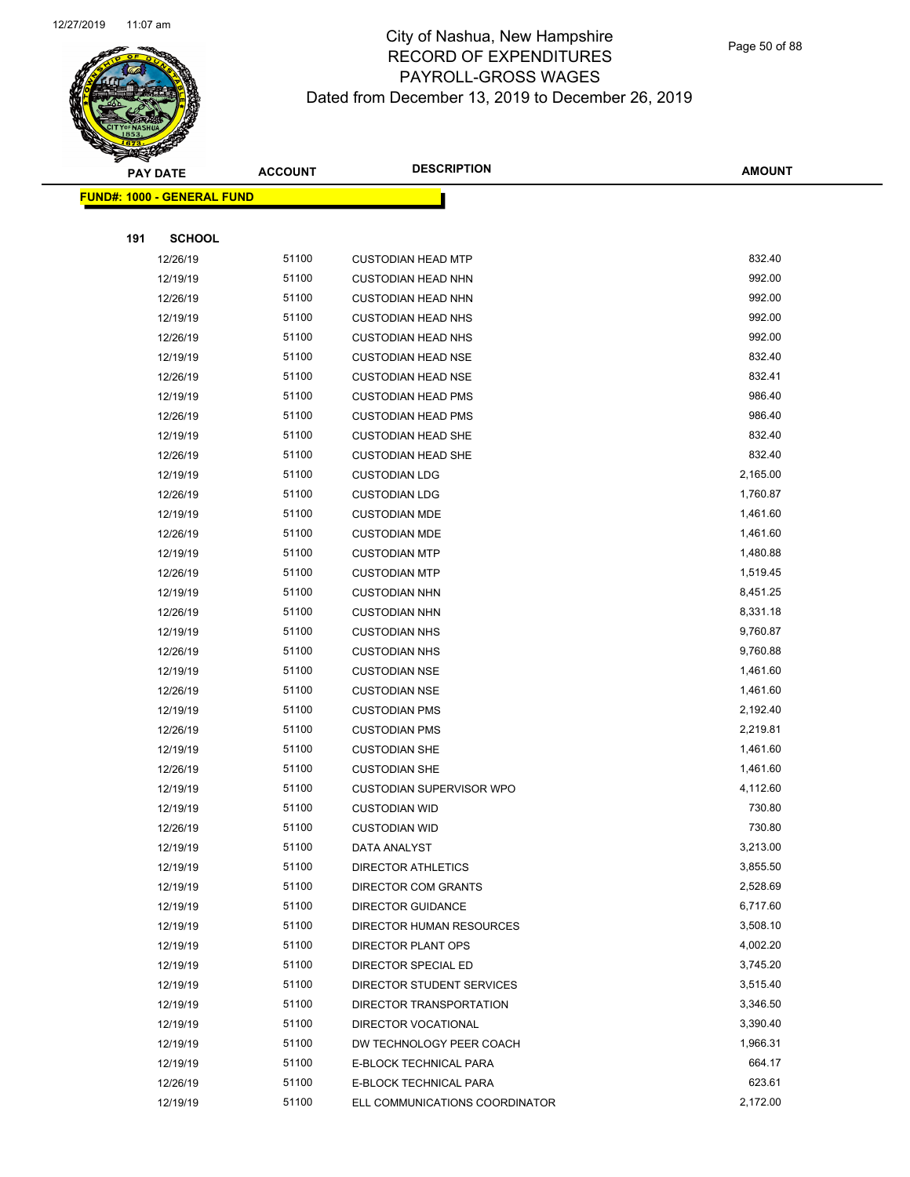

Page 50 of 88

|     | <b>PAY DATE</b>                    | <b>ACCOUNT</b> | <b>DESCRIPTION</b>              | <b>AMOUNT</b> |
|-----|------------------------------------|----------------|---------------------------------|---------------|
|     | <u> FUND#: 1000 - GENERAL FUND</u> |                |                                 |               |
|     |                                    |                |                                 |               |
| 191 | <b>SCHOOL</b>                      |                |                                 |               |
|     | 12/26/19                           | 51100          | <b>CUSTODIAN HEAD MTP</b>       | 832.40        |
|     | 12/19/19                           | 51100          | <b>CUSTODIAN HEAD NHN</b>       | 992.00        |
|     | 12/26/19                           | 51100          | <b>CUSTODIAN HEAD NHN</b>       | 992.00        |
|     | 12/19/19                           | 51100          | <b>CUSTODIAN HEAD NHS</b>       | 992.00        |
|     | 12/26/19                           | 51100          | <b>CUSTODIAN HEAD NHS</b>       | 992.00        |
|     | 12/19/19                           | 51100          | <b>CUSTODIAN HEAD NSE</b>       | 832.40        |
|     | 12/26/19                           | 51100          | <b>CUSTODIAN HEAD NSE</b>       | 832.41        |
|     | 12/19/19                           | 51100          | <b>CUSTODIAN HEAD PMS</b>       | 986.40        |
|     | 12/26/19                           | 51100          | <b>CUSTODIAN HEAD PMS</b>       | 986.40        |
|     | 12/19/19                           | 51100          | <b>CUSTODIAN HEAD SHE</b>       | 832.40        |
|     | 12/26/19                           | 51100          | <b>CUSTODIAN HEAD SHE</b>       | 832.40        |
|     | 12/19/19                           | 51100          | <b>CUSTODIAN LDG</b>            | 2,165.00      |
|     | 12/26/19                           | 51100          | <b>CUSTODIAN LDG</b>            | 1,760.87      |
|     | 12/19/19                           | 51100          | <b>CUSTODIAN MDE</b>            | 1,461.60      |
|     | 12/26/19                           | 51100          | <b>CUSTODIAN MDE</b>            | 1,461.60      |
|     | 12/19/19                           | 51100          | <b>CUSTODIAN MTP</b>            | 1,480.88      |
|     | 12/26/19                           | 51100          | <b>CUSTODIAN MTP</b>            | 1,519.45      |
|     | 12/19/19                           | 51100          | <b>CUSTODIAN NHN</b>            | 8,451.25      |
|     | 12/26/19                           | 51100          | <b>CUSTODIAN NHN</b>            | 8,331.18      |
|     | 12/19/19                           | 51100          | <b>CUSTODIAN NHS</b>            | 9,760.87      |
|     | 12/26/19                           | 51100          | <b>CUSTODIAN NHS</b>            | 9,760.88      |
|     | 12/19/19                           | 51100          | <b>CUSTODIAN NSE</b>            | 1,461.60      |
|     | 12/26/19                           | 51100          | <b>CUSTODIAN NSE</b>            | 1,461.60      |
|     | 12/19/19                           | 51100          | <b>CUSTODIAN PMS</b>            | 2,192.40      |
|     | 12/26/19                           | 51100          | <b>CUSTODIAN PMS</b>            | 2,219.81      |
|     | 12/19/19                           | 51100          | <b>CUSTODIAN SHE</b>            | 1,461.60      |
|     | 12/26/19                           | 51100          | <b>CUSTODIAN SHE</b>            | 1,461.60      |
|     | 12/19/19                           | 51100          | <b>CUSTODIAN SUPERVISOR WPO</b> | 4,112.60      |
|     | 12/19/19                           | 51100          | <b>CUSTODIAN WID</b>            | 730.80        |
|     | 12/26/19                           | 51100          | <b>CUSTODIAN WID</b>            | 730.80        |
|     | 12/19/19                           | 51100          | DATA ANALYST                    | 3,213.00      |
|     | 12/19/19                           | 51100          | DIRECTOR ATHLETICS              | 3,855.50      |
|     | 12/19/19                           | 51100          | DIRECTOR COM GRANTS             | 2,528.69      |
|     | 12/19/19                           | 51100          | <b>DIRECTOR GUIDANCE</b>        | 6,717.60      |
|     | 12/19/19                           | 51100          | DIRECTOR HUMAN RESOURCES        | 3,508.10      |
|     | 12/19/19                           | 51100          | DIRECTOR PLANT OPS              | 4,002.20      |
|     | 12/19/19                           | 51100          | DIRECTOR SPECIAL ED             | 3,745.20      |
|     | 12/19/19                           | 51100          | DIRECTOR STUDENT SERVICES       | 3,515.40      |
|     | 12/19/19                           | 51100          | DIRECTOR TRANSPORTATION         | 3,346.50      |
|     | 12/19/19                           | 51100          | DIRECTOR VOCATIONAL             | 3,390.40      |
|     | 12/19/19                           | 51100          | DW TECHNOLOGY PEER COACH        | 1,966.31      |
|     | 12/19/19                           | 51100          | E-BLOCK TECHNICAL PARA          | 664.17        |
|     | 12/26/19                           | 51100          | E-BLOCK TECHNICAL PARA          | 623.61        |
|     | 12/19/19                           | 51100          | ELL COMMUNICATIONS COORDINATOR  | 2,172.00      |
|     |                                    |                |                                 |               |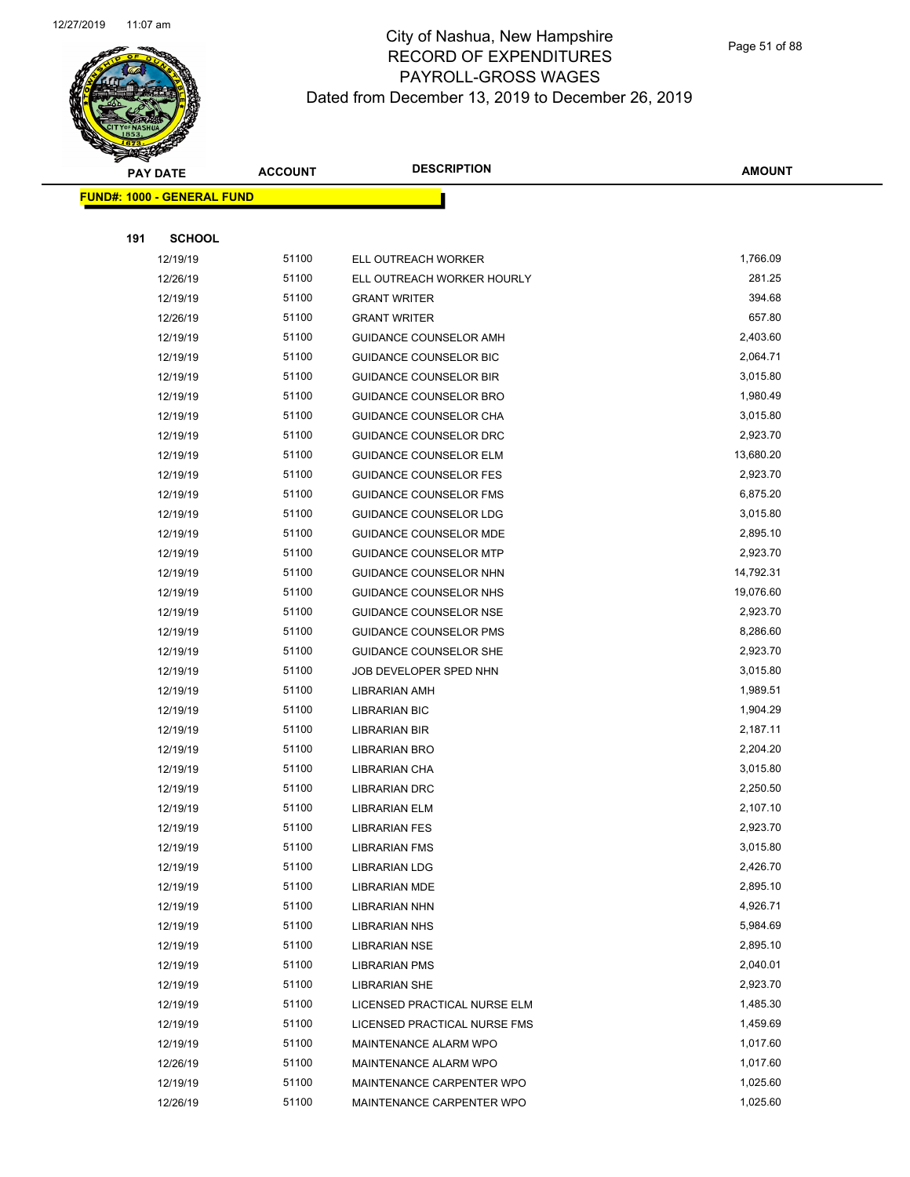

|     | <b>PAY DATE</b>                    | <b>ACCOUNT</b> | <b>DESCRIPTION</b>            | <b>AMOUNT</b> |
|-----|------------------------------------|----------------|-------------------------------|---------------|
|     | <u> FUND#: 1000 - GENERAL FUND</u> |                |                               |               |
|     |                                    |                |                               |               |
| 191 | <b>SCHOOL</b>                      |                |                               |               |
|     | 12/19/19                           | 51100          | ELL OUTREACH WORKER           | 1,766.09      |
|     | 12/26/19                           | 51100          | ELL OUTREACH WORKER HOURLY    | 281.25        |
|     | 12/19/19                           | 51100          | <b>GRANT WRITER</b>           | 394.68        |
|     | 12/26/19                           | 51100          | <b>GRANT WRITER</b>           | 657.80        |
|     | 12/19/19                           | 51100          | GUIDANCE COUNSELOR AMH        | 2,403.60      |
|     | 12/19/19                           | 51100          | GUIDANCE COUNSELOR BIC        | 2,064.71      |
|     | 12/19/19                           | 51100          | <b>GUIDANCE COUNSELOR BIR</b> | 3,015.80      |
|     | 12/19/19                           | 51100          | <b>GUIDANCE COUNSELOR BRO</b> | 1,980.49      |
|     | 12/19/19                           | 51100          | GUIDANCE COUNSELOR CHA        | 3,015.80      |
|     | 12/19/19                           | 51100          | GUIDANCE COUNSELOR DRC        | 2,923.70      |
|     | 12/19/19                           | 51100          | <b>GUIDANCE COUNSELOR ELM</b> | 13,680.20     |
|     | 12/19/19                           | 51100          | <b>GUIDANCE COUNSELOR FES</b> | 2,923.70      |
|     | 12/19/19                           | 51100          | <b>GUIDANCE COUNSELOR FMS</b> | 6,875.20      |
|     | 12/19/19                           | 51100          | <b>GUIDANCE COUNSELOR LDG</b> | 3,015.80      |
|     | 12/19/19                           | 51100          | GUIDANCE COUNSELOR MDE        | 2,895.10      |
|     | 12/19/19                           | 51100          | <b>GUIDANCE COUNSELOR MTP</b> | 2,923.70      |
|     | 12/19/19                           | 51100          | GUIDANCE COUNSELOR NHN        | 14,792.31     |
|     | 12/19/19                           | 51100          | GUIDANCE COUNSELOR NHS        | 19,076.60     |
|     | 12/19/19                           | 51100          | <b>GUIDANCE COUNSELOR NSE</b> | 2,923.70      |
|     | 12/19/19                           | 51100          | <b>GUIDANCE COUNSELOR PMS</b> | 8,286.60      |
|     | 12/19/19                           | 51100          | GUIDANCE COUNSELOR SHE        | 2,923.70      |
|     | 12/19/19                           | 51100          | JOB DEVELOPER SPED NHN        | 3,015.80      |
|     | 12/19/19                           | 51100          | <b>LIBRARIAN AMH</b>          | 1,989.51      |
|     | 12/19/19                           | 51100          | <b>LIBRARIAN BIC</b>          | 1,904.29      |
|     | 12/19/19                           | 51100          | LIBRARIAN BIR                 | 2,187.11      |
|     | 12/19/19                           | 51100          | LIBRARIAN BRO                 | 2,204.20      |
|     | 12/19/19                           | 51100          | LIBRARIAN CHA                 | 3,015.80      |
|     | 12/19/19                           | 51100          | <b>LIBRARIAN DRC</b>          | 2,250.50      |
|     | 12/19/19                           | 51100          | LIBRARIAN ELM                 | 2,107.10      |
|     | 12/19/19                           | 51100          | <b>LIBRARIAN FES</b>          | 2,923.70      |
|     | 12/19/19                           | 51100          | <b>LIBRARIAN FMS</b>          | 3,015.80      |
|     | 12/19/19                           | 51100          | <b>LIBRARIAN LDG</b>          | 2,426.70      |
|     | 12/19/19                           | 51100          | <b>LIBRARIAN MDE</b>          | 2,895.10      |
|     | 12/19/19                           | 51100          | LIBRARIAN NHN                 | 4,926.71      |
|     | 12/19/19                           | 51100          | LIBRARIAN NHS                 | 5,984.69      |
|     | 12/19/19                           | 51100          | LIBRARIAN NSE                 | 2,895.10      |
|     | 12/19/19                           | 51100          | <b>LIBRARIAN PMS</b>          | 2,040.01      |
|     | 12/19/19                           | 51100          | <b>LIBRARIAN SHE</b>          | 2,923.70      |
|     | 12/19/19                           | 51100          | LICENSED PRACTICAL NURSE ELM  | 1,485.30      |
|     | 12/19/19                           | 51100          | LICENSED PRACTICAL NURSE FMS  | 1,459.69      |
|     | 12/19/19                           | 51100          | MAINTENANCE ALARM WPO         | 1,017.60      |
|     | 12/26/19                           | 51100          | MAINTENANCE ALARM WPO         | 1,017.60      |
|     | 12/19/19                           | 51100          | MAINTENANCE CARPENTER WPO     | 1,025.60      |
|     | 12/26/19                           | 51100          | MAINTENANCE CARPENTER WPO     | 1,025.60      |
|     |                                    |                |                               |               |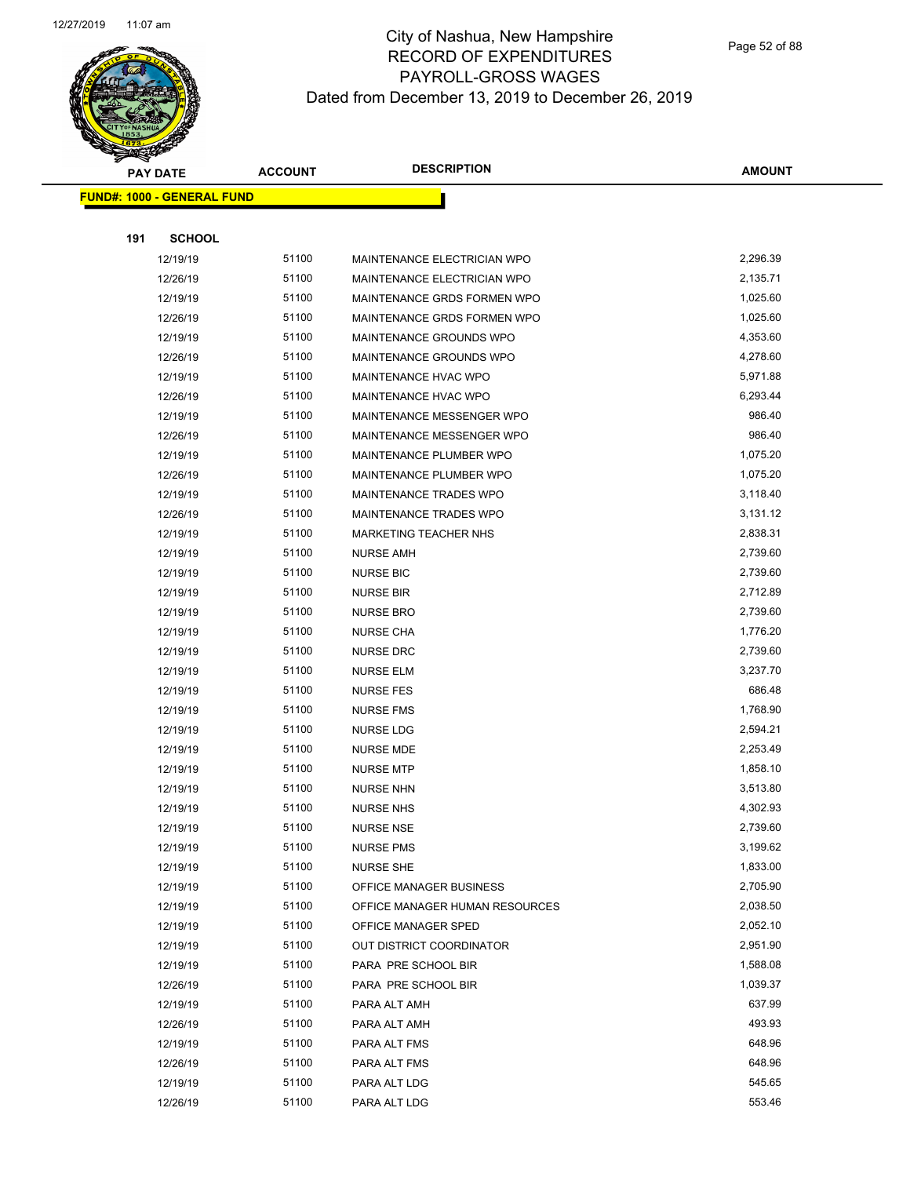

|     | <b>PAY DATE</b>                   | <b>ACCOUNT</b> | <b>DESCRIPTION</b>             | <b>AMOUNT</b> |
|-----|-----------------------------------|----------------|--------------------------------|---------------|
|     | <b>FUND#: 1000 - GENERAL FUND</b> |                |                                |               |
|     |                                   |                |                                |               |
| 191 | <b>SCHOOL</b>                     |                |                                |               |
|     | 12/19/19                          | 51100          | MAINTENANCE ELECTRICIAN WPO    | 2,296.39      |
|     | 12/26/19                          | 51100          | MAINTENANCE ELECTRICIAN WPO    | 2,135.71      |
|     | 12/19/19                          | 51100          | MAINTENANCE GRDS FORMEN WPO    | 1,025.60      |
|     | 12/26/19                          | 51100          | MAINTENANCE GRDS FORMEN WPO    | 1,025.60      |
|     | 12/19/19                          | 51100          | MAINTENANCE GROUNDS WPO        | 4,353.60      |
|     | 12/26/19                          | 51100          | MAINTENANCE GROUNDS WPO        | 4,278.60      |
|     | 12/19/19                          | 51100          | MAINTENANCE HVAC WPO           | 5,971.88      |
|     | 12/26/19                          | 51100          | MAINTENANCE HVAC WPO           | 6,293.44      |
|     | 12/19/19                          | 51100          | MAINTENANCE MESSENGER WPO      | 986.40        |
|     | 12/26/19                          | 51100          | MAINTENANCE MESSENGER WPO      | 986.40        |
|     | 12/19/19                          | 51100          | MAINTENANCE PLUMBER WPO        | 1,075.20      |
|     | 12/26/19                          | 51100          | MAINTENANCE PLUMBER WPO        | 1,075.20      |
|     | 12/19/19                          | 51100          | MAINTENANCE TRADES WPO         | 3,118.40      |
|     | 12/26/19                          | 51100          | MAINTENANCE TRADES WPO         | 3,131.12      |
|     | 12/19/19                          | 51100          | <b>MARKETING TEACHER NHS</b>   | 2,838.31      |
|     | 12/19/19                          | 51100          | <b>NURSE AMH</b>               | 2,739.60      |
|     | 12/19/19                          | 51100          | <b>NURSE BIC</b>               | 2,739.60      |
|     | 12/19/19                          | 51100          | <b>NURSE BIR</b>               | 2,712.89      |
|     | 12/19/19                          | 51100          | <b>NURSE BRO</b>               | 2,739.60      |
|     | 12/19/19                          | 51100          | <b>NURSE CHA</b>               | 1,776.20      |
|     | 12/19/19                          | 51100          | <b>NURSE DRC</b>               | 2,739.60      |
|     | 12/19/19                          | 51100          | <b>NURSE ELM</b>               | 3,237.70      |
|     | 12/19/19                          | 51100          | <b>NURSE FES</b>               | 686.48        |
|     | 12/19/19                          | 51100          | <b>NURSE FMS</b>               | 1,768.90      |
|     | 12/19/19                          | 51100          | <b>NURSE LDG</b>               | 2,594.21      |
|     | 12/19/19                          | 51100          | <b>NURSE MDE</b>               | 2,253.49      |
|     | 12/19/19                          | 51100          | <b>NURSE MTP</b>               | 1,858.10      |
|     | 12/19/19                          | 51100          | NURSE NHN                      | 3,513.80      |
|     | 12/19/19                          | 51100          | <b>NURSE NHS</b>               | 4,302.93      |
|     | 12/19/19                          | 51100          | <b>NURSE NSE</b>               | 2,739.60      |
|     | 12/19/19                          | 51100          | <b>NURSE PMS</b>               | 3,199.62      |
|     | 12/19/19                          | 51100          | NURSE SHE                      | 1,833.00      |
|     | 12/19/19                          | 51100          | OFFICE MANAGER BUSINESS        | 2,705.90      |
|     | 12/19/19                          | 51100          | OFFICE MANAGER HUMAN RESOURCES | 2,038.50      |
|     | 12/19/19                          | 51100          | OFFICE MANAGER SPED            | 2,052.10      |
|     | 12/19/19                          | 51100          | OUT DISTRICT COORDINATOR       | 2,951.90      |
|     | 12/19/19                          | 51100          | PARA PRE SCHOOL BIR            | 1,588.08      |
|     | 12/26/19                          | 51100          | PARA PRE SCHOOL BIR            | 1,039.37      |
|     | 12/19/19                          | 51100          | PARA ALT AMH                   | 637.99        |
|     | 12/26/19                          | 51100          | PARA ALT AMH                   | 493.93        |
|     | 12/19/19                          | 51100          | PARA ALT FMS                   | 648.96        |
|     | 12/26/19                          | 51100          | PARA ALT FMS                   | 648.96        |
|     | 12/19/19                          | 51100          | PARA ALT LDG                   | 545.65        |
|     | 12/26/19                          | 51100          | PARA ALT LDG                   | 553.46        |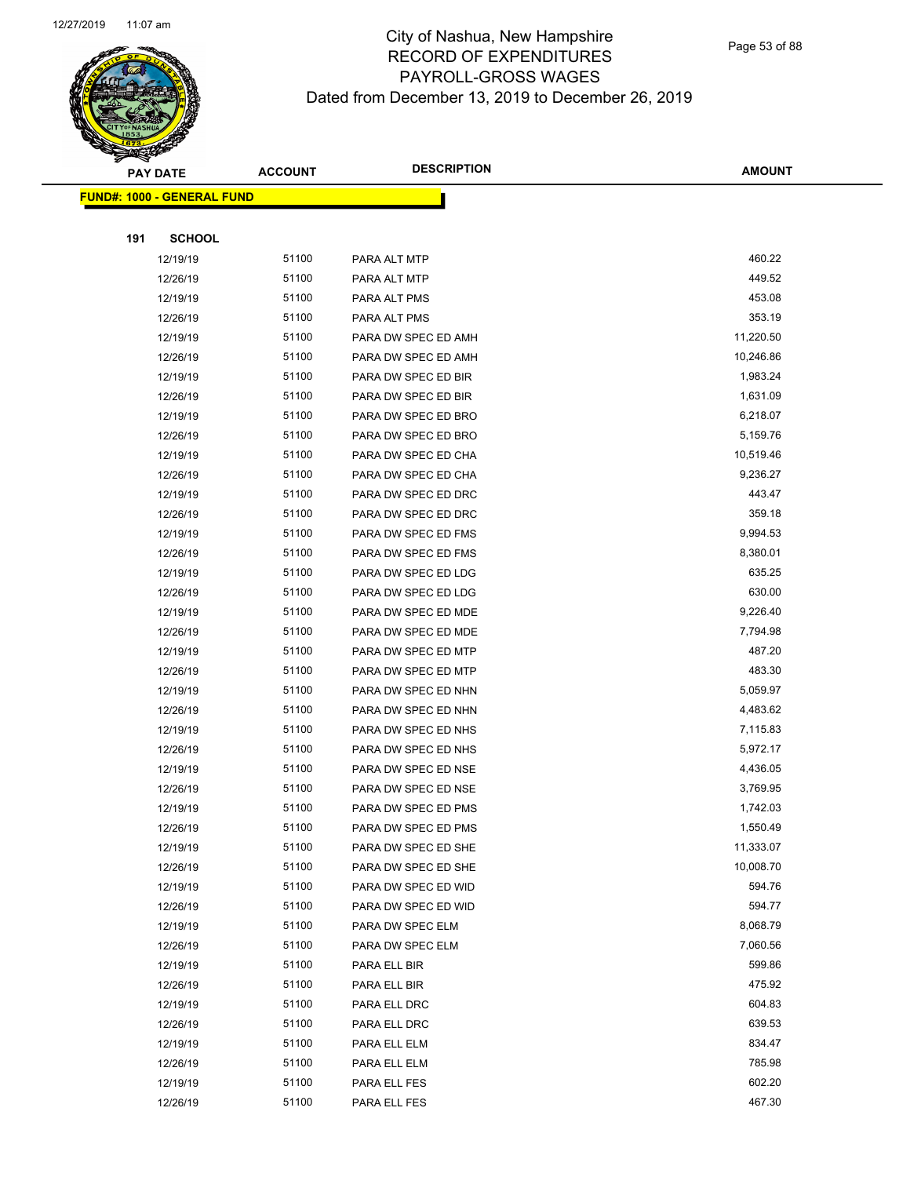

Page 53 of 88

|     | <b>PAY DATE</b>                    | <b>ACCOUNT</b> | <b>DESCRIPTION</b>  | <b>AMOUNT</b> |
|-----|------------------------------------|----------------|---------------------|---------------|
|     | <u> FUND#: 1000 - GENERAL FUND</u> |                |                     |               |
|     |                                    |                |                     |               |
| 191 | <b>SCHOOL</b>                      |                |                     |               |
|     | 12/19/19                           | 51100          | PARA ALT MTP        | 460.22        |
|     | 12/26/19                           | 51100          | PARA ALT MTP        | 449.52        |
|     | 12/19/19                           | 51100          | PARA ALT PMS        | 453.08        |
|     | 12/26/19                           | 51100          | PARA ALT PMS        | 353.19        |
|     | 12/19/19                           | 51100          | PARA DW SPEC ED AMH | 11,220.50     |
|     | 12/26/19                           | 51100          | PARA DW SPEC ED AMH | 10,246.86     |
|     | 12/19/19                           | 51100          | PARA DW SPEC ED BIR | 1,983.24      |
|     | 12/26/19                           | 51100          | PARA DW SPEC ED BIR | 1,631.09      |
|     | 12/19/19                           | 51100          | PARA DW SPEC ED BRO | 6,218.07      |
|     | 12/26/19                           | 51100          | PARA DW SPEC ED BRO | 5,159.76      |
|     | 12/19/19                           | 51100          | PARA DW SPEC ED CHA | 10,519.46     |
|     | 12/26/19                           | 51100          | PARA DW SPEC ED CHA | 9,236.27      |
|     | 12/19/19                           | 51100          | PARA DW SPEC ED DRC | 443.47        |
|     | 12/26/19                           | 51100          | PARA DW SPEC ED DRC | 359.18        |
|     | 12/19/19                           | 51100          | PARA DW SPEC ED FMS | 9,994.53      |
|     | 12/26/19                           | 51100          | PARA DW SPEC ED FMS | 8,380.01      |
|     | 12/19/19                           | 51100          | PARA DW SPEC ED LDG | 635.25        |
|     | 12/26/19                           | 51100          | PARA DW SPEC ED LDG | 630.00        |
|     | 12/19/19                           | 51100          | PARA DW SPEC ED MDE | 9,226.40      |
|     | 12/26/19                           | 51100          | PARA DW SPEC ED MDE | 7,794.98      |
|     | 12/19/19                           | 51100          | PARA DW SPEC ED MTP | 487.20        |
|     | 12/26/19                           | 51100          | PARA DW SPEC ED MTP | 483.30        |
|     | 12/19/19                           | 51100          | PARA DW SPEC ED NHN | 5,059.97      |
|     | 12/26/19                           | 51100          | PARA DW SPEC ED NHN | 4,483.62      |
|     | 12/19/19                           | 51100          | PARA DW SPEC ED NHS | 7,115.83      |
|     | 12/26/19                           | 51100          | PARA DW SPEC ED NHS | 5,972.17      |
|     | 12/19/19                           | 51100          | PARA DW SPEC ED NSE | 4,436.05      |
|     | 12/26/19                           | 51100          | PARA DW SPEC ED NSE | 3,769.95      |
|     | 12/19/19                           | 51100          | PARA DW SPEC ED PMS | 1,742.03      |
|     | 12/26/19                           | 51100          | PARA DW SPEC ED PMS | 1,550.49      |
|     | 12/19/19                           | 51100          | PARA DW SPEC ED SHE | 11,333.07     |
|     | 12/26/19                           | 51100          | PARA DW SPEC ED SHE | 10,008.70     |
|     | 12/19/19                           | 51100          | PARA DW SPEC ED WID | 594.76        |
|     | 12/26/19                           | 51100          | PARA DW SPEC ED WID | 594.77        |
|     | 12/19/19                           | 51100          | PARA DW SPEC ELM    | 8,068.79      |
|     | 12/26/19                           | 51100          | PARA DW SPEC ELM    | 7,060.56      |
|     | 12/19/19                           | 51100          | PARA ELL BIR        | 599.86        |
|     | 12/26/19                           | 51100          | PARA ELL BIR        | 475.92        |
|     | 12/19/19                           | 51100          | PARA ELL DRC        | 604.83        |
|     | 12/26/19                           | 51100          | PARA ELL DRC        | 639.53        |
|     | 12/19/19                           | 51100          | PARA ELL ELM        | 834.47        |
|     | 12/26/19                           | 51100          | PARA ELL ELM        | 785.98        |
|     | 12/19/19                           | 51100          | PARA ELL FES        | 602.20        |
|     | 12/26/19                           | 51100          | PARA ELL FES        | 467.30        |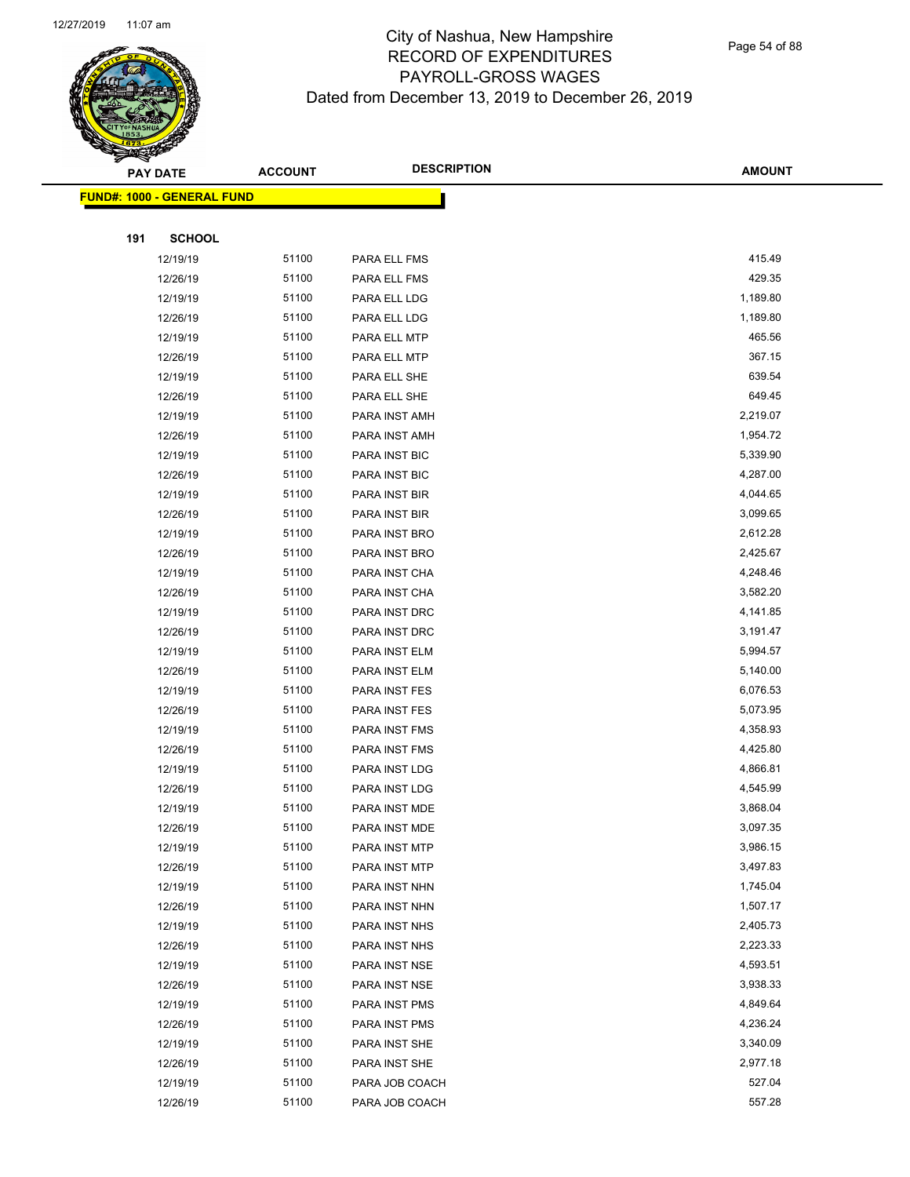

Page 54 of 88

| ॼ   | <b>PAY DATE</b>                    | <b>ACCOUNT</b> | <b>DESCRIPTION</b> | <b>AMOUNT</b> |
|-----|------------------------------------|----------------|--------------------|---------------|
|     | <u> FUND#: 1000 - GENERAL FUND</u> |                |                    |               |
|     |                                    |                |                    |               |
| 191 | <b>SCHOOL</b>                      |                |                    |               |
|     | 12/19/19                           | 51100          | PARA ELL FMS       | 415.49        |
|     | 12/26/19                           | 51100          | PARA ELL FMS       | 429.35        |
|     | 12/19/19                           | 51100          | PARA ELL LDG       | 1,189.80      |
|     | 12/26/19                           | 51100          | PARA ELL LDG       | 1,189.80      |
|     | 12/19/19                           | 51100          | PARA ELL MTP       | 465.56        |
|     | 12/26/19                           | 51100          | PARA ELL MTP       | 367.15        |
|     | 12/19/19                           | 51100          | PARA ELL SHE       | 639.54        |
|     | 12/26/19                           | 51100          | PARA ELL SHE       | 649.45        |
|     | 12/19/19                           | 51100          | PARA INST AMH      | 2,219.07      |
|     | 12/26/19                           | 51100          | PARA INST AMH      | 1,954.72      |
|     | 12/19/19                           | 51100          | PARA INST BIC      | 5,339.90      |
|     | 12/26/19                           | 51100          | PARA INST BIC      | 4,287.00      |
|     | 12/19/19                           | 51100          | PARA INST BIR      | 4,044.65      |
|     | 12/26/19                           | 51100          | PARA INST BIR      | 3,099.65      |
|     | 12/19/19                           | 51100          | PARA INST BRO      | 2,612.28      |
|     | 12/26/19                           | 51100          | PARA INST BRO      | 2,425.67      |
|     | 12/19/19                           | 51100          | PARA INST CHA      | 4,248.46      |
|     | 12/26/19                           | 51100          | PARA INST CHA      | 3,582.20      |
|     | 12/19/19                           | 51100          | PARA INST DRC      | 4,141.85      |
|     | 12/26/19                           | 51100          | PARA INST DRC      | 3,191.47      |
|     | 12/19/19                           | 51100          | PARA INST ELM      | 5,994.57      |
|     | 12/26/19                           | 51100          | PARA INST ELM      | 5,140.00      |
|     | 12/19/19                           | 51100          | PARA INST FES      | 6,076.53      |
|     | 12/26/19                           | 51100          | PARA INST FES      | 5,073.95      |
|     | 12/19/19                           | 51100          | PARA INST FMS      | 4,358.93      |
|     | 12/26/19                           | 51100          | PARA INST FMS      | 4,425.80      |
|     | 12/19/19                           | 51100          | PARA INST LDG      | 4,866.81      |
|     | 12/26/19                           | 51100          | PARA INST LDG      | 4,545.99      |
|     | 12/19/19                           | 51100          | PARA INST MDE      | 3,868.04      |
|     | 12/26/19                           | 51100          | PARA INST MDE      | 3,097.35      |
|     | 12/19/19                           | 51100          | PARA INST MTP      | 3,986.15      |
|     | 12/26/19                           | 51100          | PARA INST MTP      | 3,497.83      |
|     | 12/19/19                           | 51100          | PARA INST NHN      | 1,745.04      |
|     | 12/26/19                           | 51100          | PARA INST NHN      | 1,507.17      |
|     | 12/19/19                           | 51100          | PARA INST NHS      | 2,405.73      |
|     | 12/26/19                           | 51100          | PARA INST NHS      | 2,223.33      |
|     | 12/19/19                           | 51100          | PARA INST NSE      | 4,593.51      |
|     | 12/26/19                           | 51100          | PARA INST NSE      | 3,938.33      |
|     | 12/19/19                           | 51100          | PARA INST PMS      | 4,849.64      |
|     | 12/26/19                           | 51100          | PARA INST PMS      | 4,236.24      |
|     | 12/19/19                           | 51100          | PARA INST SHE      | 3,340.09      |
|     | 12/26/19                           | 51100          | PARA INST SHE      | 2,977.18      |
|     | 12/19/19                           | 51100          | PARA JOB COACH     | 527.04        |
|     | 12/26/19                           | 51100          | PARA JOB COACH     | 557.28        |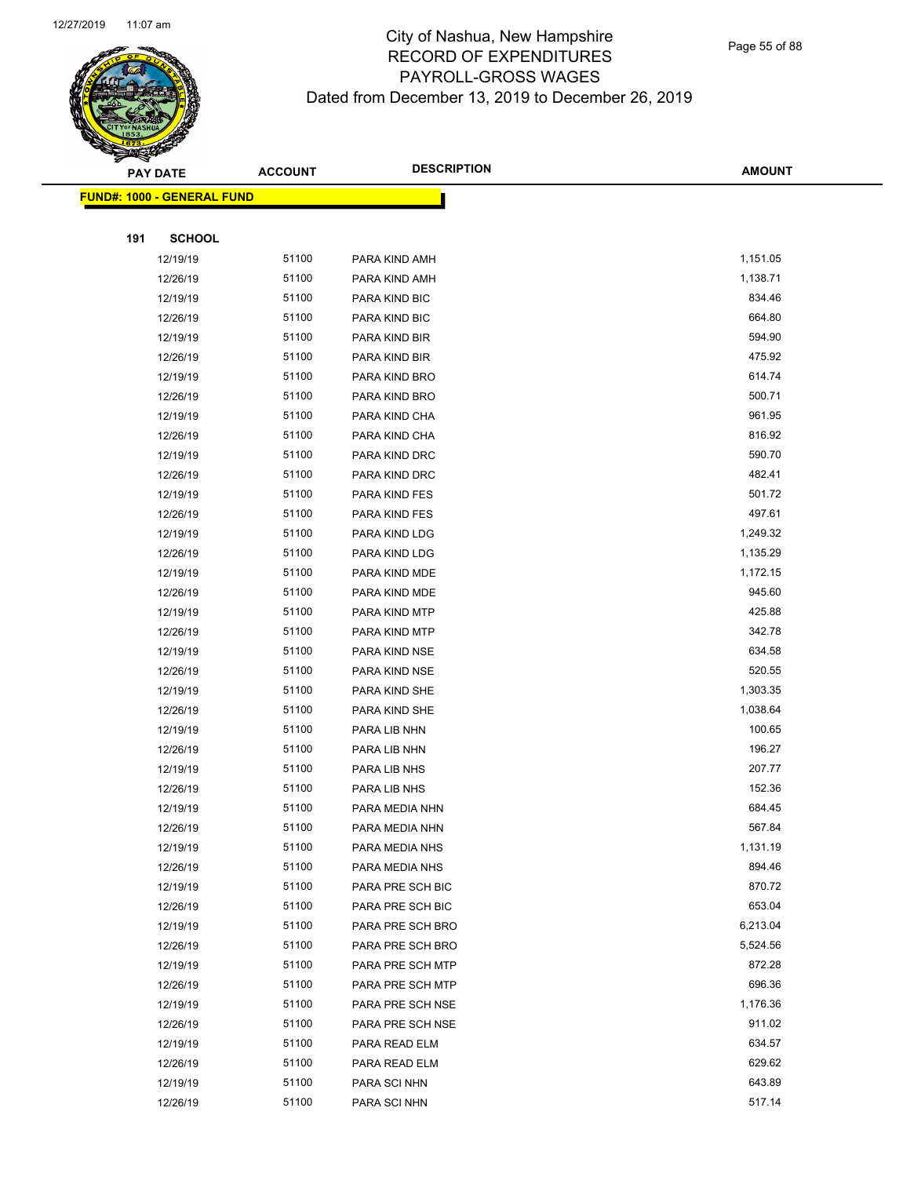

Page 55 of 88

| <mark>FUND#: 1000 - GENERAL FUND</mark><br><b>SCHOOL</b><br>191<br>51100<br>1,151.05<br>12/19/19<br>PARA KIND AMH<br>51100<br>1,138.71<br>12/26/19<br>PARA KIND AMH<br>51100<br>834.46<br>12/19/19<br>PARA KIND BIC<br>664.80<br>51100<br>12/26/19<br>PARA KIND BIC<br>594.90<br>51100<br>PARA KIND BIR<br>12/19/19<br>475.92<br>51100<br>12/26/19<br>PARA KIND BIR<br>51100<br>614.74<br>12/19/19<br>PARA KIND BRO<br>51100<br>500.71<br>12/26/19<br>PARA KIND BRO<br>51100<br>961.95<br>12/19/19<br>PARA KIND CHA<br>816.92<br>51100<br>12/26/19<br>PARA KIND CHA<br>51100<br>590.70<br>12/19/19<br>PARA KIND DRC<br>51100<br>482.41<br>12/26/19<br>PARA KIND DRC<br>501.72<br>51100<br>12/19/19<br>PARA KIND FES<br>497.61<br>51100<br>12/26/19<br>PARA KIND FES<br>51100<br>1,249.32<br>12/19/19<br>PARA KIND LDG<br>51100<br>1,135.29<br>12/26/19<br>PARA KIND LDG<br>51100<br>1,172.15<br>12/19/19<br>PARA KIND MDE<br>945.60<br>51100<br>12/26/19<br>PARA KIND MDE<br>425.88<br>51100<br>12/19/19<br>PARA KIND MTP<br>342.78<br>51100<br>12/26/19<br>PARA KIND MTP<br>51100<br>634.58<br>12/19/19<br>PARA KIND NSE<br>51100<br>520.55<br>12/26/19<br>PARA KIND NSE<br>51100<br>1,303.35<br>12/19/19<br>PARA KIND SHE<br>51100<br>1,038.64<br>12/26/19<br>PARA KIND SHE<br>51100<br>100.65<br>12/19/19<br>PARA LIB NHN<br>51100<br>196.27<br>12/26/19<br>PARA LIB NHN<br>51100<br>207.77<br>12/19/19<br>PARA LIB NHS<br>51100<br>152.36<br>12/26/19<br>PARA LIB NHS<br>684.45<br>51100<br>12/19/19<br>PARA MEDIA NHN<br>567.84<br>51100<br>12/26/19<br>PARA MEDIA NHN<br>51100<br>1,131.19<br>PARA MEDIA NHS<br>12/19/19<br>894.46<br>51100<br>12/26/19<br>PARA MEDIA NHS<br>51100<br>870.72<br>12/19/19<br>PARA PRE SCH BIC<br>653.04<br>51100<br>12/26/19<br>PARA PRE SCH BIC<br>51100<br>6,213.04<br>PARA PRE SCH BRO<br>12/19/19<br>51100<br>5,524.56<br>12/26/19<br>PARA PRE SCH BRO<br>51100<br>872.28<br>12/19/19<br>PARA PRE SCH MTP<br>51100<br>696.36<br>12/26/19<br>PARA PRE SCH MTP<br>51100<br>1,176.36<br>12/19/19<br>PARA PRE SCH NSE<br>911.02<br>51100<br>12/26/19<br>PARA PRE SCH NSE |  | <b>PAY DATE</b> | <b>ACCOUNT</b> | <b>DESCRIPTION</b> | <b>AMOUNT</b> |
|---------------------------------------------------------------------------------------------------------------------------------------------------------------------------------------------------------------------------------------------------------------------------------------------------------------------------------------------------------------------------------------------------------------------------------------------------------------------------------------------------------------------------------------------------------------------------------------------------------------------------------------------------------------------------------------------------------------------------------------------------------------------------------------------------------------------------------------------------------------------------------------------------------------------------------------------------------------------------------------------------------------------------------------------------------------------------------------------------------------------------------------------------------------------------------------------------------------------------------------------------------------------------------------------------------------------------------------------------------------------------------------------------------------------------------------------------------------------------------------------------------------------------------------------------------------------------------------------------------------------------------------------------------------------------------------------------------------------------------------------------------------------------------------------------------------------------------------------------------------------------------------------------------------------------------------------------------------------------------------------------------------------------------------------------------------------------------------------------------------|--|-----------------|----------------|--------------------|---------------|
|                                                                                                                                                                                                                                                                                                                                                                                                                                                                                                                                                                                                                                                                                                                                                                                                                                                                                                                                                                                                                                                                                                                                                                                                                                                                                                                                                                                                                                                                                                                                                                                                                                                                                                                                                                                                                                                                                                                                                                                                                                                                                                               |  |                 |                |                    |               |
|                                                                                                                                                                                                                                                                                                                                                                                                                                                                                                                                                                                                                                                                                                                                                                                                                                                                                                                                                                                                                                                                                                                                                                                                                                                                                                                                                                                                                                                                                                                                                                                                                                                                                                                                                                                                                                                                                                                                                                                                                                                                                                               |  |                 |                |                    |               |
|                                                                                                                                                                                                                                                                                                                                                                                                                                                                                                                                                                                                                                                                                                                                                                                                                                                                                                                                                                                                                                                                                                                                                                                                                                                                                                                                                                                                                                                                                                                                                                                                                                                                                                                                                                                                                                                                                                                                                                                                                                                                                                               |  |                 |                |                    |               |
|                                                                                                                                                                                                                                                                                                                                                                                                                                                                                                                                                                                                                                                                                                                                                                                                                                                                                                                                                                                                                                                                                                                                                                                                                                                                                                                                                                                                                                                                                                                                                                                                                                                                                                                                                                                                                                                                                                                                                                                                                                                                                                               |  |                 |                |                    |               |
|                                                                                                                                                                                                                                                                                                                                                                                                                                                                                                                                                                                                                                                                                                                                                                                                                                                                                                                                                                                                                                                                                                                                                                                                                                                                                                                                                                                                                                                                                                                                                                                                                                                                                                                                                                                                                                                                                                                                                                                                                                                                                                               |  |                 |                |                    |               |
|                                                                                                                                                                                                                                                                                                                                                                                                                                                                                                                                                                                                                                                                                                                                                                                                                                                                                                                                                                                                                                                                                                                                                                                                                                                                                                                                                                                                                                                                                                                                                                                                                                                                                                                                                                                                                                                                                                                                                                                                                                                                                                               |  |                 |                |                    |               |
|                                                                                                                                                                                                                                                                                                                                                                                                                                                                                                                                                                                                                                                                                                                                                                                                                                                                                                                                                                                                                                                                                                                                                                                                                                                                                                                                                                                                                                                                                                                                                                                                                                                                                                                                                                                                                                                                                                                                                                                                                                                                                                               |  |                 |                |                    |               |
|                                                                                                                                                                                                                                                                                                                                                                                                                                                                                                                                                                                                                                                                                                                                                                                                                                                                                                                                                                                                                                                                                                                                                                                                                                                                                                                                                                                                                                                                                                                                                                                                                                                                                                                                                                                                                                                                                                                                                                                                                                                                                                               |  |                 |                |                    |               |
|                                                                                                                                                                                                                                                                                                                                                                                                                                                                                                                                                                                                                                                                                                                                                                                                                                                                                                                                                                                                                                                                                                                                                                                                                                                                                                                                                                                                                                                                                                                                                                                                                                                                                                                                                                                                                                                                                                                                                                                                                                                                                                               |  |                 |                |                    |               |
|                                                                                                                                                                                                                                                                                                                                                                                                                                                                                                                                                                                                                                                                                                                                                                                                                                                                                                                                                                                                                                                                                                                                                                                                                                                                                                                                                                                                                                                                                                                                                                                                                                                                                                                                                                                                                                                                                                                                                                                                                                                                                                               |  |                 |                |                    |               |
|                                                                                                                                                                                                                                                                                                                                                                                                                                                                                                                                                                                                                                                                                                                                                                                                                                                                                                                                                                                                                                                                                                                                                                                                                                                                                                                                                                                                                                                                                                                                                                                                                                                                                                                                                                                                                                                                                                                                                                                                                                                                                                               |  |                 |                |                    |               |
|                                                                                                                                                                                                                                                                                                                                                                                                                                                                                                                                                                                                                                                                                                                                                                                                                                                                                                                                                                                                                                                                                                                                                                                                                                                                                                                                                                                                                                                                                                                                                                                                                                                                                                                                                                                                                                                                                                                                                                                                                                                                                                               |  |                 |                |                    |               |
|                                                                                                                                                                                                                                                                                                                                                                                                                                                                                                                                                                                                                                                                                                                                                                                                                                                                                                                                                                                                                                                                                                                                                                                                                                                                                                                                                                                                                                                                                                                                                                                                                                                                                                                                                                                                                                                                                                                                                                                                                                                                                                               |  |                 |                |                    |               |
|                                                                                                                                                                                                                                                                                                                                                                                                                                                                                                                                                                                                                                                                                                                                                                                                                                                                                                                                                                                                                                                                                                                                                                                                                                                                                                                                                                                                                                                                                                                                                                                                                                                                                                                                                                                                                                                                                                                                                                                                                                                                                                               |  |                 |                |                    |               |
|                                                                                                                                                                                                                                                                                                                                                                                                                                                                                                                                                                                                                                                                                                                                                                                                                                                                                                                                                                                                                                                                                                                                                                                                                                                                                                                                                                                                                                                                                                                                                                                                                                                                                                                                                                                                                                                                                                                                                                                                                                                                                                               |  |                 |                |                    |               |
|                                                                                                                                                                                                                                                                                                                                                                                                                                                                                                                                                                                                                                                                                                                                                                                                                                                                                                                                                                                                                                                                                                                                                                                                                                                                                                                                                                                                                                                                                                                                                                                                                                                                                                                                                                                                                                                                                                                                                                                                                                                                                                               |  |                 |                |                    |               |
|                                                                                                                                                                                                                                                                                                                                                                                                                                                                                                                                                                                                                                                                                                                                                                                                                                                                                                                                                                                                                                                                                                                                                                                                                                                                                                                                                                                                                                                                                                                                                                                                                                                                                                                                                                                                                                                                                                                                                                                                                                                                                                               |  |                 |                |                    |               |
|                                                                                                                                                                                                                                                                                                                                                                                                                                                                                                                                                                                                                                                                                                                                                                                                                                                                                                                                                                                                                                                                                                                                                                                                                                                                                                                                                                                                                                                                                                                                                                                                                                                                                                                                                                                                                                                                                                                                                                                                                                                                                                               |  |                 |                |                    |               |
|                                                                                                                                                                                                                                                                                                                                                                                                                                                                                                                                                                                                                                                                                                                                                                                                                                                                                                                                                                                                                                                                                                                                                                                                                                                                                                                                                                                                                                                                                                                                                                                                                                                                                                                                                                                                                                                                                                                                                                                                                                                                                                               |  |                 |                |                    |               |
|                                                                                                                                                                                                                                                                                                                                                                                                                                                                                                                                                                                                                                                                                                                                                                                                                                                                                                                                                                                                                                                                                                                                                                                                                                                                                                                                                                                                                                                                                                                                                                                                                                                                                                                                                                                                                                                                                                                                                                                                                                                                                                               |  |                 |                |                    |               |
|                                                                                                                                                                                                                                                                                                                                                                                                                                                                                                                                                                                                                                                                                                                                                                                                                                                                                                                                                                                                                                                                                                                                                                                                                                                                                                                                                                                                                                                                                                                                                                                                                                                                                                                                                                                                                                                                                                                                                                                                                                                                                                               |  |                 |                |                    |               |
|                                                                                                                                                                                                                                                                                                                                                                                                                                                                                                                                                                                                                                                                                                                                                                                                                                                                                                                                                                                                                                                                                                                                                                                                                                                                                                                                                                                                                                                                                                                                                                                                                                                                                                                                                                                                                                                                                                                                                                                                                                                                                                               |  |                 |                |                    |               |
|                                                                                                                                                                                                                                                                                                                                                                                                                                                                                                                                                                                                                                                                                                                                                                                                                                                                                                                                                                                                                                                                                                                                                                                                                                                                                                                                                                                                                                                                                                                                                                                                                                                                                                                                                                                                                                                                                                                                                                                                                                                                                                               |  |                 |                |                    |               |
|                                                                                                                                                                                                                                                                                                                                                                                                                                                                                                                                                                                                                                                                                                                                                                                                                                                                                                                                                                                                                                                                                                                                                                                                                                                                                                                                                                                                                                                                                                                                                                                                                                                                                                                                                                                                                                                                                                                                                                                                                                                                                                               |  |                 |                |                    |               |
|                                                                                                                                                                                                                                                                                                                                                                                                                                                                                                                                                                                                                                                                                                                                                                                                                                                                                                                                                                                                                                                                                                                                                                                                                                                                                                                                                                                                                                                                                                                                                                                                                                                                                                                                                                                                                                                                                                                                                                                                                                                                                                               |  |                 |                |                    |               |
|                                                                                                                                                                                                                                                                                                                                                                                                                                                                                                                                                                                                                                                                                                                                                                                                                                                                                                                                                                                                                                                                                                                                                                                                                                                                                                                                                                                                                                                                                                                                                                                                                                                                                                                                                                                                                                                                                                                                                                                                                                                                                                               |  |                 |                |                    |               |
|                                                                                                                                                                                                                                                                                                                                                                                                                                                                                                                                                                                                                                                                                                                                                                                                                                                                                                                                                                                                                                                                                                                                                                                                                                                                                                                                                                                                                                                                                                                                                                                                                                                                                                                                                                                                                                                                                                                                                                                                                                                                                                               |  |                 |                |                    |               |
|                                                                                                                                                                                                                                                                                                                                                                                                                                                                                                                                                                                                                                                                                                                                                                                                                                                                                                                                                                                                                                                                                                                                                                                                                                                                                                                                                                                                                                                                                                                                                                                                                                                                                                                                                                                                                                                                                                                                                                                                                                                                                                               |  |                 |                |                    |               |
|                                                                                                                                                                                                                                                                                                                                                                                                                                                                                                                                                                                                                                                                                                                                                                                                                                                                                                                                                                                                                                                                                                                                                                                                                                                                                                                                                                                                                                                                                                                                                                                                                                                                                                                                                                                                                                                                                                                                                                                                                                                                                                               |  |                 |                |                    |               |
|                                                                                                                                                                                                                                                                                                                                                                                                                                                                                                                                                                                                                                                                                                                                                                                                                                                                                                                                                                                                                                                                                                                                                                                                                                                                                                                                                                                                                                                                                                                                                                                                                                                                                                                                                                                                                                                                                                                                                                                                                                                                                                               |  |                 |                |                    |               |
|                                                                                                                                                                                                                                                                                                                                                                                                                                                                                                                                                                                                                                                                                                                                                                                                                                                                                                                                                                                                                                                                                                                                                                                                                                                                                                                                                                                                                                                                                                                                                                                                                                                                                                                                                                                                                                                                                                                                                                                                                                                                                                               |  |                 |                |                    |               |
|                                                                                                                                                                                                                                                                                                                                                                                                                                                                                                                                                                                                                                                                                                                                                                                                                                                                                                                                                                                                                                                                                                                                                                                                                                                                                                                                                                                                                                                                                                                                                                                                                                                                                                                                                                                                                                                                                                                                                                                                                                                                                                               |  |                 |                |                    |               |
|                                                                                                                                                                                                                                                                                                                                                                                                                                                                                                                                                                                                                                                                                                                                                                                                                                                                                                                                                                                                                                                                                                                                                                                                                                                                                                                                                                                                                                                                                                                                                                                                                                                                                                                                                                                                                                                                                                                                                                                                                                                                                                               |  |                 |                |                    |               |
|                                                                                                                                                                                                                                                                                                                                                                                                                                                                                                                                                                                                                                                                                                                                                                                                                                                                                                                                                                                                                                                                                                                                                                                                                                                                                                                                                                                                                                                                                                                                                                                                                                                                                                                                                                                                                                                                                                                                                                                                                                                                                                               |  |                 |                |                    |               |
|                                                                                                                                                                                                                                                                                                                                                                                                                                                                                                                                                                                                                                                                                                                                                                                                                                                                                                                                                                                                                                                                                                                                                                                                                                                                                                                                                                                                                                                                                                                                                                                                                                                                                                                                                                                                                                                                                                                                                                                                                                                                                                               |  |                 |                |                    |               |
|                                                                                                                                                                                                                                                                                                                                                                                                                                                                                                                                                                                                                                                                                                                                                                                                                                                                                                                                                                                                                                                                                                                                                                                                                                                                                                                                                                                                                                                                                                                                                                                                                                                                                                                                                                                                                                                                                                                                                                                                                                                                                                               |  |                 |                |                    |               |
|                                                                                                                                                                                                                                                                                                                                                                                                                                                                                                                                                                                                                                                                                                                                                                                                                                                                                                                                                                                                                                                                                                                                                                                                                                                                                                                                                                                                                                                                                                                                                                                                                                                                                                                                                                                                                                                                                                                                                                                                                                                                                                               |  |                 |                |                    |               |
|                                                                                                                                                                                                                                                                                                                                                                                                                                                                                                                                                                                                                                                                                                                                                                                                                                                                                                                                                                                                                                                                                                                                                                                                                                                                                                                                                                                                                                                                                                                                                                                                                                                                                                                                                                                                                                                                                                                                                                                                                                                                                                               |  |                 |                |                    |               |
|                                                                                                                                                                                                                                                                                                                                                                                                                                                                                                                                                                                                                                                                                                                                                                                                                                                                                                                                                                                                                                                                                                                                                                                                                                                                                                                                                                                                                                                                                                                                                                                                                                                                                                                                                                                                                                                                                                                                                                                                                                                                                                               |  |                 |                |                    |               |
|                                                                                                                                                                                                                                                                                                                                                                                                                                                                                                                                                                                                                                                                                                                                                                                                                                                                                                                                                                                                                                                                                                                                                                                                                                                                                                                                                                                                                                                                                                                                                                                                                                                                                                                                                                                                                                                                                                                                                                                                                                                                                                               |  |                 |                |                    |               |
|                                                                                                                                                                                                                                                                                                                                                                                                                                                                                                                                                                                                                                                                                                                                                                                                                                                                                                                                                                                                                                                                                                                                                                                                                                                                                                                                                                                                                                                                                                                                                                                                                                                                                                                                                                                                                                                                                                                                                                                                                                                                                                               |  |                 |                |                    |               |
|                                                                                                                                                                                                                                                                                                                                                                                                                                                                                                                                                                                                                                                                                                                                                                                                                                                                                                                                                                                                                                                                                                                                                                                                                                                                                                                                                                                                                                                                                                                                                                                                                                                                                                                                                                                                                                                                                                                                                                                                                                                                                                               |  |                 |                |                    |               |
|                                                                                                                                                                                                                                                                                                                                                                                                                                                                                                                                                                                                                                                                                                                                                                                                                                                                                                                                                                                                                                                                                                                                                                                                                                                                                                                                                                                                                                                                                                                                                                                                                                                                                                                                                                                                                                                                                                                                                                                                                                                                                                               |  |                 |                |                    |               |
| 51100<br>634.57<br>12/19/19<br>PARA READ ELM                                                                                                                                                                                                                                                                                                                                                                                                                                                                                                                                                                                                                                                                                                                                                                                                                                                                                                                                                                                                                                                                                                                                                                                                                                                                                                                                                                                                                                                                                                                                                                                                                                                                                                                                                                                                                                                                                                                                                                                                                                                                  |  |                 |                |                    |               |
| 629.62<br>51100<br>12/26/19<br>PARA READ ELM                                                                                                                                                                                                                                                                                                                                                                                                                                                                                                                                                                                                                                                                                                                                                                                                                                                                                                                                                                                                                                                                                                                                                                                                                                                                                                                                                                                                                                                                                                                                                                                                                                                                                                                                                                                                                                                                                                                                                                                                                                                                  |  |                 |                |                    |               |
| 51100<br>643.89<br>12/19/19<br>PARA SCI NHN                                                                                                                                                                                                                                                                                                                                                                                                                                                                                                                                                                                                                                                                                                                                                                                                                                                                                                                                                                                                                                                                                                                                                                                                                                                                                                                                                                                                                                                                                                                                                                                                                                                                                                                                                                                                                                                                                                                                                                                                                                                                   |  |                 |                |                    |               |
|                                                                                                                                                                                                                                                                                                                                                                                                                                                                                                                                                                                                                                                                                                                                                                                                                                                                                                                                                                                                                                                                                                                                                                                                                                                                                                                                                                                                                                                                                                                                                                                                                                                                                                                                                                                                                                                                                                                                                                                                                                                                                                               |  | 12/26/19        | 51100          | PARA SCI NHN       | 517.14        |
|                                                                                                                                                                                                                                                                                                                                                                                                                                                                                                                                                                                                                                                                                                                                                                                                                                                                                                                                                                                                                                                                                                                                                                                                                                                                                                                                                                                                                                                                                                                                                                                                                                                                                                                                                                                                                                                                                                                                                                                                                                                                                                               |  |                 |                |                    |               |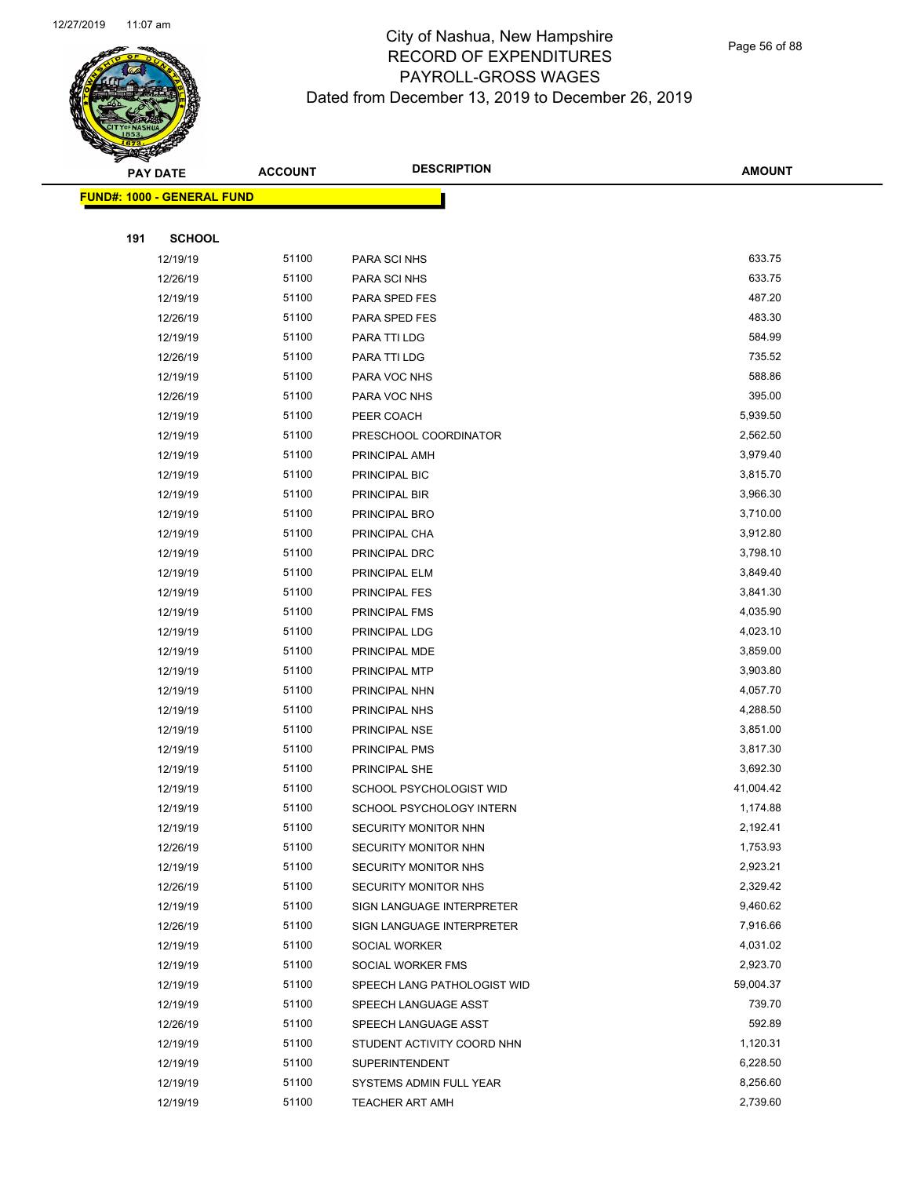

|     | <b>PAY DATE</b>                    | <b>ACCOUNT</b> | <b>DESCRIPTION</b>          | <b>AMOUNT</b> |
|-----|------------------------------------|----------------|-----------------------------|---------------|
|     | <u> FUND#: 1000 - GENERAL FUND</u> |                |                             |               |
|     |                                    |                |                             |               |
| 191 | <b>SCHOOL</b>                      |                |                             |               |
|     | 12/19/19                           | 51100          | PARA SCI NHS                | 633.75        |
|     | 12/26/19                           | 51100          | PARA SCI NHS                | 633.75        |
|     | 12/19/19                           | 51100          | PARA SPED FES               | 487.20        |
|     | 12/26/19                           | 51100          | PARA SPED FES               | 483.30        |
|     | 12/19/19                           | 51100          | PARA TTI LDG                | 584.99        |
|     | 12/26/19                           | 51100          | PARA TTI LDG                | 735.52        |
|     | 12/19/19                           | 51100          | PARA VOC NHS                | 588.86        |
|     | 12/26/19                           | 51100          | PARA VOC NHS                | 395.00        |
|     | 12/19/19                           | 51100          | PEER COACH                  | 5,939.50      |
|     | 12/19/19                           | 51100          | PRESCHOOL COORDINATOR       | 2,562.50      |
|     | 12/19/19                           | 51100          | PRINCIPAL AMH               | 3,979.40      |
|     | 12/19/19                           | 51100          | PRINCIPAL BIC               | 3,815.70      |
|     | 12/19/19                           | 51100          | PRINCIPAL BIR               | 3,966.30      |
|     | 12/19/19                           | 51100          | PRINCIPAL BRO               | 3,710.00      |
|     | 12/19/19                           | 51100          | PRINCIPAL CHA               | 3,912.80      |
|     | 12/19/19                           | 51100          | PRINCIPAL DRC               | 3,798.10      |
|     | 12/19/19                           | 51100          | PRINCIPAL ELM               | 3,849.40      |
|     | 12/19/19                           | 51100          | <b>PRINCIPAL FES</b>        | 3,841.30      |
|     | 12/19/19                           | 51100          | PRINCIPAL FMS               | 4,035.90      |
|     | 12/19/19                           | 51100          | PRINCIPAL LDG               | 4,023.10      |
|     | 12/19/19                           | 51100          | PRINCIPAL MDE               | 3,859.00      |
|     | 12/19/19                           | 51100          | PRINCIPAL MTP               | 3,903.80      |
|     | 12/19/19                           | 51100          | PRINCIPAL NHN               | 4,057.70      |
|     | 12/19/19                           | 51100          | PRINCIPAL NHS               | 4,288.50      |
|     | 12/19/19                           | 51100          | PRINCIPAL NSE               | 3,851.00      |
|     | 12/19/19                           | 51100          | PRINCIPAL PMS               | 3,817.30      |
|     | 12/19/19                           | 51100          | PRINCIPAL SHE               | 3,692.30      |
|     | 12/19/19                           | 51100          | SCHOOL PSYCHOLOGIST WID     | 41,004.42     |
|     | 12/19/19                           | 51100          | SCHOOL PSYCHOLOGY INTERN    | 1,174.88      |
|     | 12/19/19                           | 51100          | SECURITY MONITOR NHN        | 2,192.41      |
|     | 12/26/19                           | 51100          | SECURITY MONITOR NHN        | 1,753.93      |
|     | 12/19/19                           | 51100          | SECURITY MONITOR NHS        | 2,923.21      |
|     | 12/26/19                           | 51100          | <b>SECURITY MONITOR NHS</b> | 2,329.42      |
|     | 12/19/19                           | 51100          | SIGN LANGUAGE INTERPRETER   | 9,460.62      |
|     | 12/26/19                           | 51100          | SIGN LANGUAGE INTERPRETER   | 7,916.66      |
|     | 12/19/19                           | 51100          | SOCIAL WORKER               | 4,031.02      |
|     | 12/19/19                           | 51100          | SOCIAL WORKER FMS           | 2,923.70      |
|     | 12/19/19                           | 51100          | SPEECH LANG PATHOLOGIST WID | 59,004.37     |
|     | 12/19/19                           | 51100          | SPEECH LANGUAGE ASST        | 739.70        |
|     | 12/26/19                           | 51100          | SPEECH LANGUAGE ASST        | 592.89        |
|     | 12/19/19                           | 51100          | STUDENT ACTIVITY COORD NHN  | 1,120.31      |
|     | 12/19/19                           | 51100          | <b>SUPERINTENDENT</b>       | 6,228.50      |
|     | 12/19/19                           | 51100          | SYSTEMS ADMIN FULL YEAR     | 8,256.60      |
|     | 12/19/19                           | 51100          | TEACHER ART AMH             | 2,739.60      |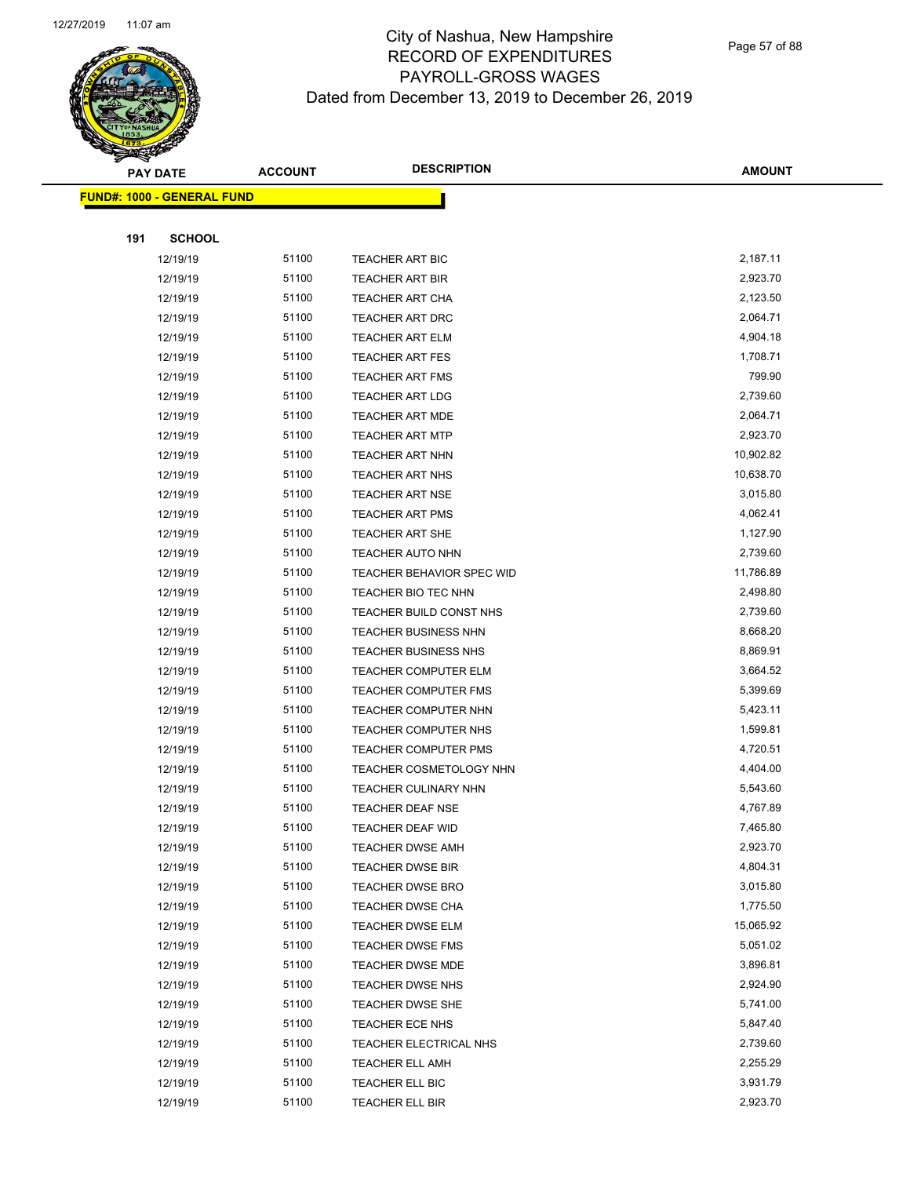

Page 57 of 88

|     | <b>PAY DATE</b>                         | <b>ACCOUNT</b> | <b>DESCRIPTION</b>                          | <b>AMOUNT</b>        |
|-----|-----------------------------------------|----------------|---------------------------------------------|----------------------|
|     | <mark>FUND#: 1000 - GENERAL FUND</mark> |                |                                             |                      |
|     |                                         |                |                                             |                      |
| 191 | <b>SCHOOL</b>                           |                |                                             |                      |
|     | 12/19/19                                | 51100          | <b>TEACHER ART BIC</b>                      | 2,187.11             |
|     | 12/19/19                                | 51100          | TEACHER ART BIR                             | 2,923.70             |
|     | 12/19/19                                | 51100          | <b>TEACHER ART CHA</b>                      | 2,123.50             |
|     | 12/19/19                                | 51100          | TEACHER ART DRC                             | 2,064.71             |
|     | 12/19/19                                | 51100          | <b>TEACHER ART ELM</b>                      | 4,904.18             |
|     | 12/19/19                                | 51100          | <b>TEACHER ART FES</b>                      | 1,708.71             |
|     | 12/19/19                                | 51100          | <b>TEACHER ART FMS</b>                      | 799.90               |
|     | 12/19/19                                | 51100          | <b>TEACHER ART LDG</b>                      | 2,739.60             |
|     | 12/19/19                                | 51100          | <b>TEACHER ART MDE</b>                      | 2,064.71             |
|     | 12/19/19                                | 51100          | <b>TEACHER ART MTP</b>                      | 2,923.70             |
|     | 12/19/19                                | 51100          | <b>TEACHER ART NHN</b>                      | 10,902.82            |
|     | 12/19/19                                | 51100          | <b>TEACHER ART NHS</b>                      | 10,638.70            |
|     | 12/19/19                                | 51100          | <b>TEACHER ART NSE</b>                      | 3,015.80             |
|     | 12/19/19                                | 51100          | <b>TEACHER ART PMS</b>                      | 4,062.41             |
|     | 12/19/19                                | 51100          | TEACHER ART SHE                             | 1,127.90             |
|     | 12/19/19                                | 51100          | TEACHER AUTO NHN                            | 2,739.60             |
|     | 12/19/19                                | 51100          | <b>TEACHER BEHAVIOR SPEC WID</b>            | 11,786.89            |
|     | 12/19/19                                | 51100          | TEACHER BIO TEC NHN                         | 2,498.80             |
|     | 12/19/19                                | 51100          | TEACHER BUILD CONST NHS                     | 2,739.60             |
|     | 12/19/19                                | 51100          | TEACHER BUSINESS NHN                        | 8,668.20             |
|     | 12/19/19                                | 51100          | <b>TEACHER BUSINESS NHS</b>                 | 8,869.91             |
|     | 12/19/19                                | 51100          | <b>TEACHER COMPUTER ELM</b>                 | 3,664.52             |
|     | 12/19/19                                | 51100          | <b>TEACHER COMPUTER FMS</b>                 | 5,399.69             |
|     | 12/19/19                                | 51100          | TEACHER COMPUTER NHN                        | 5,423.11             |
|     | 12/19/19                                | 51100          | <b>TEACHER COMPUTER NHS</b>                 | 1,599.81             |
|     | 12/19/19                                | 51100          | <b>TEACHER COMPUTER PMS</b>                 | 4,720.51             |
|     | 12/19/19                                | 51100          | TEACHER COSMETOLOGY NHN                     | 4,404.00             |
|     | 12/19/19                                | 51100          | <b>TEACHER CULINARY NHN</b>                 | 5,543.60             |
|     | 12/19/19                                | 51100          | <b>TEACHER DEAF NSE</b>                     | 4,767.89             |
|     | 12/19/19                                | 51100          | TEACHER DEAF WID                            | 7,465.80             |
|     | 12/19/19                                | 51100          | <b>TEACHER DWSE AMH</b>                     | 2,923.70             |
|     | 12/19/19                                | 51100          | <b>TEACHER DWSE BIR</b>                     | 4,804.31             |
|     | 12/19/19                                | 51100<br>51100 | <b>TEACHER DWSE BRO</b>                     | 3,015.80<br>1,775.50 |
|     | 12/19/19<br>12/19/19                    | 51100          | <b>TEACHER DWSE CHA</b><br>TEACHER DWSE ELM | 15,065.92            |
|     | 12/19/19                                | 51100          | TEACHER DWSE FMS                            | 5,051.02             |
|     | 12/19/19                                | 51100          | TEACHER DWSE MDE                            | 3,896.81             |
|     | 12/19/19                                | 51100          | TEACHER DWSE NHS                            | 2,924.90             |
|     | 12/19/19                                | 51100          | TEACHER DWSE SHE                            | 5,741.00             |
|     | 12/19/19                                | 51100          | TEACHER ECE NHS                             | 5,847.40             |
|     | 12/19/19                                | 51100          | TEACHER ELECTRICAL NHS                      | 2,739.60             |
|     | 12/19/19                                | 51100          | <b>TEACHER ELL AMH</b>                      | 2,255.29             |
|     | 12/19/19                                | 51100          | TEACHER ELL BIC                             | 3,931.79             |
|     | 12/19/19                                | 51100          | TEACHER ELL BIR                             | 2,923.70             |
|     |                                         |                |                                             |                      |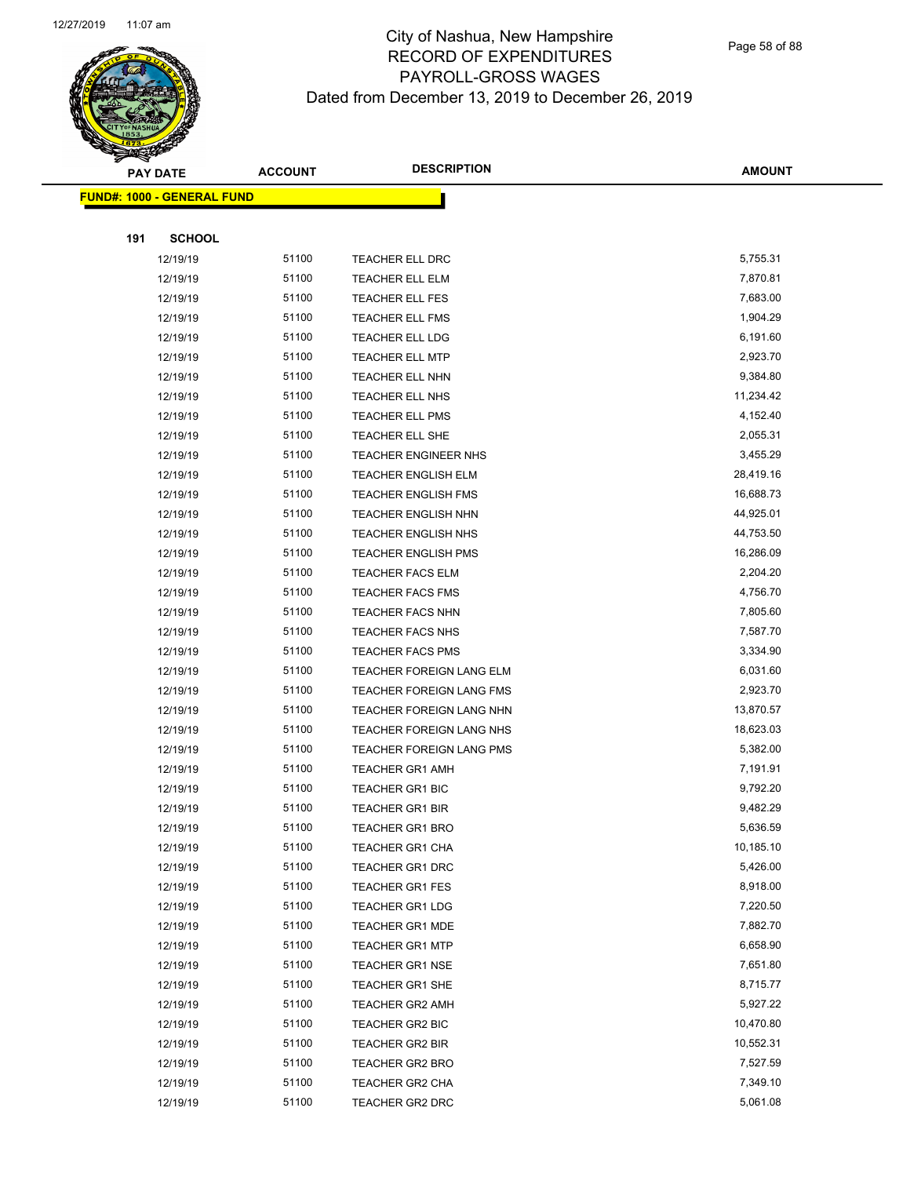

Page 58 of 88

|     | <b>PAY DATE</b>                    | <b>ACCOUNT</b> | <b>DESCRIPTION</b>          | <b>AMOUNT</b> |
|-----|------------------------------------|----------------|-----------------------------|---------------|
|     | <u> FUND#: 1000 - GENERAL FUND</u> |                |                             |               |
|     |                                    |                |                             |               |
| 191 | <b>SCHOOL</b>                      |                |                             |               |
|     | 12/19/19                           | 51100          | TEACHER ELL DRC             | 5,755.31      |
|     | 12/19/19                           | 51100          | TEACHER ELL ELM             | 7,870.81      |
|     | 12/19/19                           | 51100          | <b>TEACHER ELL FES</b>      | 7,683.00      |
|     | 12/19/19                           | 51100          | <b>TEACHER ELL FMS</b>      | 1,904.29      |
|     | 12/19/19                           | 51100          | TEACHER ELL LDG             | 6,191.60      |
|     | 12/19/19                           | 51100          | <b>TEACHER ELL MTP</b>      | 2,923.70      |
|     | 12/19/19                           | 51100          | TEACHER ELL NHN             | 9,384.80      |
|     | 12/19/19                           | 51100          | <b>TEACHER ELL NHS</b>      | 11,234.42     |
|     | 12/19/19                           | 51100          | <b>TEACHER ELL PMS</b>      | 4,152.40      |
|     | 12/19/19                           | 51100          | TEACHER ELL SHE             | 2,055.31      |
|     | 12/19/19                           | 51100          | <b>TEACHER ENGINEER NHS</b> | 3,455.29      |
|     | 12/19/19                           | 51100          | <b>TEACHER ENGLISH ELM</b>  | 28,419.16     |
|     | 12/19/19                           | 51100          | <b>TEACHER ENGLISH FMS</b>  | 16,688.73     |
|     | 12/19/19                           | 51100          | <b>TEACHER ENGLISH NHN</b>  | 44,925.01     |
|     | 12/19/19                           | 51100          | <b>TEACHER ENGLISH NHS</b>  | 44,753.50     |
|     | 12/19/19                           | 51100          | <b>TEACHER ENGLISH PMS</b>  | 16,286.09     |
|     | 12/19/19                           | 51100          | <b>TEACHER FACS ELM</b>     | 2,204.20      |
|     | 12/19/19                           | 51100          | <b>TEACHER FACS FMS</b>     | 4,756.70      |
|     | 12/19/19                           | 51100          | <b>TEACHER FACS NHN</b>     | 7,805.60      |
|     | 12/19/19                           | 51100          | <b>TEACHER FACS NHS</b>     | 7,587.70      |
|     | 12/19/19                           | 51100          | <b>TEACHER FACS PMS</b>     | 3,334.90      |
|     | 12/19/19                           | 51100          | TEACHER FOREIGN LANG ELM    | 6,031.60      |
|     | 12/19/19                           | 51100          | TEACHER FOREIGN LANG FMS    | 2,923.70      |
|     | 12/19/19                           | 51100          | TEACHER FOREIGN LANG NHN    | 13,870.57     |
|     | 12/19/19                           | 51100          | TEACHER FOREIGN LANG NHS    | 18,623.03     |
|     | 12/19/19                           | 51100          | TEACHER FOREIGN LANG PMS    | 5,382.00      |
|     | 12/19/19                           | 51100          | <b>TEACHER GR1 AMH</b>      | 7,191.91      |
|     | 12/19/19                           | 51100          | <b>TEACHER GR1 BIC</b>      | 9,792.20      |
|     | 12/19/19                           | 51100          | <b>TEACHER GR1 BIR</b>      | 9,482.29      |
|     | 12/19/19                           | 51100          | <b>TEACHER GR1 BRO</b>      | 5,636.59      |
|     | 12/19/19                           | 51100          | <b>TEACHER GR1 CHA</b>      | 10,185.10     |
|     | 12/19/19                           | 51100          | <b>TEACHER GR1 DRC</b>      | 5,426.00      |
|     | 12/19/19                           | 51100          | <b>TEACHER GR1 FES</b>      | 8,918.00      |
|     | 12/19/19                           | 51100          | <b>TEACHER GR1 LDG</b>      | 7,220.50      |
|     | 12/19/19                           | 51100          | <b>TEACHER GR1 MDE</b>      | 7,882.70      |
|     | 12/19/19                           | 51100          | <b>TEACHER GR1 MTP</b>      | 6,658.90      |
|     | 12/19/19                           | 51100          | <b>TEACHER GR1 NSE</b>      | 7,651.80      |
|     | 12/19/19                           | 51100          | <b>TEACHER GR1 SHE</b>      | 8,715.77      |
|     | 12/19/19                           | 51100          | <b>TEACHER GR2 AMH</b>      | 5,927.22      |
|     | 12/19/19                           | 51100          | TEACHER GR2 BIC             | 10,470.80     |
|     | 12/19/19                           | 51100          | <b>TEACHER GR2 BIR</b>      | 10,552.31     |
|     | 12/19/19                           | 51100          | <b>TEACHER GR2 BRO</b>      | 7,527.59      |
|     | 12/19/19                           | 51100          | TEACHER GR2 CHA             | 7,349.10      |
|     | 12/19/19                           | 51100          | TEACHER GR2 DRC             | 5,061.08      |
|     |                                    |                |                             |               |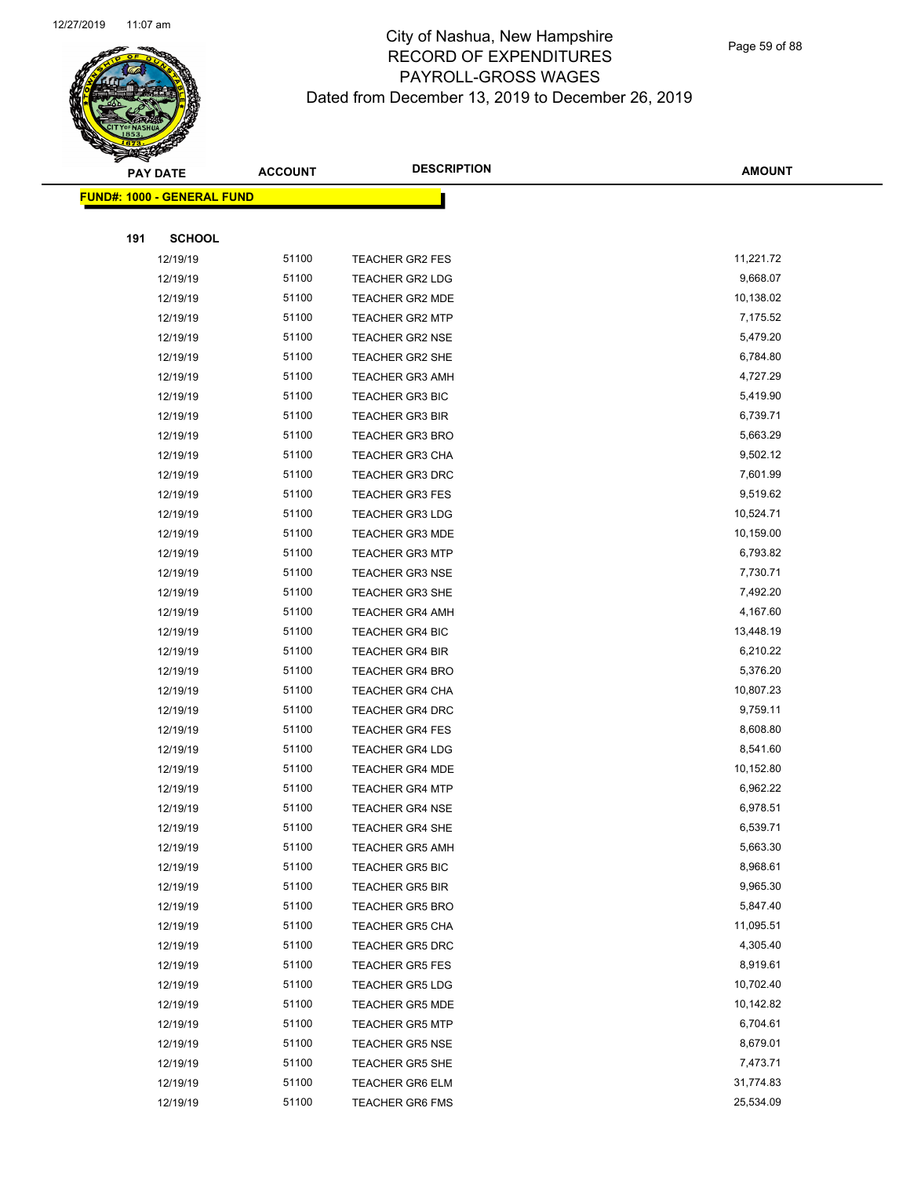

Page 59 of 88

|     | <b>PAY DATE</b>                    | <b>ACCOUNT</b> | <b>DESCRIPTION</b>     | <b>AMOUNT</b> |
|-----|------------------------------------|----------------|------------------------|---------------|
|     | <u> FUND#: 1000 - GENERAL FUND</u> |                |                        |               |
|     |                                    |                |                        |               |
| 191 | <b>SCHOOL</b>                      |                |                        |               |
|     | 12/19/19                           | 51100          | <b>TEACHER GR2 FES</b> | 11,221.72     |
|     | 12/19/19                           | 51100          | <b>TEACHER GR2 LDG</b> | 9,668.07      |
|     | 12/19/19                           | 51100          | <b>TEACHER GR2 MDE</b> | 10,138.02     |
|     | 12/19/19                           | 51100          | <b>TEACHER GR2 MTP</b> | 7,175.52      |
|     | 12/19/19                           | 51100          | <b>TEACHER GR2 NSE</b> | 5,479.20      |
|     | 12/19/19                           | 51100          | <b>TEACHER GR2 SHE</b> | 6,784.80      |
|     | 12/19/19                           | 51100          | <b>TEACHER GR3 AMH</b> | 4,727.29      |
|     | 12/19/19                           | 51100          | <b>TEACHER GR3 BIC</b> | 5,419.90      |
|     | 12/19/19                           | 51100          | <b>TEACHER GR3 BIR</b> | 6,739.71      |
|     | 12/19/19                           | 51100          | <b>TEACHER GR3 BRO</b> | 5,663.29      |
|     | 12/19/19                           | 51100          | <b>TEACHER GR3 CHA</b> | 9,502.12      |
|     | 12/19/19                           | 51100          | <b>TEACHER GR3 DRC</b> | 7,601.99      |
|     | 12/19/19                           | 51100          | <b>TEACHER GR3 FES</b> | 9,519.62      |
|     | 12/19/19                           | 51100          | <b>TEACHER GR3 LDG</b> | 10,524.71     |
|     | 12/19/19                           | 51100          | <b>TEACHER GR3 MDE</b> | 10,159.00     |
|     | 12/19/19                           | 51100          | <b>TEACHER GR3 MTP</b> | 6,793.82      |
|     | 12/19/19                           | 51100          | <b>TEACHER GR3 NSE</b> | 7,730.71      |
|     | 12/19/19                           | 51100          | <b>TEACHER GR3 SHE</b> | 7,492.20      |
|     | 12/19/19                           | 51100          | <b>TEACHER GR4 AMH</b> | 4,167.60      |
|     | 12/19/19                           | 51100          | <b>TEACHER GR4 BIC</b> | 13,448.19     |
|     | 12/19/19                           | 51100          | <b>TEACHER GR4 BIR</b> | 6,210.22      |
|     | 12/19/19                           | 51100          | <b>TEACHER GR4 BRO</b> | 5,376.20      |
|     | 12/19/19                           | 51100          | <b>TEACHER GR4 CHA</b> | 10,807.23     |
|     | 12/19/19                           | 51100          | <b>TEACHER GR4 DRC</b> | 9,759.11      |
|     | 12/19/19                           | 51100          | <b>TEACHER GR4 FES</b> | 8,608.80      |
|     | 12/19/19                           | 51100          | <b>TEACHER GR4 LDG</b> | 8,541.60      |
|     | 12/19/19                           | 51100          | <b>TEACHER GR4 MDE</b> | 10,152.80     |
|     | 12/19/19                           | 51100          | <b>TEACHER GR4 MTP</b> | 6,962.22      |
|     | 12/19/19                           | 51100          | <b>TEACHER GR4 NSE</b> | 6,978.51      |
|     | 12/19/19                           | 51100          | <b>TEACHER GR4 SHE</b> | 6,539.71      |
|     | 12/19/19                           | 51100          | <b>TEACHER GR5 AMH</b> | 5,663.30      |
|     | 12/19/19                           | 51100          | <b>TEACHER GR5 BIC</b> | 8,968.61      |
|     | 12/19/19                           | 51100          | <b>TEACHER GR5 BIR</b> | 9,965.30      |
|     | 12/19/19                           | 51100          | <b>TEACHER GR5 BRO</b> | 5,847.40      |
|     | 12/19/19                           | 51100          | <b>TEACHER GR5 CHA</b> | 11,095.51     |
|     | 12/19/19                           | 51100          | TEACHER GR5 DRC        | 4,305.40      |
|     | 12/19/19                           | 51100          | <b>TEACHER GR5 FES</b> | 8,919.61      |
|     | 12/19/19                           | 51100          | <b>TEACHER GR5 LDG</b> | 10,702.40     |
|     | 12/19/19                           | 51100          | <b>TEACHER GR5 MDE</b> | 10,142.82     |
|     | 12/19/19                           | 51100          | <b>TEACHER GR5 MTP</b> | 6,704.61      |
|     | 12/19/19                           | 51100          | <b>TEACHER GR5 NSE</b> | 8,679.01      |
|     | 12/19/19                           | 51100          | <b>TEACHER GR5 SHE</b> | 7,473.71      |
|     | 12/19/19                           | 51100          | <b>TEACHER GR6 ELM</b> | 31,774.83     |
|     | 12/19/19                           | 51100          | <b>TEACHER GR6 FMS</b> | 25,534.09     |
|     |                                    |                |                        |               |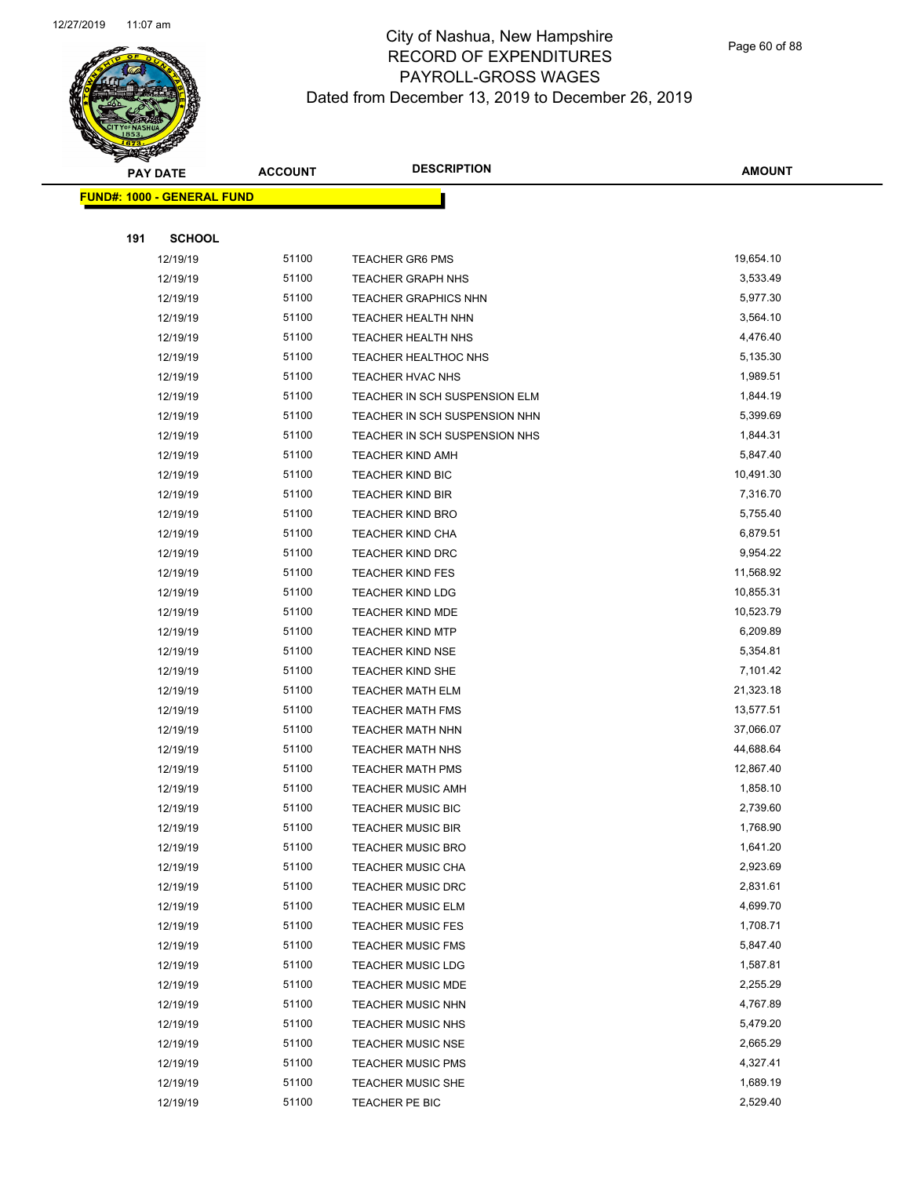

Page 60 of 88

| <b>PAY DATE</b>                   |     | <b>ACCOUNT</b>       | <b>DESCRIPTION</b> | <b>AMOUNT</b>                                        |                      |
|-----------------------------------|-----|----------------------|--------------------|------------------------------------------------------|----------------------|
| <b>FUND#: 1000 - GENERAL FUND</b> |     |                      |                    |                                                      |                      |
|                                   |     |                      |                    |                                                      |                      |
|                                   | 191 | <b>SCHOOL</b>        |                    |                                                      |                      |
|                                   |     | 12/19/19             | 51100              | <b>TEACHER GR6 PMS</b>                               | 19,654.10            |
|                                   |     | 12/19/19             | 51100              | <b>TEACHER GRAPH NHS</b>                             | 3,533.49             |
|                                   |     | 12/19/19             | 51100              | <b>TEACHER GRAPHICS NHN</b>                          | 5,977.30             |
|                                   |     | 12/19/19             | 51100              | TEACHER HEALTH NHN                                   | 3,564.10             |
|                                   |     | 12/19/19             | 51100              | <b>TEACHER HEALTH NHS</b>                            | 4,476.40             |
|                                   |     | 12/19/19             | 51100              | <b>TEACHER HEALTHOC NHS</b>                          | 5,135.30             |
|                                   |     | 12/19/19             | 51100              | TEACHER HVAC NHS                                     | 1,989.51             |
|                                   |     | 12/19/19             | 51100              | TEACHER IN SCH SUSPENSION ELM                        | 1,844.19             |
|                                   |     | 12/19/19             | 51100              | TEACHER IN SCH SUSPENSION NHN                        | 5,399.69             |
|                                   |     | 12/19/19             | 51100              | TEACHER IN SCH SUSPENSION NHS                        | 1,844.31             |
|                                   |     | 12/19/19             | 51100              | <b>TEACHER KIND AMH</b>                              | 5,847.40             |
|                                   |     | 12/19/19             | 51100              | <b>TEACHER KIND BIC</b>                              | 10,491.30            |
|                                   |     | 12/19/19             | 51100              | <b>TEACHER KIND BIR</b>                              | 7,316.70             |
|                                   |     | 12/19/19             | 51100              | <b>TEACHER KIND BRO</b>                              | 5,755.40             |
|                                   |     | 12/19/19             | 51100              | <b>TEACHER KIND CHA</b>                              | 6,879.51             |
|                                   |     | 12/19/19             | 51100              | <b>TEACHER KIND DRC</b>                              | 9,954.22             |
|                                   |     | 12/19/19             | 51100              | <b>TEACHER KIND FES</b>                              | 11,568.92            |
|                                   |     | 12/19/19             | 51100              | <b>TEACHER KIND LDG</b>                              | 10,855.31            |
|                                   |     | 12/19/19             | 51100              | <b>TEACHER KIND MDE</b>                              | 10,523.79            |
|                                   |     | 12/19/19             | 51100              | <b>TEACHER KIND MTP</b>                              | 6,209.89             |
|                                   |     | 12/19/19             | 51100              | TEACHER KIND NSE                                     | 5,354.81             |
|                                   |     | 12/19/19             | 51100              | TEACHER KIND SHE                                     | 7,101.42             |
|                                   |     | 12/19/19             | 51100              | <b>TEACHER MATH ELM</b>                              | 21,323.18            |
|                                   |     | 12/19/19             | 51100              | <b>TEACHER MATH FMS</b>                              | 13,577.51            |
|                                   |     | 12/19/19             | 51100              | <b>TEACHER MATH NHN</b>                              | 37,066.07            |
|                                   |     | 12/19/19             | 51100              | <b>TEACHER MATH NHS</b>                              | 44,688.64            |
|                                   |     | 12/19/19             | 51100              | <b>TEACHER MATH PMS</b>                              | 12,867.40            |
|                                   |     | 12/19/19             | 51100              | <b>TEACHER MUSIC AMH</b>                             | 1,858.10             |
|                                   |     | 12/19/19             | 51100              | TEACHER MUSIC BIC                                    | 2,739.60             |
|                                   |     | 12/19/19             | 51100              | <b>TEACHER MUSIC BIR</b>                             | 1,768.90             |
|                                   |     | 12/19/19             | 51100              | <b>TEACHER MUSIC BRO</b>                             | 1,641.20             |
|                                   |     | 12/19/19             | 51100              | <b>TEACHER MUSIC CHA</b>                             | 2,923.69             |
|                                   |     | 12/19/19             | 51100              | <b>TEACHER MUSIC DRC</b>                             | 2,831.61             |
|                                   |     | 12/19/19             | 51100              | <b>TEACHER MUSIC ELM</b>                             | 4,699.70             |
|                                   |     | 12/19/19             | 51100              | <b>TEACHER MUSIC FES</b>                             | 1,708.71<br>5,847.40 |
|                                   |     | 12/19/19             | 51100<br>51100     | <b>TEACHER MUSIC FMS</b>                             | 1,587.81             |
|                                   |     | 12/19/19<br>12/19/19 | 51100              | <b>TEACHER MUSIC LDG</b>                             | 2,255.29             |
|                                   |     | 12/19/19             | 51100              | <b>TEACHER MUSIC MDE</b><br><b>TEACHER MUSIC NHN</b> | 4,767.89             |
|                                   |     | 12/19/19             | 51100              | <b>TEACHER MUSIC NHS</b>                             | 5,479.20             |
|                                   |     | 12/19/19             | 51100              | <b>TEACHER MUSIC NSE</b>                             | 2,665.29             |
|                                   |     | 12/19/19             | 51100              | <b>TEACHER MUSIC PMS</b>                             | 4,327.41             |
|                                   |     | 12/19/19             | 51100              | <b>TEACHER MUSIC SHE</b>                             | 1,689.19             |
|                                   |     | 12/19/19             | 51100              | TEACHER PE BIC                                       | 2,529.40             |
|                                   |     |                      |                    |                                                      |                      |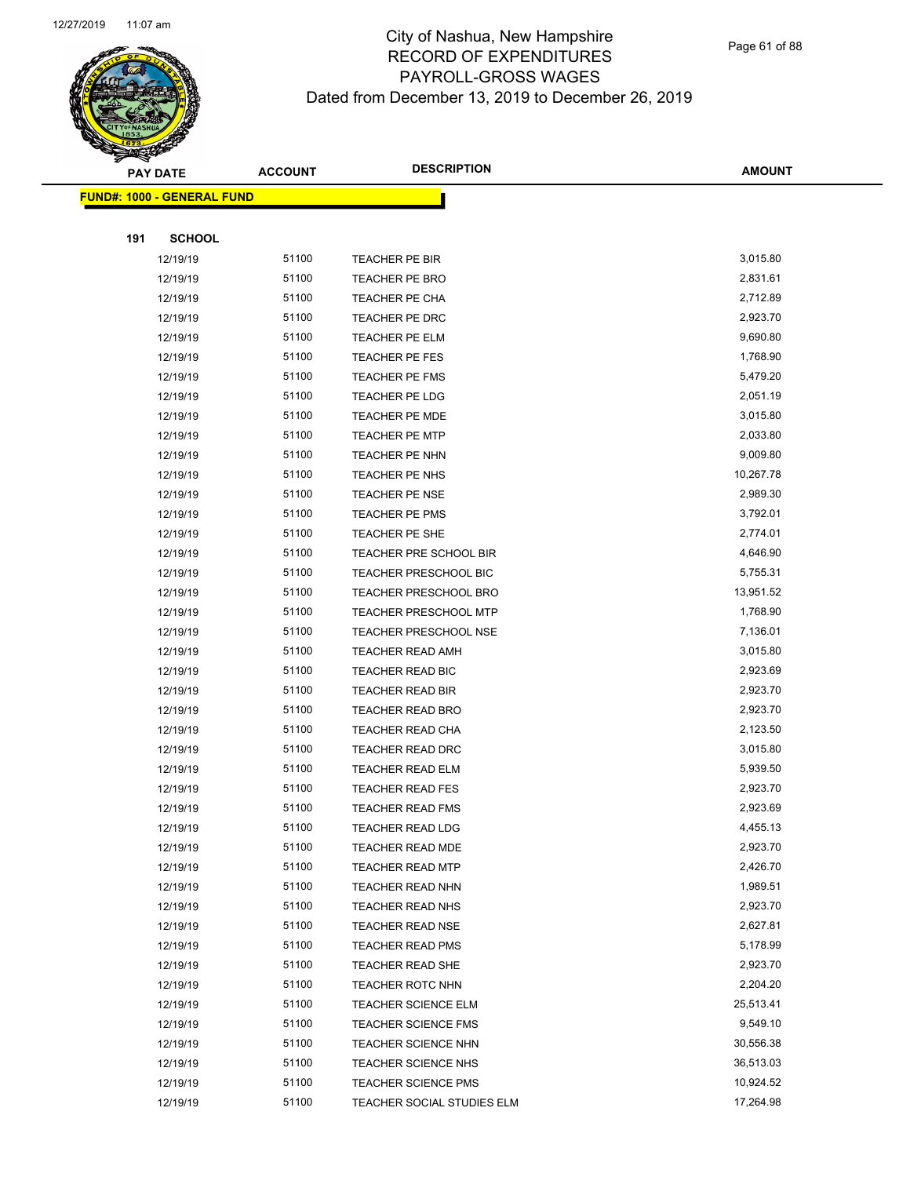

| <b>PAY DATE</b>                    |               | <b>ACCOUNT</b> | <b>DESCRIPTION</b>           | <b>AMOUNT</b> |
|------------------------------------|---------------|----------------|------------------------------|---------------|
| <u> FUND#: 1000 - GENERAL FUND</u> |               |                |                              |               |
|                                    |               |                |                              |               |
| 191                                | <b>SCHOOL</b> |                |                              |               |
|                                    | 12/19/19      | 51100          | TEACHER PE BIR               | 3,015.80      |
|                                    | 12/19/19      | 51100          | <b>TEACHER PE BRO</b>        | 2,831.61      |
|                                    | 12/19/19      | 51100          | TEACHER PE CHA               | 2,712.89      |
|                                    | 12/19/19      | 51100          | <b>TEACHER PE DRC</b>        | 2,923.70      |
|                                    | 12/19/19      | 51100          | TEACHER PE ELM               | 9,690.80      |
|                                    | 12/19/19      | 51100          | <b>TEACHER PE FES</b>        | 1,768.90      |
|                                    | 12/19/19      | 51100          | <b>TEACHER PE FMS</b>        | 5,479.20      |
|                                    | 12/19/19      | 51100          | <b>TEACHER PE LDG</b>        | 2,051.19      |
|                                    | 12/19/19      | 51100          | <b>TEACHER PE MDE</b>        | 3,015.80      |
|                                    | 12/19/19      | 51100          | <b>TEACHER PE MTP</b>        | 2,033.80      |
|                                    | 12/19/19      | 51100          | TEACHER PE NHN               | 9,009.80      |
|                                    | 12/19/19      | 51100          | TEACHER PE NHS               | 10,267.78     |
|                                    | 12/19/19      | 51100          | <b>TEACHER PE NSE</b>        | 2,989.30      |
|                                    | 12/19/19      | 51100          | <b>TEACHER PE PMS</b>        | 3,792.01      |
|                                    | 12/19/19      | 51100          | TEACHER PE SHE               | 2,774.01      |
|                                    | 12/19/19      | 51100          | TEACHER PRE SCHOOL BIR       | 4,646.90      |
|                                    | 12/19/19      | 51100          | TEACHER PRESCHOOL BIC        | 5,755.31      |
|                                    | 12/19/19      | 51100          | <b>TEACHER PRESCHOOL BRO</b> | 13,951.52     |
|                                    | 12/19/19      | 51100          | <b>TEACHER PRESCHOOL MTP</b> | 1,768.90      |
|                                    | 12/19/19      | 51100          | <b>TEACHER PRESCHOOL NSE</b> | 7,136.01      |
|                                    | 12/19/19      | 51100          | <b>TEACHER READ AMH</b>      | 3,015.80      |
|                                    | 12/19/19      | 51100          | TEACHER READ BIC             | 2,923.69      |
|                                    | 12/19/19      | 51100          | TEACHER READ BIR             | 2,923.70      |
|                                    | 12/19/19      | 51100          | <b>TEACHER READ BRO</b>      | 2,923.70      |
|                                    | 12/19/19      | 51100          | TEACHER READ CHA             | 2,123.50      |
|                                    | 12/19/19      | 51100          | TEACHER READ DRC             | 3,015.80      |
|                                    | 12/19/19      | 51100          | <b>TEACHER READ ELM</b>      | 5,939.50      |
|                                    | 12/19/19      | 51100          | <b>TEACHER READ FES</b>      | 2,923.70      |
|                                    | 12/19/19      | 51100          | <b>TEACHER READ FMS</b>      | 2,923.69      |
|                                    | 12/19/19      | 51100          | <b>TEACHER READ LDG</b>      | 4,455.13      |
|                                    | 12/19/19      | 51100          | TEACHER READ MDE             | 2,923.70      |
|                                    | 12/19/19      | 51100          | <b>TEACHER READ MTP</b>      | 2,426.70      |
|                                    | 12/19/19      | 51100          | <b>TEACHER READ NHN</b>      | 1,989.51      |
|                                    | 12/19/19      | 51100          | <b>TEACHER READ NHS</b>      | 2,923.70      |
|                                    | 12/19/19      | 51100          | <b>TEACHER READ NSE</b>      | 2,627.81      |
|                                    | 12/19/19      | 51100          | <b>TEACHER READ PMS</b>      | 5,178.99      |
|                                    | 12/19/19      | 51100          | <b>TEACHER READ SHE</b>      | 2,923.70      |
|                                    | 12/19/19      | 51100          | <b>TEACHER ROTC NHN</b>      | 2,204.20      |
|                                    | 12/19/19      | 51100          | TEACHER SCIENCE ELM          | 25,513.41     |
|                                    | 12/19/19      | 51100          | <b>TEACHER SCIENCE FMS</b>   | 9,549.10      |
|                                    | 12/19/19      | 51100          | <b>TEACHER SCIENCE NHN</b>   | 30,556.38     |
|                                    | 12/19/19      | 51100          | <b>TEACHER SCIENCE NHS</b>   | 36,513.03     |
|                                    | 12/19/19      | 51100          | <b>TEACHER SCIENCE PMS</b>   | 10,924.52     |
|                                    | 12/19/19      | 51100          | TEACHER SOCIAL STUDIES ELM   | 17,264.98     |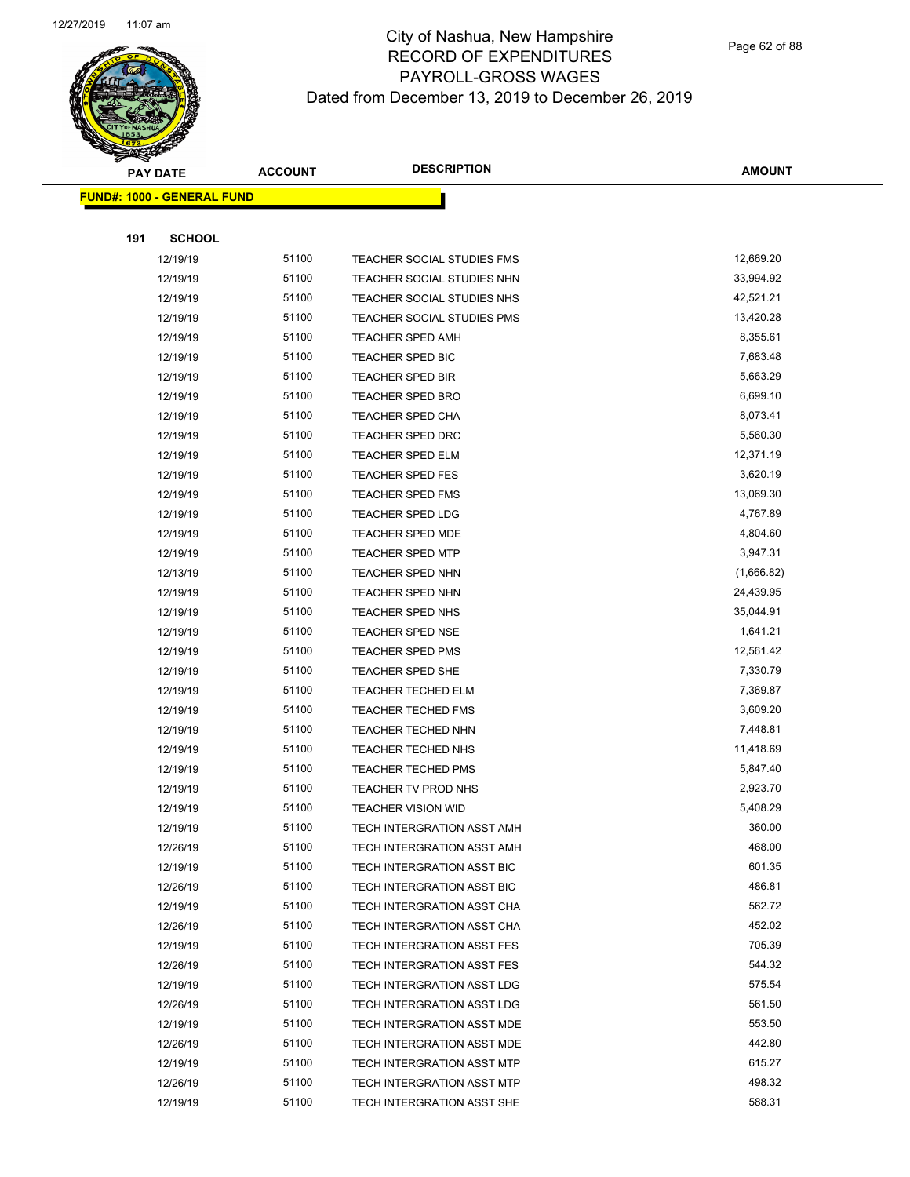

Page 62 of 88

| <b>PAY DATE</b>                    | <b>ACCOUNT</b> | <b>DESCRIPTION</b>                                       | <b>AMOUNT</b>    |
|------------------------------------|----------------|----------------------------------------------------------|------------------|
| <u> FUND#: 1000 - GENERAL FUND</u> |                |                                                          |                  |
|                                    |                |                                                          |                  |
| <b>SCHOOL</b><br>191               |                |                                                          |                  |
| 12/19/19                           | 51100          | <b>TEACHER SOCIAL STUDIES FMS</b>                        | 12,669.20        |
| 12/19/19                           | 51100          | TEACHER SOCIAL STUDIES NHN                               | 33,994.92        |
| 12/19/19                           | 51100          | TEACHER SOCIAL STUDIES NHS                               | 42,521.21        |
| 12/19/19                           | 51100          | TEACHER SOCIAL STUDIES PMS                               | 13,420.28        |
| 12/19/19                           | 51100          | <b>TEACHER SPED AMH</b>                                  | 8,355.61         |
| 12/19/19                           | 51100          | <b>TEACHER SPED BIC</b>                                  | 7,683.48         |
| 12/19/19                           | 51100          | <b>TEACHER SPED BIR</b>                                  | 5,663.29         |
| 12/19/19                           | 51100          | <b>TEACHER SPED BRO</b>                                  | 6,699.10         |
| 12/19/19                           | 51100          | <b>TEACHER SPED CHA</b>                                  | 8,073.41         |
| 12/19/19                           | 51100          | <b>TEACHER SPED DRC</b>                                  | 5,560.30         |
| 12/19/19                           | 51100          | <b>TEACHER SPED ELM</b>                                  | 12,371.19        |
| 12/19/19                           | 51100          | <b>TEACHER SPED FES</b>                                  | 3,620.19         |
| 12/19/19                           | 51100          | <b>TEACHER SPED FMS</b>                                  | 13,069.30        |
| 12/19/19                           | 51100          | <b>TEACHER SPED LDG</b>                                  | 4,767.89         |
| 12/19/19                           | 51100          | <b>TEACHER SPED MDE</b>                                  | 4,804.60         |
| 12/19/19                           | 51100          | TEACHER SPED MTP                                         | 3,947.31         |
| 12/13/19                           | 51100          | <b>TEACHER SPED NHN</b>                                  | (1,666.82)       |
| 12/19/19                           | 51100          | <b>TEACHER SPED NHN</b>                                  | 24,439.95        |
| 12/19/19                           | 51100          | <b>TEACHER SPED NHS</b>                                  | 35,044.91        |
| 12/19/19                           | 51100          | <b>TEACHER SPED NSE</b>                                  | 1,641.21         |
| 12/19/19                           | 51100          | <b>TEACHER SPED PMS</b>                                  | 12,561.42        |
| 12/19/19                           | 51100          | TEACHER SPED SHE                                         | 7,330.79         |
| 12/19/19                           | 51100          | <b>TEACHER TECHED ELM</b>                                | 7,369.87         |
| 12/19/19                           | 51100          | <b>TEACHER TECHED FMS</b>                                | 3,609.20         |
| 12/19/19                           | 51100          | <b>TEACHER TECHED NHN</b>                                | 7,448.81         |
| 12/19/19                           | 51100          | <b>TEACHER TECHED NHS</b>                                | 11,418.69        |
| 12/19/19                           | 51100          | <b>TEACHER TECHED PMS</b>                                | 5,847.40         |
| 12/19/19                           | 51100          | TEACHER TV PROD NHS                                      | 2,923.70         |
| 12/19/19                           | 51100          | <b>TEACHER VISION WID</b>                                | 5,408.29         |
| 12/19/19                           | 51100          | TECH INTERGRATION ASST AMH                               | 360.00           |
| 12/26/19                           | 51100          | TECH INTERGRATION ASST AMH                               | 468.00           |
| 12/19/19                           | 51100          | TECH INTERGRATION ASST BIC                               | 601.35           |
| 12/26/19                           | 51100          | <b>TECH INTERGRATION ASST BIC</b>                        | 486.81           |
| 12/19/19                           | 51100          | TECH INTERGRATION ASST CHA                               | 562.72           |
| 12/26/19                           | 51100          | TECH INTERGRATION ASST CHA                               | 452.02           |
| 12/19/19                           | 51100          | TECH INTERGRATION ASST FES                               | 705.39           |
| 12/26/19                           | 51100          | <b>TECH INTERGRATION ASST FES</b>                        | 544.32           |
| 12/19/19                           | 51100<br>51100 | TECH INTERGRATION ASST LDG                               | 575.54<br>561.50 |
| 12/26/19                           | 51100          | TECH INTERGRATION ASST LDG                               | 553.50           |
| 12/19/19                           | 51100          | TECH INTERGRATION ASST MDE                               | 442.80           |
| 12/26/19<br>12/19/19               | 51100          | TECH INTERGRATION ASST MDE                               | 615.27           |
| 12/26/19                           | 51100          | TECH INTERGRATION ASST MTP<br>TECH INTERGRATION ASST MTP | 498.32           |
| 12/19/19                           | 51100          | TECH INTERGRATION ASST SHE                               | 588.31           |
|                                    |                |                                                          |                  |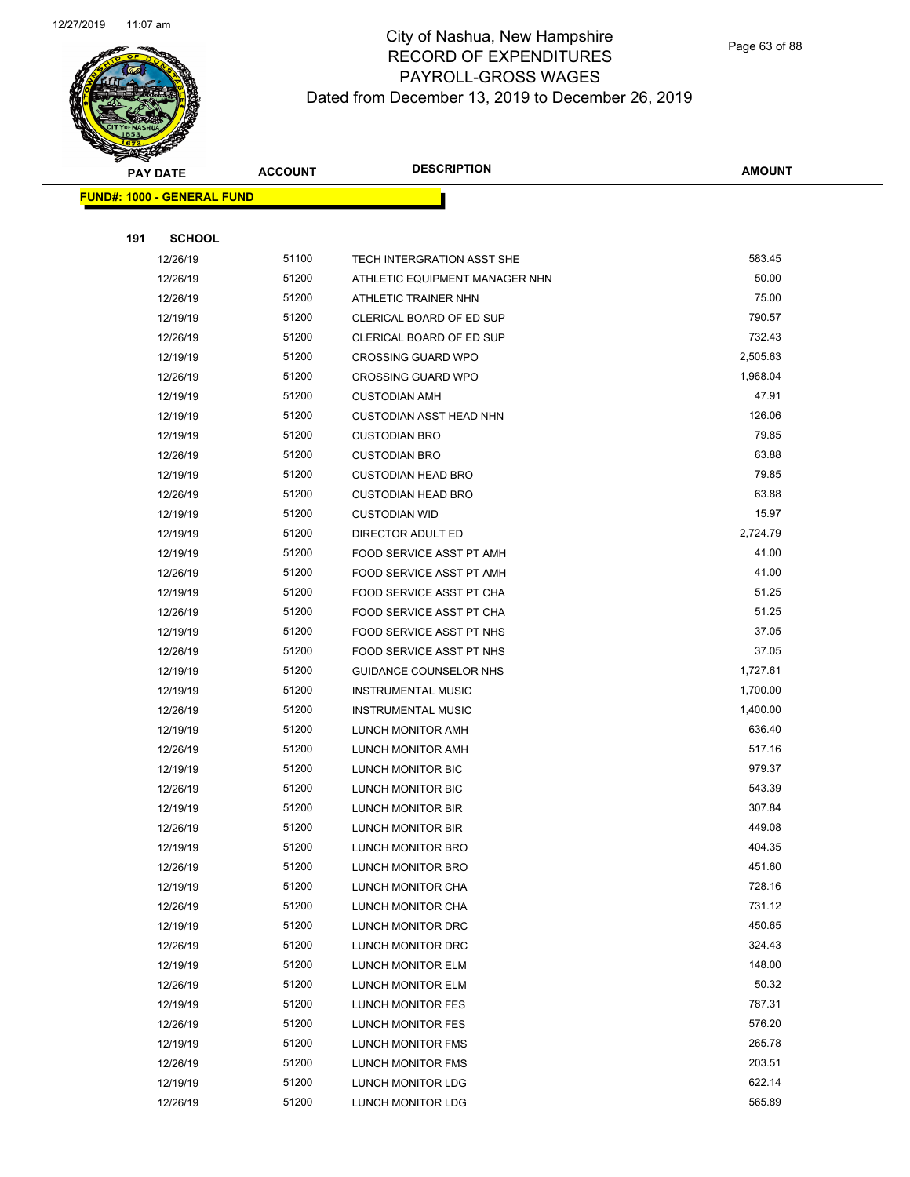

Page 63 of 88

|     | <b>PAY DATE</b>                   | <b>ACCOUNT</b> | <b>DESCRIPTION</b>                     | <b>AMOUNT</b>    |
|-----|-----------------------------------|----------------|----------------------------------------|------------------|
|     | <b>FUND#: 1000 - GENERAL FUND</b> |                |                                        |                  |
|     |                                   |                |                                        |                  |
| 191 | <b>SCHOOL</b>                     |                |                                        |                  |
|     | 12/26/19                          | 51100          | TECH INTERGRATION ASST SHE             | 583.45           |
|     | 12/26/19                          | 51200          | ATHLETIC EQUIPMENT MANAGER NHN         | 50.00            |
|     | 12/26/19                          | 51200          | ATHLETIC TRAINER NHN                   | 75.00            |
|     | 12/19/19                          | 51200          | CLERICAL BOARD OF ED SUP               | 790.57           |
|     | 12/26/19                          | 51200          | CLERICAL BOARD OF ED SUP               | 732.43           |
|     | 12/19/19                          | 51200          | <b>CROSSING GUARD WPO</b>              | 2,505.63         |
|     | 12/26/19                          | 51200          | <b>CROSSING GUARD WPO</b>              | 1,968.04         |
|     | 12/19/19                          | 51200          | <b>CUSTODIAN AMH</b>                   | 47.91            |
|     | 12/19/19                          | 51200          | <b>CUSTODIAN ASST HEAD NHN</b>         | 126.06           |
|     | 12/19/19                          | 51200          | <b>CUSTODIAN BRO</b>                   | 79.85            |
|     | 12/26/19                          | 51200          | <b>CUSTODIAN BRO</b>                   | 63.88            |
|     | 12/19/19                          | 51200          | <b>CUSTODIAN HEAD BRO</b>              | 79.85            |
|     | 12/26/19                          | 51200          | <b>CUSTODIAN HEAD BRO</b>              | 63.88            |
|     | 12/19/19                          | 51200          | <b>CUSTODIAN WID</b>                   | 15.97            |
|     | 12/19/19                          | 51200          | DIRECTOR ADULT ED                      | 2,724.79         |
|     | 12/19/19                          | 51200          | FOOD SERVICE ASST PT AMH               | 41.00            |
|     | 12/26/19                          | 51200          | FOOD SERVICE ASST PT AMH               | 41.00            |
|     | 12/19/19                          | 51200          | FOOD SERVICE ASST PT CHA               | 51.25            |
|     | 12/26/19                          | 51200          | FOOD SERVICE ASST PT CHA               | 51.25            |
|     | 12/19/19                          | 51200          | FOOD SERVICE ASST PT NHS               | 37.05            |
|     | 12/26/19                          | 51200          | FOOD SERVICE ASST PT NHS               | 37.05            |
|     | 12/19/19                          | 51200          | GUIDANCE COUNSELOR NHS                 | 1,727.61         |
|     | 12/19/19                          | 51200          | <b>INSTRUMENTAL MUSIC</b>              | 1,700.00         |
|     | 12/26/19                          | 51200          | <b>INSTRUMENTAL MUSIC</b>              | 1,400.00         |
|     | 12/19/19                          | 51200          | LUNCH MONITOR AMH                      | 636.40           |
|     | 12/26/19                          | 51200          | LUNCH MONITOR AMH                      | 517.16           |
|     | 12/19/19                          | 51200          | LUNCH MONITOR BIC                      | 979.37           |
|     | 12/26/19                          | 51200          | LUNCH MONITOR BIC                      | 543.39           |
|     | 12/19/19                          | 51200          | <b>LUNCH MONITOR BIR</b>               | 307.84           |
|     | 12/26/19                          | 51200          | LUNCH MONITOR BIR                      | 449.08           |
|     | 12/19/19                          | 51200          | LUNCH MONITOR BRO                      | 404.35           |
|     | 12/26/19                          | 51200          | LUNCH MONITOR BRO                      | 451.60           |
|     | 12/19/19                          | 51200<br>51200 | LUNCH MONITOR CHA                      | 728.16<br>731.12 |
|     | 12/26/19<br>12/19/19              | 51200          | LUNCH MONITOR CHA                      | 450.65           |
|     | 12/26/19                          | 51200          | LUNCH MONITOR DRC<br>LUNCH MONITOR DRC | 324.43           |
|     | 12/19/19                          | 51200          | LUNCH MONITOR ELM                      | 148.00           |
|     | 12/26/19                          | 51200          | LUNCH MONITOR ELM                      | 50.32            |
|     | 12/19/19                          | 51200          | LUNCH MONITOR FES                      | 787.31           |
|     | 12/26/19                          | 51200          | LUNCH MONITOR FES                      | 576.20           |
|     | 12/19/19                          | 51200          | LUNCH MONITOR FMS                      | 265.78           |
|     | 12/26/19                          | 51200          | LUNCH MONITOR FMS                      | 203.51           |
|     | 12/19/19                          | 51200          | LUNCH MONITOR LDG                      | 622.14           |
|     | 12/26/19                          | 51200          | LUNCH MONITOR LDG                      | 565.89           |
|     |                                   |                |                                        |                  |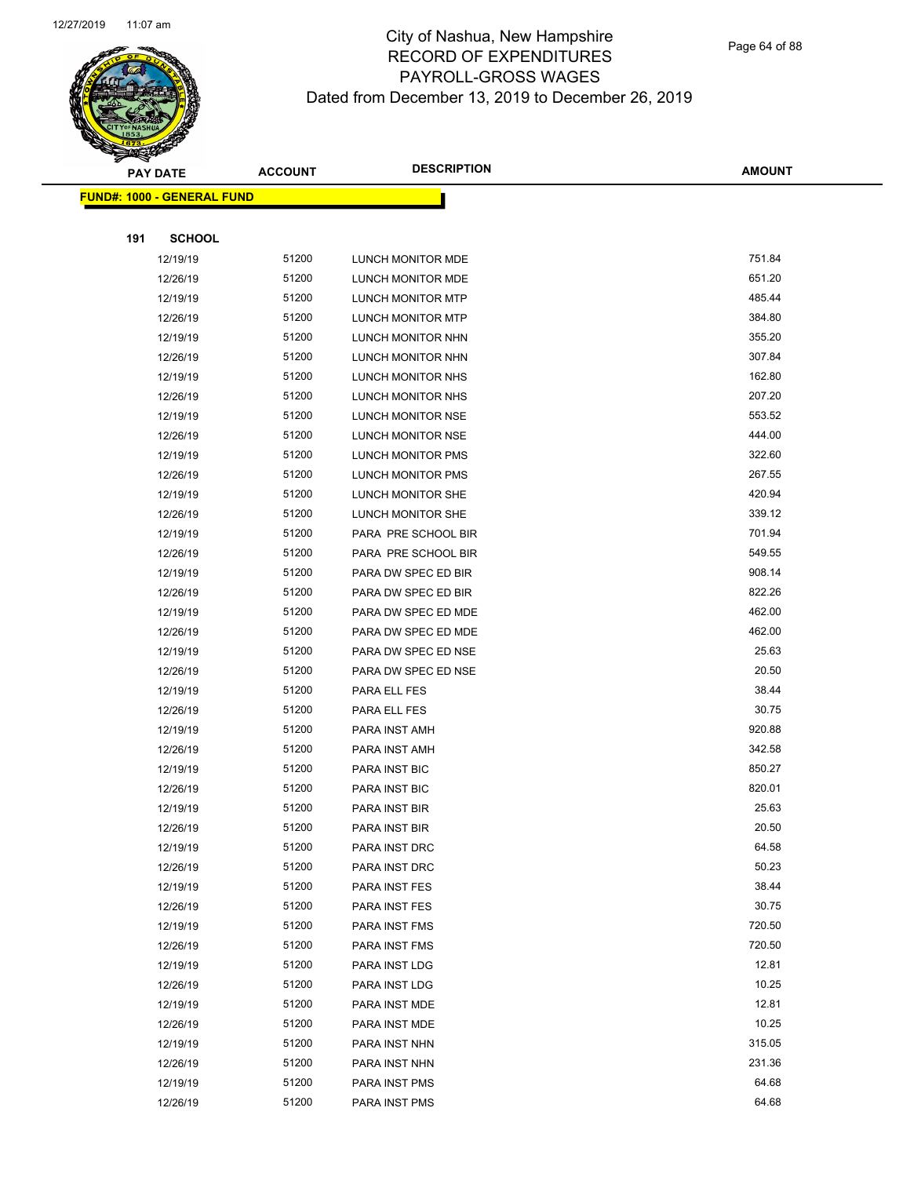

Page 64 of 88

| <b>PAY DATE</b>                   |               | <b>DESCRIPTION</b><br><b>ACCOUNT</b> |                     | <b>AMOUNT</b> |
|-----------------------------------|---------------|--------------------------------------|---------------------|---------------|
| <b>FUND#: 1000 - GENERAL FUND</b> |               |                                      |                     |               |
|                                   |               |                                      |                     |               |
| 191                               | <b>SCHOOL</b> |                                      |                     |               |
|                                   | 12/19/19      | 51200                                | LUNCH MONITOR MDE   | 751.84        |
|                                   | 12/26/19      | 51200                                | LUNCH MONITOR MDE   | 651.20        |
|                                   | 12/19/19      | 51200                                | LUNCH MONITOR MTP   | 485.44        |
|                                   | 12/26/19      | 51200                                | LUNCH MONITOR MTP   | 384.80        |
|                                   | 12/19/19      | 51200                                | LUNCH MONITOR NHN   | 355.20        |
|                                   | 12/26/19      | 51200                                | LUNCH MONITOR NHN   | 307.84        |
|                                   | 12/19/19      | 51200                                | LUNCH MONITOR NHS   | 162.80        |
|                                   | 12/26/19      | 51200                                | LUNCH MONITOR NHS   | 207.20        |
|                                   | 12/19/19      | 51200                                | LUNCH MONITOR NSE   | 553.52        |
|                                   | 12/26/19      | 51200                                | LUNCH MONITOR NSE   | 444.00        |
|                                   | 12/19/19      | 51200                                | LUNCH MONITOR PMS   | 322.60        |
|                                   | 12/26/19      | 51200                                | LUNCH MONITOR PMS   | 267.55        |
|                                   | 12/19/19      | 51200                                | LUNCH MONITOR SHE   | 420.94        |
|                                   | 12/26/19      | 51200                                | LUNCH MONITOR SHE   | 339.12        |
|                                   | 12/19/19      | 51200                                | PARA PRE SCHOOL BIR | 701.94        |
|                                   | 12/26/19      | 51200                                | PARA PRE SCHOOL BIR | 549.55        |
|                                   | 12/19/19      | 51200                                | PARA DW SPEC ED BIR | 908.14        |
|                                   | 12/26/19      | 51200                                | PARA DW SPEC ED BIR | 822.26        |
|                                   | 12/19/19      | 51200                                | PARA DW SPEC ED MDE | 462.00        |
|                                   | 12/26/19      | 51200                                | PARA DW SPEC ED MDE | 462.00        |
|                                   | 12/19/19      | 51200                                | PARA DW SPEC ED NSE | 25.63         |
|                                   | 12/26/19      | 51200                                | PARA DW SPEC ED NSE | 20.50         |
|                                   | 12/19/19      | 51200                                | PARA ELL FES        | 38.44         |
|                                   | 12/26/19      | 51200                                | PARA ELL FES        | 30.75         |
|                                   | 12/19/19      | 51200                                | PARA INST AMH       | 920.88        |
|                                   | 12/26/19      | 51200                                | PARA INST AMH       | 342.58        |
|                                   | 12/19/19      | 51200                                | PARA INST BIC       | 850.27        |
|                                   | 12/26/19      | 51200                                | PARA INST BIC       | 820.01        |
|                                   | 12/19/19      | 51200                                | PARA INST BIR       | 25.63         |
|                                   | 12/26/19      | 51200                                | PARA INST BIR       | 20.50         |
|                                   | 12/19/19      | 51200                                | PARA INST DRC       | 64.58         |
|                                   | 12/26/19      | 51200                                | PARA INST DRC       | 50.23         |
|                                   | 12/19/19      | 51200                                | PARA INST FES       | 38.44         |
|                                   | 12/26/19      | 51200                                | PARA INST FES       | 30.75         |
|                                   | 12/19/19      | 51200                                | PARA INST FMS       | 720.50        |
|                                   | 12/26/19      | 51200                                | PARA INST FMS       | 720.50        |
|                                   | 12/19/19      | 51200                                | PARA INST LDG       | 12.81         |
|                                   | 12/26/19      | 51200                                | PARA INST LDG       | 10.25         |
|                                   | 12/19/19      | 51200                                | PARA INST MDE       | 12.81         |
|                                   | 12/26/19      | 51200                                | PARA INST MDE       | 10.25         |
|                                   | 12/19/19      | 51200                                | PARA INST NHN       | 315.05        |
|                                   | 12/26/19      | 51200                                | PARA INST NHN       | 231.36        |
|                                   | 12/19/19      | 51200                                | PARA INST PMS       | 64.68         |
|                                   | 12/26/19      | 51200                                | PARA INST PMS       | 64.68         |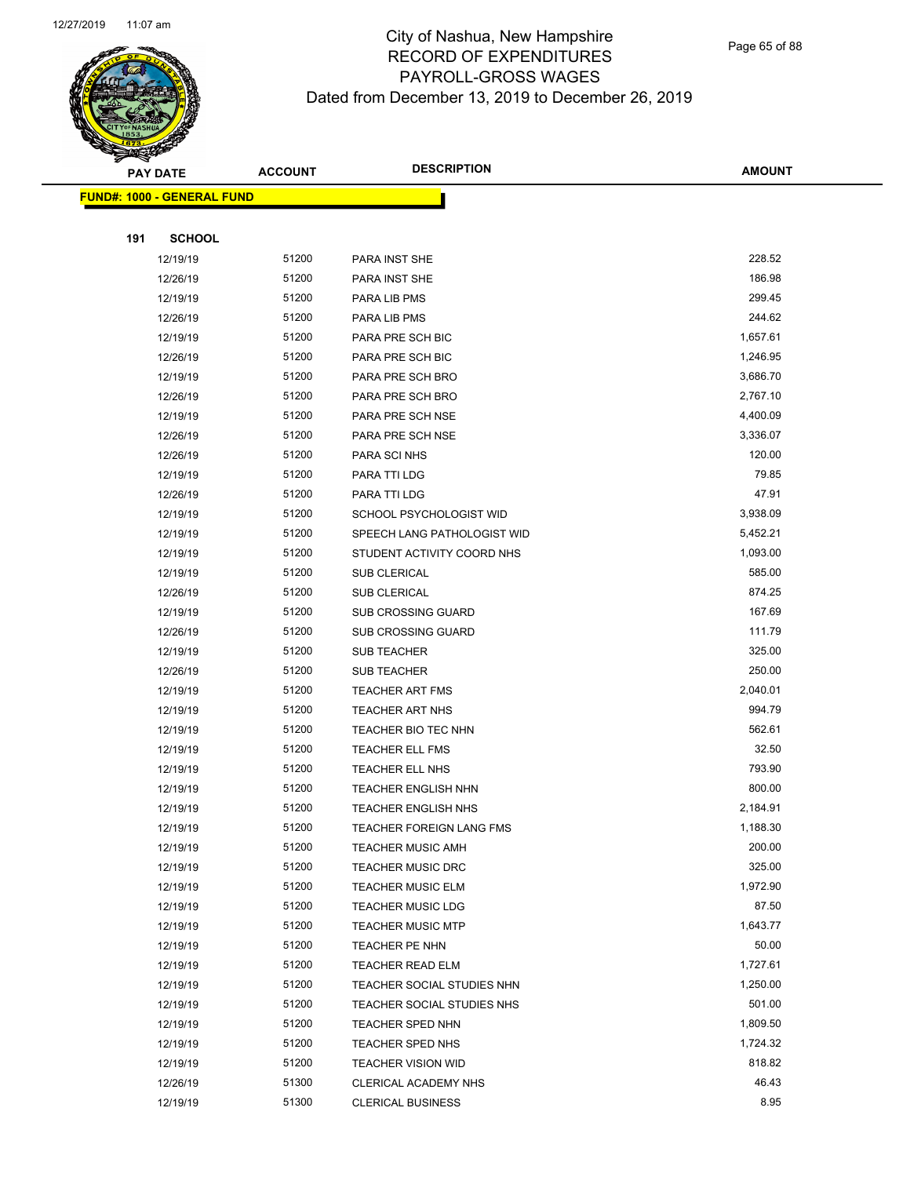

| <b>PAY DATE</b>                    | <b>ACCOUNT</b> | <b>DESCRIPTION</b>              | <b>AMOUNT</b> |
|------------------------------------|----------------|---------------------------------|---------------|
| <u> FUND#: 1000 - GENERAL FUND</u> |                |                                 |               |
|                                    |                |                                 |               |
| 191                                | <b>SCHOOL</b>  |                                 |               |
| 12/19/19                           | 51200          | PARA INST SHE                   | 228.52        |
| 12/26/19                           | 51200          | PARA INST SHE                   | 186.98        |
| 12/19/19                           | 51200          | PARA LIB PMS                    | 299.45        |
| 12/26/19                           | 51200          | PARA LIB PMS                    | 244.62        |
| 12/19/19                           | 51200          | PARA PRE SCH BIC                | 1,657.61      |
| 12/26/19                           | 51200          | PARA PRE SCH BIC                | 1,246.95      |
| 12/19/19                           | 51200          | PARA PRE SCH BRO                | 3,686.70      |
| 12/26/19                           | 51200          | PARA PRE SCH BRO                | 2,767.10      |
| 12/19/19                           | 51200          | PARA PRE SCH NSE                | 4,400.09      |
| 12/26/19                           | 51200          | PARA PRE SCH NSE                | 3,336.07      |
| 12/26/19                           | 51200          | PARA SCI NHS                    | 120.00        |
| 12/19/19                           | 51200          | PARA TTI LDG                    | 79.85         |
| 12/26/19                           | 51200          | PARA TTI LDG                    | 47.91         |
| 12/19/19                           | 51200          | SCHOOL PSYCHOLOGIST WID         | 3,938.09      |
| 12/19/19                           | 51200          | SPEECH LANG PATHOLOGIST WID     | 5,452.21      |
| 12/19/19                           | 51200          | STUDENT ACTIVITY COORD NHS      | 1,093.00      |
| 12/19/19                           | 51200          | <b>SUB CLERICAL</b>             | 585.00        |
| 12/26/19                           | 51200          | <b>SUB CLERICAL</b>             | 874.25        |
| 12/19/19                           | 51200          | <b>SUB CROSSING GUARD</b>       | 167.69        |
| 12/26/19                           | 51200          | <b>SUB CROSSING GUARD</b>       | 111.79        |
| 12/19/19                           | 51200          | <b>SUB TEACHER</b>              | 325.00        |
| 12/26/19                           | 51200          | SUB TEACHER                     | 250.00        |
| 12/19/19                           | 51200          | <b>TEACHER ART FMS</b>          | 2,040.01      |
| 12/19/19                           | 51200          | <b>TEACHER ART NHS</b>          | 994.79        |
| 12/19/19                           | 51200          | TEACHER BIO TEC NHN             | 562.61        |
| 12/19/19                           | 51200          | TEACHER ELL FMS                 | 32.50         |
| 12/19/19                           | 51200          | <b>TEACHER ELL NHS</b>          | 793.90        |
| 12/19/19                           | 51200          | <b>TEACHER ENGLISH NHN</b>      | 800.00        |
| 12/19/19                           | 51200          | <b>TEACHER ENGLISH NHS</b>      | 2,184.91      |
| 12/19/19                           | 51200          | <b>TEACHER FOREIGN LANG FMS</b> | 1,188.30      |
| 12/19/19                           | 51200          | TEACHER MUSIC AMH               | 200.00        |
| 12/19/19                           | 51200          | <b>TEACHER MUSIC DRC</b>        | 325.00        |
| 12/19/19                           | 51200          | <b>TEACHER MUSIC ELM</b>        | 1,972.90      |
| 12/19/19                           | 51200          | <b>TEACHER MUSIC LDG</b>        | 87.50         |
| 12/19/19                           | 51200          | <b>TEACHER MUSIC MTP</b>        | 1,643.77      |
| 12/19/19                           | 51200          | TEACHER PE NHN                  | 50.00         |
| 12/19/19                           | 51200          | <b>TEACHER READ ELM</b>         | 1,727.61      |
| 12/19/19                           | 51200          | TEACHER SOCIAL STUDIES NHN      | 1,250.00      |
| 12/19/19                           | 51200          | TEACHER SOCIAL STUDIES NHS      | 501.00        |
| 12/19/19                           | 51200          | TEACHER SPED NHN                | 1,809.50      |
| 12/19/19                           | 51200          | <b>TEACHER SPED NHS</b>         | 1,724.32      |
| 12/19/19                           | 51200          | <b>TEACHER VISION WID</b>       | 818.82        |
| 12/26/19                           | 51300          | CLERICAL ACADEMY NHS            | 46.43         |
| 12/19/19                           | 51300          | <b>CLERICAL BUSINESS</b>        | 8.95          |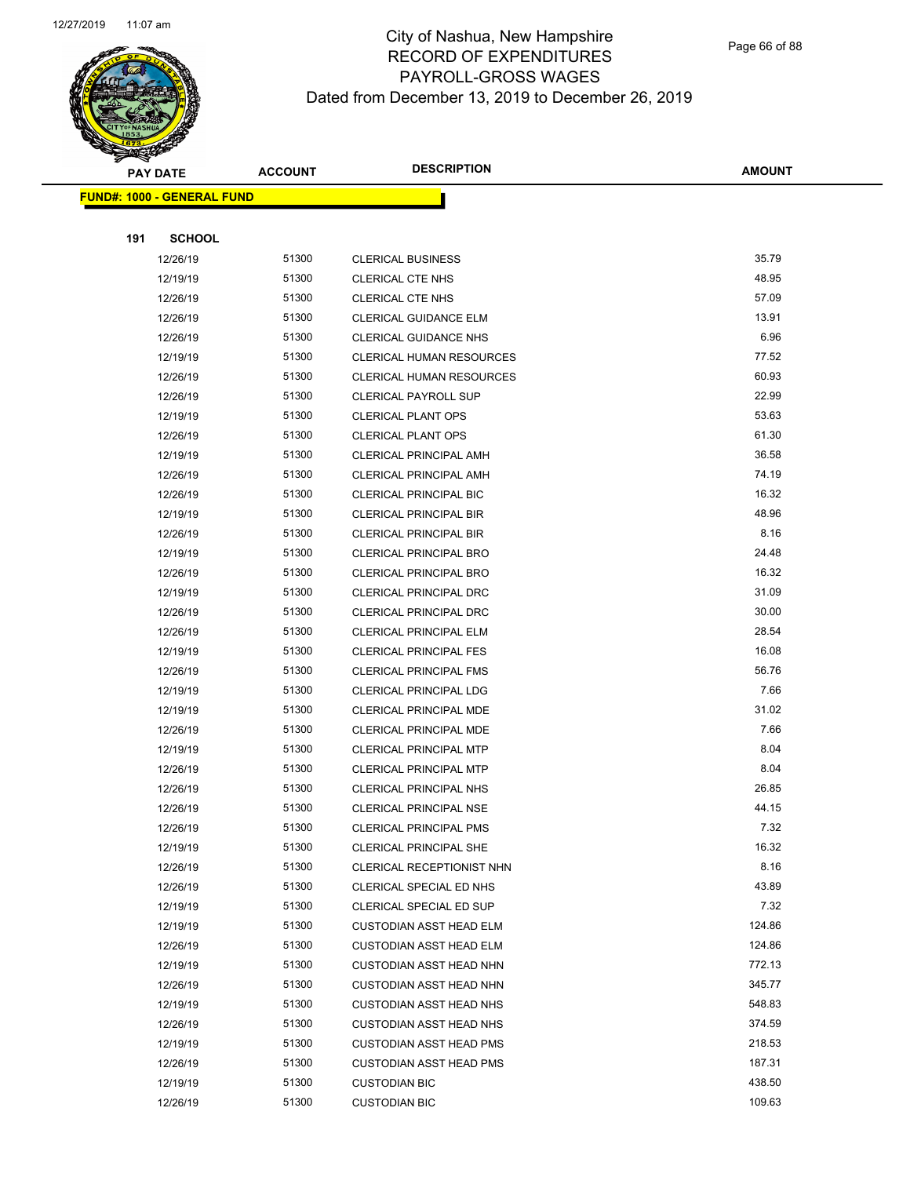

Page 66 of 88

|     | <b>PAY DATE</b>                   | <b>ACCOUNT</b> | <b>DESCRIPTION</b>                                 | <b>AMOUNT</b> |
|-----|-----------------------------------|----------------|----------------------------------------------------|---------------|
|     | <b>FUND#: 1000 - GENERAL FUND</b> |                |                                                    |               |
|     |                                   |                |                                                    |               |
| 191 | <b>SCHOOL</b>                     |                |                                                    |               |
|     | 12/26/19                          | 51300          | <b>CLERICAL BUSINESS</b>                           | 35.79         |
|     | 12/19/19                          | 51300          | <b>CLERICAL CTE NHS</b>                            | 48.95         |
|     | 12/26/19                          | 51300          | <b>CLERICAL CTE NHS</b>                            | 57.09         |
|     | 12/26/19                          | 51300          | <b>CLERICAL GUIDANCE ELM</b>                       | 13.91         |
|     | 12/26/19                          | 51300          | CLERICAL GUIDANCE NHS                              | 6.96          |
|     | 12/19/19                          | 51300          | CLERICAL HUMAN RESOURCES                           | 77.52         |
|     | 12/26/19                          | 51300          | <b>CLERICAL HUMAN RESOURCES</b>                    | 60.93         |
|     | 12/26/19                          | 51300          | <b>CLERICAL PAYROLL SUP</b>                        | 22.99         |
|     | 12/19/19                          | 51300          | <b>CLERICAL PLANT OPS</b>                          | 53.63         |
|     | 12/26/19                          | 51300          | <b>CLERICAL PLANT OPS</b>                          | 61.30         |
|     | 12/19/19                          | 51300          | CLERICAL PRINCIPAL AMH                             | 36.58         |
|     | 12/26/19                          | 51300          | CLERICAL PRINCIPAL AMH                             | 74.19         |
|     | 12/26/19                          | 51300          | CLERICAL PRINCIPAL BIC                             | 16.32         |
|     | 12/19/19                          | 51300          | <b>CLERICAL PRINCIPAL BIR</b>                      | 48.96         |
|     | 12/26/19                          | 51300          | <b>CLERICAL PRINCIPAL BIR</b>                      | 8.16          |
|     | 12/19/19                          | 51300          | CLERICAL PRINCIPAL BRO                             | 24.48         |
|     | 12/26/19                          | 51300          | CLERICAL PRINCIPAL BRO                             | 16.32         |
|     | 12/19/19                          | 51300          | CLERICAL PRINCIPAL DRC                             | 31.09         |
|     | 12/26/19                          | 51300          | CLERICAL PRINCIPAL DRC                             | 30.00         |
|     | 12/26/19                          | 51300          | CLERICAL PRINCIPAL ELM                             | 28.54         |
|     | 12/19/19                          | 51300          | CLERICAL PRINCIPAL FES                             | 16.08         |
|     | 12/26/19                          | 51300          | <b>CLERICAL PRINCIPAL FMS</b>                      | 56.76         |
|     | 12/19/19                          | 51300          | CLERICAL PRINCIPAL LDG                             | 7.66          |
|     | 12/19/19                          | 51300          | CLERICAL PRINCIPAL MDE                             | 31.02         |
|     | 12/26/19                          | 51300          | CLERICAL PRINCIPAL MDE                             | 7.66          |
|     | 12/19/19                          | 51300          | CLERICAL PRINCIPAL MTP                             | 8.04          |
|     | 12/26/19                          | 51300          | <b>CLERICAL PRINCIPAL MTP</b>                      | 8.04          |
|     | 12/26/19                          | 51300          | CLERICAL PRINCIPAL NHS                             | 26.85         |
|     | 12/26/19                          | 51300          | <b>CLERICAL PRINCIPAL NSE</b>                      | 44.15         |
|     | 12/26/19                          | 51300          | CLERICAL PRINCIPAL PMS                             | 7.32          |
|     | 12/19/19                          | 51300          | <b>CLERICAL PRINCIPAL SHE</b>                      | 16.32         |
|     | 12/26/19                          | 51300<br>51300 | CLERICAL RECEPTIONIST NHN                          | 8.16<br>43.89 |
|     | 12/26/19<br>12/19/19              | 51300          | CLERICAL SPECIAL ED NHS<br>CLERICAL SPECIAL ED SUP | 7.32          |
|     | 12/19/19                          | 51300          | <b>CUSTODIAN ASST HEAD ELM</b>                     | 124.86        |
|     | 12/26/19                          | 51300          | <b>CUSTODIAN ASST HEAD ELM</b>                     | 124.86        |
|     | 12/19/19                          | 51300          | <b>CUSTODIAN ASST HEAD NHN</b>                     | 772.13        |
|     | 12/26/19                          | 51300          | <b>CUSTODIAN ASST HEAD NHN</b>                     | 345.77        |
|     | 12/19/19                          | 51300          | <b>CUSTODIAN ASST HEAD NHS</b>                     | 548.83        |
|     | 12/26/19                          | 51300          | <b>CUSTODIAN ASST HEAD NHS</b>                     | 374.59        |
|     | 12/19/19                          | 51300          | <b>CUSTODIAN ASST HEAD PMS</b>                     | 218.53        |
|     | 12/26/19                          | 51300          | <b>CUSTODIAN ASST HEAD PMS</b>                     | 187.31        |
|     | 12/19/19                          | 51300          | <b>CUSTODIAN BIC</b>                               | 438.50        |
|     | 12/26/19                          | 51300          | <b>CUSTODIAN BIC</b>                               | 109.63        |
|     |                                   |                |                                                    |               |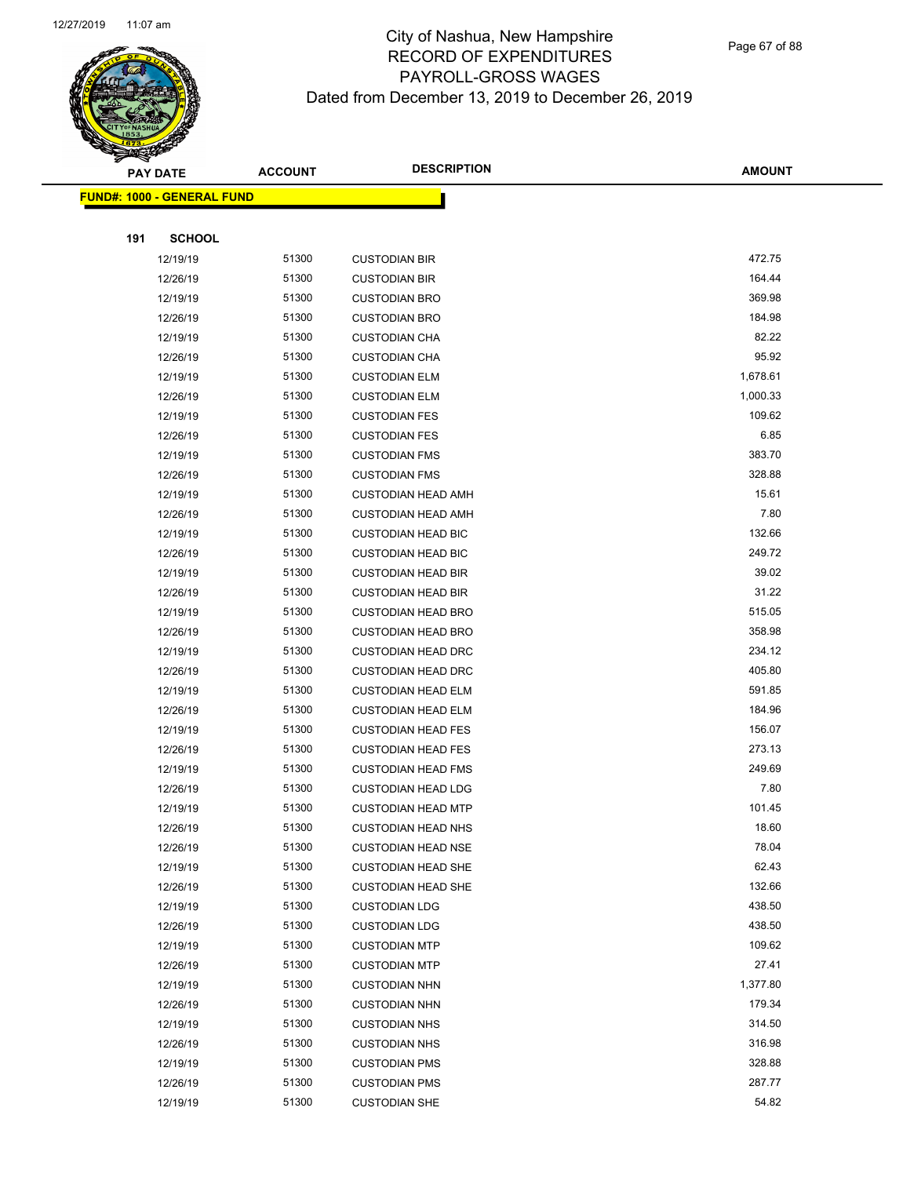

|     | <b>PAY DATE</b>                    | <b>ACCOUNT</b> | <b>DESCRIPTION</b>        | <b>AMOUNT</b> |  |
|-----|------------------------------------|----------------|---------------------------|---------------|--|
|     | <u> FUND#: 1000 - GENERAL FUND</u> |                |                           |               |  |
|     |                                    |                |                           |               |  |
| 191 | <b>SCHOOL</b>                      |                |                           |               |  |
|     | 12/19/19                           | 51300          | <b>CUSTODIAN BIR</b>      | 472.75        |  |
|     | 12/26/19                           | 51300          | <b>CUSTODIAN BIR</b>      | 164.44        |  |
|     | 12/19/19                           | 51300          | <b>CUSTODIAN BRO</b>      | 369.98        |  |
|     | 12/26/19                           | 51300          | <b>CUSTODIAN BRO</b>      | 184.98        |  |
|     | 12/19/19                           | 51300          | <b>CUSTODIAN CHA</b>      | 82.22         |  |
|     | 12/26/19                           | 51300          | <b>CUSTODIAN CHA</b>      | 95.92         |  |
|     | 12/19/19                           | 51300          | <b>CUSTODIAN ELM</b>      | 1,678.61      |  |
|     | 12/26/19                           | 51300          | <b>CUSTODIAN ELM</b>      | 1,000.33      |  |
|     | 12/19/19                           | 51300          | <b>CUSTODIAN FES</b>      | 109.62        |  |
|     | 12/26/19                           | 51300          | <b>CUSTODIAN FES</b>      | 6.85          |  |
|     | 12/19/19                           | 51300          | <b>CUSTODIAN FMS</b>      | 383.70        |  |
|     | 12/26/19                           | 51300          | <b>CUSTODIAN FMS</b>      | 328.88        |  |
|     | 12/19/19                           | 51300          | <b>CUSTODIAN HEAD AMH</b> | 15.61         |  |
|     | 12/26/19                           | 51300          | <b>CUSTODIAN HEAD AMH</b> | 7.80          |  |
|     | 12/19/19                           | 51300          | <b>CUSTODIAN HEAD BIC</b> | 132.66        |  |
|     | 12/26/19                           | 51300          | <b>CUSTODIAN HEAD BIC</b> | 249.72        |  |
|     | 12/19/19                           | 51300          | <b>CUSTODIAN HEAD BIR</b> | 39.02         |  |
|     | 12/26/19                           | 51300          | <b>CUSTODIAN HEAD BIR</b> | 31.22         |  |
|     | 12/19/19                           | 51300          | <b>CUSTODIAN HEAD BRO</b> | 515.05        |  |
|     | 12/26/19                           | 51300          | <b>CUSTODIAN HEAD BRO</b> | 358.98        |  |
|     | 12/19/19                           | 51300          | <b>CUSTODIAN HEAD DRC</b> | 234.12        |  |
|     | 12/26/19                           | 51300          | <b>CUSTODIAN HEAD DRC</b> | 405.80        |  |
|     | 12/19/19                           | 51300          | <b>CUSTODIAN HEAD ELM</b> | 591.85        |  |
|     | 12/26/19                           | 51300          | <b>CUSTODIAN HEAD ELM</b> | 184.96        |  |
|     | 12/19/19                           | 51300          | <b>CUSTODIAN HEAD FES</b> | 156.07        |  |
|     | 12/26/19                           | 51300          | <b>CUSTODIAN HEAD FES</b> | 273.13        |  |
|     | 12/19/19                           | 51300          | <b>CUSTODIAN HEAD FMS</b> | 249.69        |  |
|     | 12/26/19                           | 51300          | <b>CUSTODIAN HEAD LDG</b> | 7.80          |  |
|     | 12/19/19                           | 51300          | <b>CUSTODIAN HEAD MTP</b> | 101.45        |  |
|     | 12/26/19                           | 51300          | <b>CUSTODIAN HEAD NHS</b> | 18.60         |  |
|     | 12/26/19                           | 51300          | <b>CUSTODIAN HEAD NSE</b> | 78.04         |  |
|     | 12/19/19                           | 51300          | <b>CUSTODIAN HEAD SHE</b> | 62.43         |  |
|     | 12/26/19                           | 51300          | <b>CUSTODIAN HEAD SHE</b> | 132.66        |  |
|     | 12/19/19                           | 51300          | <b>CUSTODIAN LDG</b>      | 438.50        |  |
|     | 12/26/19                           | 51300          | <b>CUSTODIAN LDG</b>      | 438.50        |  |
|     | 12/19/19                           | 51300          | <b>CUSTODIAN MTP</b>      | 109.62        |  |
|     | 12/26/19                           | 51300          | <b>CUSTODIAN MTP</b>      | 27.41         |  |
|     | 12/19/19                           | 51300          | <b>CUSTODIAN NHN</b>      | 1,377.80      |  |
|     | 12/26/19                           | 51300          | <b>CUSTODIAN NHN</b>      | 179.34        |  |
|     | 12/19/19                           | 51300          | <b>CUSTODIAN NHS</b>      | 314.50        |  |
|     | 12/26/19                           | 51300          | <b>CUSTODIAN NHS</b>      | 316.98        |  |
|     | 12/19/19                           | 51300          | <b>CUSTODIAN PMS</b>      | 328.88        |  |
|     | 12/26/19                           | 51300          | <b>CUSTODIAN PMS</b>      | 287.77        |  |
|     | 12/19/19                           | 51300          | <b>CUSTODIAN SHE</b>      | 54.82         |  |
|     |                                    |                |                           |               |  |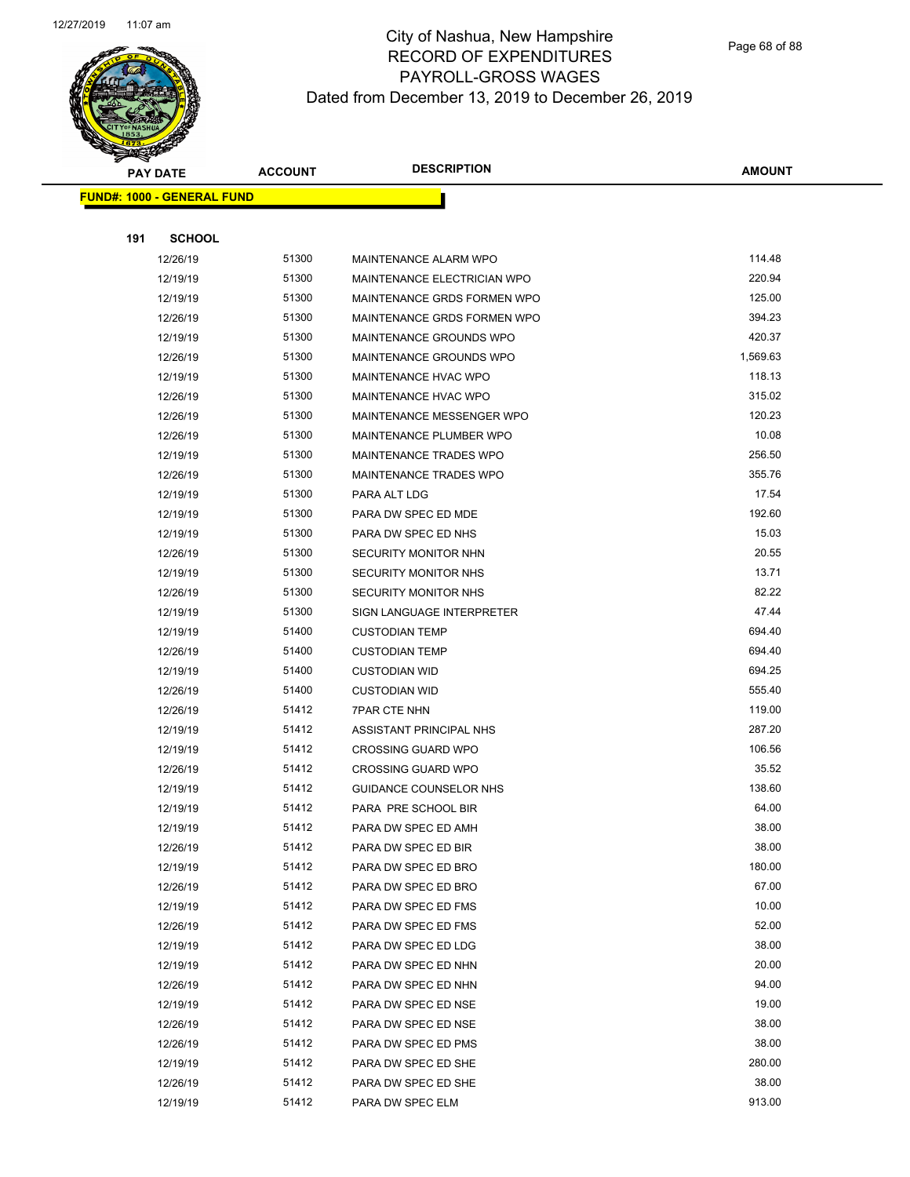

Page 68 of 88

| <b>PAY DATE</b>                   |     | <b>DESCRIPTION</b><br><b>ACCOUNT</b> | <b>AMOUNT</b>  |                                            |                |
|-----------------------------------|-----|--------------------------------------|----------------|--------------------------------------------|----------------|
| <b>FUND#: 1000 - GENERAL FUND</b> |     |                                      |                |                                            |                |
|                                   |     |                                      |                |                                            |                |
|                                   | 191 | <b>SCHOOL</b>                        |                |                                            |                |
|                                   |     | 12/26/19                             | 51300          | MAINTENANCE ALARM WPO                      | 114.48         |
|                                   |     | 12/19/19                             | 51300          | MAINTENANCE ELECTRICIAN WPO                | 220.94         |
|                                   |     | 12/19/19                             | 51300          | MAINTENANCE GRDS FORMEN WPO                | 125.00         |
|                                   |     | 12/26/19                             | 51300          | MAINTENANCE GRDS FORMEN WPO                | 394.23         |
|                                   |     | 12/19/19                             | 51300          | MAINTENANCE GROUNDS WPO                    | 420.37         |
|                                   |     | 12/26/19                             | 51300          | MAINTENANCE GROUNDS WPO                    | 1,569.63       |
|                                   |     | 12/19/19                             | 51300          | <b>MAINTENANCE HVAC WPO</b>                | 118.13         |
|                                   |     | 12/26/19                             | 51300          | <b>MAINTENANCE HVAC WPO</b>                | 315.02         |
|                                   |     | 12/26/19                             | 51300          | MAINTENANCE MESSENGER WPO                  | 120.23         |
|                                   |     | 12/26/19                             | 51300          | MAINTENANCE PLUMBER WPO                    | 10.08          |
|                                   |     | 12/19/19                             | 51300          | <b>MAINTENANCE TRADES WPO</b>              | 256.50         |
|                                   |     | 12/26/19                             | 51300          | <b>MAINTENANCE TRADES WPO</b>              | 355.76         |
|                                   |     | 12/19/19                             | 51300          | PARA ALT LDG                               | 17.54          |
|                                   |     | 12/19/19                             | 51300          | PARA DW SPEC ED MDE                        | 192.60         |
|                                   |     | 12/19/19                             | 51300          | PARA DW SPEC ED NHS                        | 15.03          |
|                                   |     | 12/26/19                             | 51300          | <b>SECURITY MONITOR NHN</b>                | 20.55          |
|                                   |     | 12/19/19                             | 51300          | <b>SECURITY MONITOR NHS</b>                | 13.71          |
|                                   |     | 12/26/19                             | 51300          | <b>SECURITY MONITOR NHS</b>                | 82.22          |
|                                   |     | 12/19/19                             | 51300          | SIGN LANGUAGE INTERPRETER                  | 47.44          |
|                                   |     | 12/19/19                             | 51400          | <b>CUSTODIAN TEMP</b>                      | 694.40         |
|                                   |     | 12/26/19                             | 51400          | <b>CUSTODIAN TEMP</b>                      | 694.40         |
|                                   |     | 12/19/19                             | 51400          | <b>CUSTODIAN WID</b>                       | 694.25         |
|                                   |     | 12/26/19                             | 51400          | <b>CUSTODIAN WID</b>                       | 555.40         |
|                                   |     | 12/26/19                             | 51412          | <b>7PAR CTE NHN</b>                        | 119.00         |
|                                   |     | 12/19/19                             | 51412          | ASSISTANT PRINCIPAL NHS                    | 287.20         |
|                                   |     | 12/19/19                             | 51412          | <b>CROSSING GUARD WPO</b>                  | 106.56         |
|                                   |     | 12/26/19                             | 51412          | <b>CROSSING GUARD WPO</b>                  | 35.52          |
|                                   |     | 12/19/19                             | 51412          | GUIDANCE COUNSELOR NHS                     | 138.60         |
|                                   |     | 12/19/19                             | 51412          | PARA PRE SCHOOL BIR                        | 64.00          |
|                                   |     | 12/19/19                             | 51412          | PARA DW SPEC ED AMH                        | 38.00          |
|                                   |     | 12/26/19                             | 51412          | PARA DW SPEC ED BIR                        | 38.00          |
|                                   |     | 12/19/19                             | 51412          | PARA DW SPEC ED BRO                        | 180.00         |
|                                   |     | 12/26/19                             | 51412          | PARA DW SPEC ED BRO                        | 67.00          |
|                                   |     | 12/19/19                             | 51412<br>51412 | PARA DW SPEC ED FMS                        | 10.00<br>52.00 |
|                                   |     | 12/26/19                             | 51412          | PARA DW SPEC ED FMS                        | 38.00          |
|                                   |     | 12/19/19<br>12/19/19                 | 51412          | PARA DW SPEC ED LDG<br>PARA DW SPEC ED NHN | 20.00          |
|                                   |     |                                      | 51412          | PARA DW SPEC ED NHN                        | 94.00          |
|                                   |     | 12/26/19<br>12/19/19                 | 51412          | PARA DW SPEC ED NSE                        | 19.00          |
|                                   |     | 12/26/19                             | 51412          | PARA DW SPEC ED NSE                        | 38.00          |
|                                   |     | 12/26/19                             | 51412          | PARA DW SPEC ED PMS                        | 38.00          |
|                                   |     | 12/19/19                             | 51412          | PARA DW SPEC ED SHE                        | 280.00         |
|                                   |     | 12/26/19                             | 51412          | PARA DW SPEC ED SHE                        | 38.00          |
|                                   |     | 12/19/19                             | 51412          | PARA DW SPEC ELM                           | 913.00         |
|                                   |     |                                      |                |                                            |                |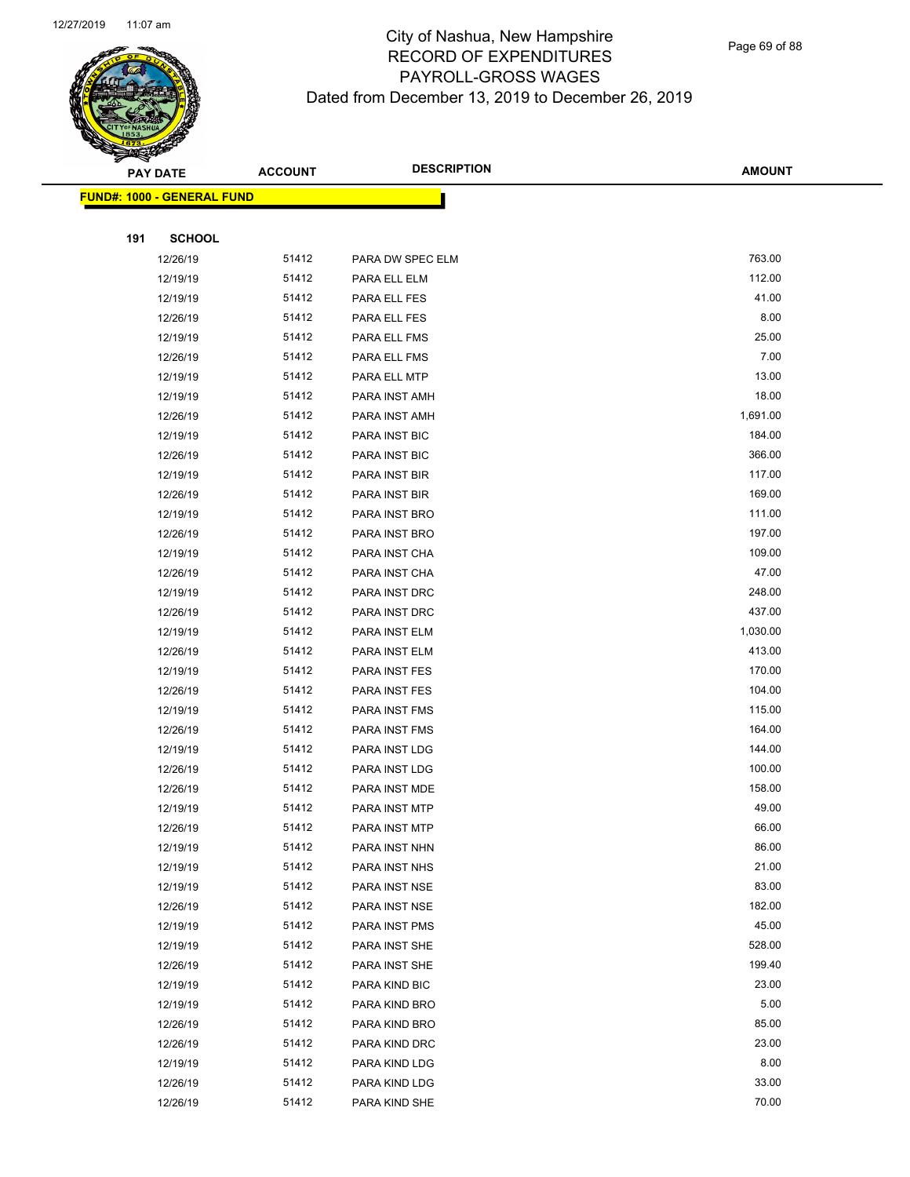

Page 69 of 88

| <b>PAY DATE</b>                   | <b>ACCOUNT</b> | <b>DESCRIPTION</b>   | <b>AMOUNT</b> |
|-----------------------------------|----------------|----------------------|---------------|
| <b>FUND#: 1000 - GENERAL FUND</b> |                |                      |               |
|                                   |                |                      |               |
| <b>SCHOOL</b><br>191              |                |                      |               |
| 12/26/19                          | 51412          | PARA DW SPEC ELM     | 763.00        |
| 12/19/19                          | 51412          | PARA ELL ELM         | 112.00        |
| 12/19/19                          | 51412          | PARA ELL FES         | 41.00         |
| 12/26/19                          | 51412          | PARA ELL FES         | 8.00          |
| 12/19/19                          | 51412          | PARA ELL FMS         | 25.00         |
| 12/26/19                          | 51412          | PARA ELL FMS         | 7.00          |
| 12/19/19                          | 51412          | PARA ELL MTP         | 13.00         |
| 12/19/19                          | 51412          | PARA INST AMH        | 18.00         |
| 12/26/19                          | 51412          | PARA INST AMH        | 1,691.00      |
| 12/19/19                          | 51412          | PARA INST BIC        | 184.00        |
| 12/26/19                          | 51412          | PARA INST BIC        | 366.00        |
| 12/19/19                          | 51412          | PARA INST BIR        | 117.00        |
| 12/26/19                          | 51412          | PARA INST BIR        | 169.00        |
| 12/19/19                          | 51412          | PARA INST BRO        | 111.00        |
| 12/26/19                          | 51412          | PARA INST BRO        | 197.00        |
| 12/19/19                          | 51412          | PARA INST CHA        | 109.00        |
| 12/26/19                          | 51412          | PARA INST CHA        | 47.00         |
| 12/19/19                          | 51412          | PARA INST DRC        | 248.00        |
| 12/26/19                          | 51412          | PARA INST DRC        | 437.00        |
| 12/19/19                          | 51412          | PARA INST ELM        | 1,030.00      |
| 12/26/19                          | 51412          | PARA INST ELM        | 413.00        |
| 12/19/19                          | 51412          | PARA INST FES        | 170.00        |
| 12/26/19                          | 51412          | PARA INST FES        | 104.00        |
| 12/19/19                          | 51412          | PARA INST FMS        | 115.00        |
| 12/26/19                          | 51412          | PARA INST FMS        | 164.00        |
| 12/19/19                          | 51412          | PARA INST LDG        | 144.00        |
| 12/26/19                          | 51412          | PARA INST LDG        | 100.00        |
| 12/26/19                          | 51412          | PARA INST MDE        | 158.00        |
| 12/19/19                          | 51412          | PARA INST MTP        | 49.00         |
| 12/26/19                          | 51412          | <b>PARA INST MTP</b> | 66.00         |
| 12/19/19                          | 51412          | PARA INST NHN        | 86.00         |
| 12/19/19                          | 51412          | PARA INST NHS        | 21.00         |
| 12/19/19                          | 51412          | PARA INST NSE        | 83.00         |
| 12/26/19                          | 51412          | PARA INST NSE        | 182.00        |
| 12/19/19                          | 51412          | PARA INST PMS        | 45.00         |
| 12/19/19                          | 51412          | PARA INST SHE        | 528.00        |
| 12/26/19                          | 51412          | PARA INST SHE        | 199.40        |
| 12/19/19                          | 51412          | PARA KIND BIC        | 23.00         |
| 12/19/19                          | 51412          | PARA KIND BRO        | 5.00          |
| 12/26/19                          | 51412          | PARA KIND BRO        | 85.00         |
| 12/26/19                          | 51412          | PARA KIND DRC        | 23.00         |
| 12/19/19                          | 51412          | PARA KIND LDG        | 8.00          |
| 12/26/19                          | 51412          | PARA KIND LDG        | 33.00         |
| 12/26/19                          | 51412          | PARA KIND SHE        | 70.00         |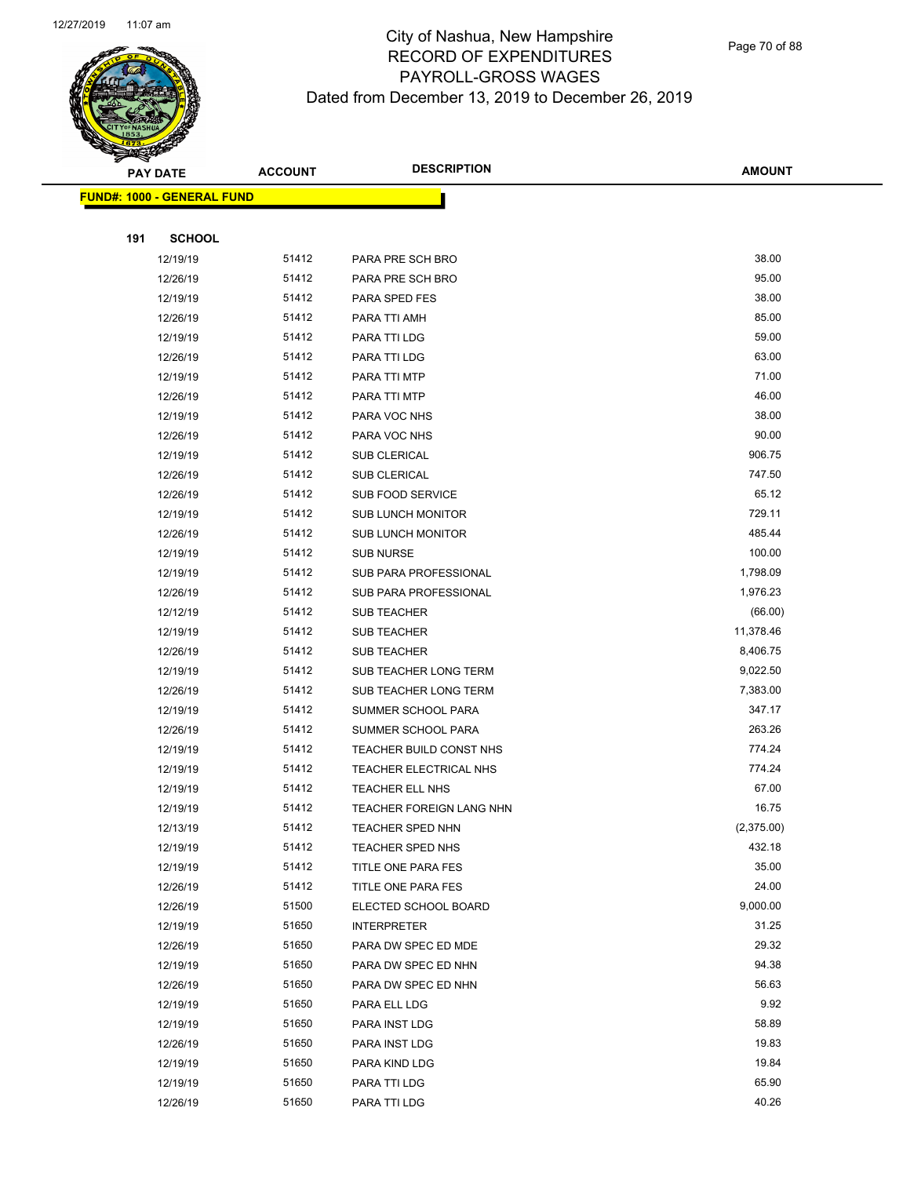

|     | <b>PAY DATE</b>                    | <b>ACCOUNT</b> | <b>DESCRIPTION</b>       | <b>AMOUNT</b> |
|-----|------------------------------------|----------------|--------------------------|---------------|
|     | <u> FUND#: 1000 - GENERAL FUND</u> |                |                          |               |
|     |                                    |                |                          |               |
| 191 | <b>SCHOOL</b>                      |                |                          |               |
|     | 12/19/19                           | 51412          | PARA PRE SCH BRO         | 38.00         |
|     | 12/26/19                           | 51412          | PARA PRE SCH BRO         | 95.00         |
|     | 12/19/19                           | 51412          | PARA SPED FES            | 38.00         |
|     | 12/26/19                           | 51412          | PARA TTI AMH             | 85.00         |
|     | 12/19/19                           | 51412          | PARA TTI LDG             | 59.00         |
|     | 12/26/19                           | 51412          | PARA TTI LDG             | 63.00         |
|     | 12/19/19                           | 51412          | PARA TTI MTP             | 71.00         |
|     | 12/26/19                           | 51412          | PARA TTI MTP             | 46.00         |
|     | 12/19/19                           | 51412          | PARA VOC NHS             | 38.00         |
|     | 12/26/19                           | 51412          | PARA VOC NHS             | 90.00         |
|     | 12/19/19                           | 51412          | <b>SUB CLERICAL</b>      | 906.75        |
|     | 12/26/19                           | 51412          | SUB CLERICAL             | 747.50        |
|     | 12/26/19                           | 51412          | SUB FOOD SERVICE         | 65.12         |
|     | 12/19/19                           | 51412          | <b>SUB LUNCH MONITOR</b> | 729.11        |
|     | 12/26/19                           | 51412          | <b>SUB LUNCH MONITOR</b> | 485.44        |
|     | 12/19/19                           | 51412          | <b>SUB NURSE</b>         | 100.00        |
|     | 12/19/19                           | 51412          | SUB PARA PROFESSIONAL    | 1,798.09      |
|     | 12/26/19                           | 51412          | SUB PARA PROFESSIONAL    | 1,976.23      |
|     | 12/12/19                           | 51412          | <b>SUB TEACHER</b>       | (66.00)       |
|     | 12/19/19                           | 51412          | <b>SUB TEACHER</b>       | 11,378.46     |
|     | 12/26/19                           | 51412          | <b>SUB TEACHER</b>       | 8,406.75      |
|     | 12/19/19                           | 51412          | SUB TEACHER LONG TERM    | 9,022.50      |
|     | 12/26/19                           | 51412          | SUB TEACHER LONG TERM    | 7,383.00      |
|     | 12/19/19                           | 51412          | SUMMER SCHOOL PARA       | 347.17        |
|     | 12/26/19                           | 51412          | SUMMER SCHOOL PARA       | 263.26        |
|     | 12/19/19                           | 51412          | TEACHER BUILD CONST NHS  | 774.24        |
|     | 12/19/19                           | 51412          | TEACHER ELECTRICAL NHS   | 774.24        |
|     | 12/19/19                           | 51412          | TEACHER ELL NHS          | 67.00         |
|     | 12/19/19                           | 51412          | TEACHER FOREIGN LANG NHN | 16.75         |
|     | 12/13/19                           | 51412          | TEACHER SPED NHN         | (2,375.00)    |
|     | 12/19/19                           | 51412          | TEACHER SPED NHS         | 432.18        |
|     | 12/19/19                           | 51412          | TITLE ONE PARA FES       | 35.00         |
|     | 12/26/19                           | 51412          | TITLE ONE PARA FES       | 24.00         |
|     | 12/26/19                           | 51500          | ELECTED SCHOOL BOARD     | 9,000.00      |
|     | 12/19/19                           | 51650          | <b>INTERPRETER</b>       | 31.25         |
|     | 12/26/19                           | 51650          | PARA DW SPEC ED MDE      | 29.32         |
|     | 12/19/19                           | 51650          | PARA DW SPEC ED NHN      | 94.38         |
|     | 12/26/19                           | 51650          | PARA DW SPEC ED NHN      | 56.63         |
|     | 12/19/19                           | 51650          | PARA ELL LDG             | 9.92          |
|     | 12/19/19                           | 51650          | PARA INST LDG            | 58.89         |
|     | 12/26/19                           | 51650          | PARA INST LDG            | 19.83         |
|     | 12/19/19                           | 51650          | PARA KIND LDG            | 19.84         |
|     | 12/19/19                           | 51650          | PARA TTI LDG             | 65.90         |
|     | 12/26/19                           | 51650          | PARA TTI LDG             | 40.26         |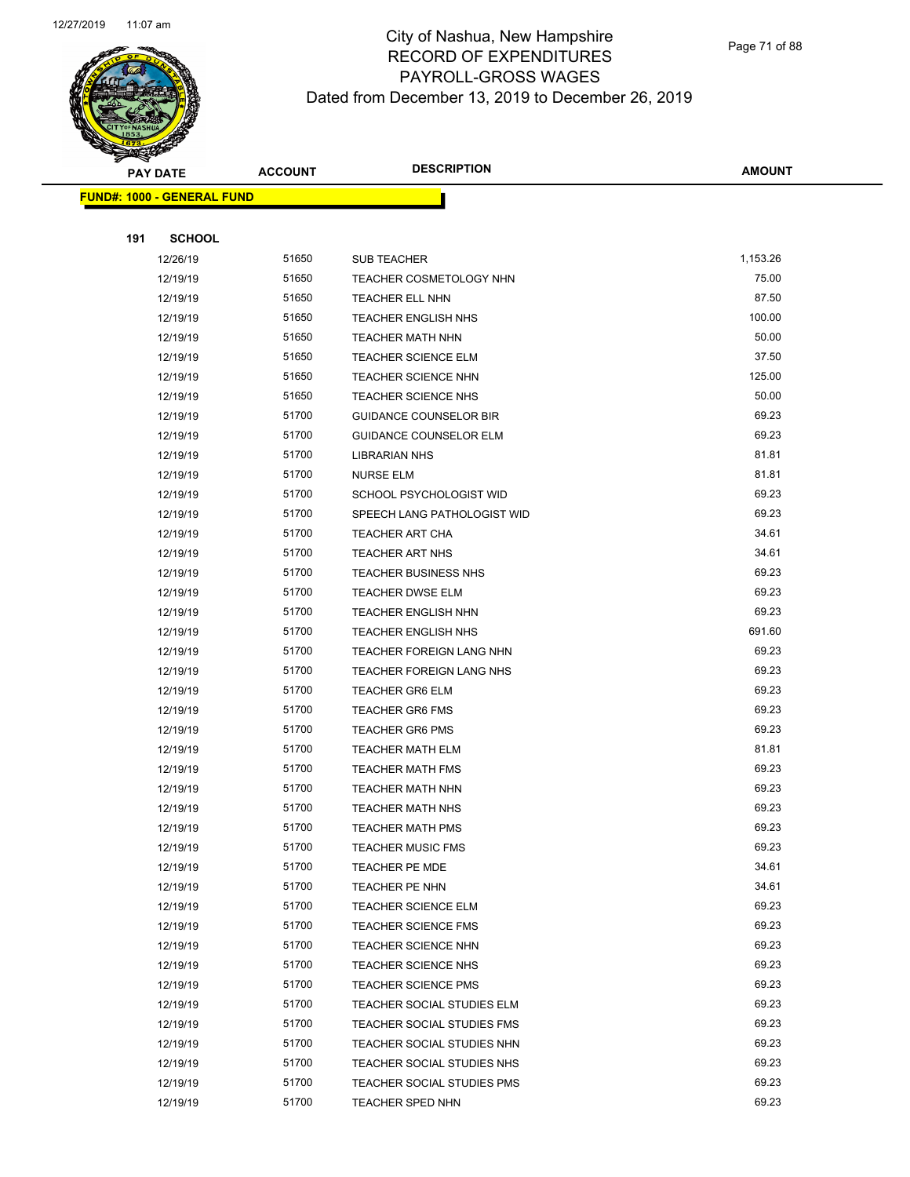

Page 71 of 88

|     | <b>PAY DATE</b>                    | <b>ACCOUNT</b> | <b>DESCRIPTION</b>            | <b>AMOUNT</b> |
|-----|------------------------------------|----------------|-------------------------------|---------------|
|     | <u> FUND#: 1000 - GENERAL FUND</u> |                |                               |               |
|     |                                    |                |                               |               |
| 191 | <b>SCHOOL</b>                      |                |                               |               |
|     | 12/26/19                           | 51650          | <b>SUB TEACHER</b>            | 1,153.26      |
|     | 12/19/19                           | 51650          | TEACHER COSMETOLOGY NHN       | 75.00         |
|     | 12/19/19                           | 51650          | TEACHER ELL NHN               | 87.50         |
|     | 12/19/19                           | 51650          | <b>TEACHER ENGLISH NHS</b>    | 100.00        |
|     | 12/19/19                           | 51650          | <b>TEACHER MATH NHN</b>       | 50.00         |
|     | 12/19/19                           | 51650          | <b>TEACHER SCIENCE ELM</b>    | 37.50         |
|     | 12/19/19                           | 51650          | <b>TEACHER SCIENCE NHN</b>    | 125.00        |
|     | 12/19/19                           | 51650          | TEACHER SCIENCE NHS           | 50.00         |
|     | 12/19/19                           | 51700          | <b>GUIDANCE COUNSELOR BIR</b> | 69.23         |
|     | 12/19/19                           | 51700          | <b>GUIDANCE COUNSELOR ELM</b> | 69.23         |
|     | 12/19/19                           | 51700          | <b>LIBRARIAN NHS</b>          | 81.81         |
|     | 12/19/19                           | 51700          | <b>NURSE ELM</b>              | 81.81         |
|     | 12/19/19                           | 51700          | SCHOOL PSYCHOLOGIST WID       | 69.23         |
|     | 12/19/19                           | 51700          | SPEECH LANG PATHOLOGIST WID   | 69.23         |
|     | 12/19/19                           | 51700          | TEACHER ART CHA               | 34.61         |
|     | 12/19/19                           | 51700          | <b>TEACHER ART NHS</b>        | 34.61         |
|     | 12/19/19                           | 51700          | <b>TEACHER BUSINESS NHS</b>   | 69.23         |
|     | 12/19/19                           | 51700          | <b>TEACHER DWSE ELM</b>       | 69.23         |
|     | 12/19/19                           | 51700          | TEACHER ENGLISH NHN           | 69.23         |
|     | 12/19/19                           | 51700          | <b>TEACHER ENGLISH NHS</b>    | 691.60        |
|     | 12/19/19                           | 51700          | TEACHER FOREIGN LANG NHN      | 69.23         |
|     | 12/19/19                           | 51700          | TEACHER FOREIGN LANG NHS      | 69.23         |
|     | 12/19/19                           | 51700          | <b>TEACHER GR6 ELM</b>        | 69.23         |
|     | 12/19/19                           | 51700          | <b>TEACHER GR6 FMS</b>        | 69.23         |
|     | 12/19/19                           | 51700          | <b>TEACHER GR6 PMS</b>        | 69.23         |
|     | 12/19/19                           | 51700          | <b>TEACHER MATH ELM</b>       | 81.81         |
|     | 12/19/19                           | 51700          | <b>TEACHER MATH FMS</b>       | 69.23         |
|     | 12/19/19                           | 51700          | <b>TEACHER MATH NHN</b>       | 69.23         |
|     | 12/19/19                           | 51700          | <b>TEACHER MATH NHS</b>       | 69.23         |
|     | 12/19/19                           | 51700          | <b>TEACHER MATH PMS</b>       | 69.23         |
|     | 12/19/19                           | 51700          | <b>TEACHER MUSIC FMS</b>      | 69.23         |
|     | 12/19/19                           | 51700          | <b>TEACHER PE MDE</b>         | 34.61         |
|     | 12/19/19                           | 51700          | TEACHER PE NHN                | 34.61         |
|     | 12/19/19                           | 51700          | <b>TEACHER SCIENCE ELM</b>    | 69.23         |
|     | 12/19/19                           | 51700          | <b>TEACHER SCIENCE FMS</b>    | 69.23         |
|     | 12/19/19                           | 51700          | TEACHER SCIENCE NHN           | 69.23         |
|     | 12/19/19                           | 51700          | TEACHER SCIENCE NHS           | 69.23         |
|     | 12/19/19                           | 51700          | <b>TEACHER SCIENCE PMS</b>    | 69.23         |
|     | 12/19/19                           | 51700          | TEACHER SOCIAL STUDIES ELM    | 69.23         |
|     | 12/19/19                           | 51700          | TEACHER SOCIAL STUDIES FMS    | 69.23         |
|     | 12/19/19                           | 51700          | TEACHER SOCIAL STUDIES NHN    | 69.23         |
|     | 12/19/19                           | 51700          | TEACHER SOCIAL STUDIES NHS    | 69.23         |
|     | 12/19/19                           | 51700          | TEACHER SOCIAL STUDIES PMS    | 69.23         |
|     | 12/19/19                           | 51700          | <b>TEACHER SPED NHN</b>       | 69.23         |
|     |                                    |                |                               |               |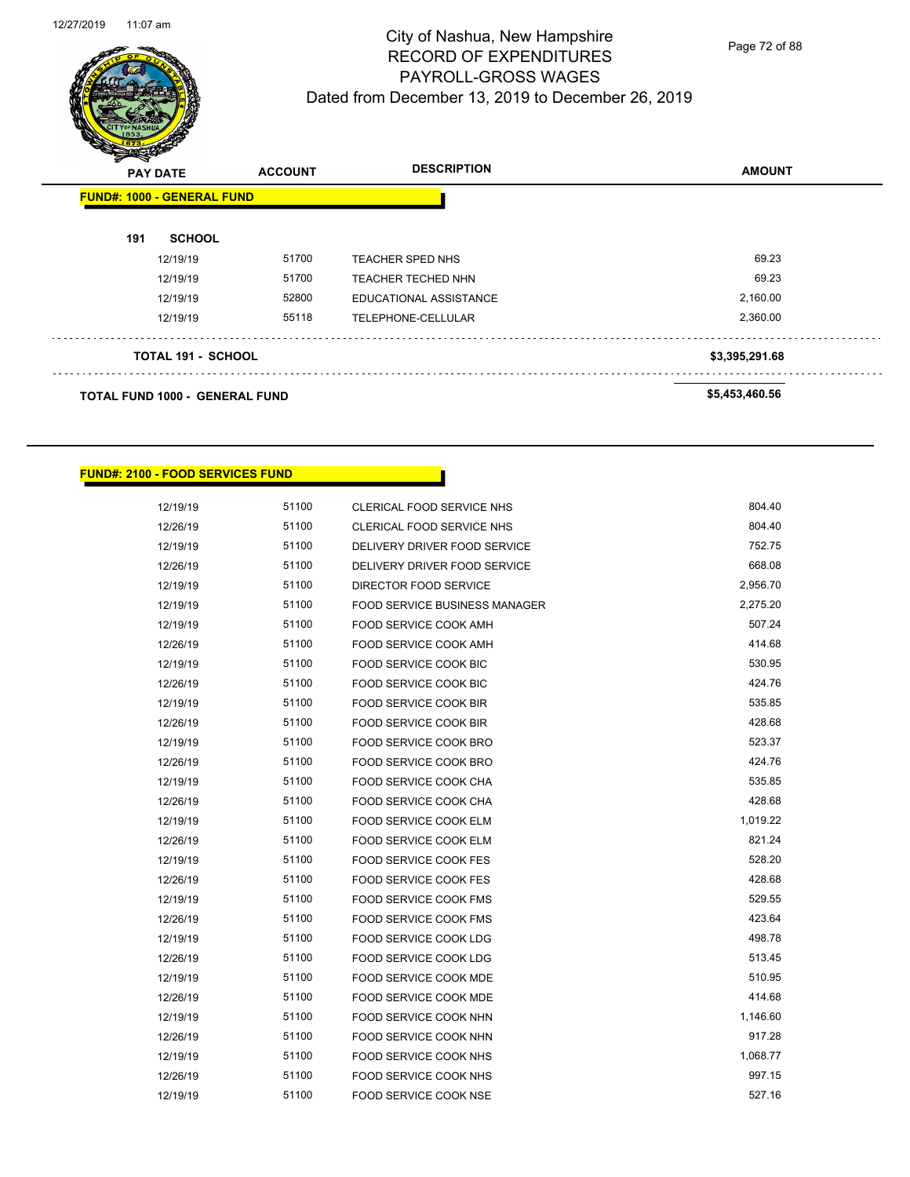

Page 72 of 88

|     | $\mathbf{z}$<br>$\tilde{\phantom{a}}$<br><b>PAY DATE</b> |       | <b>DESCRIPTION</b>      | <b>AMOUNT</b>  |
|-----|----------------------------------------------------------|-------|-------------------------|----------------|
|     | <b>FUND#: 1000 - GENERAL FUND</b>                        |       |                         |                |
| 191 | <b>SCHOOL</b>                                            |       |                         |                |
|     | 12/19/19                                                 | 51700 | <b>TEACHER SPED NHS</b> | 69.23          |
|     | 12/19/19                                                 | 51700 | TEACHER TECHED NHN      | 69.23          |
|     | 12/19/19                                                 | 52800 | EDUCATIONAL ASSISTANCE  | 2,160.00       |
|     | 12/19/19                                                 | 55118 | TELEPHONE-CELLULAR      | 2,360.00       |
|     | <b>TOTAL 191 - SCHOOL</b>                                |       |                         | \$3,395,291.68 |
|     | <b>TOTAL FUND 1000 - GENERAL FUND</b>                    |       | \$5,453,460.56          |                |

#### **FUND#: 2100 - FOOD SERVICES FUND**

| 12/19/19 | 51100 | <b>CLERICAL FOOD SERVICE NHS</b>     | 804.40   |
|----------|-------|--------------------------------------|----------|
| 12/26/19 | 51100 | CLERICAL FOOD SERVICE NHS            | 804.40   |
| 12/19/19 | 51100 | DELIVERY DRIVER FOOD SERVICE         | 752.75   |
| 12/26/19 | 51100 | DELIVERY DRIVER FOOD SERVICE         | 668.08   |
| 12/19/19 | 51100 | DIRECTOR FOOD SERVICE                | 2,956.70 |
| 12/19/19 | 51100 | <b>FOOD SERVICE BUSINESS MANAGER</b> | 2,275.20 |
| 12/19/19 | 51100 | FOOD SERVICE COOK AMH                | 507.24   |
| 12/26/19 | 51100 | FOOD SERVICE COOK AMH                | 414.68   |
| 12/19/19 | 51100 | FOOD SERVICE COOK BIC                | 530.95   |
| 12/26/19 | 51100 | <b>FOOD SERVICE COOK BIC</b>         | 424.76   |
| 12/19/19 | 51100 | FOOD SERVICE COOK BIR                | 535.85   |
| 12/26/19 | 51100 | <b>FOOD SERVICE COOK BIR</b>         | 428.68   |
| 12/19/19 | 51100 | FOOD SERVICE COOK BRO                | 523.37   |
| 12/26/19 | 51100 | FOOD SERVICE COOK BRO                | 424.76   |
| 12/19/19 | 51100 | FOOD SERVICE COOK CHA                | 535.85   |
| 12/26/19 | 51100 | FOOD SERVICE COOK CHA                | 428.68   |
| 12/19/19 | 51100 | FOOD SERVICE COOK ELM                | 1,019.22 |
| 12/26/19 | 51100 | FOOD SERVICE COOK ELM                | 821.24   |
| 12/19/19 | 51100 | <b>FOOD SERVICE COOK FES</b>         | 528.20   |
| 12/26/19 | 51100 | FOOD SERVICE COOK FES                | 428.68   |
| 12/19/19 | 51100 | FOOD SERVICE COOK FMS                | 529.55   |
| 12/26/19 | 51100 | <b>FOOD SERVICE COOK FMS</b>         | 423.64   |
| 12/19/19 | 51100 | FOOD SERVICE COOK LDG                | 498.78   |
| 12/26/19 | 51100 | <b>FOOD SERVICE COOK LDG</b>         | 513.45   |
| 12/19/19 | 51100 | FOOD SERVICE COOK MDE                | 510.95   |
| 12/26/19 | 51100 | FOOD SERVICE COOK MDE                | 414.68   |
| 12/19/19 | 51100 | FOOD SERVICE COOK NHN                | 1,146.60 |
| 12/26/19 | 51100 | FOOD SERVICE COOK NHN                | 917.28   |
| 12/19/19 | 51100 | FOOD SERVICE COOK NHS                | 1,068.77 |
| 12/26/19 | 51100 | FOOD SERVICE COOK NHS                | 997.15   |
| 12/19/19 | 51100 | <b>FOOD SERVICE COOK NSE</b>         | 527.16   |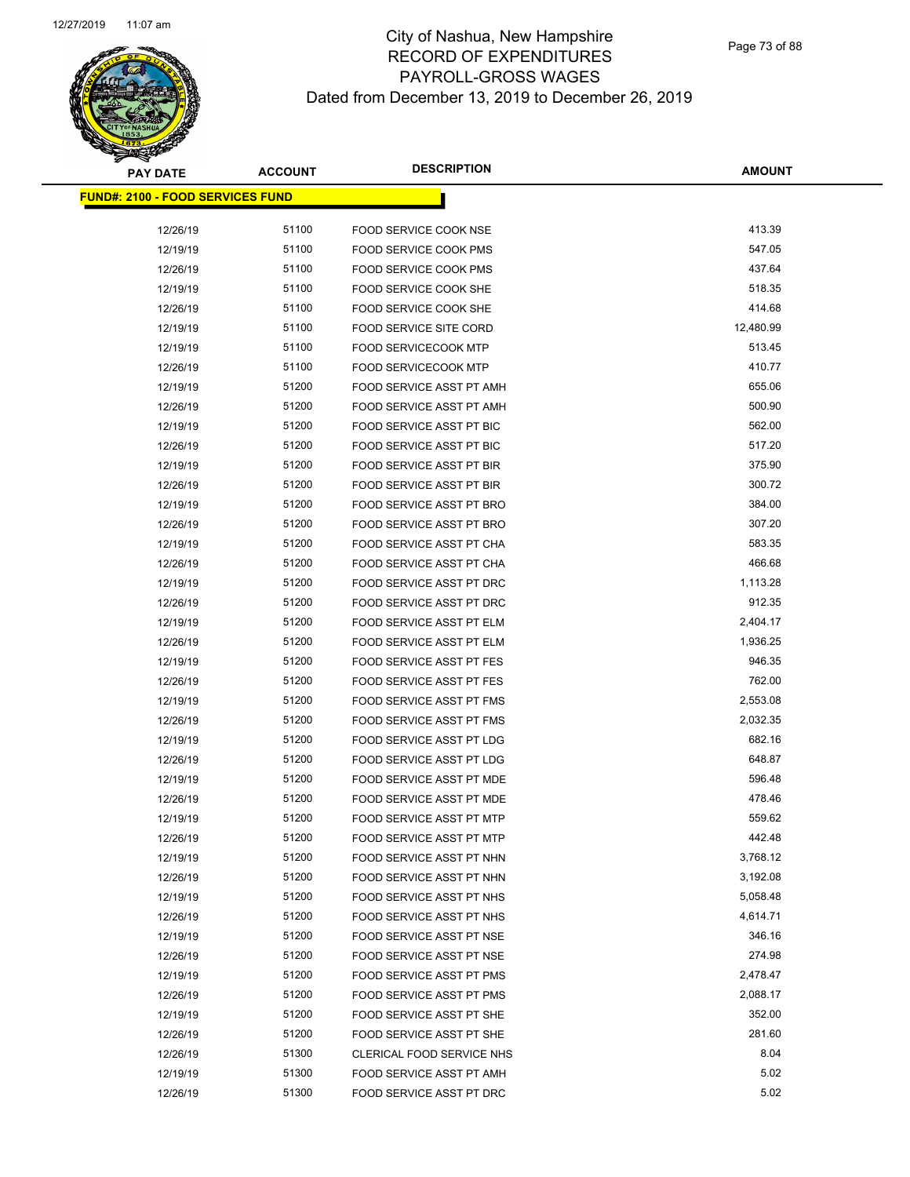| <b>PAY DATE</b>                          | <b>ACCOUNT</b> | <b>DESCRIPTION</b>              | <b>AMOUNT</b> |
|------------------------------------------|----------------|---------------------------------|---------------|
| <u> FUND#: 2100 - FOOD SERVICES FUND</u> |                |                                 |               |
|                                          |                |                                 |               |
| 12/26/19                                 | 51100          | FOOD SERVICE COOK NSE           | 413.39        |
| 12/19/19                                 | 51100          | <b>FOOD SERVICE COOK PMS</b>    | 547.05        |
| 12/26/19                                 | 51100          | <b>FOOD SERVICE COOK PMS</b>    | 437.64        |
| 12/19/19                                 | 51100          | FOOD SERVICE COOK SHE           | 518.35        |
| 12/26/19                                 | 51100          | FOOD SERVICE COOK SHE           | 414.68        |
| 12/19/19                                 | 51100          | FOOD SERVICE SITE CORD          | 12,480.99     |
| 12/19/19                                 | 51100          | <b>FOOD SERVICECOOK MTP</b>     | 513.45        |
| 12/26/19                                 | 51100          | <b>FOOD SERVICECOOK MTP</b>     | 410.77        |
| 12/19/19                                 | 51200          | FOOD SERVICE ASST PT AMH        | 655.06        |
| 12/26/19                                 | 51200          | FOOD SERVICE ASST PT AMH        | 500.90        |
| 12/19/19                                 | 51200          | FOOD SERVICE ASST PT BIC        | 562.00        |
| 12/26/19                                 | 51200          | FOOD SERVICE ASST PT BIC        | 517.20        |
| 12/19/19                                 | 51200          | FOOD SERVICE ASST PT BIR        | 375.90        |
| 12/26/19                                 | 51200          | <b>FOOD SERVICE ASST PT BIR</b> | 300.72        |
| 12/19/19                                 | 51200          | FOOD SERVICE ASST PT BRO        | 384.00        |
| 12/26/19                                 | 51200          | FOOD SERVICE ASST PT BRO        | 307.20        |
| 12/19/19                                 | 51200          | FOOD SERVICE ASST PT CHA        | 583.35        |
| 12/26/19                                 | 51200          | FOOD SERVICE ASST PT CHA        | 466.68        |
| 12/19/19                                 | 51200          | FOOD SERVICE ASST PT DRC        | 1,113.28      |
| 12/26/19                                 | 51200          | FOOD SERVICE ASST PT DRC        | 912.35        |
| 12/19/19                                 | 51200          | FOOD SERVICE ASST PT ELM        | 2,404.17      |
| 12/26/19                                 | 51200          | <b>FOOD SERVICE ASST PT ELM</b> | 1,936.25      |
| 12/19/19                                 | 51200          | <b>FOOD SERVICE ASST PT FES</b> | 946.35        |
| 12/26/19                                 | 51200          | <b>FOOD SERVICE ASST PT FES</b> | 762.00        |
| 12/19/19                                 | 51200          | FOOD SERVICE ASST PT FMS        | 2,553.08      |
| 12/26/19                                 | 51200          | FOOD SERVICE ASST PT FMS        | 2,032.35      |
| 12/19/19                                 | 51200          | FOOD SERVICE ASST PT LDG        | 682.16        |
| 12/26/19                                 | 51200          | <b>FOOD SERVICE ASST PT LDG</b> | 648.87        |
| 12/19/19                                 | 51200          | FOOD SERVICE ASST PT MDE        | 596.48        |
| 12/26/19                                 | 51200          | FOOD SERVICE ASST PT MDE        | 478.46        |
| 12/19/19                                 | 51200          | <b>FOOD SERVICE ASST PT MTP</b> | 559.62        |
| 12/26/19                                 | 51200          | FOOD SERVICE ASST PT MTP        | 442.48        |
| 12/19/19                                 | 51200          | FOOD SERVICE ASST PT NHN        | 3,768.12      |
| 12/26/19                                 | 51200          | FOOD SERVICE ASST PT NHN        | 3,192.08      |
| 12/19/19                                 | 51200          | FOOD SERVICE ASST PT NHS        | 5,058.48      |
| 12/26/19                                 | 51200          | <b>FOOD SERVICE ASST PT NHS</b> | 4,614.71      |
| 12/19/19                                 | 51200          | FOOD SERVICE ASST PT NSE        | 346.16        |
| 12/26/19                                 | 51200          | FOOD SERVICE ASST PT NSE        | 274.98        |
| 12/19/19                                 | 51200          | FOOD SERVICE ASST PT PMS        | 2,478.47      |
| 12/26/19                                 | 51200          | <b>FOOD SERVICE ASST PT PMS</b> | 2,088.17      |
| 12/19/19                                 | 51200          | FOOD SERVICE ASST PT SHE        | 352.00        |
| 12/26/19                                 | 51200          | FOOD SERVICE ASST PT SHE        | 281.60        |
| 12/26/19                                 | 51300          | CLERICAL FOOD SERVICE NHS       | 8.04          |
| 12/19/19                                 | 51300          | FOOD SERVICE ASST PT AMH        | 5.02          |
| 12/26/19                                 | 51300          | FOOD SERVICE ASST PT DRC        | 5.02          |
|                                          |                |                                 |               |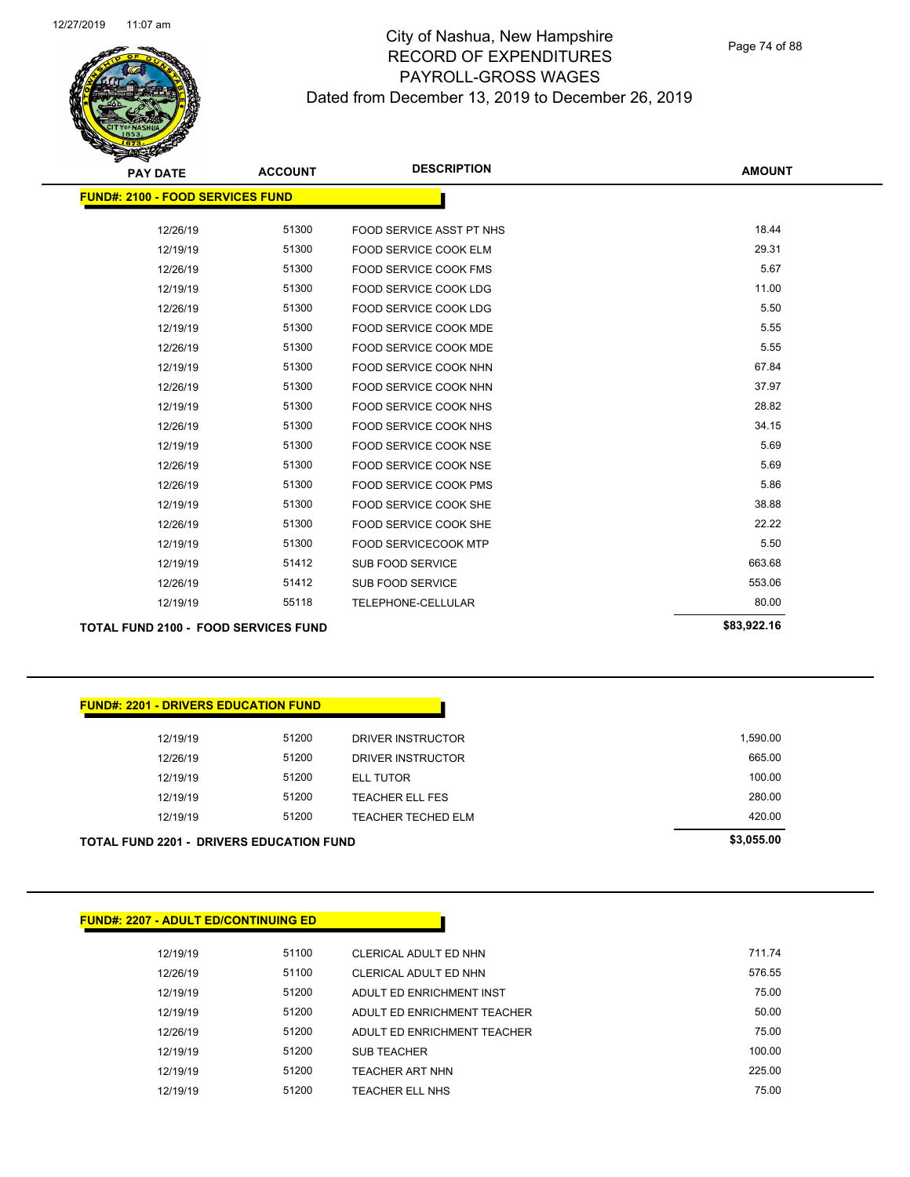| <b>PAY DATE</b>                             | <b>ACCOUNT</b> | <b>DESCRIPTION</b>           | <b>AMOUNT</b> |
|---------------------------------------------|----------------|------------------------------|---------------|
| <b>FUND#: 2100 - FOOD SERVICES FUND</b>     |                |                              |               |
| 12/26/19                                    | 51300          | FOOD SERVICE ASST PT NHS     | 18.44         |
| 12/19/19                                    | 51300          | FOOD SERVICE COOK ELM        | 29.31         |
| 12/26/19                                    | 51300          | <b>FOOD SERVICE COOK FMS</b> | 5.67          |
| 12/19/19                                    | 51300          | <b>FOOD SERVICE COOK LDG</b> | 11.00         |
| 12/26/19                                    | 51300          | FOOD SERVICE COOK LDG        | 5.50          |
| 12/19/19                                    | 51300          | <b>FOOD SERVICE COOK MDE</b> | 5.55          |
| 12/26/19                                    | 51300          | FOOD SERVICE COOK MDE        | 5.55          |
| 12/19/19                                    | 51300          | FOOD SERVICE COOK NHN        | 67.84         |
| 12/26/19                                    | 51300          | FOOD SERVICE COOK NHN        | 37.97         |
| 12/19/19                                    | 51300          | FOOD SERVICE COOK NHS        | 28.82         |
| 12/26/19                                    | 51300          | FOOD SERVICE COOK NHS        | 34.15         |
| 12/19/19                                    | 51300          | FOOD SERVICE COOK NSE        | 5.69          |
| 12/26/19                                    | 51300          | FOOD SERVICE COOK NSE        | 5.69          |
| 12/26/19                                    | 51300          | FOOD SERVICE COOK PMS        | 5.86          |
| 12/19/19                                    | 51300          | FOOD SERVICE COOK SHE        | 38.88         |
| 12/26/19                                    | 51300          | FOOD SERVICE COOK SHE        | 22.22         |
| 12/19/19                                    | 51300          | <b>FOOD SERVICECOOK MTP</b>  | 5.50          |
| 12/19/19                                    | 51412          | <b>SUB FOOD SERVICE</b>      | 663.68        |
| 12/26/19                                    | 51412          | <b>SUB FOOD SERVICE</b>      | 553.06        |
| 12/19/19                                    | 55118          | TELEPHONE-CELLULAR           | 80.00         |
| <b>TOTAL FUND 2100 - FOOD SERVICES FUND</b> |                |                              | \$83,922.16   |

#### **FUND#: 2201 - DRIVERS EDUCATION FUND**

|          | <b>TOTAL FUND 2201 - DRIVERS EDUCATION FUND</b> |                        | \$3,055.00 |  |
|----------|-------------------------------------------------|------------------------|------------|--|
| 12/19/19 | 51200                                           | TEACHER TECHED ELM     | 420.00     |  |
| 12/19/19 | 51200                                           | <b>TEACHER ELL FES</b> | 280.00     |  |
| 12/19/19 | 51200                                           | ELL TUTOR              | 100.00     |  |
| 12/26/19 | 51200                                           | DRIVER INSTRUCTOR      | 665.00     |  |
| 12/19/19 | 51200                                           | DRIVER INSTRUCTOR      | 1,590.00   |  |
|          |                                                 |                        |            |  |

# **FUND#: 2207 - ADULT ED/CONTINUING ED** 12/19/19 51100 CLERICAL ADULT ED NHN 711.74 12/26/19 51100 CLERICAL ADULT ED NHN 576.55 12/19/19 51200 ADULT ED ENRICHMENT INST 600 75.00 12/19/19 51200 ADULT ED ENRICHMENT TEACHER 50.00 12/26/19 51200 ADULT ED ENRICHMENT TEACHER 75.00 12/19/19 51200 SUB TEACHER 100.00 50 100.00 12/19/19 51200 TEACHER ART NHN 225.00 12/19/19 51200 TEACHER ELL NHS 75.00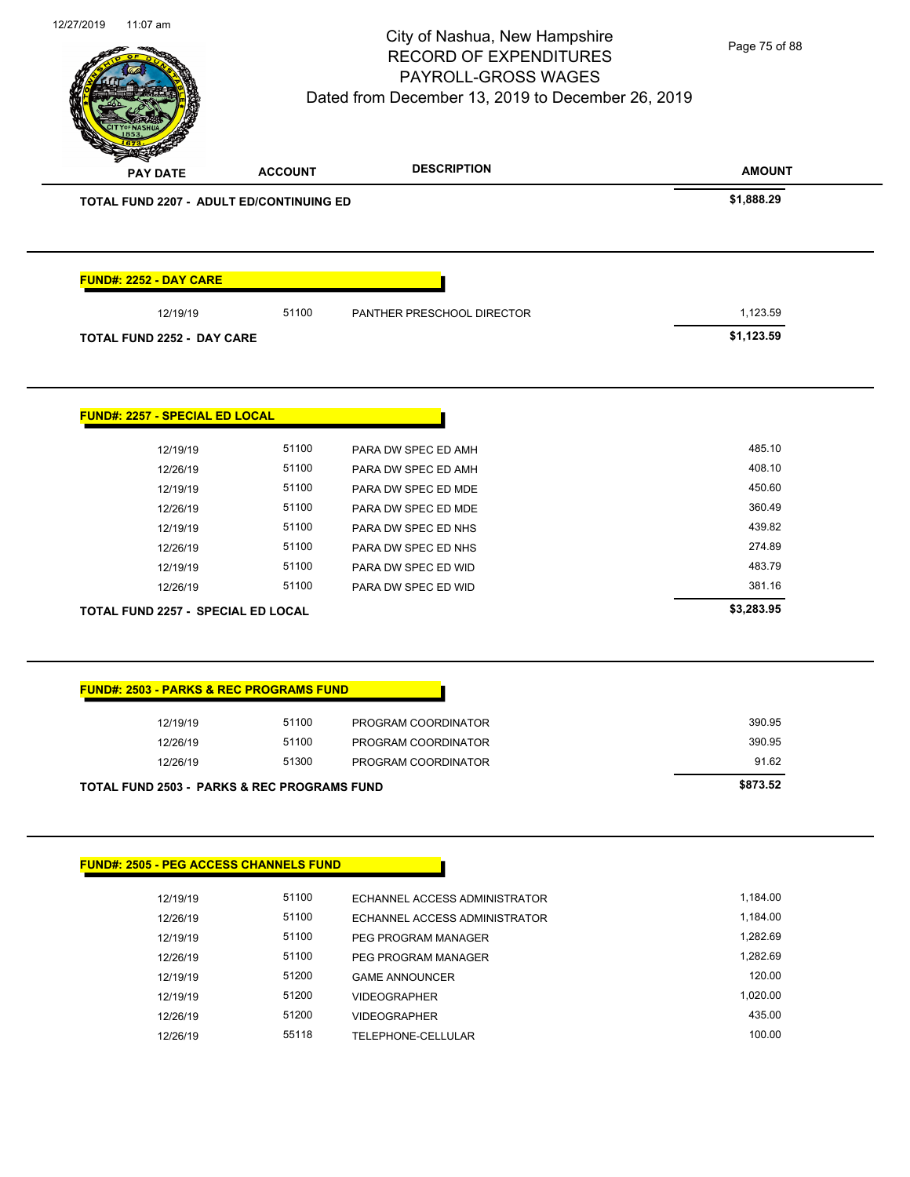

Page 75 of 88

| TOTAL FUND 2207 - ADULT ED/CONTINUING ED           |       |                            | \$1,888.29 |
|----------------------------------------------------|-------|----------------------------|------------|
|                                                    |       |                            |            |
| <b>FUND#: 2252 - DAY CARE</b>                      |       |                            |            |
| 12/19/19                                           | 51100 | PANTHER PRESCHOOL DIRECTOR | 1,123.59   |
| <b>TOTAL FUND 2252 - DAY CARE</b>                  |       |                            | \$1,123.59 |
|                                                    |       |                            |            |
| <b>FUND#: 2257 - SPECIAL ED LOCAL</b>              |       |                            |            |
| 12/19/19                                           | 51100 | PARA DW SPEC ED AMH        | 485.10     |
| 12/26/19                                           | 51100 | PARA DW SPEC ED AMH        | 408.10     |
| 12/19/19                                           | 51100 | PARA DW SPEC ED MDE        | 450.60     |
| 12/26/19                                           | 51100 | PARA DW SPEC ED MDE        | 360.49     |
| 12/19/19                                           | 51100 | PARA DW SPEC ED NHS        | 439.82     |
| 12/26/19                                           | 51100 | PARA DW SPEC ED NHS        | 274.89     |
| 12/19/19                                           | 51100 | PARA DW SPEC ED WID        | 483.79     |
| 12/26/19                                           | 51100 | PARA DW SPEC ED WID        | 381.16     |
| TOTAL FUND 2257 - SPECIAL ED LOCAL                 |       |                            | \$3,283.95 |
|                                                    |       |                            |            |
| <b>FUND#: 2503 - PARKS &amp; REC PROGRAMS FUND</b> |       |                            |            |
| 12/19/19                                           | 51100 | PROGRAM COORDINATOR        | 390.95     |
| 12/26/19                                           | 51100 | PROGRAM COORDINATOR        | 390.95     |
| 12/26/19                                           | 51300 | PROGRAM COORDINATOR        | 91.62      |
| TOTAL FUND 2503 - PARKS & REC PROGRAMS FUND        |       |                            | \$873.52   |
|                                                    |       |                            |            |

| 12/19/19 | 51100 | ECHANNEL ACCESS ADMINISTRATOR | 1.184.00 |
|----------|-------|-------------------------------|----------|
| 12/26/19 | 51100 | ECHANNEL ACCESS ADMINISTRATOR | 1,184.00 |
| 12/19/19 | 51100 | PEG PROGRAM MANAGER           | 1.282.69 |
| 12/26/19 | 51100 | PEG PROGRAM MANAGER           | 1.282.69 |
| 12/19/19 | 51200 | <b>GAME ANNOUNCER</b>         | 120.00   |
| 12/19/19 | 51200 | <b>VIDEOGRAPHER</b>           | 1.020.00 |
| 12/26/19 | 51200 | <b>VIDEOGRAPHER</b>           | 435.00   |
| 12/26/19 | 55118 | TELEPHONE-CELLULAR            | 100.00   |
|          |       |                               |          |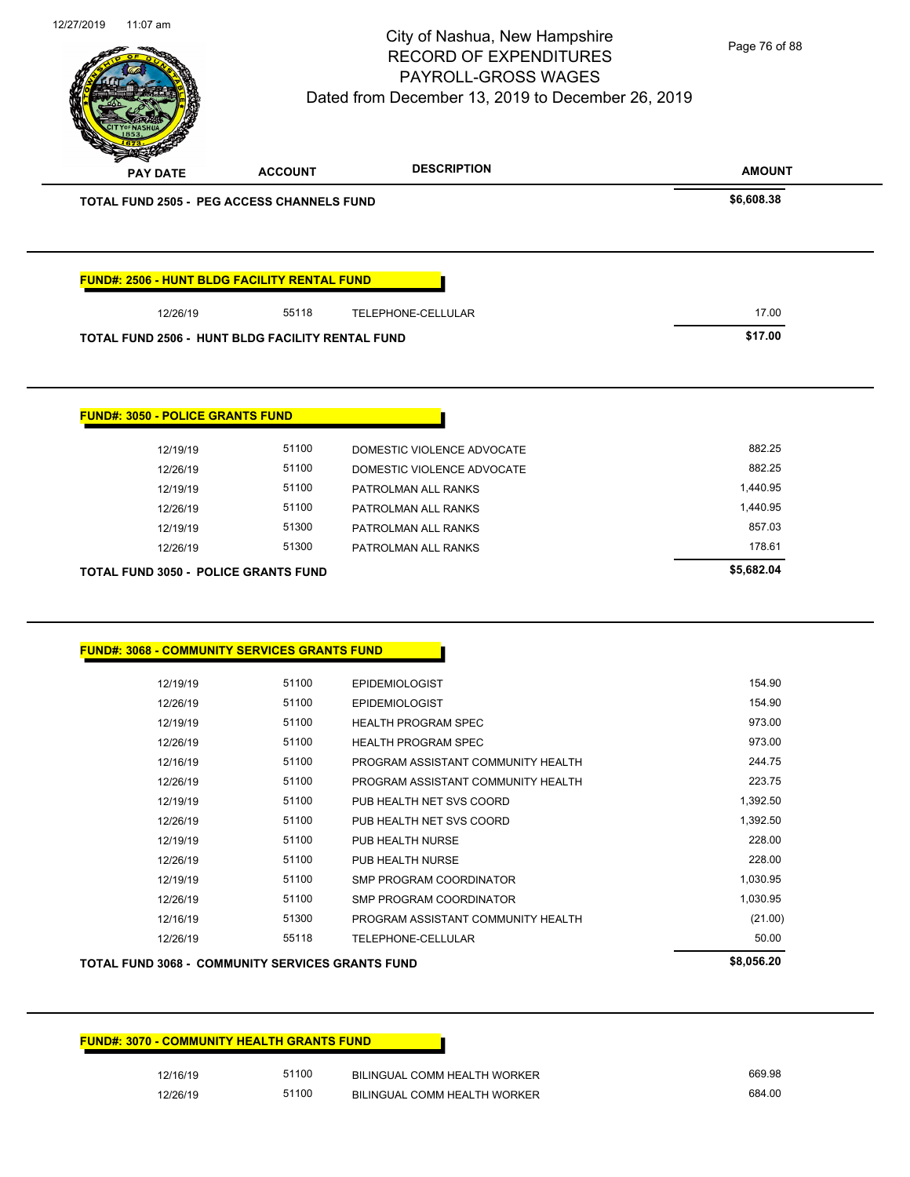| 12/19/19                                                | 51100 | <b>EPIDEMIOLOGIST</b>              | 154.90     |
|---------------------------------------------------------|-------|------------------------------------|------------|
| 12/26/19                                                | 51100 | <b>EPIDEMIOLOGIST</b>              | 154.90     |
| 12/19/19                                                | 51100 | <b>HEALTH PROGRAM SPEC</b>         | 973.00     |
| 12/26/19                                                | 51100 | <b>HEALTH PROGRAM SPEC</b>         | 973.00     |
| 12/16/19                                                | 51100 | PROGRAM ASSISTANT COMMUNITY HEALTH | 244.75     |
| 12/26/19                                                | 51100 | PROGRAM ASSISTANT COMMUNITY HEALTH | 223.75     |
| 12/19/19                                                | 51100 | PUB HEALTH NET SVS COORD           | 1,392.50   |
| 12/26/19                                                | 51100 | PUB HEALTH NET SVS COORD           | 1,392.50   |
| 12/19/19                                                | 51100 | PUB HEALTH NURSE                   | 228.00     |
| 12/26/19                                                | 51100 | PUB HEALTH NURSE                   | 228.00     |
| 12/19/19                                                | 51100 | <b>SMP PROGRAM COORDINATOR</b>     | 1,030.95   |
| 12/26/19                                                | 51100 | SMP PROGRAM COORDINATOR            | 1,030.95   |
| 12/16/19                                                | 51300 | PROGRAM ASSISTANT COMMUNITY HEALTH | (21.00)    |
| 12/26/19                                                | 55118 | TELEPHONE-CELLULAR                 | 50.00      |
| <b>TOTAL FUND 3068 - COMMUNITY SERVICES GRANTS FUND</b> |       |                                    | \$8,056.20 |
|                                                         |       |                                    |            |

| <u> FUND#: 3050 - POLICE GRANTS FUND</u> |       |                            |  |
|------------------------------------------|-------|----------------------------|--|
| 12/19/19                                 | 51100 | DOMESTIC VIOLENCE ADVOCATE |  |
| 12/26/19                                 | 51100 | DOMESTIC VIOLENCE ADVOCATE |  |
| 12/19/19                                 | 51100 | PATROLMAN ALL RANKS        |  |
| 12/26/19                                 | 51100 | PATROLMAN ALL RANKS        |  |
| 12/19/19                                 | 51300 | PATROLMAN ALL RANKS        |  |
| 12/26/19                                 | 51300 | PATROLMAN ALL RANKS        |  |

**TOTAL FUND 3050 - POLICE GRANTS FUND \$5,682.04** 

|          | <b>FUND#: 2506 - HUNT BLDG FACILITY RENTAL FUND</b> |                    |
|----------|-----------------------------------------------------|--------------------|
| 12/26/19 | 55118                                               | TELEPHONE-CELLULAR |
|          | TOTAL FUND 2506 - HUNT BLDG FACILITY RENTAL FUND    |                    |

| <b>TOTAL FUND 2505 - PEG ACCESS CHANNELS FUND</b>   |       |                    | \$6,608.38 |
|-----------------------------------------------------|-------|--------------------|------------|
|                                                     |       |                    |            |
|                                                     |       |                    |            |
|                                                     |       |                    |            |
|                                                     |       |                    |            |
|                                                     |       |                    |            |
|                                                     |       |                    |            |
| <b>FUND#: 2506 - HUNT BLDG FACILITY RENTAL FUND</b> |       |                    |            |
| 12/26/19                                            | 55118 | TELEPHONE-CELLULAR | 17.00      |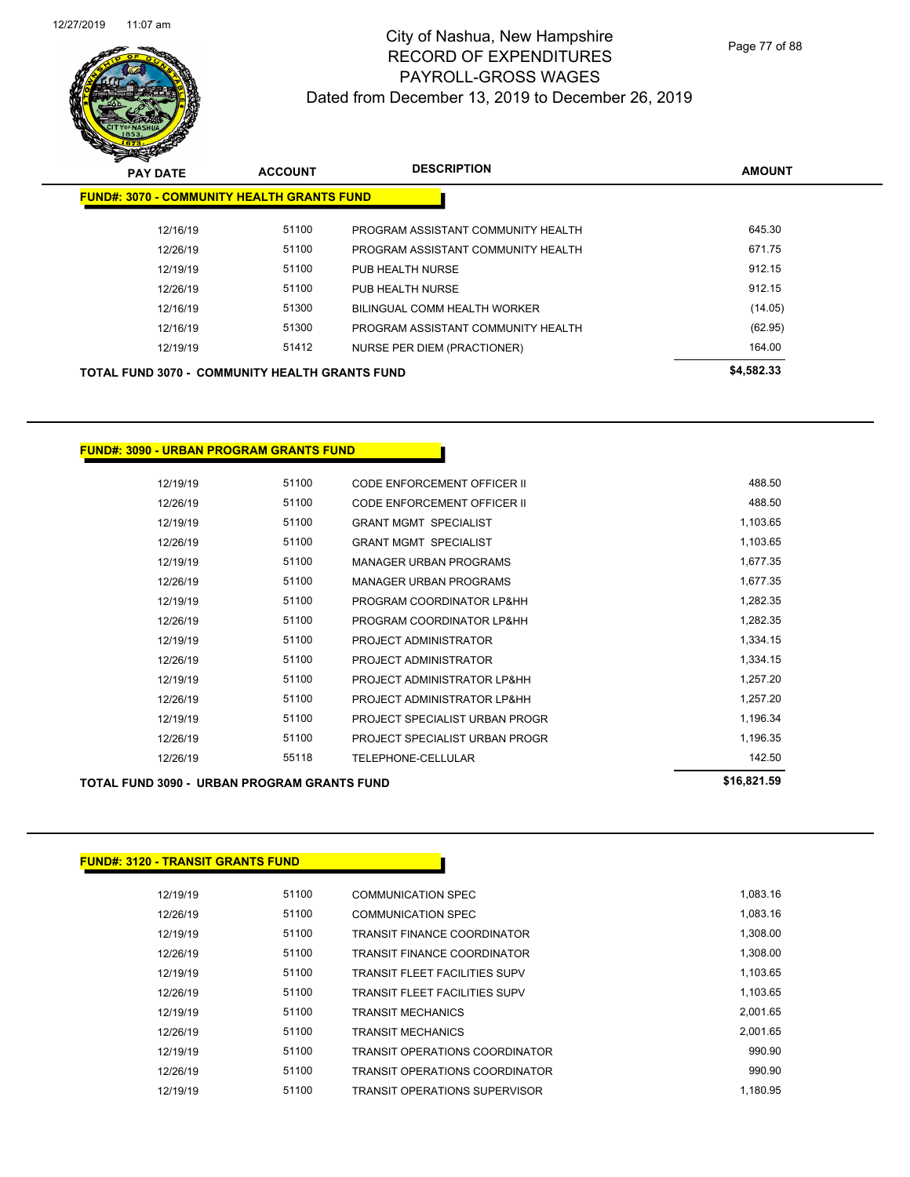

Page 77 of 88

| <b>PAY DATE</b>                                       | <b>ACCOUNT</b> | <b>DESCRIPTION</b>                 | <b>AMOUNT</b> |
|-------------------------------------------------------|----------------|------------------------------------|---------------|
| <b>FUND#: 3070 - COMMUNITY HEALTH GRANTS FUND</b>     |                |                                    |               |
| 12/16/19                                              | 51100          | PROGRAM ASSISTANT COMMUNITY HEALTH | 645.30        |
| 12/26/19                                              | 51100          | PROGRAM ASSISTANT COMMUNITY HEALTH | 671.75        |
| 12/19/19                                              | 51100          | PUB HEALTH NURSE                   | 912.15        |
| 12/26/19                                              | 51100          | PUB HEALTH NURSE                   | 912.15        |
| 12/16/19                                              | 51300          | BILINGUAL COMM HEALTH WORKER       | (14.05)       |
| 12/16/19                                              | 51300          | PROGRAM ASSISTANT COMMUNITY HEALTH | (62.95)       |
| 12/19/19                                              | 51412          | NURSE PER DIEM (PRACTIONER)        | 164.00        |
| <b>TOTAL FUND 3070 - COMMUNITY HEALTH GRANTS FUND</b> |                |                                    | \$4,582.33    |

**FUND#: 3090 - URBAN PROGRAM GRANTS FUND**

| 12/19/19 | 51100 | CODE ENFORCEMENT OFFICER II    | 488.50   |
|----------|-------|--------------------------------|----------|
| 12/26/19 | 51100 | CODE ENFORCEMENT OFFICER II    | 488.50   |
| 12/19/19 | 51100 | <b>GRANT MGMT SPECIALIST</b>   | 1,103.65 |
| 12/26/19 | 51100 | <b>GRANT MGMT SPECIALIST</b>   | 1,103.65 |
| 12/19/19 | 51100 | <b>MANAGER URBAN PROGRAMS</b>  | 1,677.35 |
| 12/26/19 | 51100 | <b>MANAGER URBAN PROGRAMS</b>  | 1,677.35 |
| 12/19/19 | 51100 | PROGRAM COORDINATOR LP&HH      | 1,282.35 |
| 12/26/19 | 51100 | PROGRAM COORDINATOR LP&HH      | 1,282.35 |
| 12/19/19 | 51100 | PROJECT ADMINISTRATOR          | 1,334.15 |
| 12/26/19 | 51100 | PROJECT ADMINISTRATOR          | 1,334.15 |
| 12/19/19 | 51100 | PROJECT ADMINISTRATOR LP&HH    | 1,257.20 |
| 12/26/19 | 51100 | PROJECT ADMINISTRATOR LP&HH    | 1,257.20 |
| 12/19/19 | 51100 | PROJECT SPECIALIST URBAN PROGR | 1,196.34 |
| 12/26/19 | 51100 | PROJECT SPECIALIST URBAN PROGR | 1.196.35 |
| 12/26/19 | 55118 | TELEPHONE-CELLULAR             | 142.50   |
|          |       |                                |          |

#### **TOTAL FUND 3090 - URBAN PROGRAM GRANTS FUND \$16,821.59**

| <b>FUND#: 3120 - TRANSIT GRANTS FUND</b> |       |                                      |          |
|------------------------------------------|-------|--------------------------------------|----------|
|                                          |       |                                      |          |
| 12/19/19                                 | 51100 | <b>COMMUNICATION SPEC</b>            | 1,083.16 |
| 12/26/19                                 | 51100 | <b>COMMUNICATION SPEC</b>            | 1,083.16 |
| 12/19/19                                 | 51100 | <b>TRANSIT FINANCE COORDINATOR</b>   | 1,308.00 |
| 12/26/19                                 | 51100 | <b>TRANSIT FINANCE COORDINATOR</b>   | 1,308.00 |
| 12/19/19                                 | 51100 | <b>TRANSIT FLEET FACILITIES SUPV</b> | 1,103.65 |
| 12/26/19                                 | 51100 | <b>TRANSIT FLEET FACILITIES SUPV</b> | 1,103.65 |
| 12/19/19                                 | 51100 | <b>TRANSIT MECHANICS</b>             | 2,001.65 |
| 12/26/19                                 | 51100 | <b>TRANSIT MECHANICS</b>             | 2,001.65 |
| 12/19/19                                 | 51100 | TRANSIT OPERATIONS COORDINATOR       | 990.90   |
| 12/26/19                                 | 51100 | TRANSIT OPERATIONS COORDINATOR       | 990.90   |
| 12/19/19                                 | 51100 | TRANSIT OPERATIONS SUPERVISOR        | 1.180.95 |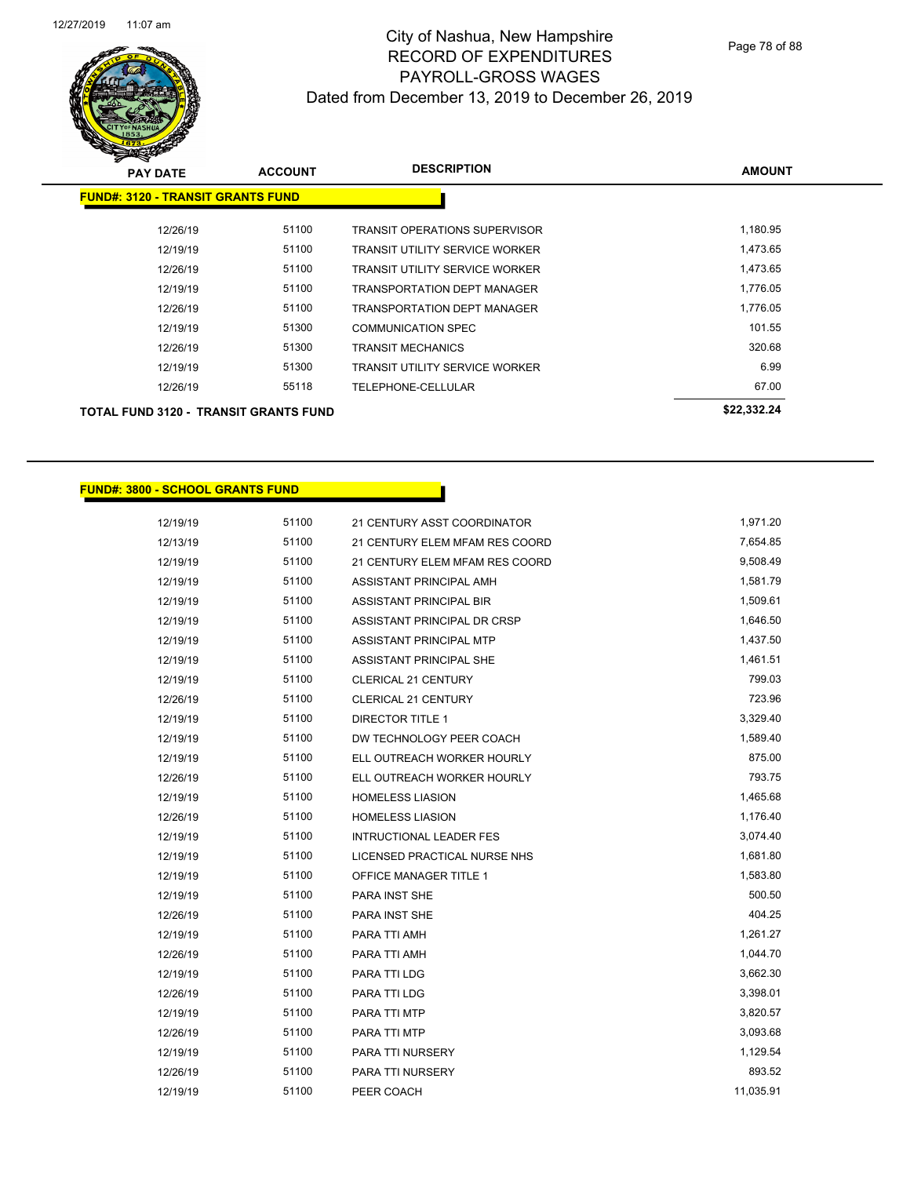

| <b>PAY DATE</b>                              | <b>ACCOUNT</b> | <b>DESCRIPTION</b>                    | <b>AMOUNT</b> |
|----------------------------------------------|----------------|---------------------------------------|---------------|
| <b>FUND#: 3120 - TRANSIT GRANTS FUND</b>     |                |                                       |               |
| 12/26/19                                     | 51100          | <b>TRANSIT OPERATIONS SUPERVISOR</b>  | 1.180.95      |
| 12/19/19                                     | 51100          | <b>TRANSIT UTILITY SERVICE WORKER</b> | 1,473.65      |
| 12/26/19                                     | 51100          | <b>TRANSIT UTILITY SERVICE WORKER</b> | 1,473.65      |
| 12/19/19                                     | 51100          | <b>TRANSPORTATION DEPT MANAGER</b>    | 1.776.05      |
| 12/26/19                                     | 51100          | <b>TRANSPORTATION DEPT MANAGER</b>    | 1,776.05      |
| 12/19/19                                     | 51300          | <b>COMMUNICATION SPEC</b>             | 101.55        |
| 12/26/19                                     | 51300          | <b>TRANSIT MECHANICS</b>              | 320.68        |
| 12/19/19                                     | 51300          | <b>TRANSIT UTILITY SERVICE WORKER</b> | 6.99          |
| 12/26/19                                     | 55118          | TELEPHONE-CELLULAR                    | 67.00         |
| <b>TOTAL FUND 3120 - TRANSIT GRANTS FUND</b> |                |                                       | \$22,332.24   |

#### **FUND#: 3800 - SCHOOL GRANTS FUND**

| 12/19/19 | 51100 | 21 CENTURY ASST COORDINATOR    | 1,971.20  |
|----------|-------|--------------------------------|-----------|
| 12/13/19 | 51100 | 21 CENTURY ELEM MFAM RES COORD | 7,654.85  |
| 12/19/19 | 51100 | 21 CENTURY ELEM MFAM RES COORD | 9,508.49  |
| 12/19/19 | 51100 | ASSISTANT PRINCIPAL AMH        | 1,581.79  |
| 12/19/19 | 51100 | ASSISTANT PRINCIPAL BIR        | 1,509.61  |
| 12/19/19 | 51100 | ASSISTANT PRINCIPAL DR CRSP    | 1,646.50  |
| 12/19/19 | 51100 | ASSISTANT PRINCIPAL MTP        | 1,437.50  |
| 12/19/19 | 51100 | ASSISTANT PRINCIPAL SHE        | 1,461.51  |
| 12/19/19 | 51100 | CLERICAL 21 CENTURY            | 799.03    |
| 12/26/19 | 51100 | <b>CLERICAL 21 CENTURY</b>     | 723.96    |
| 12/19/19 | 51100 | <b>DIRECTOR TITLE 1</b>        | 3,329.40  |
| 12/19/19 | 51100 | DW TECHNOLOGY PEER COACH       | 1,589.40  |
| 12/19/19 | 51100 | ELL OUTREACH WORKER HOURLY     | 875.00    |
| 12/26/19 | 51100 | ELL OUTREACH WORKER HOURLY     | 793.75    |
| 12/19/19 | 51100 | <b>HOMELESS LIASION</b>        | 1,465.68  |
| 12/26/19 | 51100 | <b>HOMELESS LIASION</b>        | 1,176.40  |
| 12/19/19 | 51100 | <b>INTRUCTIONAL LEADER FES</b> | 3,074.40  |
| 12/19/19 | 51100 | LICENSED PRACTICAL NURSE NHS   | 1,681.80  |
| 12/19/19 | 51100 | <b>OFFICE MANAGER TITLE 1</b>  | 1,583.80  |
| 12/19/19 | 51100 | PARA INST SHE                  | 500.50    |
| 12/26/19 | 51100 | PARA INST SHE                  | 404.25    |
| 12/19/19 | 51100 | PARA TTI AMH                   | 1,261.27  |
| 12/26/19 | 51100 | PARA TTI AMH                   | 1,044.70  |
| 12/19/19 | 51100 | PARA TTI LDG                   | 3,662.30  |
| 12/26/19 | 51100 | PARA TTI LDG                   | 3,398.01  |
| 12/19/19 | 51100 | PARA TTI MTP                   | 3,820.57  |
| 12/26/19 | 51100 | PARA TTI MTP                   | 3,093.68  |
| 12/19/19 | 51100 | PARA TTI NURSERY               | 1,129.54  |
| 12/26/19 | 51100 | PARA TTI NURSERY               | 893.52    |
| 12/19/19 | 51100 | PEER COACH                     | 11,035.91 |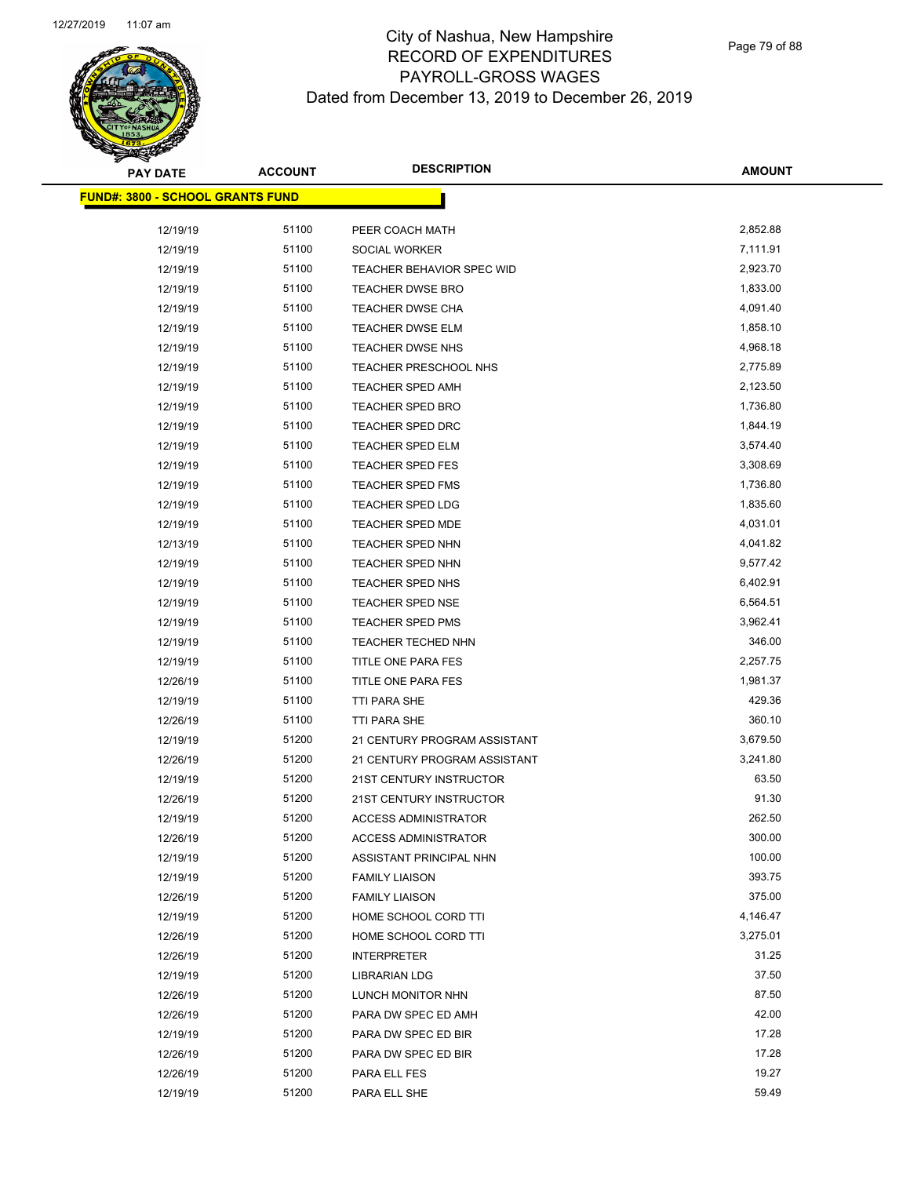

| <b>PAY DATE</b>                         | <b>ACCOUNT</b> | <b>DESCRIPTION</b>               | <b>AMOUNT</b> |
|-----------------------------------------|----------------|----------------------------------|---------------|
| <b>FUND#: 3800 - SCHOOL GRANTS FUND</b> |                |                                  |               |
| 12/19/19                                | 51100          | PEER COACH MATH                  | 2,852.88      |
| 12/19/19                                | 51100          | SOCIAL WORKER                    | 7,111.91      |
| 12/19/19                                | 51100          | <b>TEACHER BEHAVIOR SPEC WID</b> | 2,923.70      |
| 12/19/19                                | 51100          | <b>TEACHER DWSE BRO</b>          | 1,833.00      |
| 12/19/19                                | 51100          | TEACHER DWSE CHA                 | 4,091.40      |
| 12/19/19                                | 51100          | <b>TEACHER DWSE ELM</b>          | 1,858.10      |
| 12/19/19                                | 51100          | <b>TEACHER DWSE NHS</b>          | 4,968.18      |
| 12/19/19                                | 51100          | TEACHER PRESCHOOL NHS            | 2,775.89      |
| 12/19/19                                | 51100          | TEACHER SPED AMH                 | 2,123.50      |
| 12/19/19                                | 51100          | TEACHER SPED BRO                 | 1,736.80      |
| 12/19/19                                | 51100          | <b>TEACHER SPED DRC</b>          | 1,844.19      |
| 12/19/19                                | 51100          | <b>TEACHER SPED ELM</b>          | 3,574.40      |
| 12/19/19                                | 51100          | <b>TEACHER SPED FES</b>          | 3,308.69      |
| 12/19/19                                | 51100          | <b>TEACHER SPED FMS</b>          | 1,736.80      |
| 12/19/19                                | 51100          | TEACHER SPED LDG                 | 1,835.60      |
| 12/19/19                                | 51100          | <b>TEACHER SPED MDE</b>          | 4,031.01      |
| 12/13/19                                | 51100          | <b>TEACHER SPED NHN</b>          | 4,041.82      |
| 12/19/19                                | 51100          | <b>TEACHER SPED NHN</b>          | 9,577.42      |
| 12/19/19                                | 51100          | TEACHER SPED NHS                 | 6,402.91      |
| 12/19/19                                | 51100          | <b>TEACHER SPED NSE</b>          | 6,564.51      |
| 12/19/19                                | 51100          | <b>TEACHER SPED PMS</b>          | 3,962.41      |
| 12/19/19                                | 51100          | <b>TEACHER TECHED NHN</b>        | 346.00        |
| 12/19/19                                | 51100          | TITLE ONE PARA FES               | 2,257.75      |
| 12/26/19                                | 51100          | TITLE ONE PARA FES               | 1,981.37      |
| 12/19/19                                | 51100          | TTI PARA SHE                     | 429.36        |
| 12/26/19                                | 51100          | TTI PARA SHE                     | 360.10        |
| 12/19/19                                | 51200          | 21 CENTURY PROGRAM ASSISTANT     | 3,679.50      |
| 12/26/19                                | 51200          | 21 CENTURY PROGRAM ASSISTANT     | 3,241.80      |
| 12/19/19                                | 51200          | 21ST CENTURY INSTRUCTOR          | 63.50         |
| 12/26/19                                | 51200          | 21ST CENTURY INSTRUCTOR          | 91.30         |
| 12/19/19                                | 51200          | <b>ACCESS ADMINISTRATOR</b>      | 262.50        |
| 12/26/19                                | 51200          | <b>ACCESS ADMINISTRATOR</b>      | 300.00        |
| 12/19/19                                | 51200          | ASSISTANT PRINCIPAL NHN          | 100.00        |
| 12/19/19                                | 51200          | <b>FAMILY LIAISON</b>            | 393.75        |
| 12/26/19                                | 51200          | <b>FAMILY LIAISON</b>            | 375.00        |
| 12/19/19                                | 51200          | HOME SCHOOL CORD TTI             | 4,146.47      |
| 12/26/19                                | 51200          | HOME SCHOOL CORD TTI             | 3,275.01      |
| 12/26/19                                | 51200          | <b>INTERPRETER</b>               | 31.25         |
| 12/19/19                                | 51200          | <b>LIBRARIAN LDG</b>             | 37.50         |
| 12/26/19                                | 51200          | LUNCH MONITOR NHN                | 87.50         |
| 12/26/19                                | 51200          | PARA DW SPEC ED AMH              | 42.00         |
| 12/19/19                                | 51200          | PARA DW SPEC ED BIR              | 17.28         |
| 12/26/19                                | 51200          | PARA DW SPEC ED BIR              | 17.28         |
| 12/26/19                                | 51200          | PARA ELL FES                     | 19.27         |
| 12/19/19                                | 51200          | PARA ELL SHE                     | 59.49         |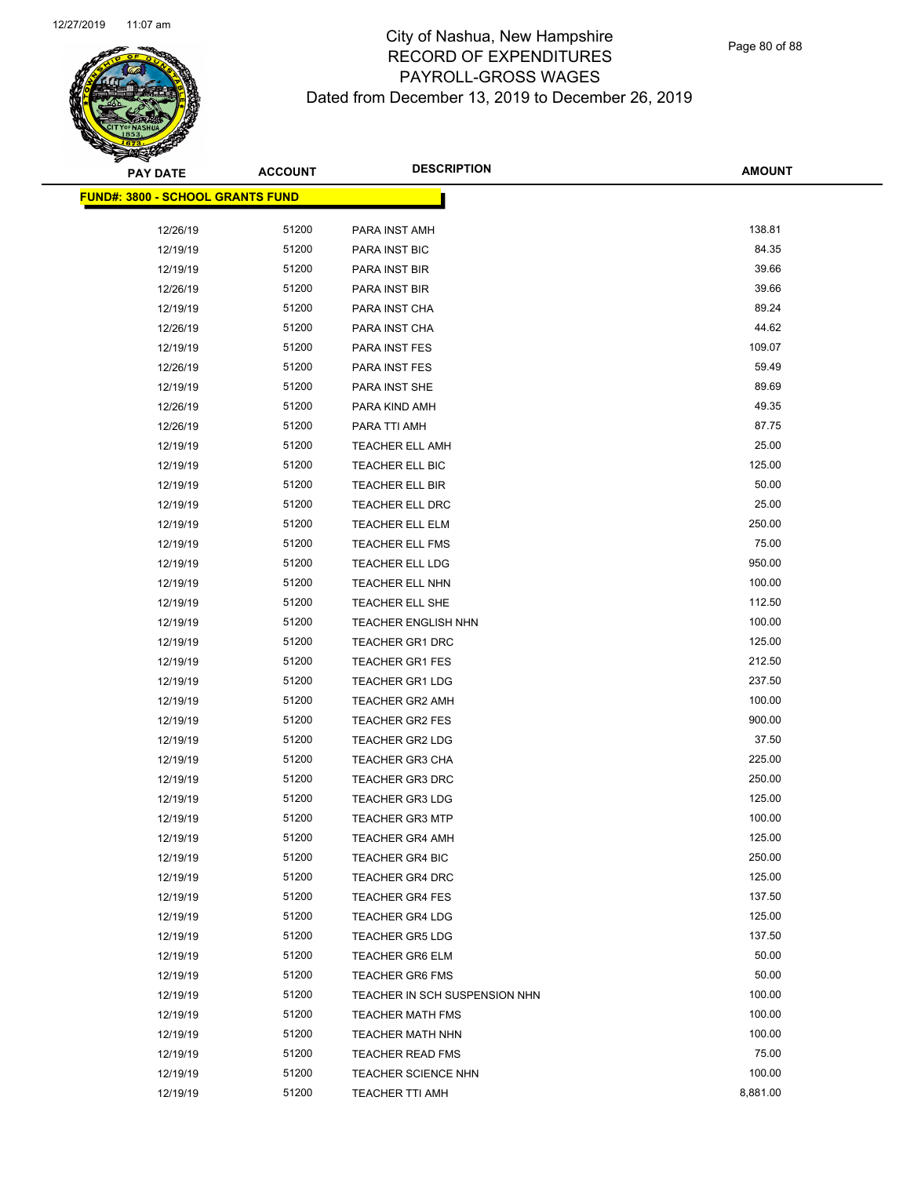

| <b>PAY DATE</b>                         | <b>ACCOUNT</b> | <b>DESCRIPTION</b>                               | <b>AMOUNT</b> |
|-----------------------------------------|----------------|--------------------------------------------------|---------------|
| <b>FUND#: 3800 - SCHOOL GRANTS FUND</b> |                |                                                  |               |
| 12/26/19                                | 51200          | PARA INST AMH                                    | 138.81        |
| 12/19/19                                | 51200          | PARA INST BIC                                    | 84.35         |
| 12/19/19                                | 51200          | PARA INST BIR                                    | 39.66         |
| 12/26/19                                | 51200          | PARA INST BIR                                    | 39.66         |
| 12/19/19                                | 51200          | PARA INST CHA                                    | 89.24         |
| 12/26/19                                | 51200          | PARA INST CHA                                    | 44.62         |
| 12/19/19                                | 51200          | PARA INST FES                                    | 109.07        |
| 12/26/19                                | 51200          | PARA INST FES                                    | 59.49         |
| 12/19/19                                | 51200          | PARA INST SHE                                    | 89.69         |
| 12/26/19                                | 51200          | PARA KIND AMH                                    | 49.35         |
| 12/26/19                                | 51200          | PARA TTI AMH                                     | 87.75         |
| 12/19/19                                | 51200          | <b>TEACHER ELL AMH</b>                           | 25.00         |
|                                         | 51200          |                                                  | 125.00        |
| 12/19/19                                | 51200          | TEACHER ELL BIC                                  | 50.00         |
| 12/19/19                                | 51200          | TEACHER ELL BIR                                  | 25.00         |
| 12/19/19                                |                | TEACHER ELL DRC                                  | 250.00        |
| 12/19/19                                | 51200<br>51200 | <b>TEACHER ELL ELM</b><br><b>TEACHER ELL FMS</b> | 75.00         |
| 12/19/19                                | 51200          |                                                  | 950.00        |
| 12/19/19                                | 51200          | TEACHER ELL LDG                                  | 100.00        |
| 12/19/19                                |                | TEACHER ELL NHN                                  |               |
| 12/19/19                                | 51200          | TEACHER ELL SHE                                  | 112.50        |
| 12/19/19                                | 51200          | <b>TEACHER ENGLISH NHN</b>                       | 100.00        |
| 12/19/19                                | 51200          | TEACHER GR1 DRC                                  | 125.00        |
| 12/19/19                                | 51200          | <b>TEACHER GR1 FES</b>                           | 212.50        |
| 12/19/19                                | 51200          | <b>TEACHER GR1 LDG</b>                           | 237.50        |
| 12/19/19                                | 51200          | <b>TEACHER GR2 AMH</b>                           | 100.00        |
| 12/19/19                                | 51200          | <b>TEACHER GR2 FES</b>                           | 900.00        |
| 12/19/19                                | 51200          | <b>TEACHER GR2 LDG</b>                           | 37.50         |
| 12/19/19                                | 51200          | <b>TEACHER GR3 CHA</b>                           | 225.00        |
| 12/19/19                                | 51200          | <b>TEACHER GR3 DRC</b>                           | 250.00        |
| 12/19/19                                | 51200          | <b>TEACHER GR3 LDG</b>                           | 125.00        |
| 12/19/19                                | 51200          | <b>TEACHER GR3 MTP</b>                           | 100.00        |
| 12/19/19                                | 51200          | <b>TEACHER GR4 AMH</b>                           | 125.00        |
| 12/19/19                                | 51200          | <b>TEACHER GR4 BIC</b>                           | 250.00        |
| 12/19/19                                | 51200          | <b>TEACHER GR4 DRC</b>                           | 125.00        |
| 12/19/19                                | 51200          | <b>TEACHER GR4 FES</b>                           | 137.50        |
| 12/19/19                                | 51200          | <b>TEACHER GR4 LDG</b>                           | 125.00        |
| 12/19/19                                | 51200          | <b>TEACHER GR5 LDG</b>                           | 137.50        |
| 12/19/19                                | 51200          | <b>TEACHER GR6 ELM</b>                           | 50.00         |
| 12/19/19                                | 51200          | <b>TEACHER GR6 FMS</b>                           | 50.00         |
| 12/19/19                                | 51200          | TEACHER IN SCH SUSPENSION NHN                    | 100.00        |
| 12/19/19                                | 51200          | <b>TEACHER MATH FMS</b>                          | 100.00        |
| 12/19/19                                | 51200          | <b>TEACHER MATH NHN</b>                          | 100.00        |
| 12/19/19                                | 51200          | <b>TEACHER READ FMS</b>                          | 75.00         |
| 12/19/19                                | 51200          | <b>TEACHER SCIENCE NHN</b>                       | 100.00        |
| 12/19/19                                | 51200          | TEACHER TTI AMH                                  | 8,881.00      |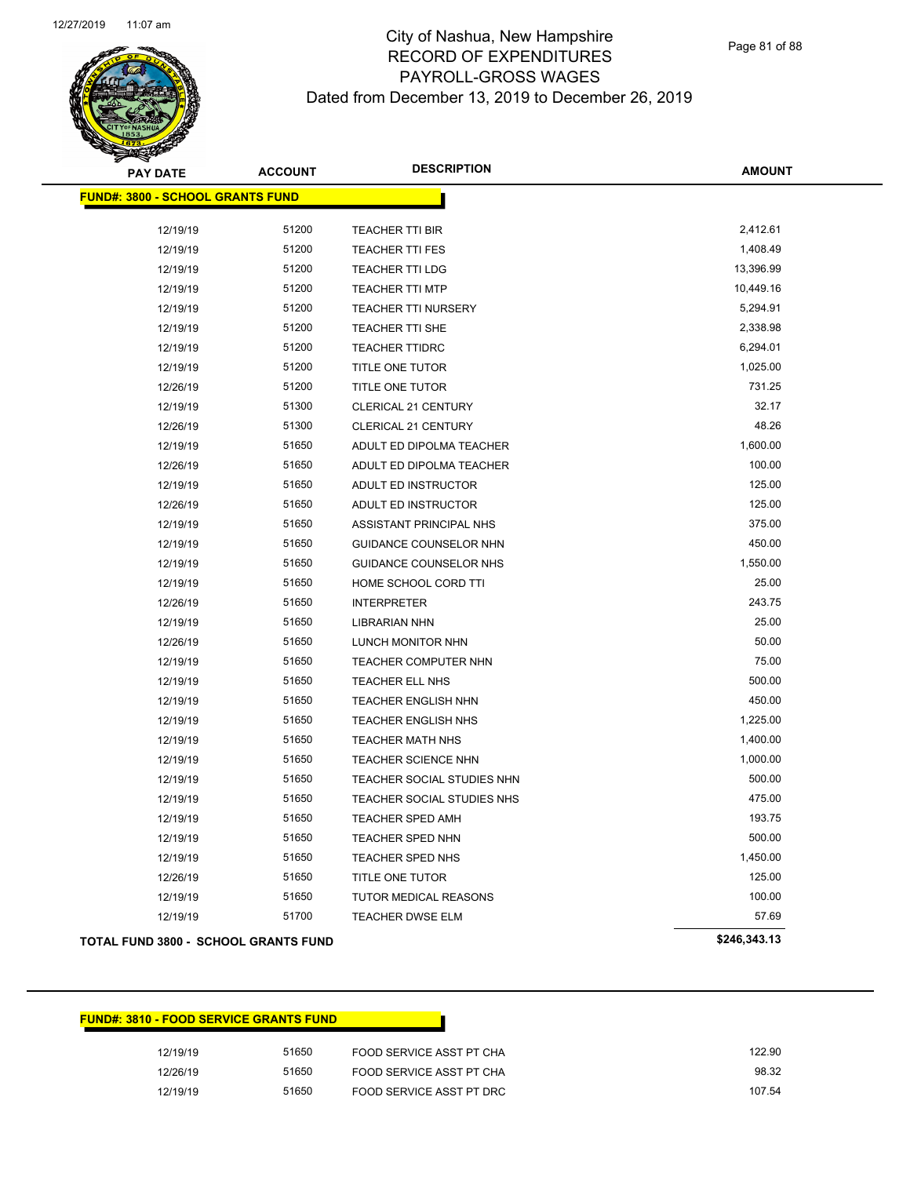

Page 81 of 88

| <b>PAY DATE</b>                         | <b>ACCOUNT</b> | <b>DESCRIPTION</b>         | <b>AMOUNT</b> |
|-----------------------------------------|----------------|----------------------------|---------------|
| <b>FUND#: 3800 - SCHOOL GRANTS FUND</b> |                |                            |               |
| 12/19/19                                | 51200          | TEACHER TTI BIR            | 2,412.61      |
| 12/19/19                                | 51200          | <b>TEACHER TTI FES</b>     | 1,408.49      |
| 12/19/19                                | 51200          | TEACHER TTI LDG            | 13,396.99     |
| 12/19/19                                | 51200          | TEACHER TTI MTP            | 10,449.16     |
| 12/19/19                                | 51200          | <b>TEACHER TTI NURSERY</b> | 5,294.91      |
| 12/19/19                                | 51200          | <b>TEACHER TTI SHE</b>     | 2,338.98      |
| 12/19/19                                | 51200          | <b>TEACHER TTIDRC</b>      | 6,294.01      |
| 12/19/19                                | 51200          | TITLE ONE TUTOR            | 1,025.00      |
| 12/26/19                                | 51200          | TITLE ONE TUTOR            | 731.25        |
| 12/19/19                                | 51300          | <b>CLERICAL 21 CENTURY</b> | 32.17         |
| 12/26/19                                | 51300          | <b>CLERICAL 21 CENTURY</b> | 48.26         |
| 12/19/19                                | 51650          | ADULT ED DIPOLMA TEACHER   | 1,600.00      |
| 12/26/19                                | 51650          | ADULT ED DIPOLMA TEACHER   | 100.00        |
| 12/19/19                                | 51650          | ADULT ED INSTRUCTOR        | 125.00        |
| 12/26/19                                | 51650          | ADULT ED INSTRUCTOR        | 125.00        |
| 12/19/19                                | 51650          | ASSISTANT PRINCIPAL NHS    | 375.00        |
| 12/19/19                                | 51650          | GUIDANCE COUNSELOR NHN     | 450.00        |
| 12/19/19                                | 51650          | GUIDANCE COUNSELOR NHS     | 1,550.00      |
| 12/19/19                                | 51650          | HOME SCHOOL CORD TTI       | 25.00         |
| 12/26/19                                | 51650          | INTERPRETER                | 243.75        |
| 12/19/19                                | 51650          | LIBRARIAN NHN              | 25.00         |
| 12/26/19                                | 51650          | LUNCH MONITOR NHN          | 50.00         |
| 12/19/19                                | 51650          | TEACHER COMPUTER NHN       | 75.00         |
| 12/19/19                                | 51650          | TEACHER ELL NHS            | 500.00        |
| 12/19/19                                | 51650          | TEACHER ENGLISH NHN        | 450.00        |
| 12/19/19                                | 51650          | TEACHER ENGLISH NHS        | 1,225.00      |
| 12/19/19                                | 51650          | <b>TEACHER MATH NHS</b>    | 1,400.00      |
| 12/19/19                                | 51650          | TEACHER SCIENCE NHN        | 1,000.00      |
| 12/19/19                                | 51650          | TEACHER SOCIAL STUDIES NHN | 500.00        |
| 12/19/19                                | 51650          | TEACHER SOCIAL STUDIES NHS | 475.00        |
| 12/19/19                                | 51650          | TEACHER SPED AMH           | 193.75        |
| 12/19/19                                | 51650          | TEACHER SPED NHN           | 500.00        |
| 12/19/19                                | 51650          | TEACHER SPED NHS           | 1,450.00      |
| 12/26/19                                | 51650          | TITLE ONE TUTOR            | 125.00        |
| 12/19/19                                | 51650          | TUTOR MEDICAL REASONS      | 100.00        |
| 12/19/19                                | 51700          | TEACHER DWSE ELM           | 57.69         |
| TOTAL FUND 3800 - SCHOOL GRANTS FUND    |                |                            | \$246,343.13  |

| <b>FUND#: 3810 - FOOD SERVICE GRANTS FUND</b> |       |                          |        |
|-----------------------------------------------|-------|--------------------------|--------|
| 12/19/19                                      | 51650 | FOOD SERVICE ASST PT CHA | 122.90 |
| 12/26/19                                      | 51650 | FOOD SERVICE ASST PT CHA | 98.32  |
| 12/19/19                                      | 51650 | FOOD SERVICE ASST PT DRC | 107.54 |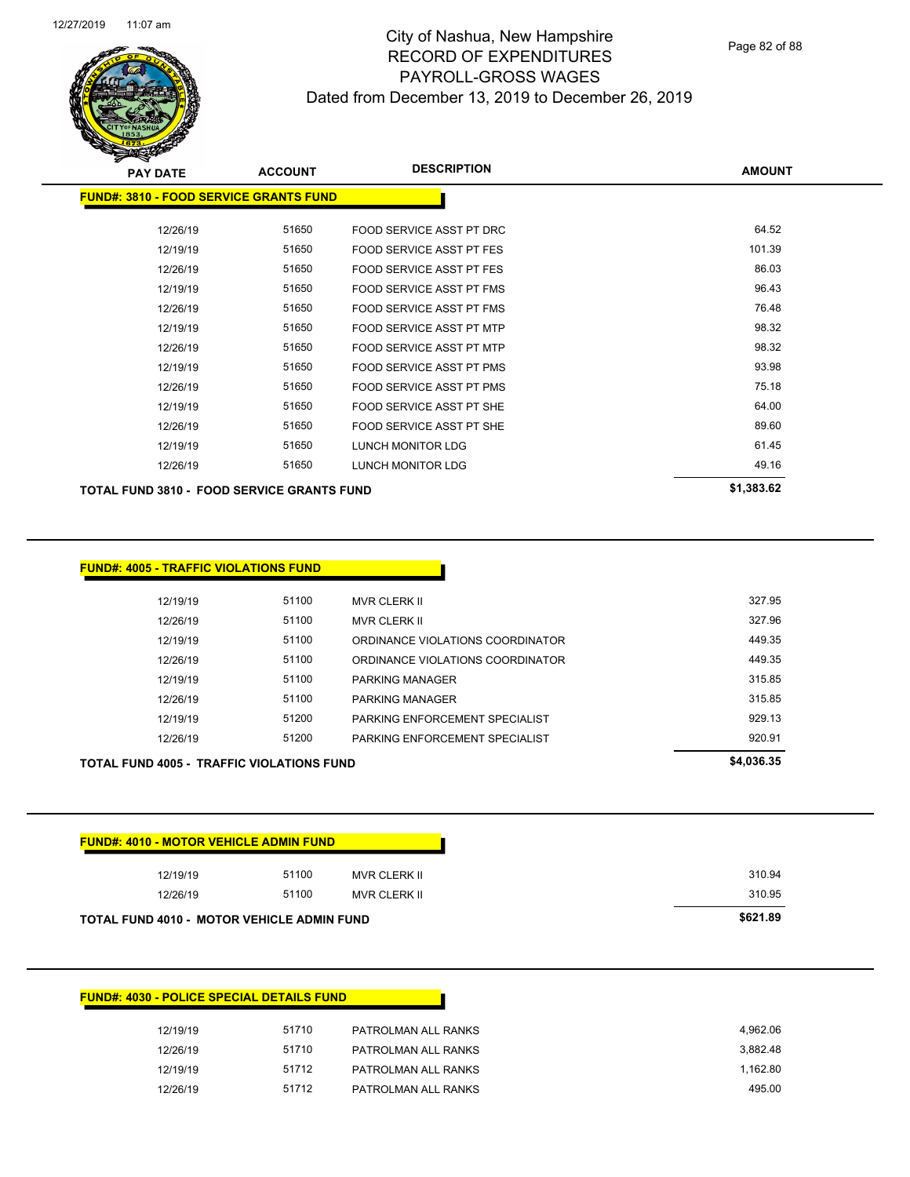

Page 82 of 88

| <b>PAY DATE</b>                                   | <b>ACCOUNT</b> | <b>DESCRIPTION</b>              | <b>AMOUNT</b> |
|---------------------------------------------------|----------------|---------------------------------|---------------|
| <b>FUND#: 3810 - FOOD SERVICE GRANTS FUND</b>     |                |                                 |               |
| 12/26/19                                          | 51650          | FOOD SERVICE ASST PT DRC        | 64.52         |
| 12/19/19                                          | 51650          | <b>FOOD SERVICE ASST PT FES</b> | 101.39        |
| 12/26/19                                          | 51650          | FOOD SERVICE ASST PT FES        | 86.03         |
| 12/19/19                                          | 51650          | FOOD SERVICE ASST PT FMS        | 96.43         |
| 12/26/19                                          | 51650          | FOOD SERVICE ASST PT FMS        | 76.48         |
| 12/19/19                                          | 51650          | FOOD SERVICE ASST PT MTP        | 98.32         |
| 12/26/19                                          | 51650          | FOOD SERVICE ASST PT MTP        | 98.32         |
| 12/19/19                                          | 51650          | FOOD SERVICE ASST PT PMS        | 93.98         |
| 12/26/19                                          | 51650          | <b>FOOD SERVICE ASST PT PMS</b> | 75.18         |
| 12/19/19                                          | 51650          | FOOD SERVICE ASST PT SHE        | 64.00         |
| 12/26/19                                          | 51650          | FOOD SERVICE ASST PT SHE        | 89.60         |
| 12/19/19                                          | 51650          | LUNCH MONITOR LDG               | 61.45         |
| 12/26/19                                          | 51650          | LUNCH MONITOR LDG               | 49.16         |
| <b>TOTAL FUND 3810 - FOOD SERVICE GRANTS FUND</b> |                |                                 | \$1,383.62    |

| 12/26/19 | 51200 | PARKING ENFORCEMENT SPECIALIST   | 920.91 |
|----------|-------|----------------------------------|--------|
| 12/19/19 | 51200 | PARKING ENFORCEMENT SPECIALIST   | 929.13 |
| 12/26/19 | 51100 | <b>PARKING MANAGER</b>           | 315.85 |
| 12/19/19 | 51100 | <b>PARKING MANAGER</b>           | 315.85 |
| 12/26/19 | 51100 | ORDINANCE VIOLATIONS COORDINATOR | 449.35 |
| 12/19/19 | 51100 | ORDINANCE VIOLATIONS COORDINATOR | 449.35 |
| 12/26/19 | 51100 | <b>MVR CLERK II</b>              | 327.96 |
| 12/19/19 | 51100 | <b>MVR CLERK II</b>              | 327.95 |
|          |       |                                  |        |

12/19/19 51100 MVR CLERK II 310.94 12/26/19 51100 MVR CLERK II 310.95

12/19/19 51710 PATROLMAN ALL RANKS 4,962.06 12/26/19 51710 PATROLMAN ALL RANKS 3,882.48 12/19/19 51712 PATROLMAN ALL RANKS 1,162.80 12/26/19 51712 PATROLMAN ALL RANKS 495.00

**TOTAL FUND 4010 - MOTOR VEHICLE ADMIN FUND \$621.89** 

**FUND#: 4010 - MOTOR VEHICLE ADMIN FUND**

**FUND#: 4030 - POLICE SPECIAL DETAILS FUND**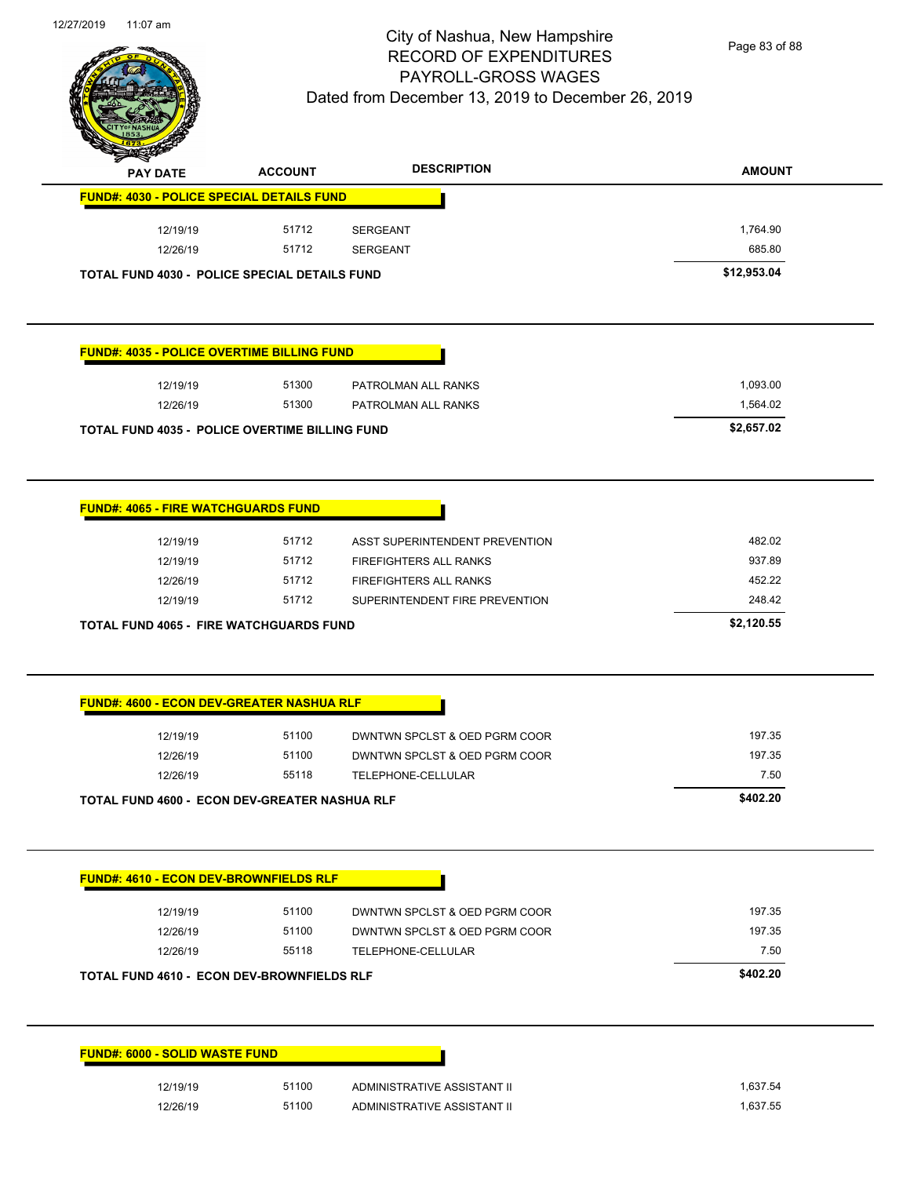

Page 83 of 88

| <b>PAY DATE</b>                       | <b>ACCOUNT</b>                                        | <b>DESCRIPTION</b>                                         | <b>AMOUNT</b>        |
|---------------------------------------|-------------------------------------------------------|------------------------------------------------------------|----------------------|
|                                       | <b>FUND#: 4030 - POLICE SPECIAL DETAILS FUND</b>      |                                                            |                      |
| 12/19/19                              | 51712                                                 | SERGEANT                                                   | 1,764.90             |
| 12/26/19                              | 51712                                                 | <b>SERGEANT</b>                                            | 685.80               |
|                                       | <b>TOTAL FUND 4030 - POLICE SPECIAL DETAILS FUND</b>  |                                                            | \$12,953.04          |
|                                       |                                                       |                                                            |                      |
|                                       | <b>FUND#: 4035 - POLICE OVERTIME BILLING FUND</b>     |                                                            |                      |
| 12/19/19                              | 51300                                                 | PATROLMAN ALL RANKS                                        | 1,093.00             |
| 12/26/19                              | 51300                                                 | PATROLMAN ALL RANKS                                        | 1,564.02             |
|                                       | <b>TOTAL FUND 4035 - POLICE OVERTIME BILLING FUND</b> |                                                            | \$2,657.02           |
|                                       | <b>FUND#: 4065 - FIRE WATCHGUARDS FUND</b>            |                                                            |                      |
| 12/19/19                              | 51712                                                 | ASST SUPERINTENDENT PREVENTION                             | 482.02               |
| 12/19/19                              | 51712                                                 | FIREFIGHTERS ALL RANKS                                     | 937.89               |
|                                       |                                                       |                                                            |                      |
|                                       |                                                       |                                                            |                      |
| 12/26/19                              | 51712                                                 | FIREFIGHTERS ALL RANKS                                     | 452.22               |
| 12/19/19                              | 51712                                                 | SUPERINTENDENT FIRE PREVENTION                             | 248.42               |
|                                       | <b>TOTAL FUND 4065 - FIRE WATCHGUARDS FUND</b>        |                                                            | \$2,120.55           |
|                                       | <b>FUND#: 4600 - ECON DEV-GREATER NASHUA RLF</b>      |                                                            |                      |
| 12/19/19                              | 51100                                                 | DWNTWN SPCLST & OED PGRM COOR                              | 197.35               |
| 12/26/19                              | 51100                                                 | DWNTWN SPCLST & OED PGRM COOR                              | 197.35               |
| 12/26/19                              | 55118                                                 | TELEPHONE-CELLULAR                                         | 7.50                 |
|                                       | <b>TOTAL FUND 4600 - ECON DEV-GREATER NASHUA RLF</b>  |                                                            | \$402.20             |
|                                       |                                                       |                                                            |                      |
|                                       | <b>FUND#: 4610 - ECON DEV-BROWNFIELDS RLF</b>         |                                                            |                      |
| 12/19/19                              | 51100                                                 | DWNTWN SPCLST & OED PGRM COOR                              | 197.35               |
| 12/26/19                              | 51100                                                 | DWNTWN SPCLST & OED PGRM COOR                              | 197.35               |
| 12/26/19                              | 55118                                                 | TELEPHONE-CELLULAR                                         | 7.50                 |
|                                       | TOTAL FUND 4610 - ECON DEV-BROWNFIELDS RLF            |                                                            | \$402.20             |
|                                       |                                                       |                                                            |                      |
| <b>FUND#: 6000 - SOLID WASTE FUND</b> |                                                       |                                                            |                      |
| 12/19/19                              | 51100<br>51100                                        | ADMINISTRATIVE ASSISTANT II<br>ADMINISTRATIVE ASSISTANT II | 1,637.54<br>1,637.55 |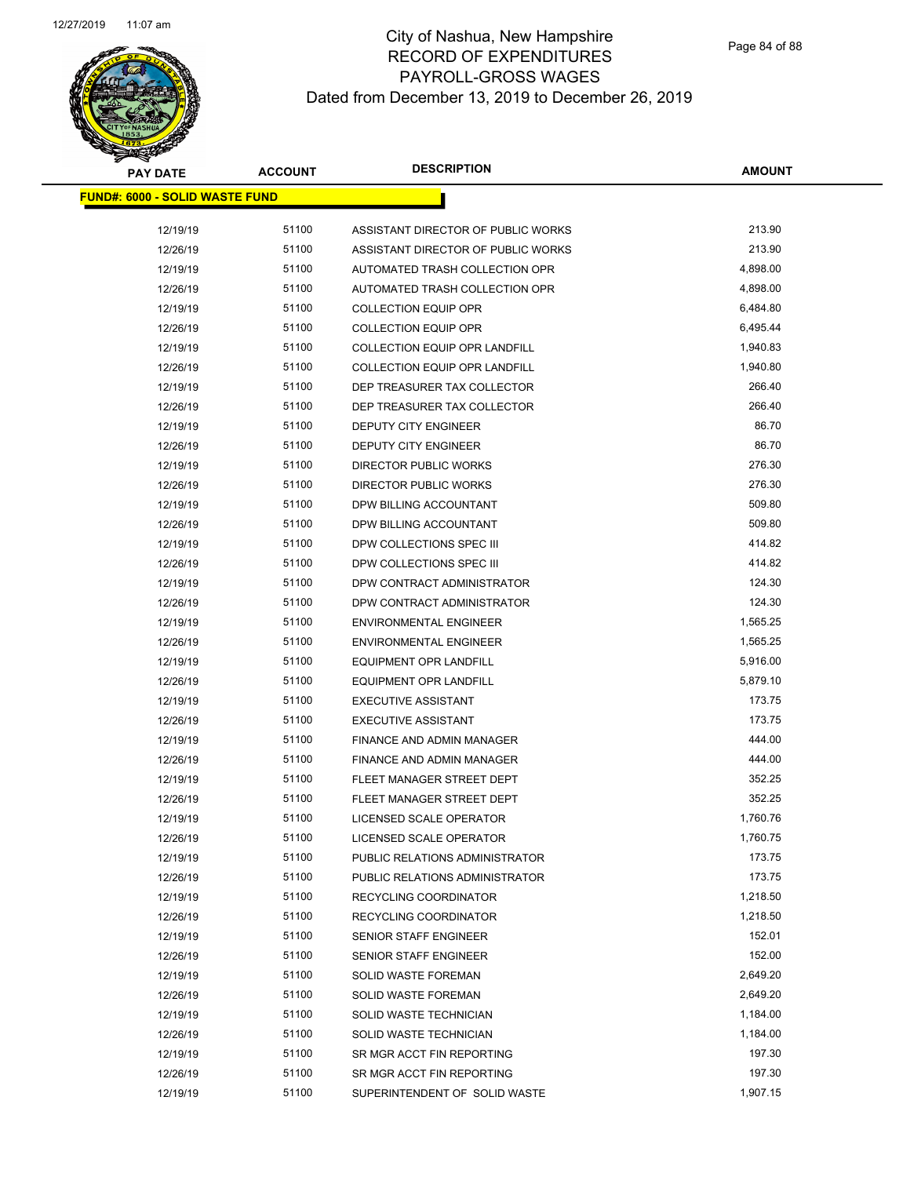

| <b>PAY DATE</b>                        | <b>ACCOUNT</b> | <b>DESCRIPTION</b>                   | <b>AMOUNT</b> |
|----------------------------------------|----------------|--------------------------------------|---------------|
| <u> FUND#: 6000 - SOLID WASTE FUND</u> |                |                                      |               |
| 12/19/19                               | 51100          | ASSISTANT DIRECTOR OF PUBLIC WORKS   | 213.90        |
| 12/26/19                               | 51100          | ASSISTANT DIRECTOR OF PUBLIC WORKS   | 213.90        |
| 12/19/19                               | 51100          | AUTOMATED TRASH COLLECTION OPR       | 4,898.00      |
| 12/26/19                               | 51100          | AUTOMATED TRASH COLLECTION OPR       | 4,898.00      |
| 12/19/19                               | 51100          | <b>COLLECTION EQUIP OPR</b>          | 6,484.80      |
| 12/26/19                               | 51100          | <b>COLLECTION EQUIP OPR</b>          | 6,495.44      |
| 12/19/19                               | 51100          | <b>COLLECTION EQUIP OPR LANDFILL</b> | 1,940.83      |
| 12/26/19                               | 51100          | <b>COLLECTION EQUIP OPR LANDFILL</b> | 1,940.80      |
| 12/19/19                               | 51100          | DEP TREASURER TAX COLLECTOR          | 266.40        |
| 12/26/19                               | 51100          | DEP TREASURER TAX COLLECTOR          | 266.40        |
| 12/19/19                               | 51100          | DEPUTY CITY ENGINEER                 | 86.70         |
| 12/26/19                               | 51100          | DEPUTY CITY ENGINEER                 | 86.70         |
| 12/19/19                               | 51100          | <b>DIRECTOR PUBLIC WORKS</b>         | 276.30        |
| 12/26/19                               | 51100          | <b>DIRECTOR PUBLIC WORKS</b>         | 276.30        |
| 12/19/19                               | 51100          | DPW BILLING ACCOUNTANT               | 509.80        |
| 12/26/19                               | 51100          | DPW BILLING ACCOUNTANT               | 509.80        |
| 12/19/19                               | 51100          | DPW COLLECTIONS SPEC III             | 414.82        |
| 12/26/19                               | 51100          | DPW COLLECTIONS SPEC III             | 414.82        |
| 12/19/19                               | 51100          | DPW CONTRACT ADMINISTRATOR           | 124.30        |
| 12/26/19                               | 51100          | DPW CONTRACT ADMINISTRATOR           | 124.30        |
| 12/19/19                               | 51100          | <b>ENVIRONMENTAL ENGINEER</b>        | 1,565.25      |
| 12/26/19                               | 51100          | <b>ENVIRONMENTAL ENGINEER</b>        | 1,565.25      |
| 12/19/19                               | 51100          | <b>EQUIPMENT OPR LANDFILL</b>        | 5,916.00      |
| 12/26/19                               | 51100          | <b>EQUIPMENT OPR LANDFILL</b>        | 5,879.10      |
| 12/19/19                               | 51100          | <b>EXECUTIVE ASSISTANT</b>           | 173.75        |
| 12/26/19                               | 51100          | <b>EXECUTIVE ASSISTANT</b>           | 173.75        |
| 12/19/19                               | 51100          | FINANCE AND ADMIN MANAGER            | 444.00        |
| 12/26/19                               | 51100          | FINANCE AND ADMIN MANAGER            | 444.00        |
| 12/19/19                               | 51100          | FLEET MANAGER STREET DEPT            | 352.25        |
| 12/26/19                               | 51100          | FLEET MANAGER STREET DEPT            | 352.25        |
| 12/19/19                               | 51100          | LICENSED SCALE OPERATOR              | 1,760.76      |
| 12/26/19                               | 51100          | LICENSED SCALE OPERATOR              | 1,760.75      |
| 12/19/19                               | 51100          | PUBLIC RELATIONS ADMINISTRATOR       | 173.75        |
| 12/26/19                               | 51100          | PUBLIC RELATIONS ADMINISTRATOR       | 173.75        |
| 12/19/19                               | 51100          | RECYCLING COORDINATOR                | 1,218.50      |
| 12/26/19                               | 51100          | RECYCLING COORDINATOR                | 1,218.50      |
| 12/19/19                               | 51100          | SENIOR STAFF ENGINEER                | 152.01        |
| 12/26/19                               | 51100          | SENIOR STAFF ENGINEER                | 152.00        |
| 12/19/19                               | 51100          | SOLID WASTE FOREMAN                  | 2,649.20      |
| 12/26/19                               | 51100          | SOLID WASTE FOREMAN                  | 2,649.20      |
| 12/19/19                               | 51100          | SOLID WASTE TECHNICIAN               | 1,184.00      |
| 12/26/19                               | 51100          | SOLID WASTE TECHNICIAN               | 1,184.00      |
| 12/19/19                               | 51100          | SR MGR ACCT FIN REPORTING            | 197.30        |
| 12/26/19                               | 51100          | SR MGR ACCT FIN REPORTING            | 197.30        |
| 12/19/19                               | 51100          | SUPERINTENDENT OF SOLID WASTE        | 1,907.15      |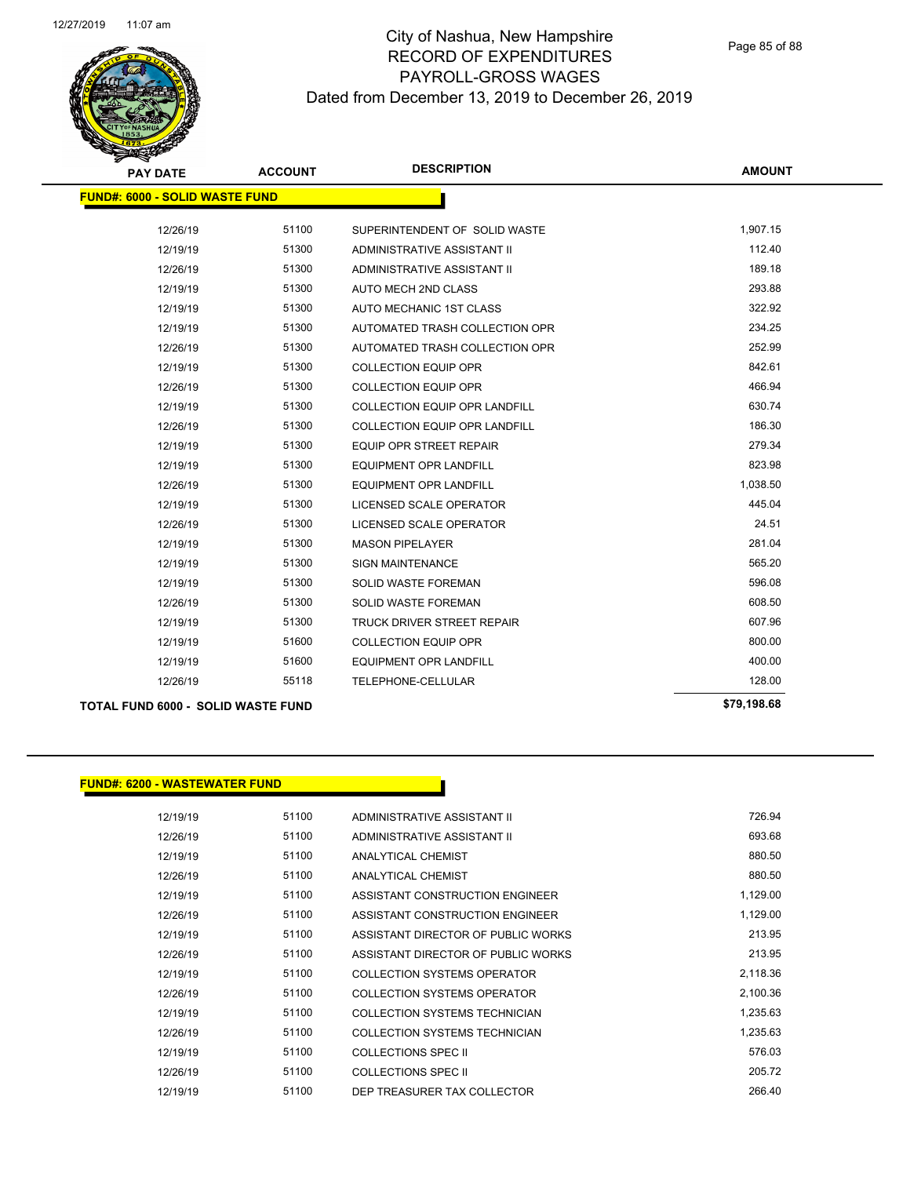

| <b>PAY DATE</b>                           | <b>ACCOUNT</b> | <b>DESCRIPTION</b>                   | <b>AMOUNT</b> |
|-------------------------------------------|----------------|--------------------------------------|---------------|
| <b>FUND#: 6000 - SOLID WASTE FUND</b>     |                |                                      |               |
|                                           |                |                                      |               |
| 12/26/19                                  | 51100          | SUPERINTENDENT OF SOLID WASTE        | 1,907.15      |
| 12/19/19                                  | 51300          | ADMINISTRATIVE ASSISTANT II          | 112.40        |
| 12/26/19                                  | 51300          | ADMINISTRATIVE ASSISTANT II          | 189.18        |
| 12/19/19                                  | 51300          | AUTO MECH 2ND CLASS                  | 293.88        |
| 12/19/19                                  | 51300          | AUTO MECHANIC 1ST CLASS              | 322.92        |
| 12/19/19                                  | 51300          | AUTOMATED TRASH COLLECTION OPR       | 234.25        |
| 12/26/19                                  | 51300          | AUTOMATED TRASH COLLECTION OPR       | 252.99        |
| 12/19/19                                  | 51300          | <b>COLLECTION EQUIP OPR</b>          | 842.61        |
| 12/26/19                                  | 51300          | <b>COLLECTION EQUIP OPR</b>          | 466.94        |
| 12/19/19                                  | 51300          | COLLECTION EQUIP OPR LANDFILL        | 630.74        |
| 12/26/19                                  | 51300          | <b>COLLECTION EQUIP OPR LANDFILL</b> | 186.30        |
| 12/19/19                                  | 51300          | <b>EQUIP OPR STREET REPAIR</b>       | 279.34        |
| 12/19/19                                  | 51300          | <b>EQUIPMENT OPR LANDFILL</b>        | 823.98        |
| 12/26/19                                  | 51300          | <b>EQUIPMENT OPR LANDFILL</b>        | 1,038.50      |
| 12/19/19                                  | 51300          | LICENSED SCALE OPERATOR              | 445.04        |
| 12/26/19                                  | 51300          | LICENSED SCALE OPERATOR              | 24.51         |
| 12/19/19                                  | 51300          | <b>MASON PIPELAYER</b>               | 281.04        |
| 12/19/19                                  | 51300          | <b>SIGN MAINTENANCE</b>              | 565.20        |
| 12/19/19                                  | 51300          | <b>SOLID WASTE FOREMAN</b>           | 596.08        |
| 12/26/19                                  | 51300          | <b>SOLID WASTE FOREMAN</b>           | 608.50        |
| 12/19/19                                  | 51300          | TRUCK DRIVER STREET REPAIR           | 607.96        |
| 12/19/19                                  | 51600          | <b>COLLECTION EQUIP OPR</b>          | 800.00        |
| 12/19/19                                  | 51600          | <b>EQUIPMENT OPR LANDFILL</b>        | 400.00        |
| 12/26/19                                  | 55118          | TELEPHONE-CELLULAR                   | 128.00        |
| <b>TOTAL FUND 6000 - SOLID WASTE FUND</b> |                |                                      | \$79,198.68   |

#### **FUND#: 6200 - WASTEWATER FUND**

| 12/19/19 | 51100 | ADMINISTRATIVE ASSISTANT II        | 726.94   |
|----------|-------|------------------------------------|----------|
| 12/26/19 | 51100 | ADMINISTRATIVE ASSISTANT II        | 693.68   |
| 12/19/19 | 51100 | ANALYTICAL CHEMIST                 | 880.50   |
| 12/26/19 | 51100 | ANALYTICAL CHEMIST                 | 880.50   |
| 12/19/19 | 51100 | ASSISTANT CONSTRUCTION ENGINEER    | 1,129.00 |
| 12/26/19 | 51100 | ASSISTANT CONSTRUCTION ENGINEER    | 1,129.00 |
| 12/19/19 | 51100 | ASSISTANT DIRECTOR OF PUBLIC WORKS | 213.95   |
| 12/26/19 | 51100 | ASSISTANT DIRECTOR OF PUBLIC WORKS | 213.95   |
| 12/19/19 | 51100 | COLLECTION SYSTEMS OPERATOR        | 2,118.36 |
| 12/26/19 | 51100 | COLLECTION SYSTEMS OPERATOR        | 2,100.36 |
| 12/19/19 | 51100 | COLLECTION SYSTEMS TECHNICIAN      | 1.235.63 |
| 12/26/19 | 51100 | COLLECTION SYSTEMS TECHNICIAN      | 1,235.63 |
| 12/19/19 | 51100 | COLLECTIONS SPEC II                | 576.03   |
| 12/26/19 | 51100 | COLLECTIONS SPEC II                | 205.72   |
| 12/19/19 | 51100 | DEP TREASURER TAX COLLECTOR        | 266.40   |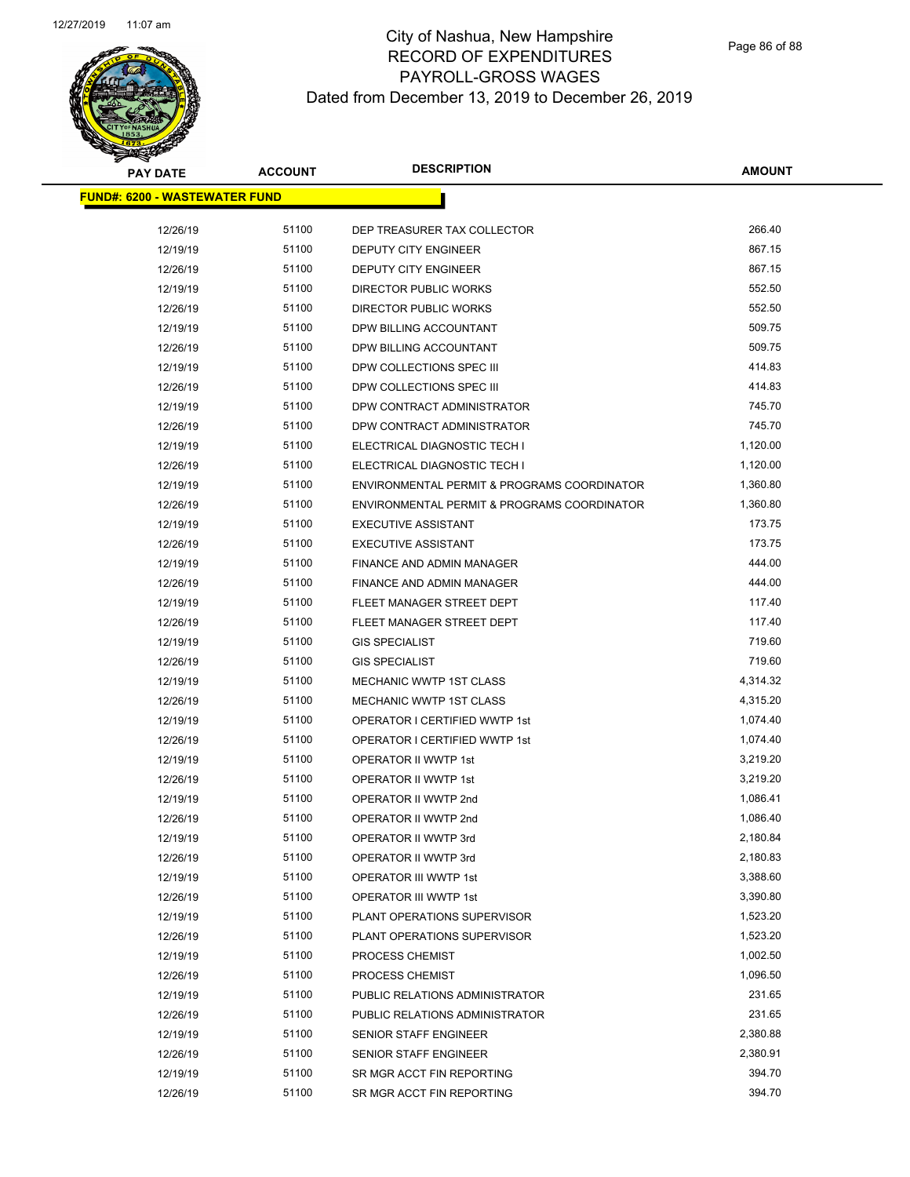# **PAY DATE ACCOUNT DESCRIPTION**

| <b>PAY DATE</b>                       | <b>ACCOUNT</b> | <b>DESCRIPTION</b>                          | <b>AMOUNT</b> |
|---------------------------------------|----------------|---------------------------------------------|---------------|
| <u> FUND#: 6200 - WASTEWATER FUND</u> |                |                                             |               |
|                                       |                |                                             |               |
| 12/26/19                              | 51100          | DEP TREASURER TAX COLLECTOR                 | 266.40        |
| 12/19/19                              | 51100          | DEPUTY CITY ENGINEER                        | 867.15        |
| 12/26/19                              | 51100          | DEPUTY CITY ENGINEER                        | 867.15        |
| 12/19/19                              | 51100          | DIRECTOR PUBLIC WORKS                       | 552.50        |
| 12/26/19                              | 51100          | DIRECTOR PUBLIC WORKS                       | 552.50        |
| 12/19/19                              | 51100          | DPW BILLING ACCOUNTANT                      | 509.75        |
| 12/26/19                              | 51100          | DPW BILLING ACCOUNTANT                      | 509.75        |
| 12/19/19                              | 51100          | DPW COLLECTIONS SPEC III                    | 414.83        |
| 12/26/19                              | 51100          | DPW COLLECTIONS SPEC III                    | 414.83        |
| 12/19/19                              | 51100          | DPW CONTRACT ADMINISTRATOR                  | 745.70        |
| 12/26/19                              | 51100          | DPW CONTRACT ADMINISTRATOR                  | 745.70        |
| 12/19/19                              | 51100          | ELECTRICAL DIAGNOSTIC TECH I                | 1,120.00      |
| 12/26/19                              | 51100          | ELECTRICAL DIAGNOSTIC TECH I                | 1,120.00      |
| 12/19/19                              | 51100          | ENVIRONMENTAL PERMIT & PROGRAMS COORDINATOR | 1,360.80      |
| 12/26/19                              | 51100          | ENVIRONMENTAL PERMIT & PROGRAMS COORDINATOR | 1,360.80      |
| 12/19/19                              | 51100          | <b>EXECUTIVE ASSISTANT</b>                  | 173.75        |
| 12/26/19                              | 51100          | <b>EXECUTIVE ASSISTANT</b>                  | 173.75        |
| 12/19/19                              | 51100          | FINANCE AND ADMIN MANAGER                   | 444.00        |
| 12/26/19                              | 51100          | FINANCE AND ADMIN MANAGER                   | 444.00        |
| 12/19/19                              | 51100          | FLEET MANAGER STREET DEPT                   | 117.40        |
| 12/26/19                              | 51100          | FLEET MANAGER STREET DEPT                   | 117.40        |
| 12/19/19                              | 51100          | <b>GIS SPECIALIST</b>                       | 719.60        |
| 12/26/19                              | 51100          | <b>GIS SPECIALIST</b>                       | 719.60        |
| 12/19/19                              | 51100          | MECHANIC WWTP 1ST CLASS                     | 4,314.32      |
| 12/26/19                              | 51100          | MECHANIC WWTP 1ST CLASS                     | 4,315.20      |
| 12/19/19                              | 51100          | OPERATOR I CERTIFIED WWTP 1st               | 1,074.40      |
| 12/26/19                              | 51100          | OPERATOR I CERTIFIED WWTP 1st               | 1,074.40      |
| 12/19/19                              | 51100          | OPERATOR II WWTP 1st                        | 3,219.20      |
| 12/26/19                              | 51100          | OPERATOR II WWTP 1st                        | 3,219.20      |
| 12/19/19                              | 51100          | OPERATOR II WWTP 2nd                        | 1,086.41      |
| 12/26/19                              | 51100          | OPERATOR II WWTP 2nd                        | 1,086.40      |
| 12/19/19                              | 51100          | OPERATOR II WWTP 3rd                        | 2,180.84      |
| 12/26/19                              | 51100          | OPERATOR II WWTP 3rd                        | 2,180.83      |
| 12/19/19                              | 51100          | OPERATOR III WWTP 1st                       | 3,388.60      |
| 12/26/19                              | 51100          | OPERATOR III WWTP 1st                       | 3,390.80      |
| 12/19/19                              | 51100          | PLANT OPERATIONS SUPERVISOR                 | 1,523.20      |
| 12/26/19                              | 51100          | PLANT OPERATIONS SUPERVISOR                 | 1,523.20      |
| 12/19/19                              | 51100          | PROCESS CHEMIST                             | 1,002.50      |
| 12/26/19                              | 51100          | PROCESS CHEMIST                             | 1,096.50      |
| 12/19/19                              | 51100          | PUBLIC RELATIONS ADMINISTRATOR              | 231.65        |
| 12/26/19                              | 51100          | PUBLIC RELATIONS ADMINISTRATOR              | 231.65        |
| 12/19/19                              | 51100          | SENIOR STAFF ENGINEER                       | 2,380.88      |
| 12/26/19                              | 51100          | SENIOR STAFF ENGINEER                       | 2,380.91      |
| 12/19/19                              | 51100          | SR MGR ACCT FIN REPORTING                   | 394.70        |
| 12/26/19                              | 51100          | SR MGR ACCT FIN REPORTING                   | 394.70        |
|                                       |                |                                             |               |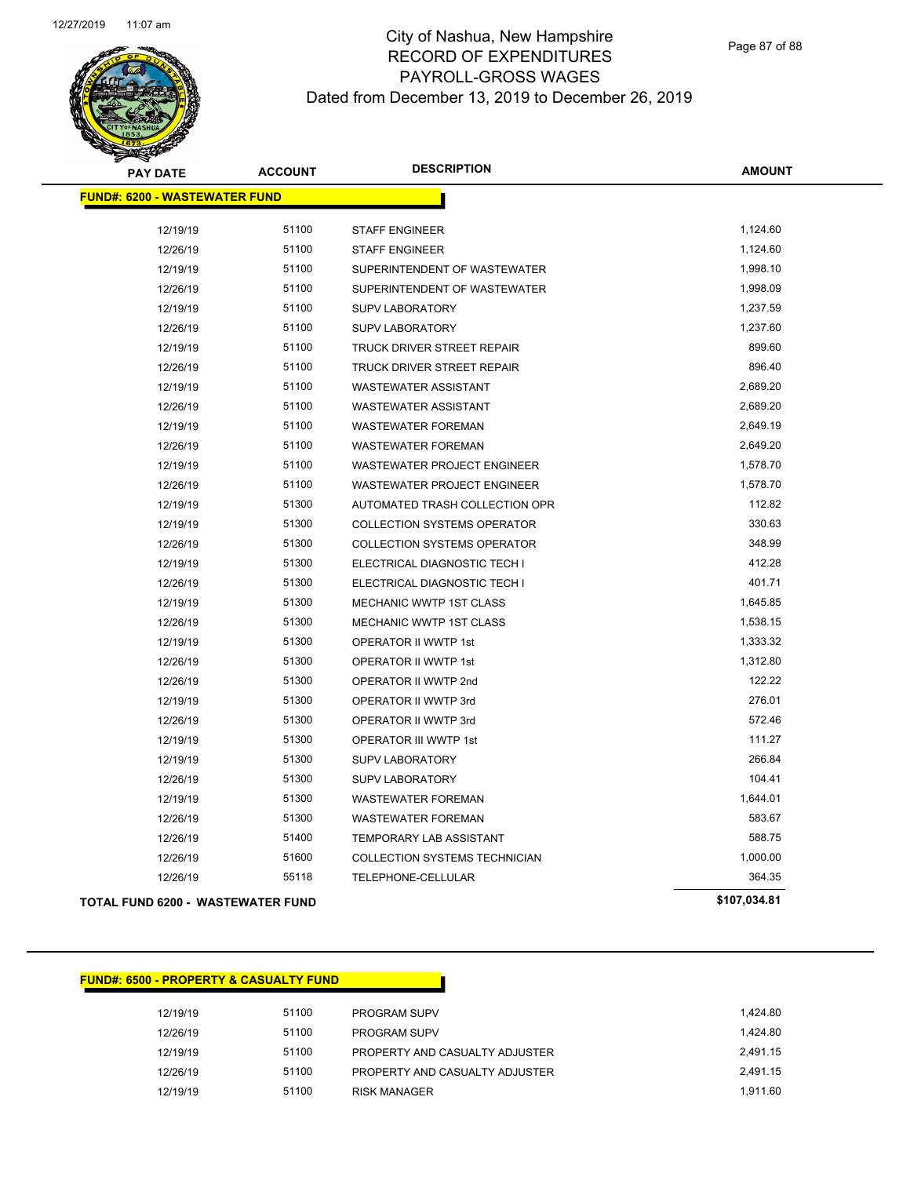

| <b>PAY DATE</b>                      | <b>ACCOUNT</b> | <b>DESCRIPTION</b>                 | <b>AMOUNT</b> |
|--------------------------------------|----------------|------------------------------------|---------------|
| <b>FUND#: 6200 - WASTEWATER FUND</b> |                |                                    |               |
|                                      |                |                                    |               |
| 12/19/19                             | 51100          | <b>STAFF ENGINEER</b>              | 1,124.60      |
| 12/26/19                             | 51100          | <b>STAFF ENGINEER</b>              | 1,124.60      |
| 12/19/19                             | 51100          | SUPERINTENDENT OF WASTEWATER       | 1,998.10      |
| 12/26/19                             | 51100          | SUPERINTENDENT OF WASTEWATER       | 1,998.09      |
| 12/19/19                             | 51100          | <b>SUPV LABORATORY</b>             | 1,237.59      |
| 12/26/19                             | 51100          | <b>SUPV LABORATORY</b>             | 1,237.60      |
| 12/19/19                             | 51100          | TRUCK DRIVER STREET REPAIR         | 899.60        |
| 12/26/19                             | 51100          | TRUCK DRIVER STREET REPAIR         | 896.40        |
| 12/19/19                             | 51100          | <b>WASTEWATER ASSISTANT</b>        | 2,689.20      |
| 12/26/19                             | 51100          | <b>WASTEWATER ASSISTANT</b>        | 2,689.20      |
| 12/19/19                             | 51100          | <b>WASTEWATER FOREMAN</b>          | 2,649.19      |
| 12/26/19                             | 51100          | WASTEWATER FOREMAN                 | 2,649.20      |
| 12/19/19                             | 51100          | WASTEWATER PROJECT ENGINEER        | 1,578.70      |
| 12/26/19                             | 51100          | <b>WASTEWATER PROJECT ENGINEER</b> | 1,578.70      |
| 12/19/19                             | 51300          | AUTOMATED TRASH COLLECTION OPR     | 112.82        |
| 12/19/19                             | 51300          | <b>COLLECTION SYSTEMS OPERATOR</b> | 330.63        |
| 12/26/19                             | 51300          | <b>COLLECTION SYSTEMS OPERATOR</b> | 348.99        |
| 12/19/19                             | 51300          | ELECTRICAL DIAGNOSTIC TECH I       | 412.28        |
| 12/26/19                             | 51300          | ELECTRICAL DIAGNOSTIC TECH I       | 401.71        |
| 12/19/19                             | 51300          | MECHANIC WWTP 1ST CLASS            | 1,645.85      |
| 12/26/19                             | 51300          | MECHANIC WWTP 1ST CLASS            | 1,538.15      |
| 12/19/19                             | 51300          | OPERATOR II WWTP 1st               | 1,333.32      |
| 12/26/19                             | 51300          | OPERATOR II WWTP 1st               | 1,312.80      |
| 12/26/19                             | 51300          | OPERATOR II WWTP 2nd               | 122.22        |
| 12/19/19                             | 51300          | OPERATOR II WWTP 3rd               | 276.01        |
| 12/26/19                             | 51300          | OPERATOR II WWTP 3rd               | 572.46        |
| 12/19/19                             | 51300          | OPERATOR III WWTP 1st              | 111.27        |
| 12/19/19                             | 51300          | <b>SUPV LABORATORY</b>             | 266.84        |
| 12/26/19                             | 51300          | <b>SUPV LABORATORY</b>             | 104.41        |
| 12/19/19                             | 51300          | <b>WASTEWATER FOREMAN</b>          | 1,644.01      |
| 12/26/19                             | 51300          | <b>WASTEWATER FOREMAN</b>          | 583.67        |
| 12/26/19                             | 51400          | TEMPORARY LAB ASSISTANT            | 588.75        |
| 12/26/19                             | 51600          | COLLECTION SYSTEMS TECHNICIAN      | 1,000.00      |
| 12/26/19                             | 55118          | TELEPHONE-CELLULAR                 | 364.35        |
| TOTAL FUND 6200 - WASTEWATER FUND    |                |                                    | \$107,034.81  |

#### **FUND#: 6500 - PROPERTY & CASUALTY FUND**

| 12/19/19 | 51100 | <b>PROGRAM SUPV</b>            | 1.424.80 |
|----------|-------|--------------------------------|----------|
| 12/26/19 | 51100 | <b>PROGRAM SUPV</b>            | 1.424.80 |
| 12/19/19 | 51100 | PROPERTY AND CASUALTY ADJUSTER | 2.491.15 |
| 12/26/19 | 51100 | PROPERTY AND CASUALTY ADJUSTER | 2.491.15 |
| 12/19/19 | 51100 | <b>RISK MANAGER</b>            | 1.911.60 |